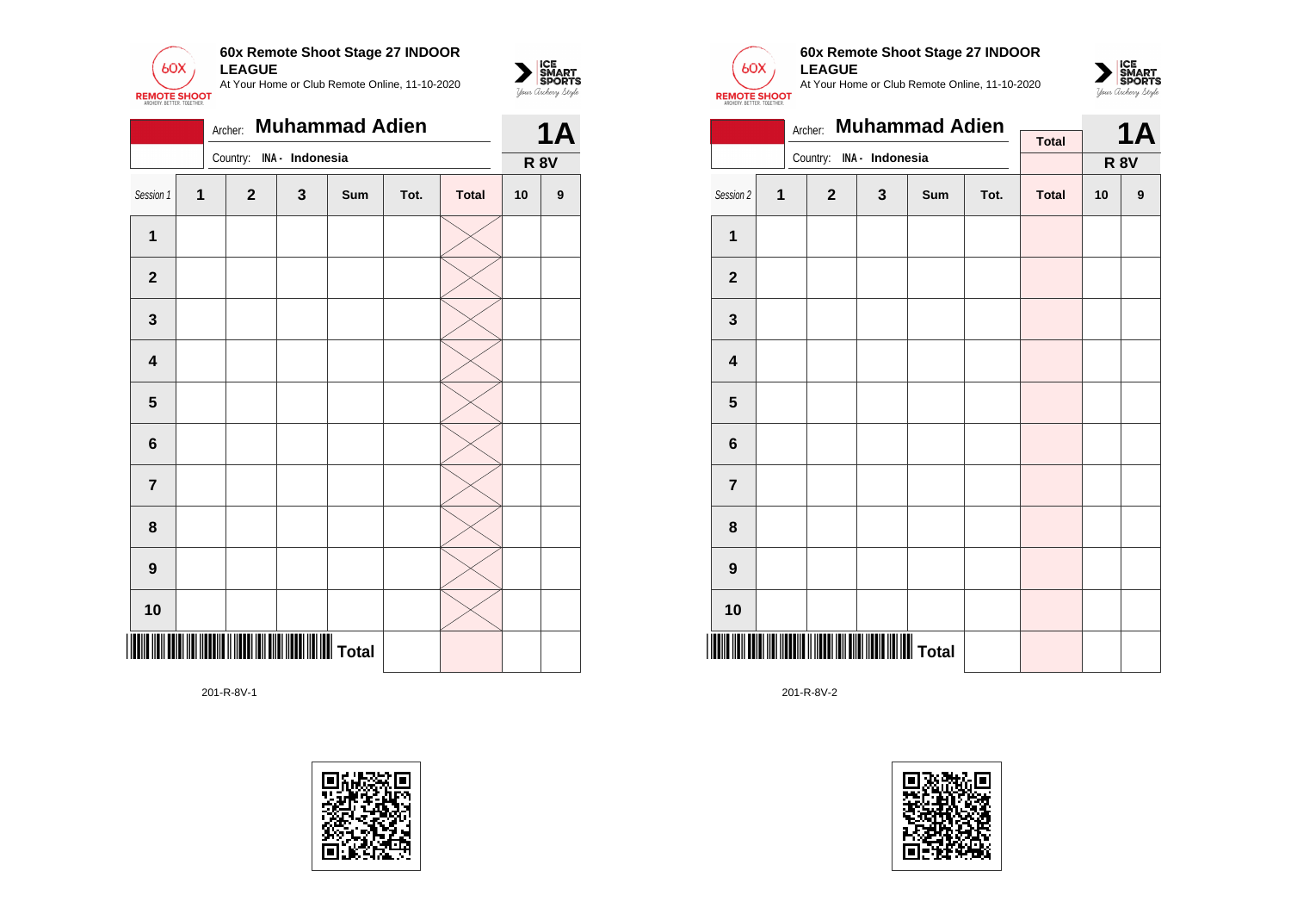

|                         |   | <b>1A</b>    |                 |     |      |              |             |   |
|-------------------------|---|--------------|-----------------|-----|------|--------------|-------------|---|
|                         |   | Country:     | INA - Indonesia |     |      |              | <b>R 8V</b> |   |
| Session 1               | 1 | $\mathbf{2}$ | $\mathbf{3}$    | Sum | Tot. | <b>Total</b> | 10          | 9 |
| $\mathbf 1$             |   |              |                 |     |      |              |             |   |
| $\mathbf{2}$            |   |              |                 |     |      |              |             |   |
| 3                       |   |              |                 |     |      |              |             |   |
| $\overline{\mathbf{4}}$ |   |              |                 |     |      |              |             |   |
| $\overline{\mathbf{5}}$ |   |              |                 |     |      |              |             |   |
| $6\phantom{a}$          |   |              |                 |     |      |              |             |   |
| $\overline{7}$          |   |              |                 |     |      |              |             |   |
| 8                       |   |              |                 |     |      |              |             |   |
| $\boldsymbol{9}$        |   |              |                 |     |      |              |             |   |
| 10                      |   |              |                 |     |      |              |             |   |
|                         |   |              |                 |     |      |              |             |   |

201-R-8V-1





 $\sum_{\text{M} \subseteq \text{S$ **PORTS** 

# **60x Remote Shoot Stage 27 INDOOR LEAGUE**

At Your Home or Club Remote Online, 11-10-2020



|                         |   | Archer:                  | <b>Muhammad Adien</b> |     |      | <b>1A</b>    |    |                  |
|-------------------------|---|--------------------------|-----------------------|-----|------|--------------|----|------------------|
|                         |   |                          |                       |     |      | <b>Total</b> |    |                  |
|                         |   | Country: INA - Indonesia |                       |     |      |              |    | <b>R 8V</b>      |
| Session 2               | 1 | $\overline{2}$           | $\mathbf{3}$          | Sum | Tot. | <b>Total</b> | 10 | $\boldsymbol{9}$ |
| 1                       |   |                          |                       |     |      |              |    |                  |
| $\mathbf 2$             |   |                          |                       |     |      |              |    |                  |
| $\mathbf 3$             |   |                          |                       |     |      |              |    |                  |
| $\overline{\mathbf{4}}$ |   |                          |                       |     |      |              |    |                  |
| 5                       |   |                          |                       |     |      |              |    |                  |
| 6                       |   |                          |                       |     |      |              |    |                  |
| $\overline{7}$          |   |                          |                       |     |      |              |    |                  |
| 8                       |   |                          |                       |     |      |              |    |                  |
| 9                       |   |                          |                       |     |      |              |    |                  |
| 10                      |   |                          |                       |     |      |              |    |                  |
|                         |   |                          |                       |     |      |              |    |                  |

201-R-8V-2

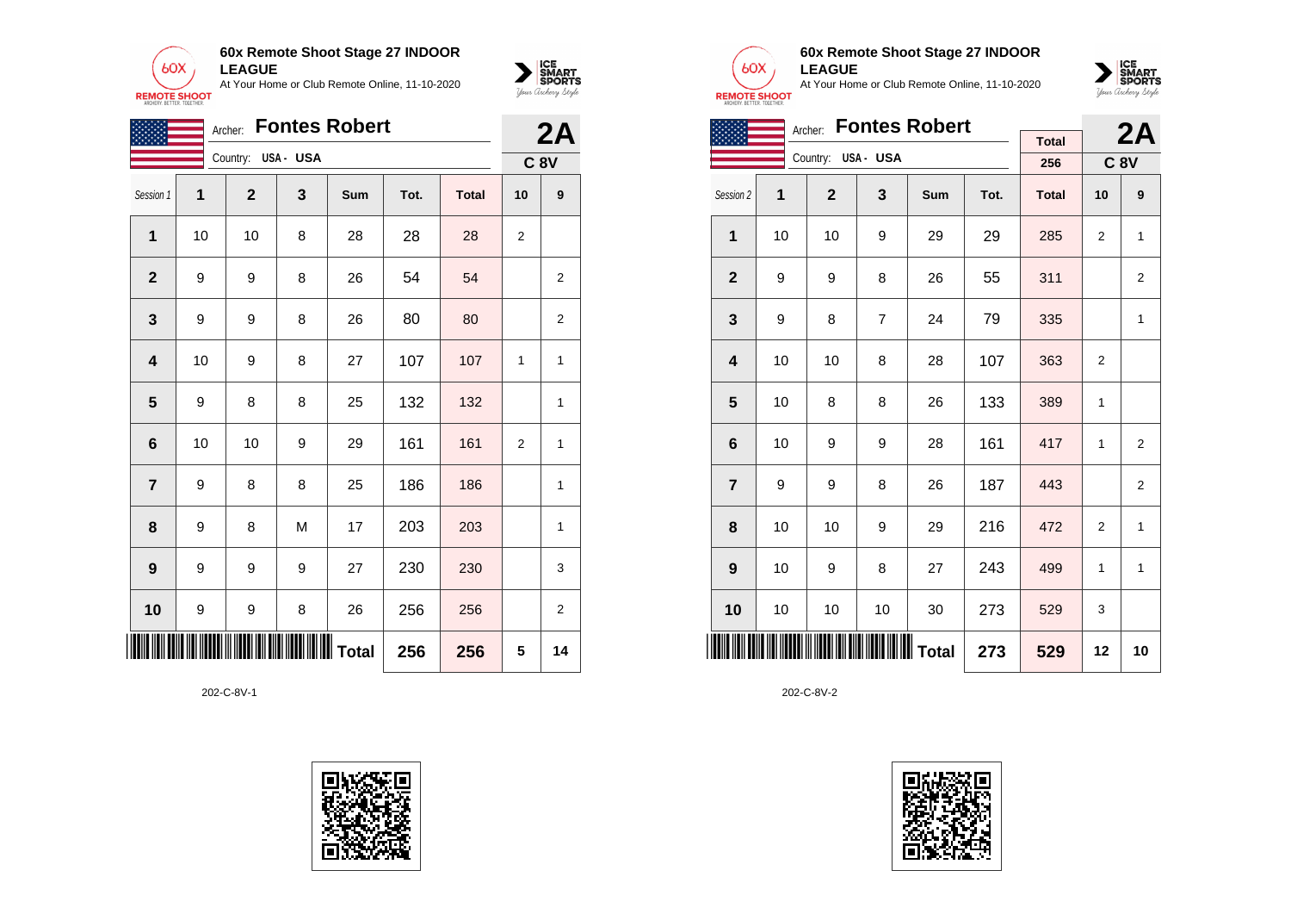



|                |    | 2A                                               |     |     |      |              |                |                |
|----------------|----|--------------------------------------------------|-----|-----|------|--------------|----------------|----------------|
|                |    | Country: USA - USA                               |     |     |      |              |                | <b>C 8V</b>    |
| Session 1      | 1  | $\overline{2}$                                   | 3   | Sum | Tot. | <b>Total</b> | 10             | 9              |
| 1              | 10 | 10                                               | 8   | 28  | 28   | 28           | $\overline{2}$ |                |
| $\mathbf 2$    | 9  | 9                                                | 8   | 26  | 54   | 54           |                | 2              |
| 3              | 9  | 9                                                | 8   | 26  | 80   | 80           |                | 2              |
| 4              | 10 | 9                                                | 8   | 27  | 107  | 107          | 1              | 1              |
| 5              | 9  | 8                                                | 8   | 25  | 132  | 132          |                | 1              |
| 6              | 10 | 10                                               | 9   | 29  | 161  | 161          | $\overline{2}$ | 1              |
| $\overline{7}$ | 9  | 8                                                | 8   | 25  | 186  | 186          |                | 1              |
| 8              | 9  | 8                                                | M   | 17  | 203  | 203          |                | 1              |
| 9              | 9  | 9                                                | 9   | 27  | 230  | 230          |                | 3              |
| 10             | 9  | 9                                                | 8   | 26  | 256  | 256          |                | $\overline{2}$ |
| $\blacksquare$ |    | <b>                                   </b> Total | 256 | 256 | 5    | 14           |                |                |

202-C-8V-1





### **60x Remote Shoot Stage 27 INDOOR LEAGUE**

At Your Home or Club Remote Online, 11-10-2020



|                |    | <b>Fontes Robert</b><br>Archer: |                |     |      | 2A           |                |                |
|----------------|----|---------------------------------|----------------|-----|------|--------------|----------------|----------------|
|                |    |                                 |                |     |      | <b>Total</b> |                |                |
|                |    | Country: USA - USA              |                |     |      | 256          | <b>C 8V</b>    |                |
| Session 2      | 1  | $\mathbf{2}$                    | 3              | Sum | Tot. | <b>Total</b> | 10             | 9              |
| $\mathbf 1$    | 10 | 10                              | 9              | 29  | 29   | 285          | 2              | 1              |
| $\overline{2}$ | 9  | 9                               | 8              | 26  | 55   | 311          |                | $\overline{2}$ |
| 3              | 9  | 8                               | $\overline{7}$ | 24  | 79   | 335          |                | 1              |
| 4              | 10 | 10                              | 8              | 28  | 107  | 363          | $\overline{2}$ |                |
| 5              | 10 | 8                               | 8              | 26  | 133  | 389          | 1              |                |
| 6              | 10 | 9                               | 9              | 28  | 161  | 417          | 1              | $\overline{2}$ |
| $\overline{7}$ | 9  | 9                               | 8              | 26  | 187  | 443          |                | $\overline{2}$ |
| 8              | 10 | 10                              | 9              | 29  | 216  | 472          | $\overline{2}$ | $\mathbf{1}$   |
| 9              | 10 | 9                               | 8              | 27  | 243  | 499          | 1              | $\mathbf{1}$   |
| 10             | 10 | 10                              | 10             | 30  | 273  | 529          | 3              |                |
|                |    |                                 | 273            | 529 | 12   | 10           |                |                |

202-C-8V-2

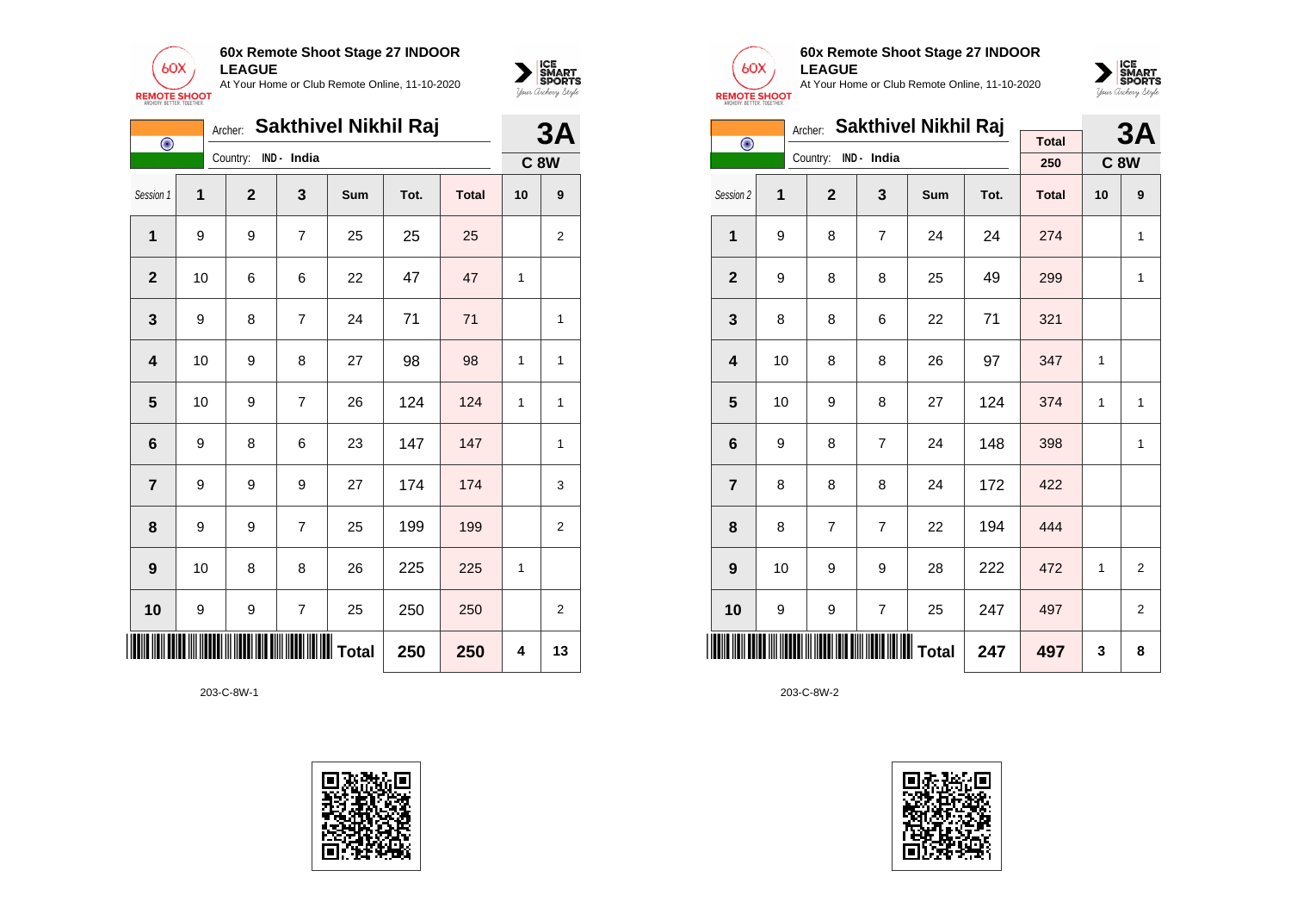



|                 | <b>Sakthivel Nikhil Raj</b><br>Archer:<br>$\bigodot$ |                      |                          |                           |      |              |    |                |  |
|-----------------|------------------------------------------------------|----------------------|--------------------------|---------------------------|------|--------------|----|----------------|--|
|                 |                                                      | Country: IND - India |                          |                           |      |              |    | <b>C 8W</b>    |  |
| Session 1       | 1                                                    | $\mathbf{2}$         | 3                        | Sum                       | Tot. | <b>Total</b> | 10 | 9              |  |
| 1               | 9                                                    | 9                    | $\overline{7}$           | 25                        | 25   | 25           |    | 2              |  |
| $\mathbf 2$     | 10                                                   | 6                    | 6                        | 22                        | 47   | 47           | 1  |                |  |
| 3               | 9                                                    | 8                    | $\overline{7}$           | 24                        | 71   | 71           |    | 1              |  |
| 4               | 10                                                   | 9                    | 8                        | 27                        | 98   | 98           | 1  | 1              |  |
| 5               | 10                                                   | 9                    | $\overline{7}$           | 26                        | 124  | 124          | 1  | 1              |  |
| $6\phantom{1}6$ | 9                                                    | 8                    | 6                        | 23                        | 147  | 147          |    | 1              |  |
| 7               | 9                                                    | 9                    | 9                        | 27                        | 174  | 174          |    | 3              |  |
| 8               | 9                                                    | 9                    | $\overline{7}$           | 25                        | 199  | 199          |    | $\overline{2}$ |  |
| 9               | 10                                                   | 8                    | 8                        | 26                        | 225  | 225          | 1  |                |  |
| 10              | 9                                                    | 9                    | $\overline{\mathcal{I}}$ | 25                        | 250  | 250          |    | $\overline{2}$ |  |
|                 |                                                      |                      |                          | <b>IIIIIIIIIIII</b> Total | 250  | 250          | 4  | 13             |  |

203-C-8W-1





### **60x Remote Shoot Stage 27 INDOOR LEAGUE**

At Your Home or Club Remote Online, 11-10-2020



|                         |    | Archer:              | <b>Sakthivel Nikhil Raj</b> |     |      | <b>3A</b>    |    |                |
|-------------------------|----|----------------------|-----------------------------|-----|------|--------------|----|----------------|
| $\bigodot$              |    | Country: IND - India |                             |     |      | <b>Total</b> |    |                |
|                         |    |                      |                             |     |      | 250          |    | <b>C8W</b>     |
| Session 2               | 1  | $\overline{2}$       | 3                           | Sum | Tot. | <b>Total</b> | 10 | 9              |
| 1                       | 9  | 8                    | $\overline{7}$              | 24  | 24   | 274          |    | $\mathbf{1}$   |
| $\overline{2}$          | 9  | 8                    | 8                           | 25  | 49   | 299          |    | 1              |
| 3                       | 8  | 8                    | 6                           | 22  | 71   | 321          |    |                |
| $\overline{\mathbf{4}}$ | 10 | 8                    | 8                           | 26  | 97   | 347          | 1  |                |
| 5                       | 10 | 9                    | 8                           | 27  | 124  | 374          | 1  | $\mathbf{1}$   |
| 6                       | 9  | 8                    | $\overline{7}$              | 24  | 148  | 398          |    | 1              |
| $\overline{7}$          | 8  | 8                    | 8                           | 24  | 172  | 422          |    |                |
| 8                       | 8  | $\overline{7}$       | $\overline{7}$              | 22  | 194  | 444          |    |                |
| 9                       | 10 | 9                    | 9                           | 28  | 222  | 472          | 1  | 2              |
| 10                      | 9  | 9                    | 7                           | 25  | 247  | 497          |    | $\overline{2}$ |
| Ⅲ                       |    |                      | ∭ Total                     | 247 | 497  | 3            | 8  |                |

203-C-8W-2

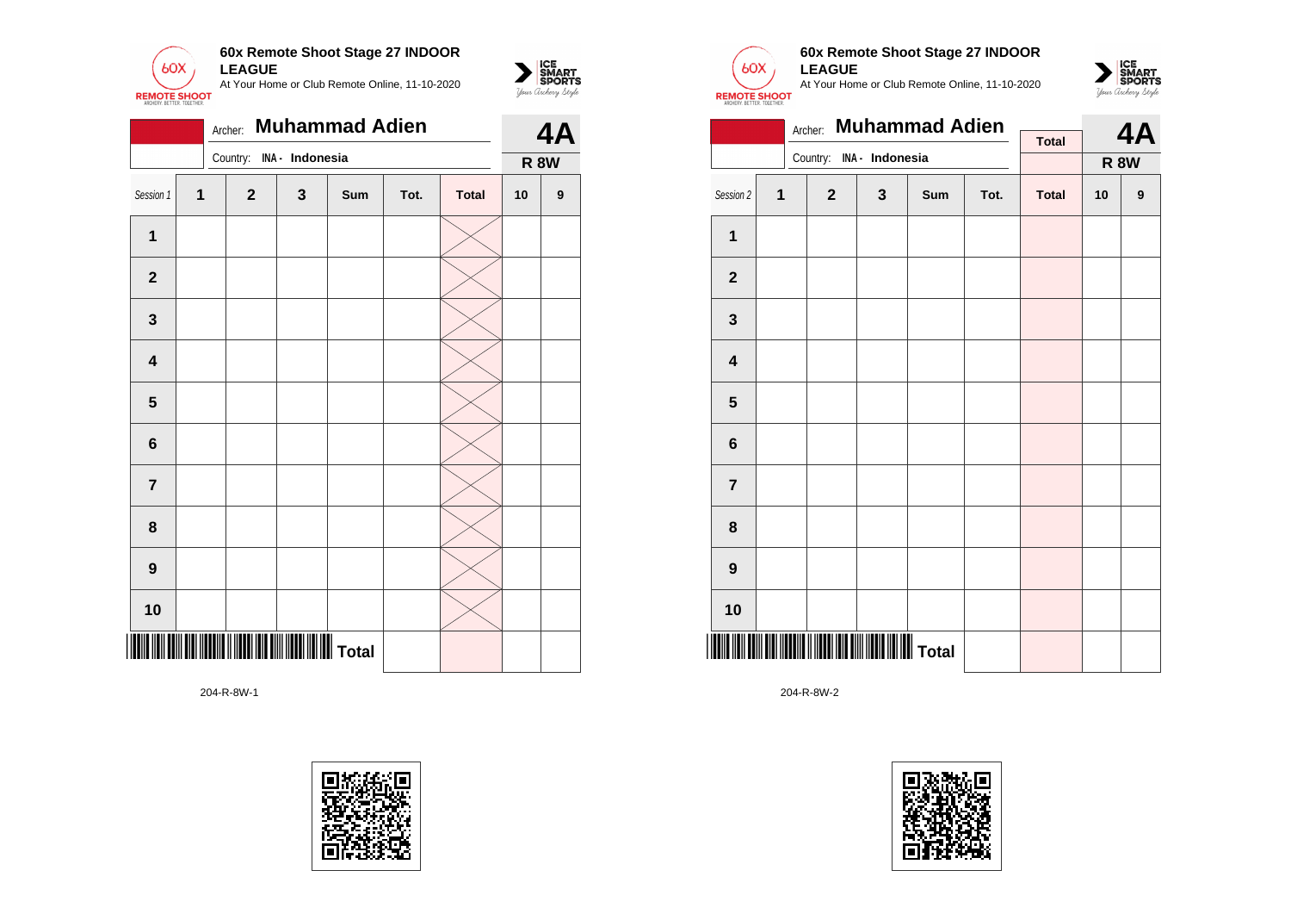

|                |              | 4A                       |              |     |      |              |    |                  |
|----------------|--------------|--------------------------|--------------|-----|------|--------------|----|------------------|
|                |              | Country: INA - Indonesia |              |     |      |              |    | <b>R 8W</b>      |
| Session 1      | $\mathbf{1}$ | $\mathbf{2}$             | $\mathbf{3}$ | Sum | Tot. | <b>Total</b> | 10 | $\boldsymbol{9}$ |
| $\mathbf{1}$   |              |                          |              |     |      |              |    |                  |
| $\mathbf{2}$   |              |                          |              |     |      |              |    |                  |
| $\mathbf 3$    |              |                          |              |     |      |              |    |                  |
| 4              |              |                          |              |     |      |              |    |                  |
| 5              |              |                          |              |     |      |              |    |                  |
| $6\phantom{1}$ |              |                          |              |     |      |              |    |                  |
| $\overline{7}$ |              |                          |              |     |      |              |    |                  |
| 8              |              |                          |              |     |      |              |    |                  |
| 9              |              |                          |              |     |      |              |    |                  |
| 10             |              |                          |              |     |      |              |    |                  |
|                |              |                          |              |     |      |              |    |                  |





 $\sum_{\text{M} \subseteq \text{S$ **PORTS** 

## **60x Remote Shoot Stage 27 INDOOR LEAGUE**

At Your Home or Club Remote Online, 11-10-2020



|                         |   | Archer:      | <b>Muhammad Adien</b> |     |      |              |                              |  |
|-------------------------|---|--------------|-----------------------|-----|------|--------------|------------------------------|--|
|                         |   | Country:     | INA - Indonesia       |     |      | <b>Total</b> | 4A<br><b>R 8W</b><br>9<br>10 |  |
| Session 2               | 1 | $\mathbf{2}$ | $\mathbf{3}$          | Sum | Tot. | <b>Total</b> |                              |  |
| $\mathbf 1$             |   |              |                       |     |      |              |                              |  |
| $\mathbf{2}$            |   |              |                       |     |      |              |                              |  |
| $\mathbf{3}$            |   |              |                       |     |      |              |                              |  |
| $\overline{\mathbf{4}}$ |   |              |                       |     |      |              |                              |  |
| 5                       |   |              |                       |     |      |              |                              |  |
| 6                       |   |              |                       |     |      |              |                              |  |
| $\overline{\mathbf{7}}$ |   |              |                       |     |      |              |                              |  |
| 8                       |   |              |                       |     |      |              |                              |  |
| $\boldsymbol{9}$        |   |              |                       |     |      |              |                              |  |
| 10                      |   |              |                       |     |      |              |                              |  |
|                         |   |              |                       |     |      |              |                              |  |

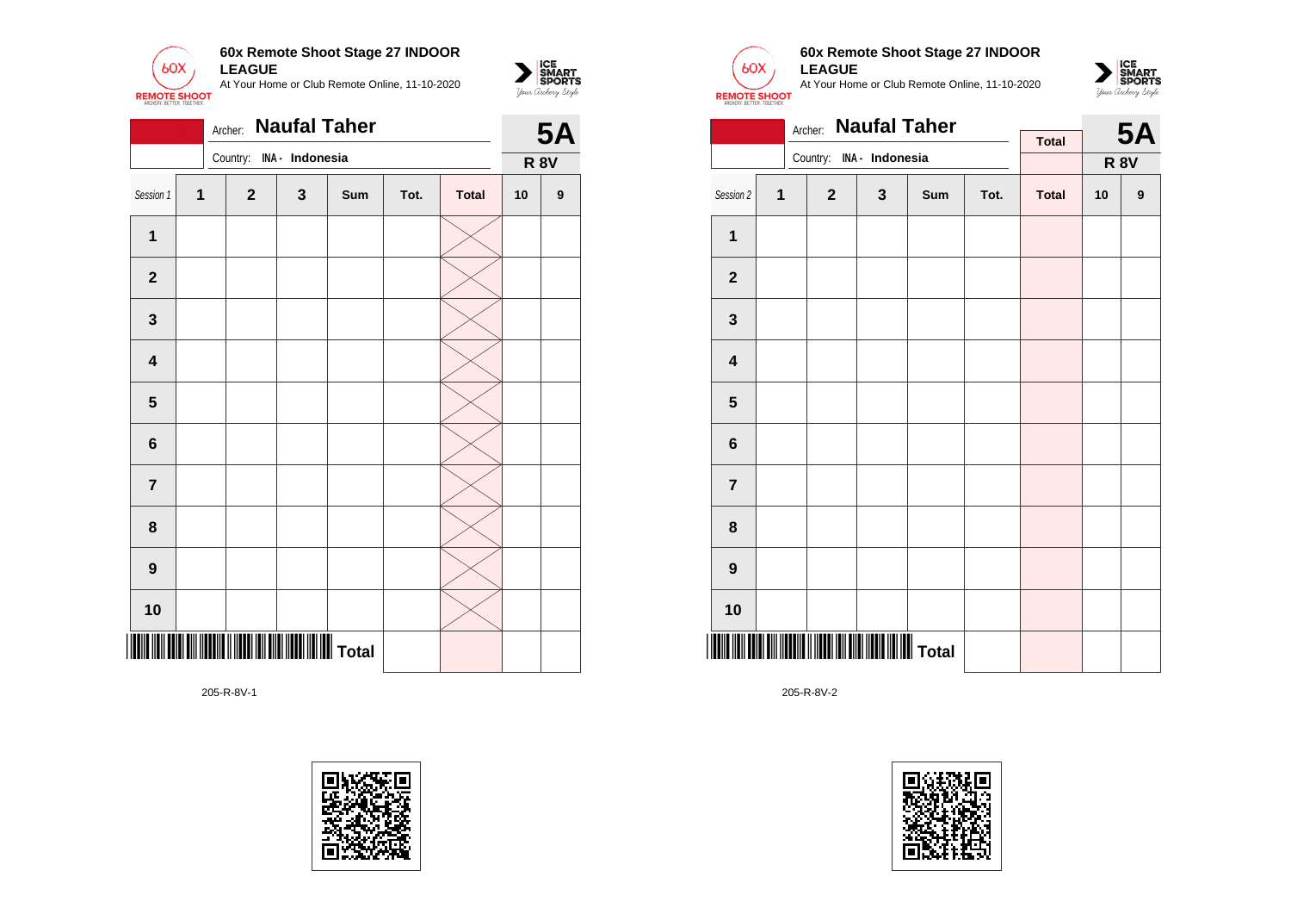

|                         | <b>Naufal Taher</b><br>Archer: |  |              |                 |     |      |              |             |   |  |
|-------------------------|--------------------------------|--|--------------|-----------------|-----|------|--------------|-------------|---|--|
|                         |                                |  | Country:     | INA - Indonesia |     |      |              | <b>R 8V</b> |   |  |
| Session 1               | $\mathbf{1}$                   |  | $\mathbf{2}$ | 3               | Sum | Tot. | <b>Total</b> | 10          | 9 |  |
| 1                       |                                |  |              |                 |     |      |              |             |   |  |
| $\mathbf{2}$            |                                |  |              |                 |     |      |              |             |   |  |
| $\mathbf 3$             |                                |  |              |                 |     |      |              |             |   |  |
| 4                       |                                |  |              |                 |     |      |              |             |   |  |
| ${\bf 5}$               |                                |  |              |                 |     |      |              |             |   |  |
| $\bf 6$                 |                                |  |              |                 |     |      |              |             |   |  |
| $\overline{\mathbf{r}}$ |                                |  |              |                 |     |      |              |             |   |  |
| 8                       |                                |  |              |                 |     |      |              |             |   |  |
| $\boldsymbol{9}$        |                                |  |              |                 |     |      |              |             |   |  |
| 10                      |                                |  |              |                 |     |      |              |             |   |  |
|                         |                                |  |              |                 |     |      |              |             |   |  |

205-R-8V-1





 $\sum_{\text{M} \subseteq \text{S$ **PORTS** 

### **60x Remote Shoot Stage 27 INDOOR LEAGUE**

At Your Home or Club Remote Online, 11-10-2020



|                         |   | <b>Naufal Taher</b><br>Archer: |                 |     |      | <b>5A</b>    |    |             |
|-------------------------|---|--------------------------------|-----------------|-----|------|--------------|----|-------------|
|                         |   | Country:                       | INA - Indonesia |     |      | <b>Total</b> |    |             |
|                         |   |                                |                 |     |      |              |    | <b>R 8V</b> |
| Session 2               | 1 | $\mathbf{2}$                   | $\mathbf{3}$    | Sum | Tot. | <b>Total</b> | 10 | 9           |
| $\mathbf 1$             |   |                                |                 |     |      |              |    |             |
| $\mathbf{2}$            |   |                                |                 |     |      |              |    |             |
| 3                       |   |                                |                 |     |      |              |    |             |
| $\overline{\mathbf{4}}$ |   |                                |                 |     |      |              |    |             |
| 5                       |   |                                |                 |     |      |              |    |             |
| 6                       |   |                                |                 |     |      |              |    |             |
| $\overline{\mathbf{7}}$ |   |                                |                 |     |      |              |    |             |
| 8                       |   |                                |                 |     |      |              |    |             |
| $\boldsymbol{9}$        |   |                                |                 |     |      |              |    |             |
| 10                      |   |                                |                 |     |      |              |    |             |
|                         |   |                                |                 |     |      |              |    |             |

205-R-8V-2

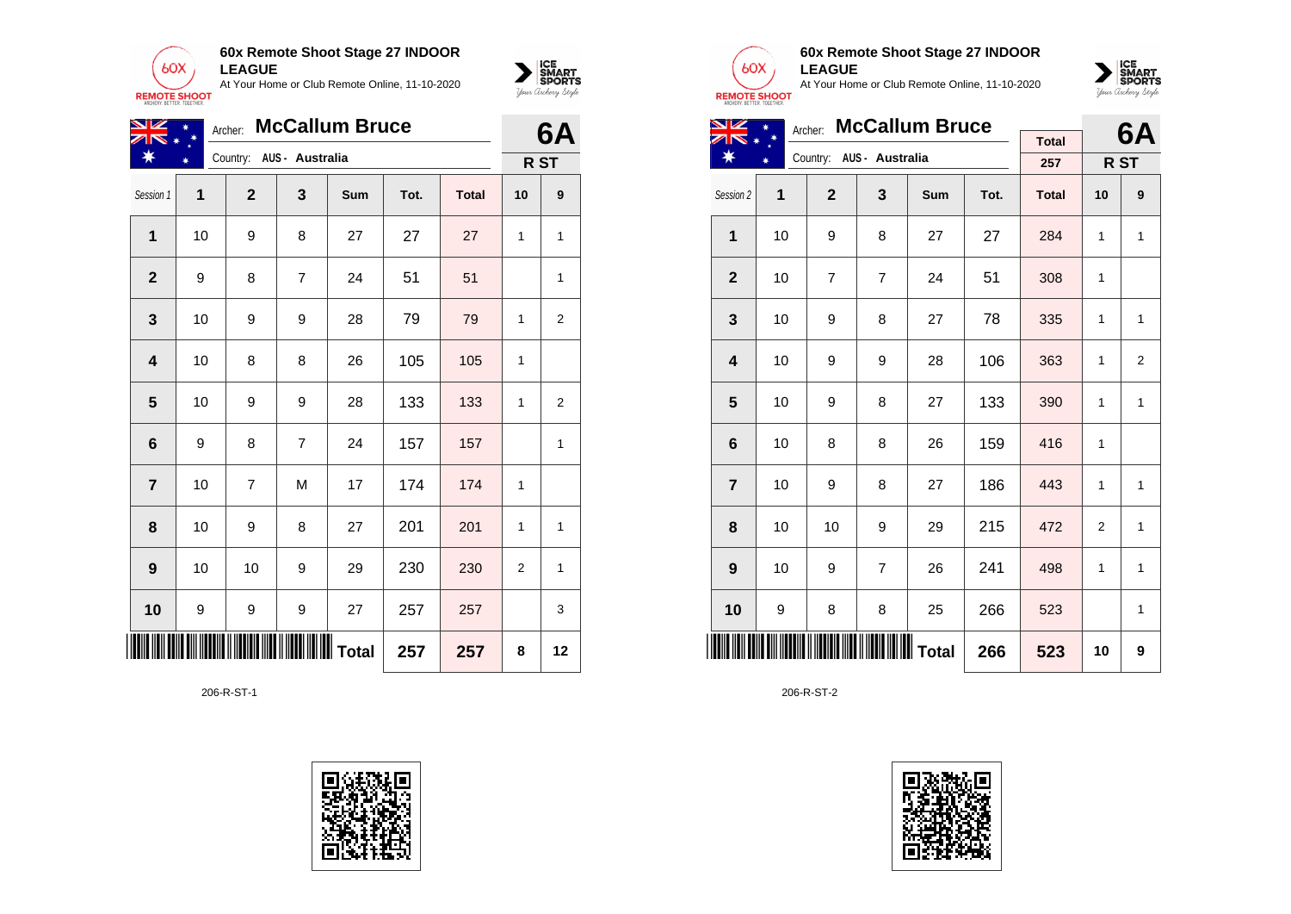



| NZ                      |    | 6A           |                          |     |      |              |                |                |
|-------------------------|----|--------------|--------------------------|-----|------|--------------|----------------|----------------|
| ₩                       |    |              | Country: AUS - Australia |     |      |              |                | R ST           |
| Session 1               | 1  | $\mathbf{2}$ | 3                        | Sum | Tot. | <b>Total</b> | 10             | 9              |
| 1                       | 10 | 9            | 8                        | 27  | 27   | 27           | 1              | 1              |
| $\overline{2}$          | 9  | 8            | $\overline{7}$           | 24  | 51   | 51           |                | 1              |
| 3                       | 10 | 9            | 9                        | 28  | 79   | 79           | 1              | $\overline{2}$ |
| $\overline{\mathbf{4}}$ | 10 | 8            | 8                        | 26  | 105  | 105          | 1              |                |
| 5                       | 10 | 9            | 9                        | 28  | 133  | 133          | 1              | $\overline{2}$ |
| $6\phantom{1}6$         | 9  | 8            | $\overline{7}$           | 24  | 157  | 157          |                | 1              |
| $\overline{7}$          | 10 | 7            | M                        | 17  | 174  | 174          | 1              |                |
| 8                       | 10 | 9            | 8                        | 27  | 201  | 201          | 1              | 1              |
| $\boldsymbol{9}$        | 10 | 10           | 9                        | 29  | 230  | 230          | $\overline{2}$ | 1              |
| 10                      | 9  | 9            | 9                        | 27  | 257  | 257          |                | 3              |
| IIII                    |    |              | Total                    |     | 257  | 257          | 8              | 12             |

206-R-ST-1





### **60x Remote Shoot Stage 27 INDOOR LEAGUE**

At Your Home or Club Remote Online, 11-10-2020



| VZ                      | Archer: |                |                          | 6A         |      |              |    |      |
|-------------------------|---------|----------------|--------------------------|------------|------|--------------|----|------|
|                         |         |                | Country: AUS - Australia |            |      | <b>Total</b> |    |      |
|                         |         |                |                          |            |      | 257          |    | R ST |
| Session 2               | 1       | $\overline{2}$ | 3                        | <b>Sum</b> | Tot. | <b>Total</b> | 10 | 9    |
| 1                       | 10      | 9              | 8                        | 27         | 27   | 284          | 1  | 1    |
| $\mathbf{2}$            | 10      | $\overline{7}$ | $\overline{7}$           | 24         | 51   | 308          | 1  |      |
| 3                       | 10      | 9              | 8                        | 27         | 78   | 335          | 1  | 1    |
| $\overline{\mathbf{4}}$ | 10      | 9              | 9                        | 28         | 106  | 363          | 1  | 2    |
| 5                       | 10      | 9              | 8                        | 27         | 133  | 390          | 1  | 1    |
| 6                       | 10      | 8              | 8                        | 26         | 159  | 416          | 1  |      |
| $\overline{7}$          | 10      | 9              | 8                        | 27         | 186  | 443          | 1  | 1    |
| 8                       | 10      | 10             | 9                        | 29         | 215  | 472          | 2  | 1    |
| 9                       | 10      | 9              | $\overline{7}$           | 26         | 241  | 498          | 1  | 1    |
| 10                      | 9       | 8              | 8                        | 25         | 266  | 523          |    | 1    |
|                         |         |                |                          |            | 266  | 523          | 10 | 9    |

206-R-ST-2

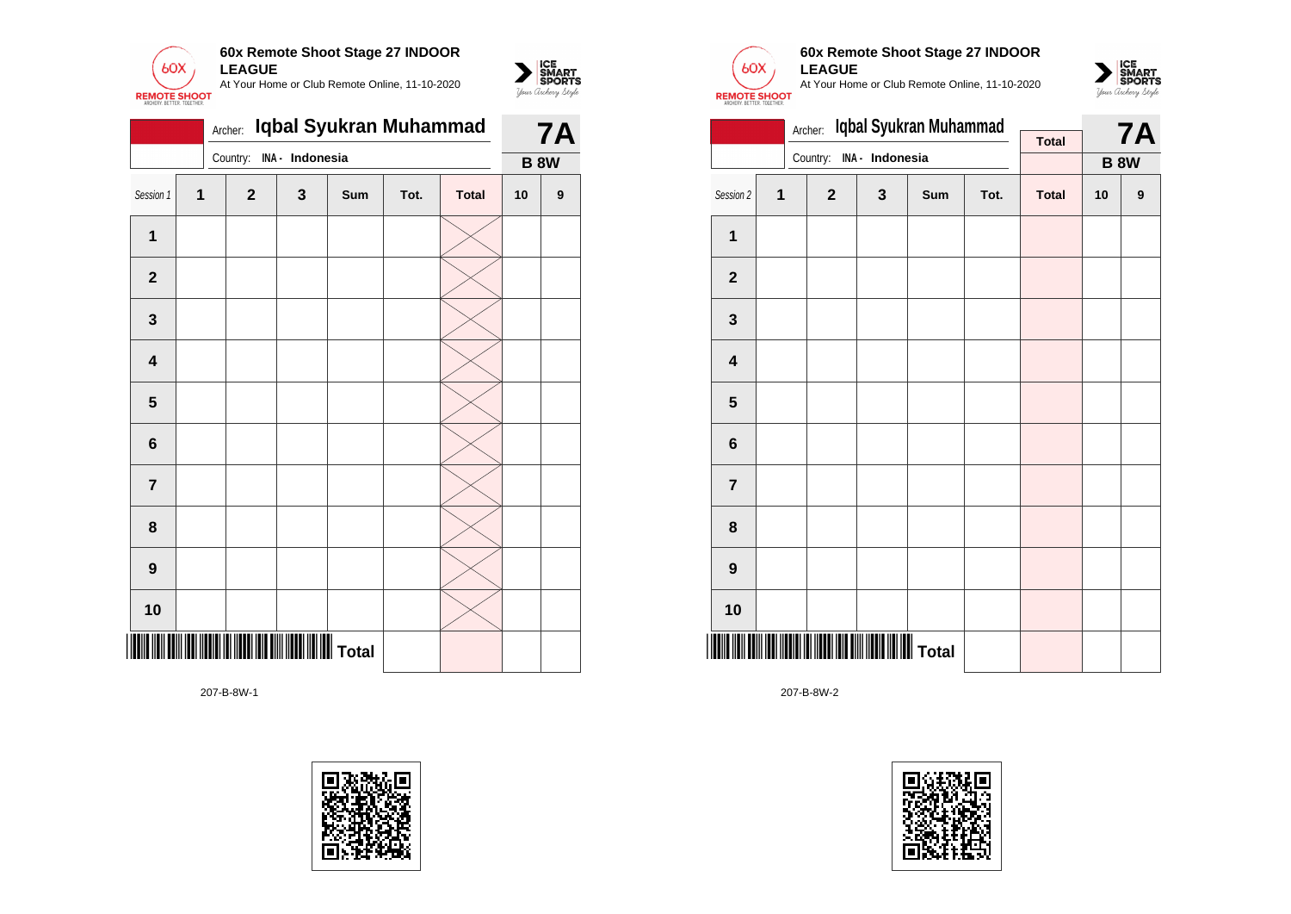

|                | Archer: | Iqbal Syukran Muhammad |                 | <b>7A</b> |      |              |             |                  |
|----------------|---------|------------------------|-----------------|-----------|------|--------------|-------------|------------------|
|                |         | Country:               | INA - Indonesia |           |      |              | <b>B 8W</b> |                  |
| Session 1      | 1       | $\overline{2}$         | 3               | Sum       | Tot. | <b>Total</b> | 10          | $\boldsymbol{9}$ |
| 1              |         |                        |                 |           |      |              |             |                  |
| $\mathbf{2}$   |         |                        |                 |           |      |              |             |                  |
| $\mathbf 3$    |         |                        |                 |           |      |              |             |                  |
| 4              |         |                        |                 |           |      |              |             |                  |
| 5              |         |                        |                 |           |      |              |             |                  |
| $6\phantom{1}$ |         |                        |                 |           |      |              |             |                  |
| $\overline{7}$ |         |                        |                 |           |      |              |             |                  |
| 8              |         |                        |                 |           |      |              |             |                  |
| 9              |         |                        |                 |           |      |              |             |                  |
| 10             |         |                        |                 |           |      |              |             |                  |
|                |         |                        |                 |           |      |              |             |                  |





 $\sum_{\text{M} \subseteq \text{S$ **PORTS** 

### **60x Remote Shoot Stage 27 INDOOR LEAGUE**

At Your Home or Club Remote Online, 11-10-2020



|                         |   | Archer:      | Iqbal Syukran Muhammad |     |      | <b>7A</b>    |    |             |
|-------------------------|---|--------------|------------------------|-----|------|--------------|----|-------------|
|                         |   |              |                        |     |      | <b>Total</b> |    |             |
|                         |   | Country:     | INA - Indonesia        |     |      |              |    | <b>B 8W</b> |
| Session 2               | 1 | $\mathbf{2}$ | 3                      | Sum | Tot. | <b>Total</b> | 10 | 9           |
| $\mathbf{1}$            |   |              |                        |     |      |              |    |             |
| $\mathbf 2$             |   |              |                        |     |      |              |    |             |
| $\mathbf{3}$            |   |              |                        |     |      |              |    |             |
| $\overline{\mathbf{4}}$ |   |              |                        |     |      |              |    |             |
| 5                       |   |              |                        |     |      |              |    |             |
| $\bf 6$                 |   |              |                        |     |      |              |    |             |
| $\overline{\mathbf{r}}$ |   |              |                        |     |      |              |    |             |
| 8                       |   |              |                        |     |      |              |    |             |
| 9                       |   |              |                        |     |      |              |    |             |
| 10                      |   |              |                        |     |      |              |    |             |
|                         |   |              |                        |     |      |              |    |             |

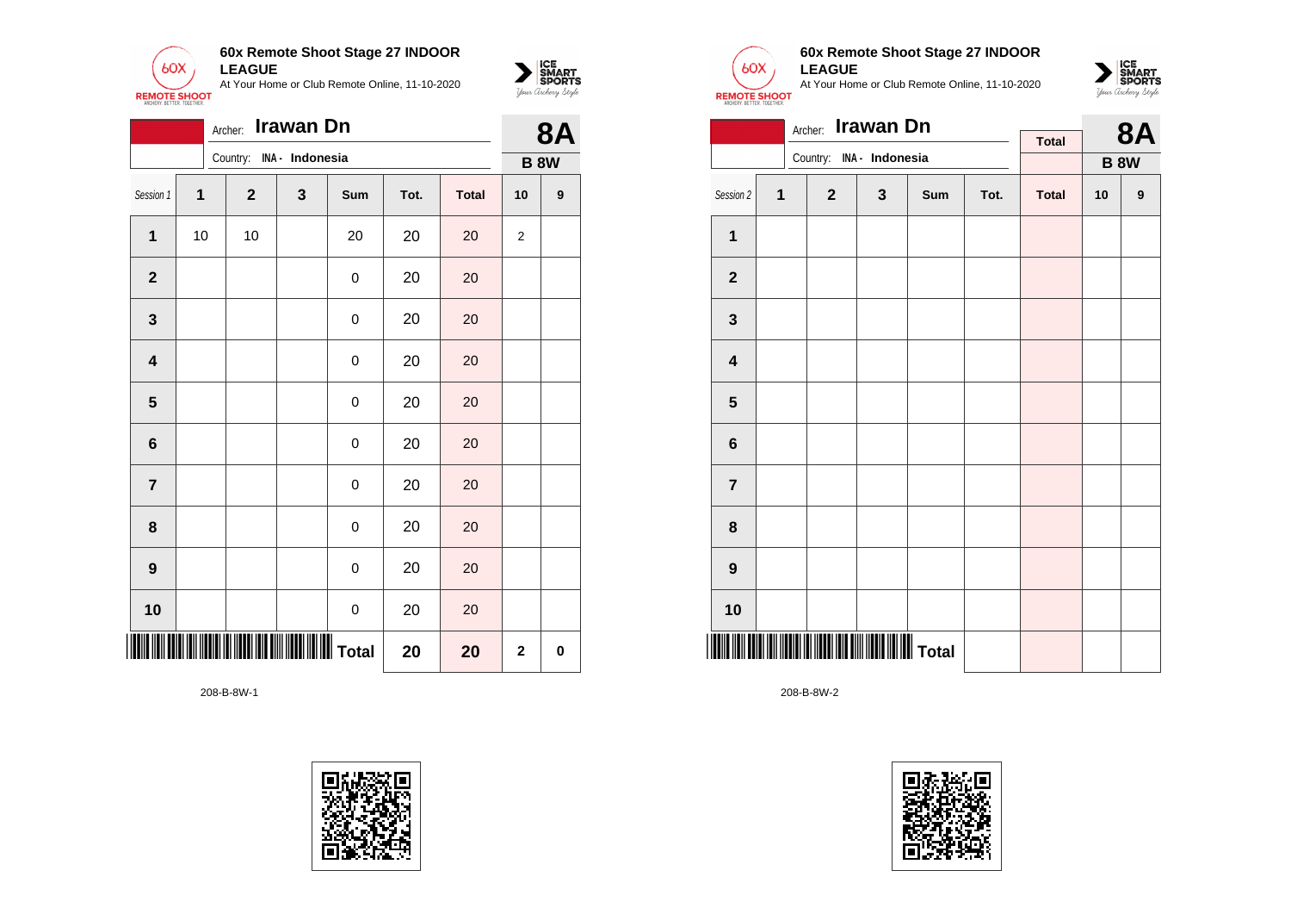



|                         |              | Archer:                                            | Irawan Dn       |              |      |              |                | <b>8A</b>        |
|-------------------------|--------------|----------------------------------------------------|-----------------|--------------|------|--------------|----------------|------------------|
|                         |              | Country:                                           | INA - Indonesia |              |      |              |                | <b>B 8W</b>      |
| Session 1               | $\mathbf{1}$ | $\mathbf{2}$                                       | 3               | Sum          | Tot. | <b>Total</b> | 10             | $\boldsymbol{9}$ |
| $\mathbf{1}$            | 10           | 10                                                 |                 | 20           | 20   | 20           | $\overline{2}$ |                  |
| $\mathbf{2}$            |              |                                                    |                 | 0            | 20   | 20           |                |                  |
| $\mathbf{3}$            |              |                                                    |                 | 0            | 20   | 20           |                |                  |
| $\overline{\mathbf{4}}$ |              |                                                    |                 | $\mathbf 0$  | 20   | 20           |                |                  |
| $5\phantom{1}$          |              |                                                    |                 | 0            | 20   | 20           |                |                  |
| 6                       |              |                                                    |                 | 0            | 20   | 20           |                |                  |
| $\overline{\mathbf{r}}$ |              |                                                    |                 | 0            | 20   | 20           |                |                  |
| 8                       |              |                                                    |                 | 0            | 20   | 20           |                |                  |
| $\boldsymbol{9}$        |              |                                                    |                 | 0            | 20   | 20           |                |                  |
| 10                      |              |                                                    |                 | 0            | 20   | 20           |                |                  |
|                         |              | <u> III (III (IIIII) (II (IIII) (III III) (III</u> |                 | IIIIII Total | 20   | 20           | $\mathbf 2$    | 0                |





### **60x Remote Shoot Stage 27 INDOOR LEAGUE**

At Your Home or Club Remote Online, 11-10-2020



|                         |   | Archer:                  | <b>Irawan Dn</b> |     |      |              | <b>8A</b> |             |
|-------------------------|---|--------------------------|------------------|-----|------|--------------|-----------|-------------|
|                         |   | Country: INA - Indonesia |                  |     |      | <b>Total</b> |           |             |
|                         |   |                          |                  |     |      |              |           | <b>B 8W</b> |
| Session 2               | 1 | $\mathbf{2}$             | $\mathbf{3}$     | Sum | Tot. | <b>Total</b> | 10        | 9           |
| 1                       |   |                          |                  |     |      |              |           |             |
| $\mathbf 2$             |   |                          |                  |     |      |              |           |             |
| $\mathbf 3$             |   |                          |                  |     |      |              |           |             |
| $\overline{\mathbf{4}}$ |   |                          |                  |     |      |              |           |             |
| $5\phantom{1}$          |   |                          |                  |     |      |              |           |             |
| 6                       |   |                          |                  |     |      |              |           |             |
| $\overline{7}$          |   |                          |                  |     |      |              |           |             |
| 8                       |   |                          |                  |     |      |              |           |             |
| $\boldsymbol{9}$        |   |                          |                  |     |      |              |           |             |
| 10                      |   |                          |                  |     |      |              |           |             |
|                         |   |                          |                  |     |      |              |           |             |

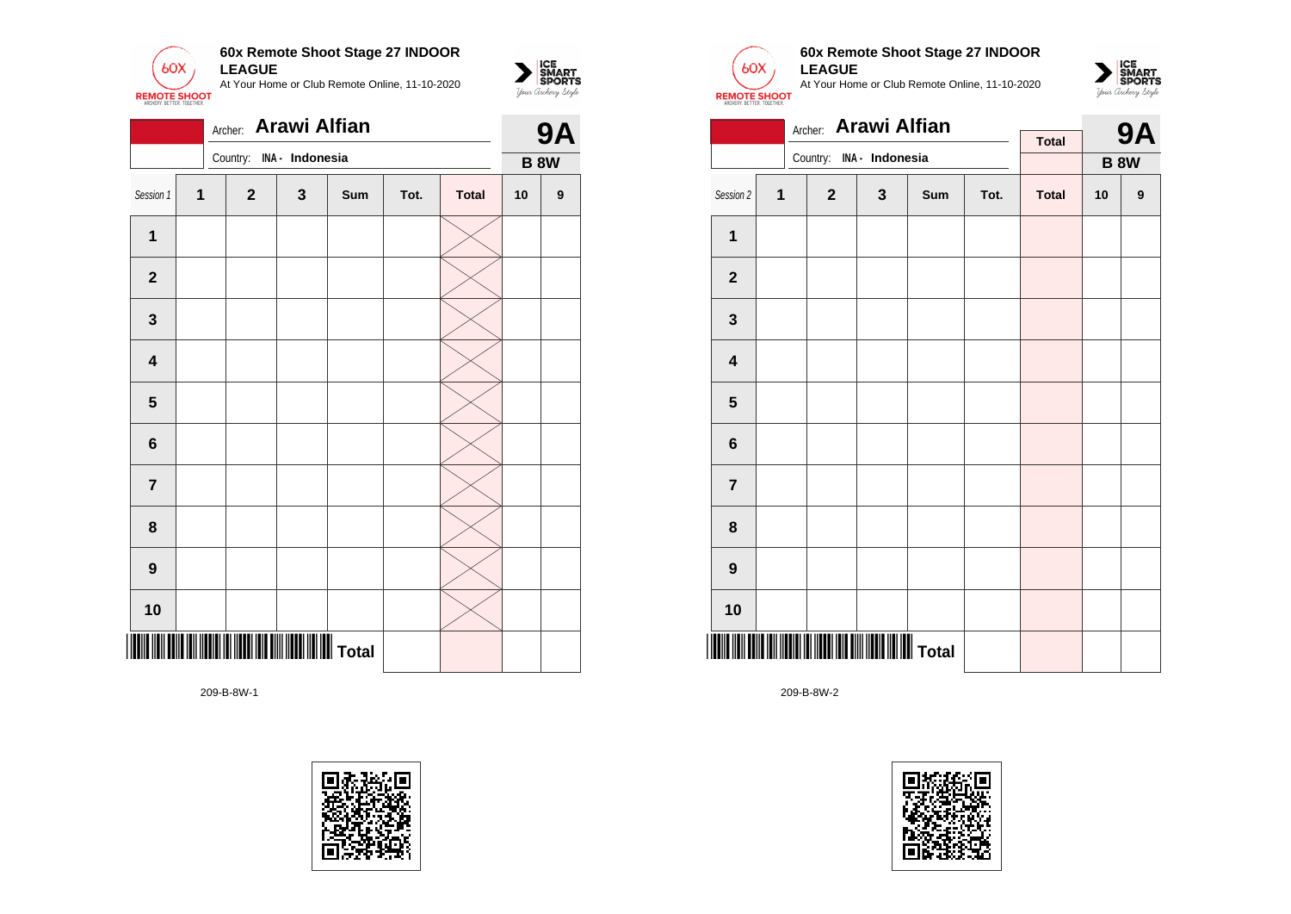

|                         |              | Archer: Arawi Alfian |                 |     |      |              |    | <b>9A</b>   |
|-------------------------|--------------|----------------------|-----------------|-----|------|--------------|----|-------------|
|                         |              | Country:             | INA - Indonesia |     |      |              |    | <b>B 8W</b> |
| Session 1               | $\mathbf{1}$ | $\mathbf{2}$         | 3               | Sum | Tot. | <b>Total</b> | 10 | 9           |
| $\mathbf 1$             |              |                      |                 |     |      |              |    |             |
| $\mathbf{2}$            |              |                      |                 |     |      |              |    |             |
| $\mathbf{3}$            |              |                      |                 |     |      |              |    |             |
| $\overline{\mathbf{4}}$ |              |                      |                 |     |      |              |    |             |
| $\overline{\mathbf{5}}$ |              |                      |                 |     |      |              |    |             |
| $6\phantom{a}$          |              |                      |                 |     |      |              |    |             |
| $\overline{7}$          |              |                      |                 |     |      |              |    |             |
| 8                       |              |                      |                 |     |      |              |    |             |
| $\boldsymbol{9}$        |              |                      |                 |     |      |              |    |             |
| 10                      |              |                      |                 |     |      |              |    |             |
|                         |              |                      |                 |     |      |              |    |             |





 $\sum_{\text{M} \subseteq \text{S$ **PORTS** 

#### **60x Remote Shoot Stage 27 INDOOR LEAGUE**

At Your Home or Club Remote Online, 11-10-2020



|                         |   | Archer: Arawi Alfian |                 |     |      | <b>9A</b>    |    |                  |
|-------------------------|---|----------------------|-----------------|-----|------|--------------|----|------------------|
|                         |   | Country:             | INA - Indonesia |     |      | <b>Total</b> |    |                  |
|                         |   |                      |                 |     |      |              |    | <b>B 8W</b>      |
| Session 2               | 1 | $\mathbf{2}$         | $\mathbf{3}$    | Sum | Tot. | <b>Total</b> | 10 | $\boldsymbol{9}$ |
| $\overline{1}$          |   |                      |                 |     |      |              |    |                  |
| $\mathbf 2$             |   |                      |                 |     |      |              |    |                  |
| 3                       |   |                      |                 |     |      |              |    |                  |
| $\overline{\mathbf{4}}$ |   |                      |                 |     |      |              |    |                  |
| $5\phantom{1}$          |   |                      |                 |     |      |              |    |                  |
| 6                       |   |                      |                 |     |      |              |    |                  |
| $\overline{7}$          |   |                      |                 |     |      |              |    |                  |
| 8                       |   |                      |                 |     |      |              |    |                  |
| $\boldsymbol{9}$        |   |                      |                 |     |      |              |    |                  |
| 10                      |   |                      |                 |     |      |              |    |                  |
|                         |   |                      |                 |     |      |              |    |                  |

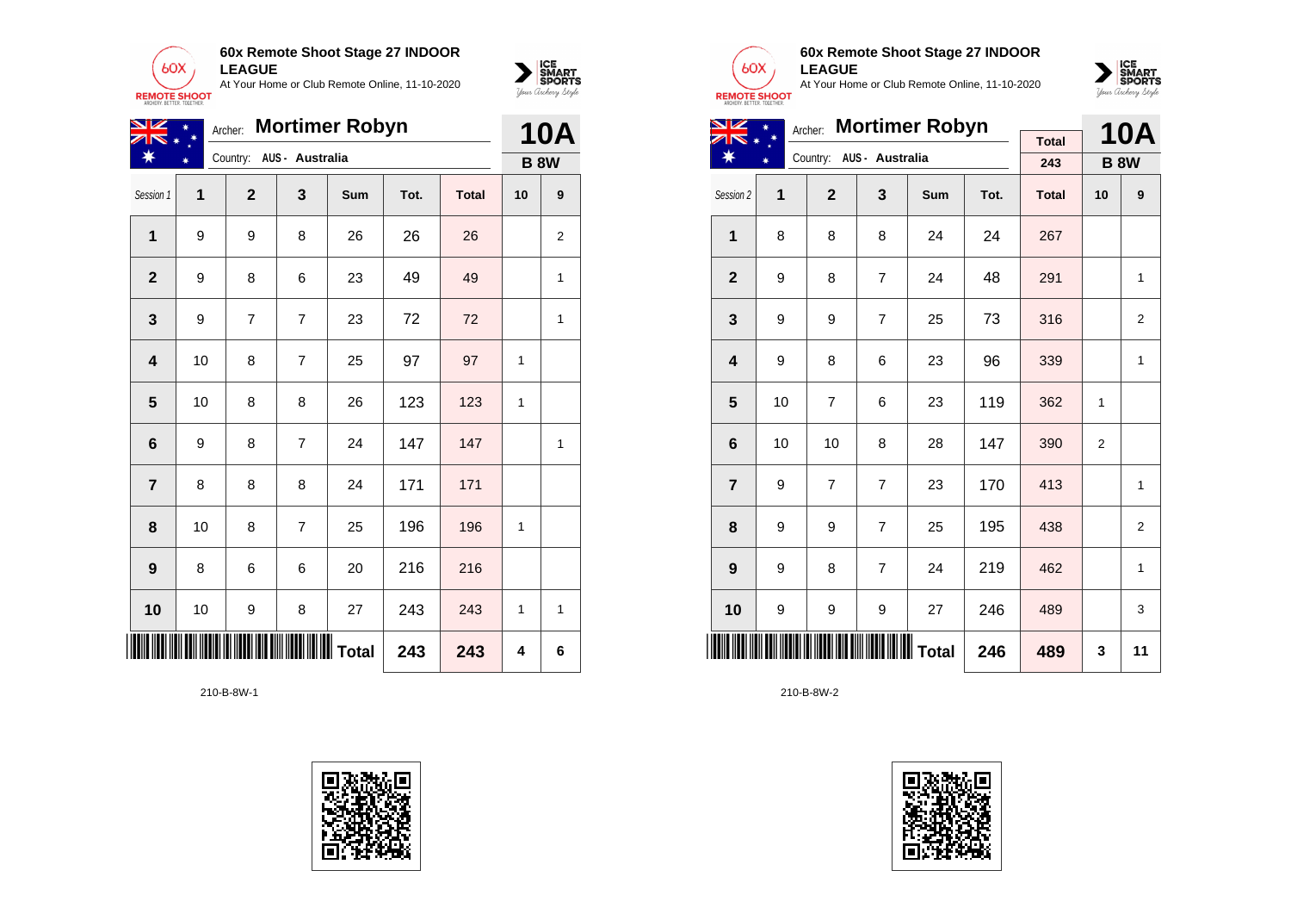



| NZ               |    | Archer:        |                          | <b>Mortimer Robyn</b> |      |              |    | <b>10A</b>   |
|------------------|----|----------------|--------------------------|-----------------------|------|--------------|----|--------------|
|                  |    |                | Country: AUS - Australia |                       |      |              |    | <b>B 8W</b>  |
| Session 1        | 1  | $\mathbf{2}$   | 3                        | Sum                   | Tot. | <b>Total</b> | 10 | 9            |
| $\mathbf{1}$     | 9  | 9              | 8                        | 26                    | 26   | 26           |    | 2            |
| $\mathbf{2}$     | 9  | 8              | 6                        | 23                    | 49   | 49           |    | 1            |
| $\mathbf 3$      | 9  | $\overline{7}$ | 7                        | 23                    | 72   | 72           |    | 1            |
| 4                | 10 | 8              | $\overline{7}$           | 25                    | 97   | 97           | 1  |              |
| 5                | 10 | 8              | 8                        | 26                    | 123  | 123          | 1  |              |
| 6                | 9  | 8              | $\overline{7}$           | 24                    | 147  | 147          |    | $\mathbf{1}$ |
| $\overline{7}$   | 8  | 8              | 8                        | 24                    | 171  | 171          |    |              |
| 8                | 10 | 8              | $\overline{7}$           | 25                    | 196  | 196          | 1  |              |
| $\boldsymbol{9}$ | 8  | 6              | 6                        | 20                    | 216  | 216          |    |              |
| 10               | 10 | 9              | 8                        | 27                    | 243  | 243          | 1  | 1            |
| ║                |    |                | <b>III</b> Total         | 243                   | 243  | 4            | 6  |              |





# **60x Remote Shoot Stage 27 INDOOR LEAGUE**

At Your Home or Club Remote Online, 11-10-2020



| NZ                      |    |                | <b>10A</b>      |     |      |              |                |                |
|-------------------------|----|----------------|-----------------|-----|------|--------------|----------------|----------------|
|                         |    | Country:       | AUS - Australia |     |      | <b>Total</b> |                |                |
|                         |    |                |                 |     |      | 243          |                | <b>B 8W</b>    |
| Session 2               | 1  | $\overline{2}$ | 3               | Sum | Tot. | <b>Total</b> | 10             | 9              |
| $\mathbf{1}$            | 8  | 8              | 8               | 24  | 24   | 267          |                |                |
| $\overline{2}$          | 9  | 8              | $\overline{7}$  | 24  | 48   | 291          |                | 1              |
| 3                       | 9  | 9              | $\overline{7}$  | 25  | 73   | 316          |                | 2              |
| $\overline{\mathbf{4}}$ | 9  | 8              | 6               | 23  | 96   | 339          |                | 1              |
| 5                       | 10 | $\overline{7}$ | 6               | 23  | 119  | 362          | 1              |                |
| $6\phantom{1}$          | 10 | 10             | 8               | 28  | 147  | 390          | $\overline{2}$ |                |
| $\overline{7}$          | 9  | $\overline{7}$ | $\overline{7}$  | 23  | 170  | 413          |                | 1              |
| 8                       | 9  | 9              | $\overline{7}$  | 25  | 195  | 438          |                | $\overline{2}$ |
| 9                       | 9  | 8              | $\overline{7}$  | 24  | 219  | 462          |                | 1              |
| 10                      | 9  | 9              | 9               | 27  | 246  | 489          |                | 3              |
|                         |    |                | 246             | 489 | 3    | 11           |                |                |

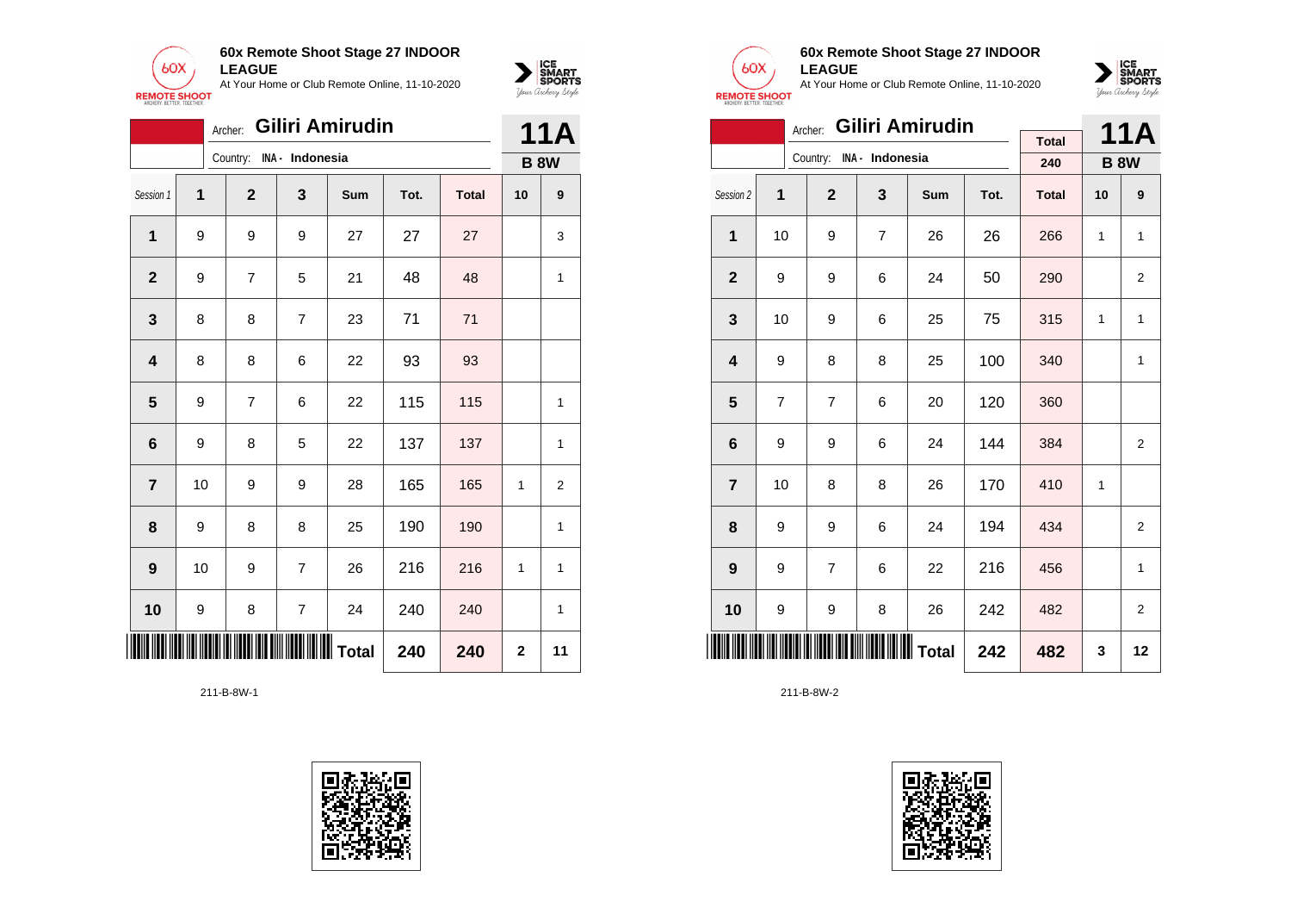



|                         | Archer:                               |                |                 | <b>11A</b> |      |              |             |    |
|-------------------------|---------------------------------------|----------------|-----------------|------------|------|--------------|-------------|----|
|                         |                                       | Country:       | INA - Indonesia |            |      |              | <b>B 8W</b> |    |
| Session 1               | 1                                     | $\mathbf{2}$   | $\mathbf{3}$    | Sum        | Tot. | <b>Total</b> | 10          | 9  |
| 1                       | 9                                     | 9              | 9               | 27         | 27   | 27           |             | 3  |
| $\mathbf{2}$            | 9                                     | $\overline{7}$ | 5               | 21         | 48   | 48           |             | 1  |
| 3                       | 8                                     | 8              | $\overline{7}$  | 23         | 71   | 71           |             |    |
| $\overline{\mathbf{4}}$ | 8                                     | 8              | 6               | 22         | 93   | 93           |             |    |
| $5\phantom{1}$          | 9                                     | 7              | 6               | 22         | 115  | 115          |             | 1  |
| 6                       | 9                                     | 8              | 5               | 22         | 137  | 137          |             | 1  |
| $\overline{7}$          | 10                                    | 9              | 9               | 28         | 165  | 165          | 1           | 2  |
| 8                       | 9                                     | 8              | 8               | 25         | 190  | 190          |             | 1  |
| 9                       | 10                                    | 9              | 7               | 26         | 216  | 216          | 1           | 1  |
| 10                      | 9                                     | 8              | $\overline{7}$  | 24         | 240  | 240          |             | 1  |
| III                     | <b>  </b>   ∥     Total<br>240<br>240 |                |                 |            |      |              |             | 11 |





### **60x Remote Shoot Stage 27 INDOOR LEAGUE**

At Your Home or Club Remote Online, 11-10-2020



|                 |                                                       | Archer:        |                          | Giliri Amirudin |      |              |    | 11A            |
|-----------------|-------------------------------------------------------|----------------|--------------------------|-----------------|------|--------------|----|----------------|
|                 |                                                       |                |                          |                 |      | <b>Total</b> |    |                |
|                 |                                                       |                | Country: INA - Indonesia |                 |      | 240          |    | <b>B 8W</b>    |
| Session 2       | 1                                                     | $\overline{2}$ | 3                        | Sum             | Tot. | <b>Total</b> | 10 | 9              |
| $\mathbf{1}$    | 10                                                    | 9              | $\overline{7}$           | 26              | 26   | 266          | 1  | 1              |
| $\mathbf{2}$    | 9                                                     | 9              | 6                        | 24              | 50   | 290          |    | 2              |
| 3               | 10                                                    | 9              | 6                        | 25              | 75   | 315          | 1  | 1              |
| 4               | 9                                                     | 8              | 8                        | 25              | 100  | 340          |    | 1              |
| 5               | 7                                                     | $\overline{7}$ | 6                        | 20              | 120  | 360          |    |                |
| 6               | 9                                                     | 9              | 6                        | 24              | 144  | 384          |    | $\overline{2}$ |
| $\overline{7}$  | 10                                                    | 8              | 8                        | 26              | 170  | 410          | 1  |                |
| 8               | 9                                                     | 9              | 6                        | 24              | 194  | 434          |    | $\overline{2}$ |
| 9               | 9                                                     | $\overline{7}$ | 6                        | 22              | 216  | 456          |    | 1              |
| 10              | 9                                                     | 9              | 8                        | 26              | 242  | 482          |    | 2              |
| <u>Hill III</u> | <b>                                 </b> Total<br>242 |                |                          |                 |      |              | 3  | 12             |

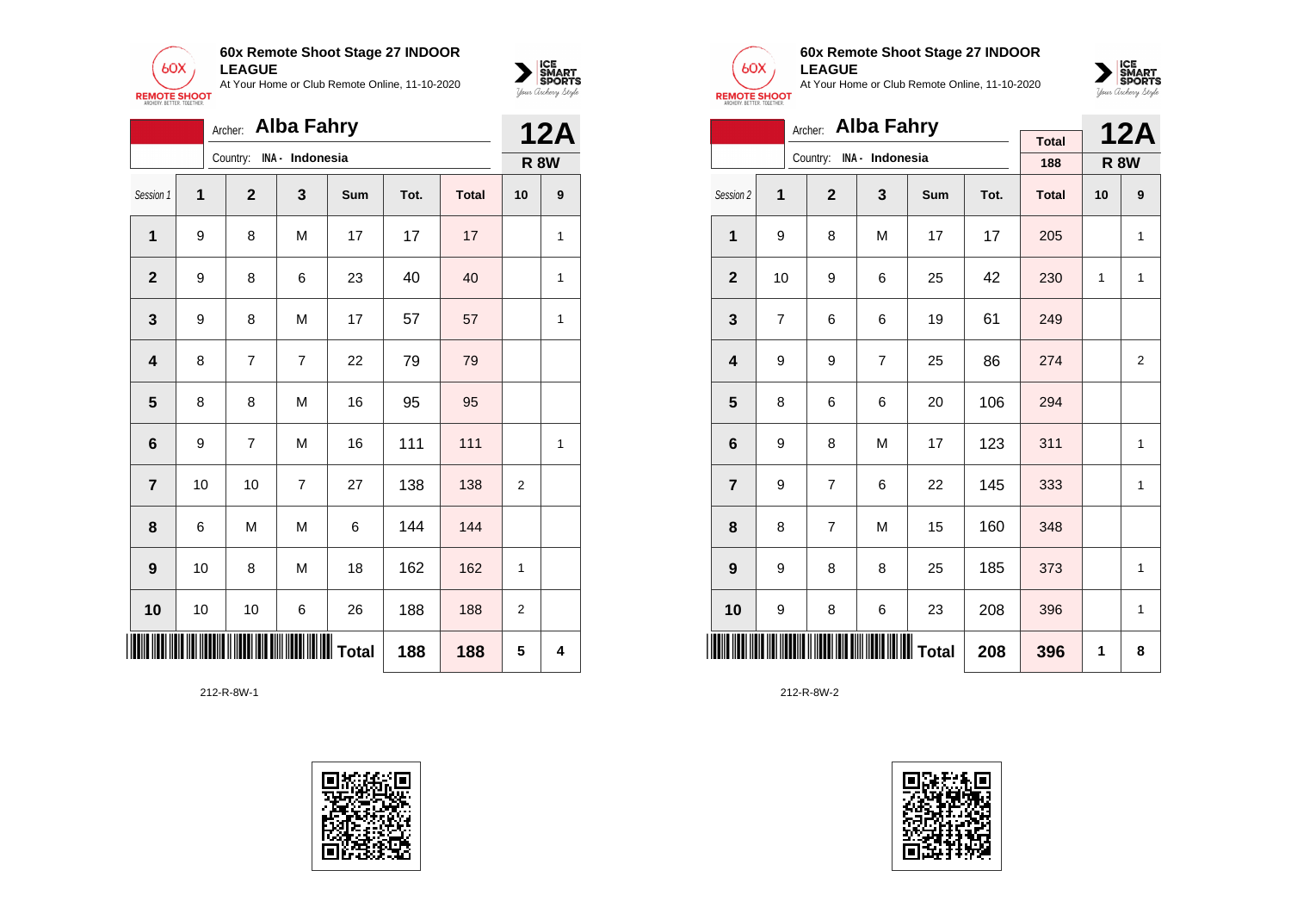



|                         | Archer: Alba Fahry<br>Country:<br>INA - Indonesia<br>$\mathbf{2}$<br>3<br>1<br>Sum<br>Tot.<br><b>Total</b><br>1<br>M<br>17<br>17<br>17<br>9<br>8<br>23<br>40<br>9<br>8<br>6<br>40<br>$\mathbf{2}$<br>9<br>8<br>M<br>17<br>57<br>57<br>3<br>79<br>$\overline{7}$<br>79<br>$\overline{\mathbf{4}}$<br>8<br>$\overline{7}$<br>22<br>$\overline{\mathbf{5}}$<br>M<br>95<br>8<br>8<br>16<br>95<br>111<br>111<br>$\bf 6$<br>7<br>M<br>16<br>9 |    |                |    |     |     | <b>12A</b>     |              |
|-------------------------|-----------------------------------------------------------------------------------------------------------------------------------------------------------------------------------------------------------------------------------------------------------------------------------------------------------------------------------------------------------------------------------------------------------------------------------------|----|----------------|----|-----|-----|----------------|--------------|
|                         |                                                                                                                                                                                                                                                                                                                                                                                                                                         |    |                |    |     |     | <b>R 8W</b>    |              |
| Session 1               |                                                                                                                                                                                                                                                                                                                                                                                                                                         |    |                |    |     |     | 10             | 9            |
|                         |                                                                                                                                                                                                                                                                                                                                                                                                                                         |    |                |    |     |     |                | 1            |
|                         |                                                                                                                                                                                                                                                                                                                                                                                                                                         |    |                |    |     |     |                | 1            |
|                         |                                                                                                                                                                                                                                                                                                                                                                                                                                         |    |                |    |     |     |                | 1            |
|                         |                                                                                                                                                                                                                                                                                                                                                                                                                                         |    |                |    |     |     |                |              |
|                         |                                                                                                                                                                                                                                                                                                                                                                                                                                         |    |                |    |     |     |                |              |
|                         |                                                                                                                                                                                                                                                                                                                                                                                                                                         |    |                |    |     |     |                | $\mathbf{1}$ |
| $\overline{\mathbf{r}}$ | 10                                                                                                                                                                                                                                                                                                                                                                                                                                      | 10 | $\overline{7}$ | 27 | 138 | 138 | 2              |              |
| 8                       | 6                                                                                                                                                                                                                                                                                                                                                                                                                                       | M  | M              | 6  | 144 | 144 |                |              |
| 9                       | 10                                                                                                                                                                                                                                                                                                                                                                                                                                      | 8  | M              | 18 | 162 | 162 | 1              |              |
| 10                      | 10                                                                                                                                                                                                                                                                                                                                                                                                                                      | 10 | 6              | 26 | 188 | 188 | $\overline{2}$ |              |
|                         | <b>∭∭ T</b> otal<br>188<br>188                                                                                                                                                                                                                                                                                                                                                                                                          |    |                |    |     |     |                | 4            |





### **60x Remote Shoot Stage 27 INDOOR LEAGUE**

At Your Home or Club Remote Online, 11-10-2020



|                         |                | Archer:        | <b>Alba Fahry</b>        |                  |      |              |    | <b>12A</b>     |
|-------------------------|----------------|----------------|--------------------------|------------------|------|--------------|----|----------------|
|                         |                |                | Country: INA - Indonesia |                  |      | <b>Total</b> |    |                |
|                         |                |                |                          |                  |      | 188          |    | <b>R 8W</b>    |
| Session 2               | 1              | $\overline{2}$ | 3                        | Sum              | Tot. | <b>Total</b> | 10 | 9              |
| 1                       | 9              | 8              | M                        | 17               | 17   | 205          |    | 1              |
| $\overline{2}$          | 10             | 9              | 6                        | 25               | 42   | 230          | 1  | 1              |
| 3                       | $\overline{7}$ | 6              | 6                        | 19               | 61   | 249          |    |                |
| $\overline{\mathbf{4}}$ | 9              | 9              | $\overline{7}$           | 25               | 86   | 274          |    | $\overline{2}$ |
| 5                       | 8              | 6              | 6                        | 20               | 106  | 294          |    |                |
| 6                       | 9              | 8              | M                        | 17               | 123  | 311          |    | 1              |
| $\overline{7}$          | 9              | $\overline{7}$ | 6                        | 22               | 145  | 333          |    | 1              |
| 8                       | 8              | 7              | M                        | 15               | 160  | 348          |    |                |
| 9                       | 9              | 8              | 8                        | 25               | 185  | 373          |    | 1              |
| 10                      | 9              | 8              | 6                        | 23               | 208  | 396          |    | 1              |
| ║                       |                |                |                          | <b>III</b> Total | 208  | 396          | 1  | 8              |

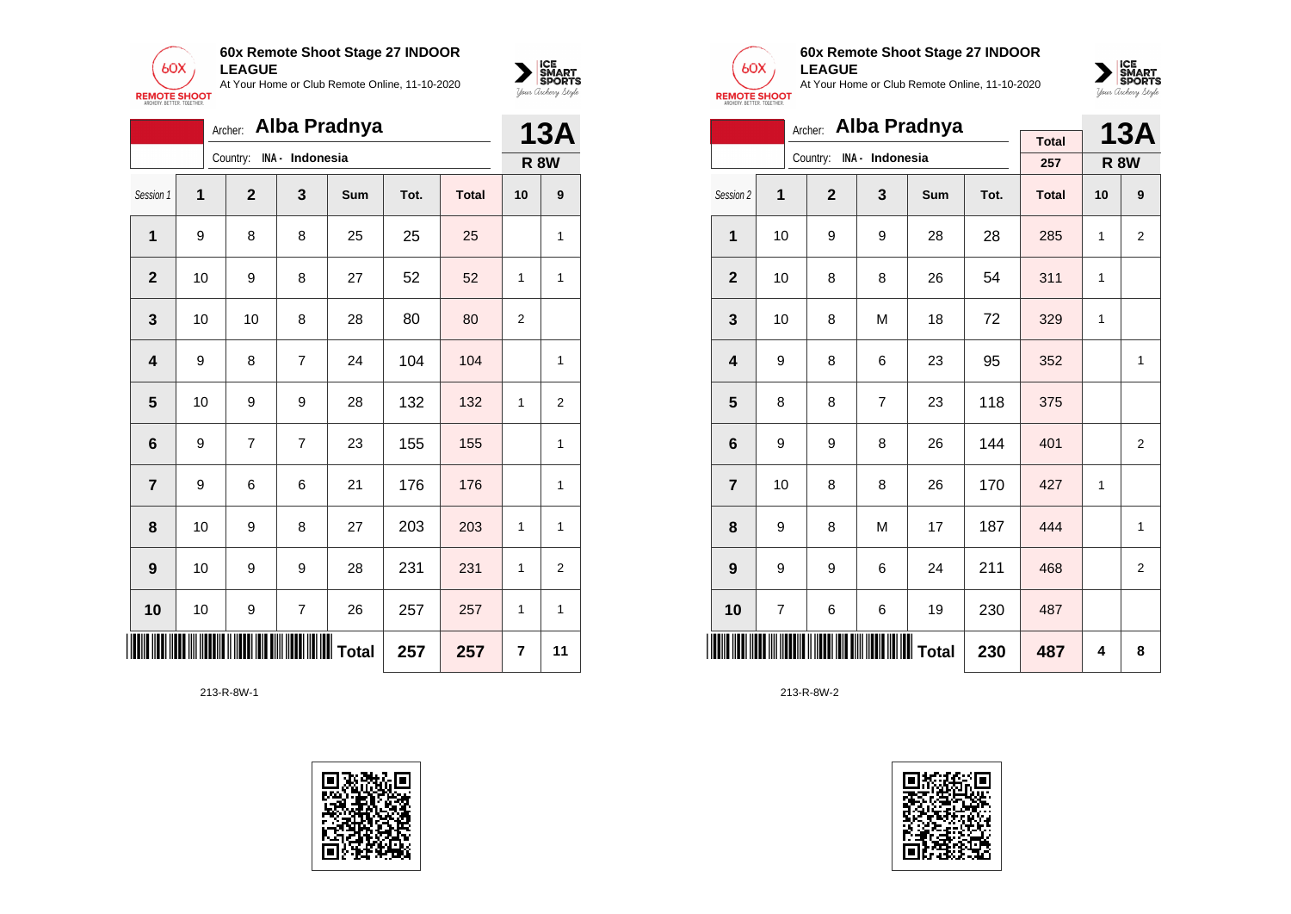



|                         | Alba Pradnya<br>Archer: |                   |                 |           |      |              |                |                |  |  |
|-------------------------|-------------------------|-------------------|-----------------|-----------|------|--------------|----------------|----------------|--|--|
|                         |                         | Country:          | INA - Indonesia |           |      |              |                | <b>R 8W</b>    |  |  |
| Session 1               | 1                       | $\mathbf{2}$      | 3               | Sum       | Tot. | <b>Total</b> | 10             | 9              |  |  |
| 1                       | 9                       | 8                 | 8               | 25        | 25   | 25           |                | 1              |  |  |
| $\overline{2}$          | 10                      | 9                 | 8               | 27        | 52   | 52           | 1              | 1              |  |  |
| 3                       | 10                      | 10                | 8               | 28        | 80   | 80           | $\overline{2}$ |                |  |  |
| $\overline{\mathbf{4}}$ | 9                       | 8                 | $\overline{7}$  | 24        | 104  | 104          |                | 1              |  |  |
| $5\phantom{1}$          | 10                      | 9                 | 9               | 28        | 132  | 132          | 1              | $\overline{2}$ |  |  |
| 6                       | 9                       | 7                 | $\overline{7}$  | 23        | 155  | 155          |                | 1              |  |  |
| $\overline{7}$          | 9                       | 6                 | 6               | 21        | 176  | 176          |                | 1              |  |  |
| 8                       | 10                      | 9                 | 8               | 27        | 203  | 203          | 1              | 1              |  |  |
| 9                       | 10                      | 9                 | 9               | 28        | 231  | 231          | 1              | $\overline{2}$ |  |  |
| 10                      | 10                      | 9                 | $\overline{7}$  | 26        | 257  | 257          | 1              | 1              |  |  |
| IIII                    |                         | <b>TERRITORIA</b> |                 | ∭∭∭ Total | 257  | 257          | 7              | 11             |  |  |





### **60x Remote Shoot Stage 27 INDOOR LEAGUE**

At Your Home or Club Remote Online, 11-10-2020



|                         | Alba Pradnya<br>Archer: |                |                 |     |      |              |    |                |  |  |
|-------------------------|-------------------------|----------------|-----------------|-----|------|--------------|----|----------------|--|--|
|                         |                         | Country:       | INA - Indonesia |     |      | <b>Total</b> |    | <b>13A</b>     |  |  |
|                         |                         |                |                 |     |      | 257          |    | <b>R 8W</b>    |  |  |
| Session 2               | 1                       | $\overline{2}$ | 3               | Sum | Tot. | <b>Total</b> | 10 | 9              |  |  |
| $\mathbf{1}$            | 10                      | 9              | 9               | 28  | 28   | 285          | 1  | $\overline{2}$ |  |  |
| $\overline{2}$          | 10                      | 8              | 8               | 26  | 54   | 311          | 1  |                |  |  |
| 3                       | 10                      | 8              | M               | 18  | 72   | 329          | 1  |                |  |  |
| $\overline{\mathbf{4}}$ | 9                       | 8              | 6               | 23  | 95   | 352          |    | 1              |  |  |
| 5                       | 8                       | 8              | $\overline{7}$  | 23  | 118  | 375          |    |                |  |  |
| 6                       | 9                       | 9              | 8               | 26  | 144  | 401          |    | $\overline{2}$ |  |  |
| $\overline{7}$          | 10                      | 8              | 8               | 26  | 170  | 427          | 1  |                |  |  |
| 8                       | 9                       | 8              | M               | 17  | 187  | 444          |    | 1              |  |  |
| 9                       | 9                       | 9              | 6               | 24  | 211  | 468          |    | $\overline{2}$ |  |  |
| 10                      | 7                       | 6              | 6               | 19  | 230  | 487          |    |                |  |  |
| <b>IIIII</b>            |                         |                | 230             | 487 | 4    | 8            |    |                |  |  |

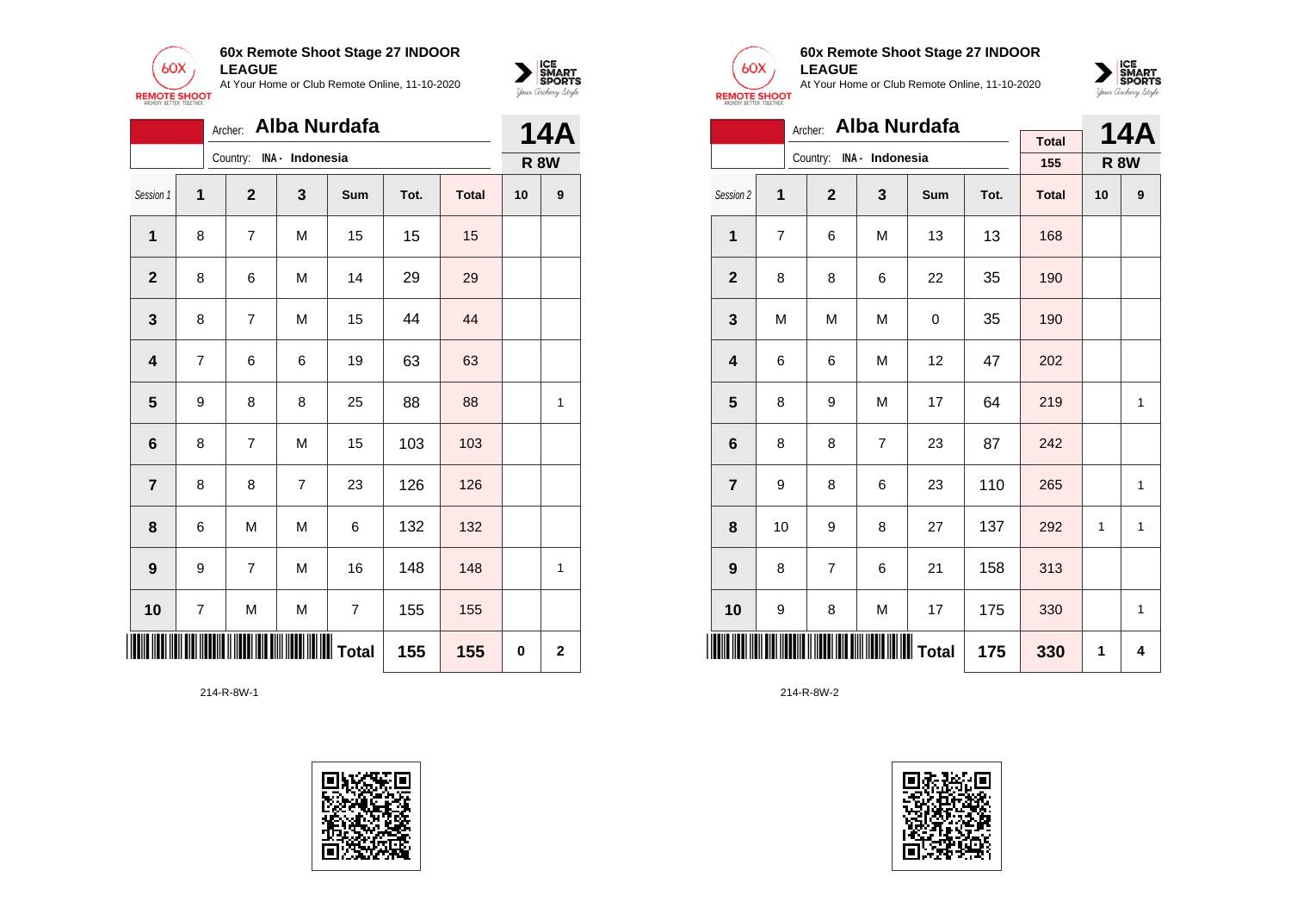



|                  | Archer: Alba Nurdafa |                          |                |                |      |              |             |             |  |  |
|------------------|----------------------|--------------------------|----------------|----------------|------|--------------|-------------|-------------|--|--|
|                  |                      | Country: INA - Indonesia |                |                |      |              | <b>R 8W</b> |             |  |  |
| Session 1        | 1                    | $\mathbf{2}$             | 3              | Sum            | Tot. | <b>Total</b> | 10          | 9           |  |  |
| 1                | 8                    | $\overline{7}$           | M              | 15             | 15   | 15           |             |             |  |  |
| $\mathbf 2$      | 8                    | 6                        | M              | 14             | 29   | 29           |             |             |  |  |
| 3                | 8                    | $\overline{7}$           | M              | 15             | 44   | 44           |             |             |  |  |
| 4                | $\overline{7}$       | 6                        | 6              | 19             | 63   | 63           |             |             |  |  |
| 5                | 9                    | 8                        | 8              | 25             | 88   | 88           |             | 1           |  |  |
| 6                | 8                    | $\overline{7}$           | M              | 15             | 103  | 103          |             |             |  |  |
| $\overline{7}$   | 8                    | 8                        | $\overline{7}$ | 23             | 126  | 126          |             |             |  |  |
| 8                | 6                    | M                        | M              | 6              | 132  | 132          |             |             |  |  |
| $\boldsymbol{9}$ | 9                    | $\overline{7}$           | M              | 16             | 148  | 148          |             | 1           |  |  |
| 10               | 7                    | M                        | M              | $\overline{7}$ | 155  | 155          |             |             |  |  |
| <u>Hilli</u>     | 155<br>155           |                          |                |                |      |              |             | $\mathbf 2$ |  |  |





### **60x Remote Shoot Stage 27 INDOOR LEAGUE**

At Your Home or Club Remote Online, 11-10-2020



|                         | Archer: Alba Nurdafa |                          |                |     |      |              |              |             |  |  |  |
|-------------------------|----------------------|--------------------------|----------------|-----|------|--------------|--------------|-------------|--|--|--|
|                         |                      | Country: INA - Indonesia |                |     |      | <b>Total</b> |              | <b>14A</b>  |  |  |  |
|                         |                      |                          |                |     |      | 155          |              | <b>R 8W</b> |  |  |  |
| Session 2               | 1                    | $\overline{2}$           | 3              | Sum | Tot. | <b>Total</b> | 10           | 9           |  |  |  |
| 1                       | 7                    | 6                        | M              | 13  | 13   | 168          |              |             |  |  |  |
| $\mathbf{2}$            | 8                    | 8                        | 6              | 22  | 35   | 190          |              |             |  |  |  |
| 3                       | M                    | M                        | M              | 0   | 35   | 190          |              |             |  |  |  |
| $\overline{\mathbf{4}}$ | 6                    | 6                        | M              | 12  | 47   | 202          |              |             |  |  |  |
| 5                       | 8                    | 9                        | M              | 17  | 64   | 219          |              | 1           |  |  |  |
| 6                       | 8                    | 8                        | $\overline{7}$ | 23  | 87   | 242          |              |             |  |  |  |
| $\overline{7}$          | 9                    | 8                        | 6              | 23  | 110  | 265          |              | 1           |  |  |  |
| 8                       | 10                   | 9                        | 8              | 27  | 137  | 292          | $\mathbf{1}$ | 1           |  |  |  |
| 9                       | 8                    | $\overline{7}$           | 6              | 21  | 158  | 313          |              |             |  |  |  |
| 10                      | 9                    | 8                        | M              | 17  | 175  | 330          |              | 1           |  |  |  |
| IIII                    |                      |                          |                | 175 | 330  | 1            | 4            |             |  |  |  |

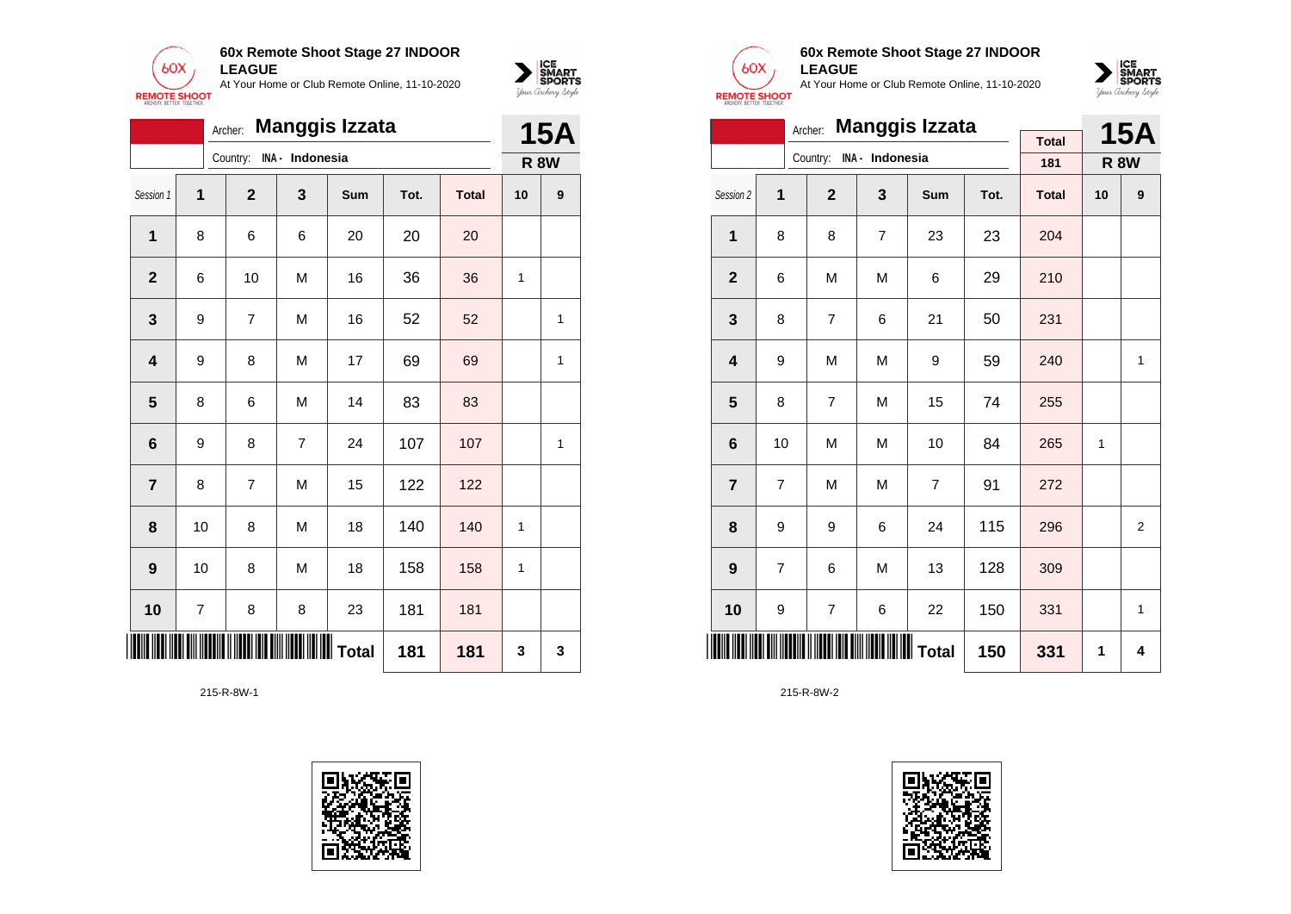



|                         | <b>Manggis Izzata</b><br>Archer: |                |                 |     |      |              |    |             |  |
|-------------------------|----------------------------------|----------------|-----------------|-----|------|--------------|----|-------------|--|
|                         |                                  | Country:       | INA - Indonesia |     |      |              |    | <b>R 8W</b> |  |
| Session 1               | 1                                | $\mathbf{2}$   | 3               | Sum | Tot. | <b>Total</b> | 10 | 9           |  |
| 1                       | 8                                | 6              | 6               | 20  | 20   | 20           |    |             |  |
| $\mathbf 2$             | 6                                | 10             | M               | 16  | 36   | 36           | 1  |             |  |
| 3                       | 9                                | $\overline{7}$ | M               | 16  | 52   | 52           |    | 1           |  |
| $\overline{\mathbf{4}}$ | 9                                | 8              | M               | 17  | 69   | 69           |    | 1           |  |
| 5                       | 8                                | 6              | M               | 14  | 83   | 83           |    |             |  |
| $6\phantom{1}6$         | 9                                | 8              | 7               | 24  | 107  | 107          |    | 1           |  |
| 7                       | 8                                | 7              | M               | 15  | 122  | 122          |    |             |  |
| 8                       | 10                               | 8              | M               | 18  | 140  | 140          | 1  |             |  |
| 9                       | 10                               | 8              | M               | 18  | 158  | 158          | 1  |             |  |
| 10                      | $\overline{7}$                   | 8              | 8               | 23  | 181  | 181          |    |             |  |
| 181<br>181              |                                  |                |                 |     |      |              |    | 3           |  |





### **60x Remote Shoot Stage 27 INDOOR LEAGUE**

At Your Home or Club Remote Online, 11-10-2020



|                         | <b>Manggis Izzata</b><br>Archer: |                      |                          |                |      |              |    |                |  |  |  |
|-------------------------|----------------------------------|----------------------|--------------------------|----------------|------|--------------|----|----------------|--|--|--|
|                         |                                  |                      | Country: INA - Indonesia |                |      | <b>Total</b> |    | <b>15A</b>     |  |  |  |
|                         |                                  |                      |                          |                |      | 181          |    | <b>R 8W</b>    |  |  |  |
| Session 2               | $\overline{1}$                   | $\overline{2}$       | 3                        | Sum            | Tot. | <b>Total</b> | 10 | 9              |  |  |  |
| 1                       | 8                                | 8                    | $\overline{7}$           | 23             | 23   | 204          |    |                |  |  |  |
| $\mathbf{2}$            | 6                                | M                    | M                        | 6              | 29   | 210          |    |                |  |  |  |
| 3                       | 8                                | 7                    | 6                        | 21             | 50   | 231          |    |                |  |  |  |
| $\overline{\mathbf{4}}$ | 9                                | M                    | M                        | 9              | 59   | 240          |    | 1              |  |  |  |
| 5                       | 8                                | $\overline{7}$       | M                        | 15             | 74   | 255          |    |                |  |  |  |
| $6\phantom{1}$          | 10                               | M                    | M                        | 10             | 84   | 265          | 1  |                |  |  |  |
| $\overline{7}$          | 7                                | M                    | M                        | $\overline{7}$ | 91   | 272          |    |                |  |  |  |
| 8                       | 9                                | 9                    | 6                        | 24             | 115  | 296          |    | $\overline{2}$ |  |  |  |
| 9                       | $\overline{7}$                   | 6                    | M                        | 13             | 128  | 309          |    |                |  |  |  |
| 10                      | 9                                | 7                    | 6                        | 22             | 150  | 331          |    | 1              |  |  |  |
| <b>THE REAL</b>         |                                  | <b>WILLIAN Total</b> | 150                      | 331            | 1    | 4            |    |                |  |  |  |

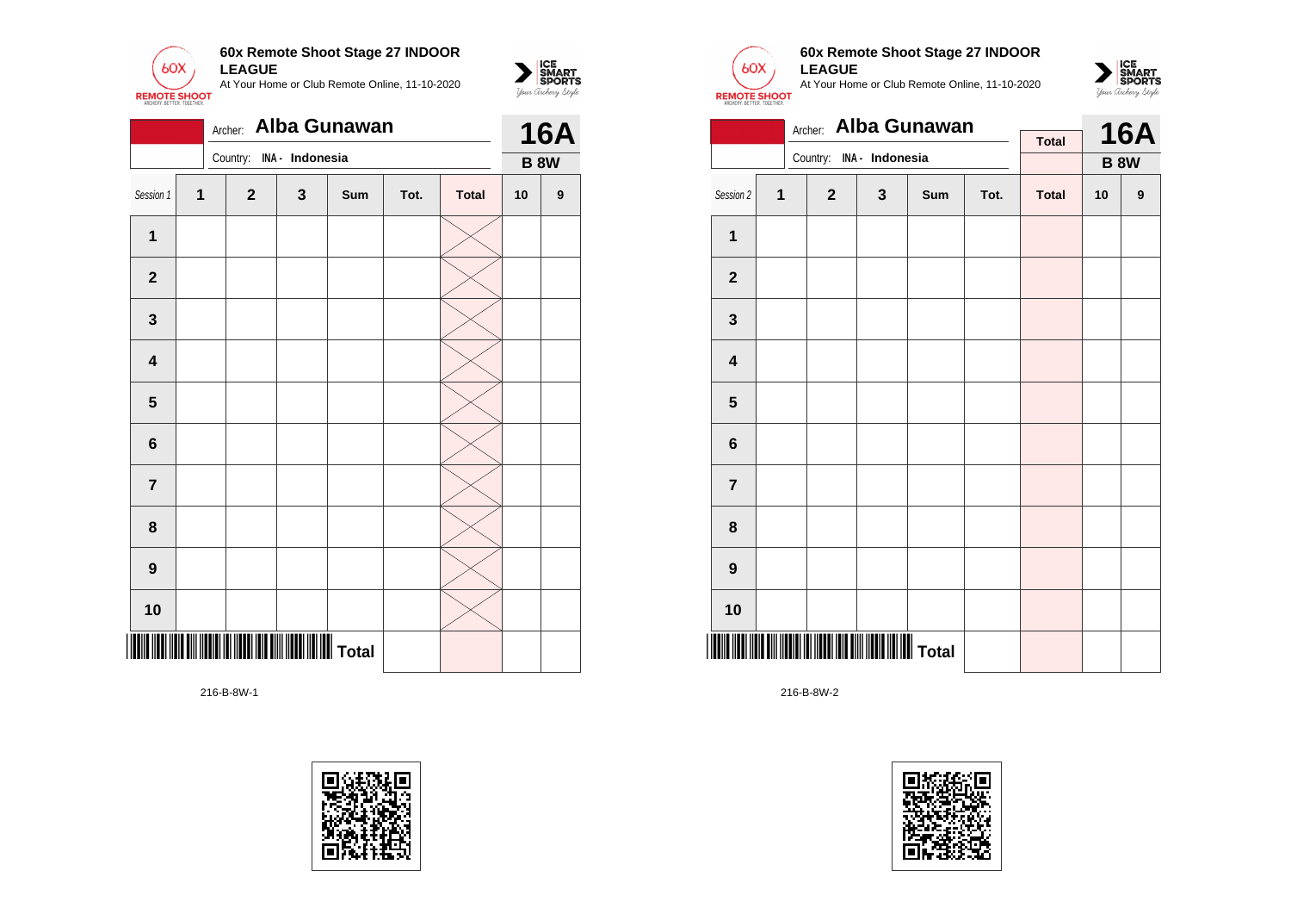

|                         | Alba Gunawan<br>Archer: |  |              |                 |     |      |              |             |            |  |
|-------------------------|-------------------------|--|--------------|-----------------|-----|------|--------------|-------------|------------|--|
|                         |                         |  | Country:     | INA - Indonesia |     |      |              | <b>B 8W</b> | <b>16A</b> |  |
| Session 1               | $\mathbf{1}$            |  | $\mathbf{2}$ | 3               | Sum | Tot. | <b>Total</b> | 10          | 9          |  |
| $\mathbf{1}$            |                         |  |              |                 |     |      |              |             |            |  |
| $\mathbf{2}$            |                         |  |              |                 |     |      |              |             |            |  |
| $\mathbf 3$             |                         |  |              |                 |     |      |              |             |            |  |
| $\overline{\mathbf{4}}$ |                         |  |              |                 |     |      |              |             |            |  |
| $\overline{\mathbf{5}}$ |                         |  |              |                 |     |      |              |             |            |  |
| $6\phantom{1}$          |                         |  |              |                 |     |      |              |             |            |  |
| $\overline{7}$          |                         |  |              |                 |     |      |              |             |            |  |
| 8                       |                         |  |              |                 |     |      |              |             |            |  |
| $\boldsymbol{9}$        |                         |  |              |                 |     |      |              |             |            |  |
| 10                      |                         |  |              |                 |     |      |              |             |            |  |
|                         |                         |  |              |                 |     |      |              |             |            |  |





 $\sum_{\text{M} \subseteq \text{S$ **PORTS** 

### **60x Remote Shoot Stage 27 INDOOR LEAGUE**

At Your Home or Club Remote Online, 11-10-2020



|                         |   | Alba Gunawan<br>Archer:  |             |            |      | <b>16A</b>   |    |                  |
|-------------------------|---|--------------------------|-------------|------------|------|--------------|----|------------------|
|                         |   | Country: INA - Indonesia |             |            |      | <b>Total</b> |    | <b>B 8W</b>      |
|                         |   |                          |             |            |      |              |    |                  |
| Session 2               | 1 | $\mathbf{2}$             | $\mathbf 3$ | <b>Sum</b> | Tot. | <b>Total</b> | 10 | $\boldsymbol{9}$ |
| 1                       |   |                          |             |            |      |              |    |                  |
| $\mathbf{2}$            |   |                          |             |            |      |              |    |                  |
| 3                       |   |                          |             |            |      |              |    |                  |
| $\overline{\mathbf{4}}$ |   |                          |             |            |      |              |    |                  |
| 5                       |   |                          |             |            |      |              |    |                  |
| 6                       |   |                          |             |            |      |              |    |                  |
| $\overline{7}$          |   |                          |             |            |      |              |    |                  |
| 8                       |   |                          |             |            |      |              |    |                  |
| $\boldsymbol{9}$        |   |                          |             |            |      |              |    |                  |
| 10                      |   |                          |             |            |      |              |    |                  |
|                         |   |                          |             |            |      |              |    |                  |

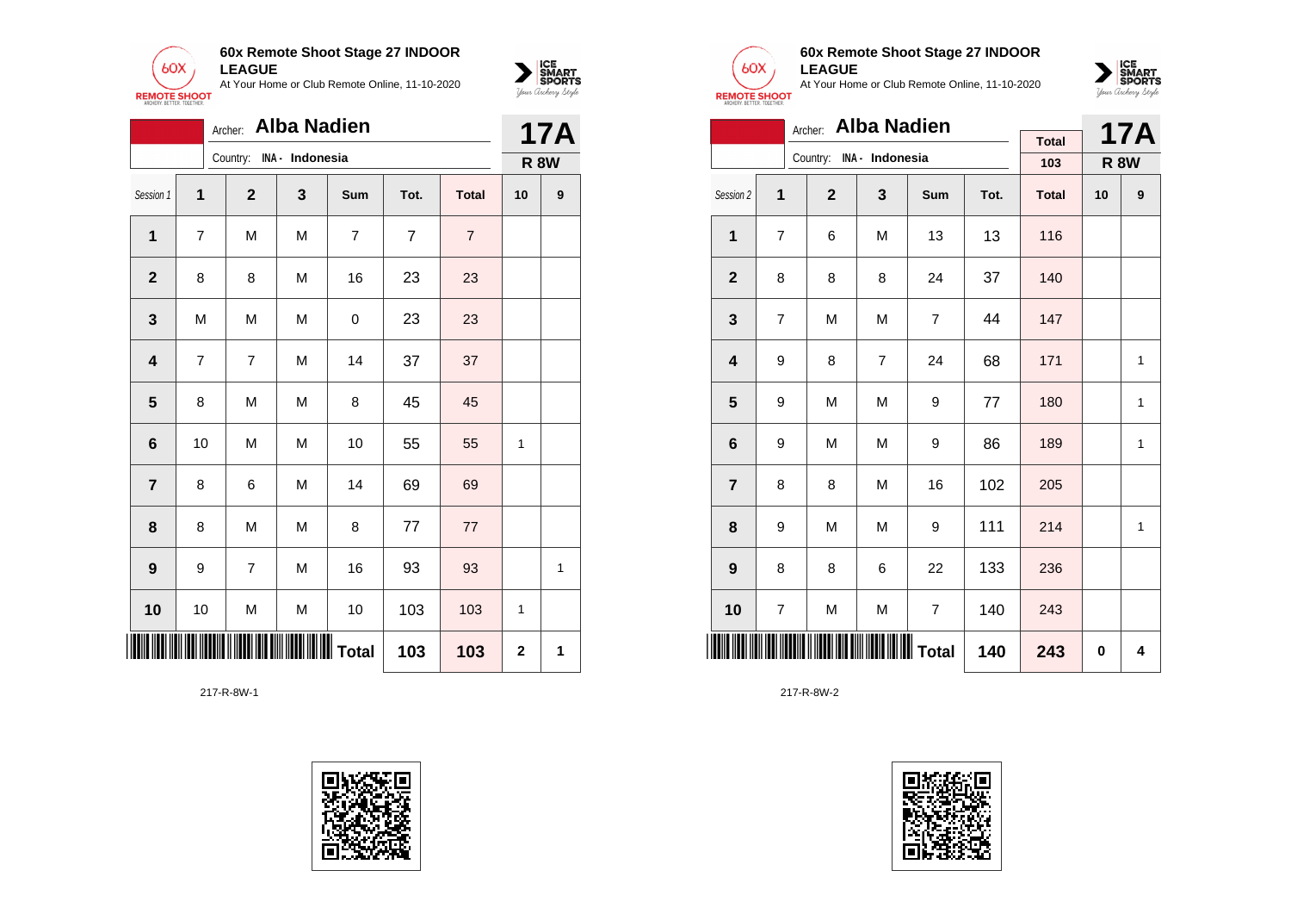



|                 | <b>Alba Nadien</b><br>Archer: |                |                 |                |                |                |             |   |  |  |
|-----------------|-------------------------------|----------------|-----------------|----------------|----------------|----------------|-------------|---|--|--|
|                 |                               | Country:       | INA - Indonesia |                |                |                | <b>R 8W</b> |   |  |  |
| Session 1       | 1                             | $\mathbf{2}$   | 3               | Sum            | Tot.           | <b>Total</b>   | 10          | 9 |  |  |
| 1               | 7                             | M              | M               | $\overline{7}$ | $\overline{7}$ | $\overline{7}$ |             |   |  |  |
| $\mathbf{2}$    | 8                             | 8              | M               | 16             | 23             | 23             |             |   |  |  |
| 3               | M                             | M              | M               | 0              | 23             | 23             |             |   |  |  |
| 4               | $\overline{7}$                | $\overline{7}$ | M               | 14             | 37             | 37             |             |   |  |  |
| 5               | 8                             | M              | M               | 8              | 45             | 45             |             |   |  |  |
| $6\phantom{1}6$ | 10                            | M              | M               | 10             | 55             | 55             | 1           |   |  |  |
| $\overline{7}$  | 8                             | 6              | M               | 14             | 69             | 69             |             |   |  |  |
| 8               | 8                             | M              | M               | 8              | 77             | 77             |             |   |  |  |
| 9               | 9                             | $\overline{7}$ | M               | 16             | 93             | 93             |             | 1 |  |  |
| 10              | 10                            | M              | M               | 10             | 103            | 103            | 1           |   |  |  |
| 103<br>103      |                               |                |                 |                |                |                |             | 1 |  |  |





### **60x Remote Shoot Stage 27 INDOOR LEAGUE**

At Your Home or Club Remote Online, 11-10-2020



|                         | Archer: Alba Nadien |                          |                |                         |      |              |             |            |  |  |  |
|-------------------------|---------------------|--------------------------|----------------|-------------------------|------|--------------|-------------|------------|--|--|--|
|                         |                     | Country: INA - Indonesia |                |                         |      | <b>Total</b> |             | <b>17A</b> |  |  |  |
|                         |                     |                          |                |                         |      | 103          | <b>R 8W</b> |            |  |  |  |
| Session 2               | 1                   | $\overline{2}$           | 3              | Sum                     | Tot. | <b>Total</b> | 10          | 9          |  |  |  |
| $\mathbf{1}$            | 7                   | 6                        | M              | 13                      | 13   | 116          |             |            |  |  |  |
| $\overline{2}$          | 8                   | 8                        | 8              | 24                      | 37   | 140          |             |            |  |  |  |
| 3                       | 7                   | M                        | M              | 7                       | 44   | 147          |             |            |  |  |  |
| $\overline{\mathbf{4}}$ | 9                   | 8                        | $\overline{7}$ | 24                      | 68   | 171          |             | 1          |  |  |  |
| 5                       | 9                   | M                        | M              | 9                       | 77   | 180          |             | 1          |  |  |  |
| 6                       | 9                   | M                        | M              | 9                       | 86   | 189          |             | 1          |  |  |  |
| $\overline{7}$          | 8                   | 8                        | M              | 16                      | 102  | 205          |             |            |  |  |  |
| 8                       | 9                   | M                        | M              | 9                       | 111  | 214          |             | 1          |  |  |  |
| 9                       | 8                   | 8                        | 6              | 22                      | 133  | 236          |             |            |  |  |  |
| 10                      | 7                   | M                        | M              | $\overline{\mathbf{7}}$ | 140  | 243          |             |            |  |  |  |
|                         |                     |                          | 140            | 243                     | 0    | 4            |             |            |  |  |  |

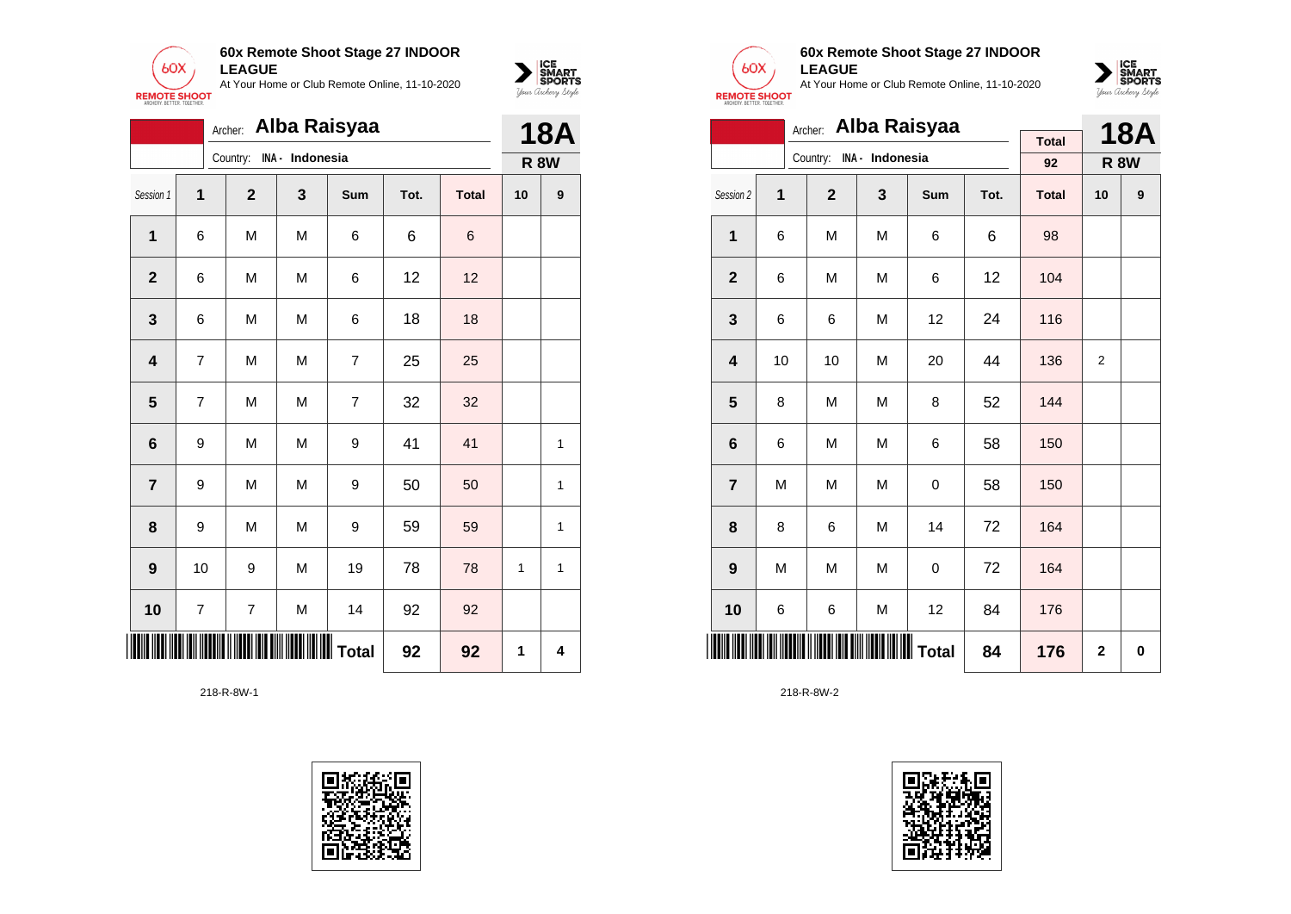



|                         | Archer: Alba Raisyaa |              |                 |                  |      |              |    |             |  |  |
|-------------------------|----------------------|--------------|-----------------|------------------|------|--------------|----|-------------|--|--|
|                         |                      | Country:     | INA - Indonesia |                  |      |              |    | <b>R 8W</b> |  |  |
| Session 1               | 1                    | $\mathbf{2}$ | 3               | Sum              | Tot. | <b>Total</b> | 10 | 9           |  |  |
| 1                       | 6                    | M            | M               | 6                | 6    | 6            |    |             |  |  |
| $\mathbf{2}$            | 6                    | M            | M               | 6                | 12   | 12           |    |             |  |  |
| $\mathbf 3$             | 6                    | M            | M               | 6                | 18   | 18           |    |             |  |  |
| $\overline{\mathbf{4}}$ | $\overline{7}$       | M            | M               | $\overline{7}$   | 25   | 25           |    |             |  |  |
| $5\phantom{1}$          | 7                    | M            | M               | $\overline{7}$   | 32   | 32           |    |             |  |  |
| 6                       | 9                    | M            | M               | 9                | 41   | 41           |    | 1           |  |  |
| $\overline{\mathbf{r}}$ | 9                    | M            | M               | 9                | 50   | 50           |    | 1           |  |  |
| 8                       | 9                    | M            | M               | 9                | 59   | 59           |    | 1           |  |  |
| 9                       | 10                   | 9            | M               | 19               | 78   | 78           | 1  | 1           |  |  |
| 10                      | 7                    | 7            | M               | 14               | 92   | 92           |    |             |  |  |
|                         |                      |              |                 | <b>III</b> Total | 92   | 92           | 1  | 4           |  |  |





### **60x Remote Shoot Stage 27 INDOOR LEAGUE**

At Your Home or Club Remote Online, 11-10-2020



|                         | Alba Raisyaa<br>Archer: |                          |   |     |      |              |             |            |  |  |  |
|-------------------------|-------------------------|--------------------------|---|-----|------|--------------|-------------|------------|--|--|--|
|                         |                         | Country: INA - Indonesia |   |     |      | <b>Total</b> |             | <b>18A</b> |  |  |  |
|                         |                         |                          |   |     |      | 92           | <b>R 8W</b> |            |  |  |  |
| Session 2               | 1                       | $\overline{2}$           | 3 | Sum | Tot. | <b>Total</b> | 10          | 9          |  |  |  |
| 1                       | 6                       | M                        | M | 6   | 6    | 98           |             |            |  |  |  |
| $\mathbf{2}$            | 6                       | M                        | M | 6   | 12   | 104          |             |            |  |  |  |
| 3                       | 6                       | 6                        | M | 12  | 24   | 116          |             |            |  |  |  |
| $\overline{\mathbf{4}}$ | 10                      | 10                       | M | 20  | 44   | 136          | 2           |            |  |  |  |
| 5                       | 8                       | M                        | M | 8   | 52   | 144          |             |            |  |  |  |
| 6                       | 6                       | M                        | M | 6   | 58   | 150          |             |            |  |  |  |
| $\overline{7}$          | M                       | M                        | M | 0   | 58   | 150          |             |            |  |  |  |
| 8                       | 8                       | 6                        | M | 14  | 72   | 164          |             |            |  |  |  |
| 9                       | M                       | M                        | M | 0   | 72   | 164          |             |            |  |  |  |
| 10                      | 6                       | 6                        | M | 12  | 84   | 176          |             |            |  |  |  |
|                         |                         |                          |   |     | 84   | 176          | $\mathbf 2$ | 0          |  |  |  |

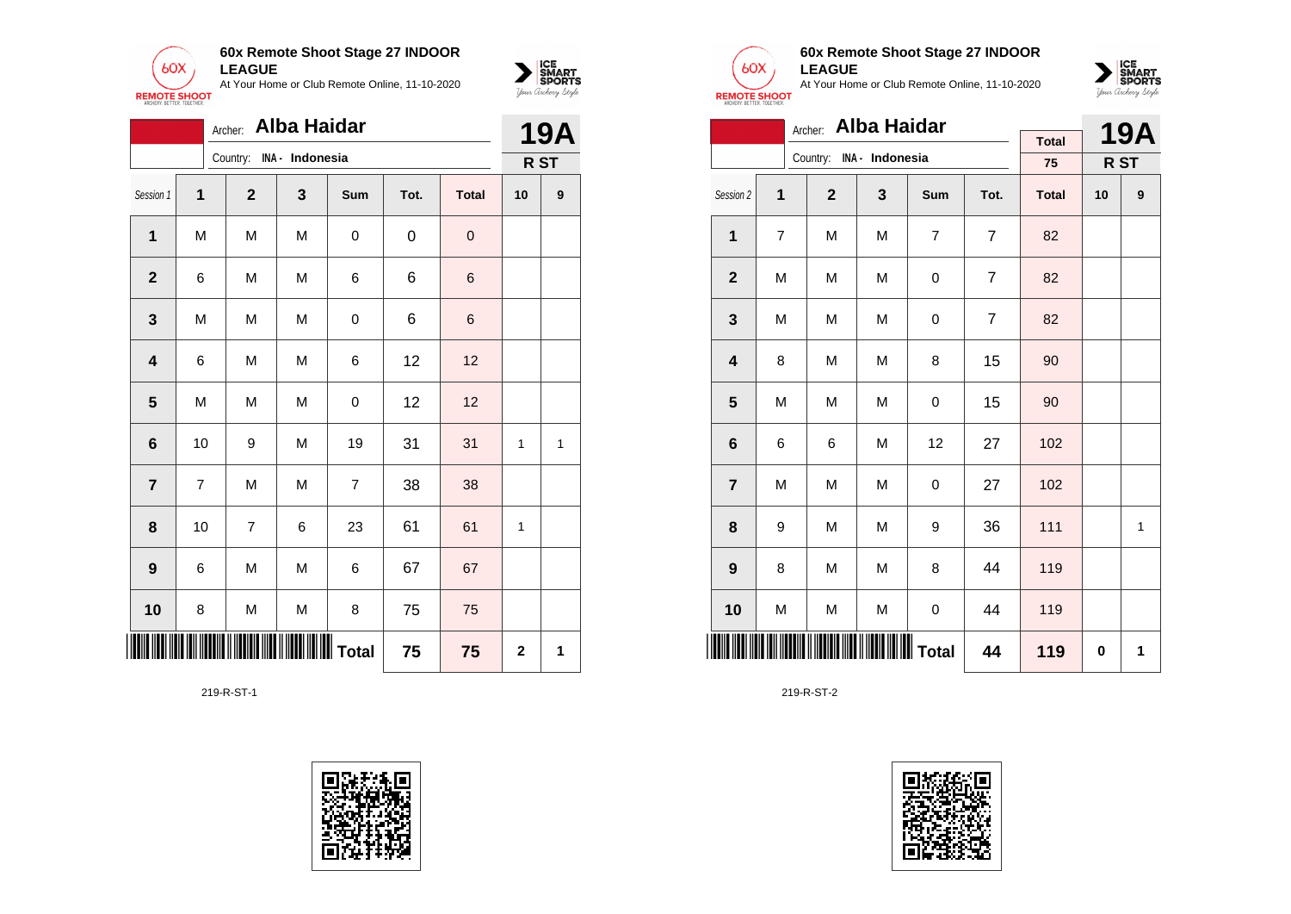



|                         |    | Archer:        | <b>Alba Haidar</b>                               |                |      |              | <b>19A</b>              |                  |
|-------------------------|----|----------------|--------------------------------------------------|----------------|------|--------------|-------------------------|------------------|
|                         |    | Country:       | INA - Indonesia                                  |                |      |              |                         | R ST             |
| Session 1               | 1  | $\overline{2}$ | 3                                                | Sum            | Tot. | <b>Total</b> | 10                      | $\boldsymbol{9}$ |
| 1                       | M  | M              | M                                                | 0              | 0    | $\mathbf 0$  |                         |                  |
| $\overline{2}$          | 6  | M              | M                                                | 6              | 6    | $\,$ 6 $\,$  |                         |                  |
| 3                       | M  | M              | M                                                | 0              | 6    | $\,$ 6       |                         |                  |
| $\overline{\mathbf{4}}$ | 6  | M              | M                                                | 6              | 12   | 12           |                         |                  |
| $5\phantom{1}$          | M  | M              | M                                                | $\mathbf 0$    | 12   | 12           |                         |                  |
| 6                       | 10 | 9              | M                                                | 19             | 31   | 31           | $\mathbf{1}$            | 1                |
| $\overline{7}$          | 7  | M              | M                                                | $\overline{7}$ | 38   | 38           |                         |                  |
| 8                       | 10 | $\overline{7}$ | 6                                                | 23             | 61   | 61           | 1                       |                  |
| $\boldsymbol{9}$        | 6  | M              | M                                                | 6              | 67   | 67           |                         |                  |
| 10                      | 8  | M              | M                                                | 8              | 75   | 75           |                         |                  |
| III                     |    |                | <b>                                   </b> Total |                | 75   | 75           | $\overline{\mathbf{2}}$ | 1                |

219-R-ST-1





### **60x Remote Shoot Stage 27 INDOOR LEAGUE**

At Your Home or Club Remote Online, 11-10-2020



|                         | <b>Alba Haidar</b><br>Archer: |                |                          |     |                |              |    |            |  |  |  |
|-------------------------|-------------------------------|----------------|--------------------------|-----|----------------|--------------|----|------------|--|--|--|
|                         |                               |                | Country: INA - Indonesia |     |                | <b>Total</b> |    | <b>19A</b> |  |  |  |
|                         |                               |                |                          |     |                | 75           |    | R ST       |  |  |  |
| Session 2               | 1                             | $\overline{2}$ | 3                        | Sum | Tot.           | <b>Total</b> | 10 | 9          |  |  |  |
| 1                       | $\overline{7}$                | M              | M                        | 7   | $\overline{7}$ | 82           |    |            |  |  |  |
| $\mathbf{2}$            | M                             | M              | M                        | 0   | $\overline{7}$ | 82           |    |            |  |  |  |
| 3                       | M                             | M              | M                        | 0   | 7              | 82           |    |            |  |  |  |
| $\overline{\mathbf{4}}$ | 8                             | M              | M                        | 8   | 15             | 90           |    |            |  |  |  |
| 5                       | M                             | M              | M                        | 0   | 15             | 90           |    |            |  |  |  |
| 6                       | 6                             | 6              | M                        | 12  | 27             | 102          |    |            |  |  |  |
| $\overline{7}$          | M                             | M              | M                        | 0   | 27             | 102          |    |            |  |  |  |
| 8                       | 9                             | M              | M                        | 9   | 36             | 111          |    | 1          |  |  |  |
| 9                       | 8                             | M              | M                        | 8   | 44             | 119          |    |            |  |  |  |
| 10                      | M                             | M              | M                        | 0   | 44             | 119          |    |            |  |  |  |
|                         |                               |                | 44                       | 119 | $\bf{0}$       | 1            |    |            |  |  |  |

219-R-ST-2

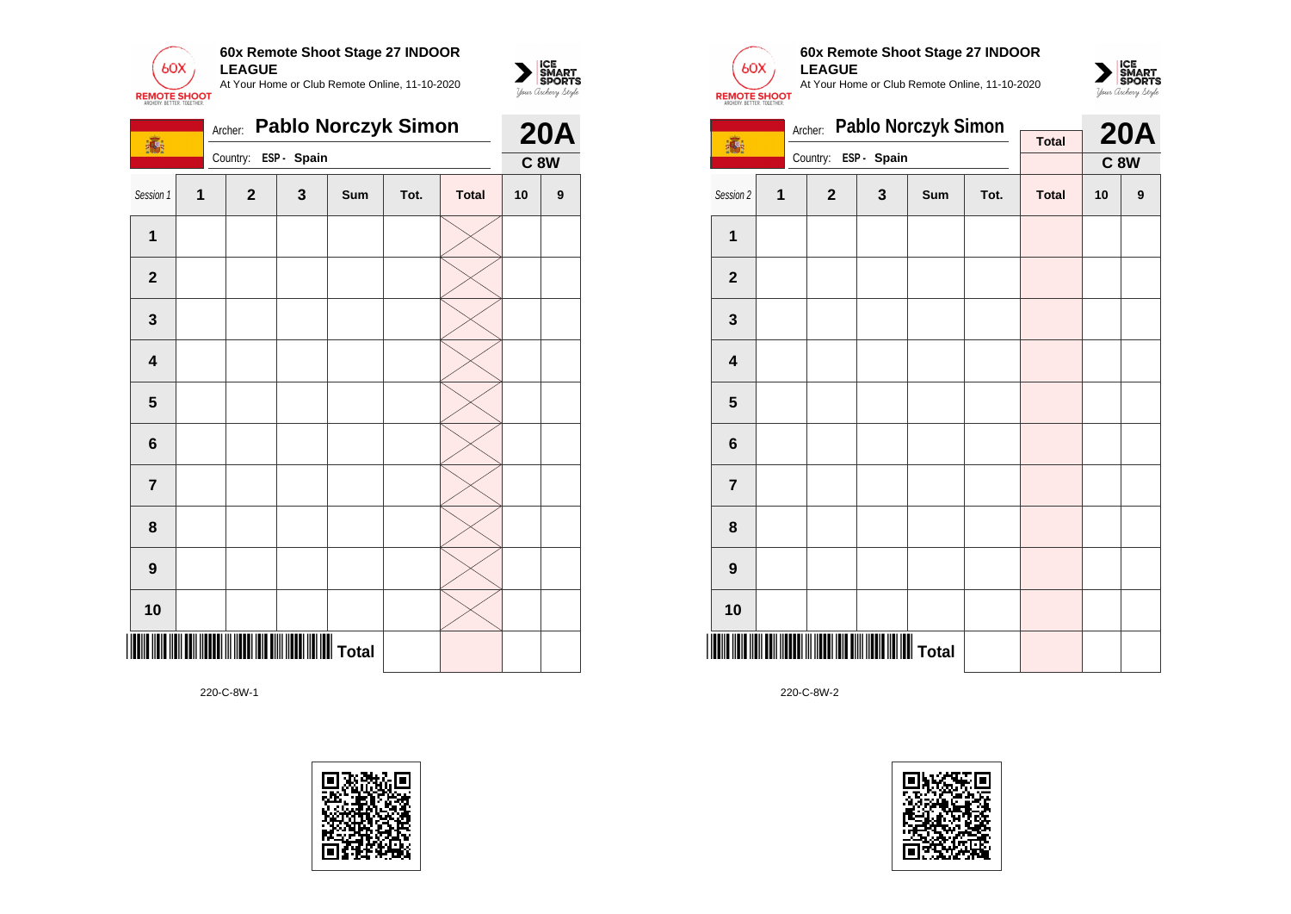



220-C-8W-1





 $\sum_{\text{GMDRTS}}\begin{matrix}\n\text{ICE} \\
\text{SDORTS} \\
\text{Jour } \text{Ordery } \text{Style}\n\end{matrix}$ 

**60x Remote Shoot Stage 27 INDOOR LEAGUE** At Your Home or Club Remote Online, 11-10-2020



|                         |   | Archer:        | Pablo Norczyk Simon     |     |      | <b>20A</b>   |    |             |
|-------------------------|---|----------------|-------------------------|-----|------|--------------|----|-------------|
| 16                      |   | Country:       | ESP - Spain             |     |      | <b>Total</b> |    | <b>C 8W</b> |
| Session 2               | 1 | $\overline{2}$ | $\overline{\mathbf{3}}$ | Sum | Tot. | <b>Total</b> | 10 | 9           |
| 1                       |   |                |                         |     |      |              |    |             |
| $\overline{2}$          |   |                |                         |     |      |              |    |             |
| 3                       |   |                |                         |     |      |              |    |             |
| $\overline{\mathbf{4}}$ |   |                |                         |     |      |              |    |             |
| 5                       |   |                |                         |     |      |              |    |             |
| 6                       |   |                |                         |     |      |              |    |             |
| $\overline{7}$          |   |                |                         |     |      |              |    |             |
| 8                       |   |                |                         |     |      |              |    |             |
| $\boldsymbol{9}$        |   |                |                         |     |      |              |    |             |
| 10                      |   |                |                         |     |      |              |    |             |
|                         |   |                |                         |     |      |              |    |             |

220-C-8W-2

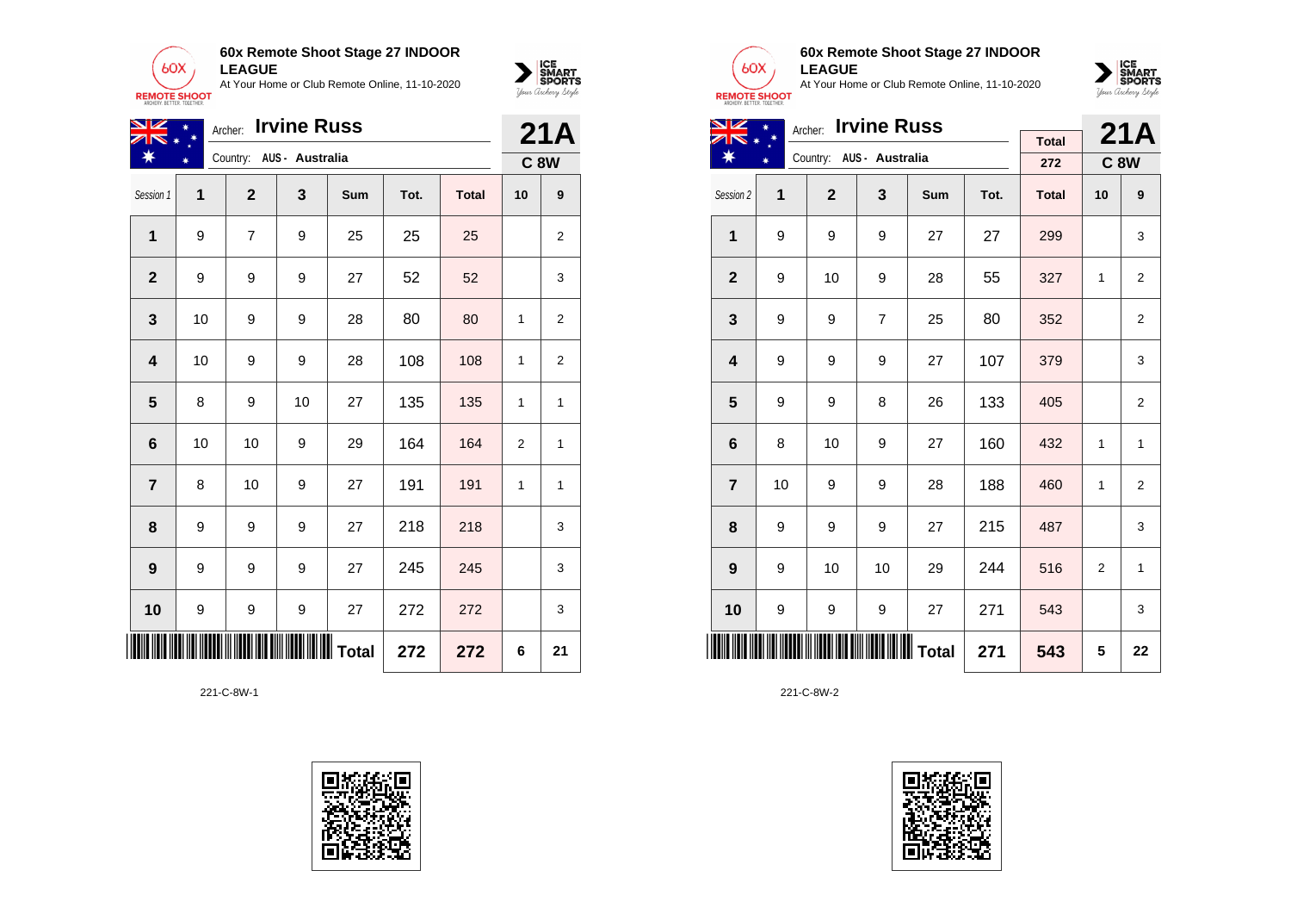



| NZ                         | <b>Irvine Russ</b><br>$\ast$<br>Archer: |                |                          |     |      |              |             |                |  |
|----------------------------|-----------------------------------------|----------------|--------------------------|-----|------|--------------|-------------|----------------|--|
| ₩                          |                                         |                | Country: AUS - Australia |     |      |              | <b>C 8W</b> |                |  |
| Session 1                  | 1                                       | $\mathbf{2}$   | $\mathbf{3}$             | Sum | Tot. | <b>Total</b> | 10          | 9              |  |
| $\mathbf{1}$               | 9                                       | $\overline{7}$ | 9                        | 25  | 25   | 25           |             | 2              |  |
| $\mathbf{2}$               | 9                                       | 9              | 9                        | 27  | 52   | 52           |             | 3              |  |
| $\mathbf{3}$               | 10                                      | 9              | 9                        | 28  | 80   | 80           | 1           | $\overline{2}$ |  |
| 4                          | 10                                      | 9              | 9                        | 28  | 108  | 108          | 1           | $\overline{2}$ |  |
| 5                          | 8                                       | 9              | 10                       | 27  | 135  | 135          | 1           | $\mathbf{1}$   |  |
| 6                          | 10                                      | 10             | 9                        | 29  | 164  | 164          | 2           | 1              |  |
| $\overline{7}$             | 8                                       | 10             | 9                        | 27  | 191  | 191          | 1           | $\mathbf{1}$   |  |
| 8                          | 9                                       | 9              | 9                        | 27  | 218  | 218          |             | 3              |  |
| $\boldsymbol{9}$           | 9                                       | 9              | 9                        | 27  | 245  | 245          |             | 3              |  |
| 10                         | 9                                       | 9              | 9                        | 27  | 272  | 272          |             | 3              |  |
| ∭∭∭∭∭∭ Total<br>272<br>272 |                                         |                |                          |     |      |              | 6           | 21             |  |

221-C-8W-1





### **60x Remote Shoot Stage 27 INDOOR LEAGUE**

At Your Home or Club Remote Online, 11-10-2020



| <u>NZ</u>               |    |                | 21A                      |     |      |              |                |                |
|-------------------------|----|----------------|--------------------------|-----|------|--------------|----------------|----------------|
| ∗                       |    |                | Archer: Irvine Russ      |     |      | <b>Total</b> |                |                |
|                         |    |                | Country: AUS - Australia |     |      | 272          |                | <b>C8W</b>     |
| Session 2               | 1  | $\overline{2}$ | 3                        | Sum | Tot. | <b>Total</b> | 10             | 9              |
| $\mathbf{1}$            | 9  | 9              | 9                        | 27  | 27   | 299          |                | 3              |
| $\mathbf{2}$            | 9  | 10             | 9                        | 28  | 55   | 327          | 1              | $\overline{2}$ |
| 3                       | 9  | 9              | $\overline{7}$           | 25  | 80   | 352          |                | $\overline{2}$ |
| $\overline{\mathbf{4}}$ | 9  | 9              | 9                        | 27  | 107  | 379          |                | 3              |
| 5                       | 9  | 9              | 8                        | 26  | 133  | 405          |                | $\overline{2}$ |
| $6\phantom{1}6$         | 8  | 10             | 9                        | 27  | 160  | 432          | 1              | $\mathbf{1}$   |
| $\overline{7}$          | 10 | 9              | 9                        | 28  | 188  | 460          | $\mathbf{1}$   | $\overline{2}$ |
| 8                       | 9  | 9              | 9                        | 27  | 215  | 487          |                | 3              |
| 9                       | 9  | 10             | 10                       | 29  | 244  | 516          | $\overline{2}$ | $\mathbf{1}$   |
| 10                      | 9  | 9              | 9                        | 27  | 271  | 543          |                | 3              |
|                         |    |                |                          |     | 271  | 543          | 5              | 22             |

221-C-8W-2

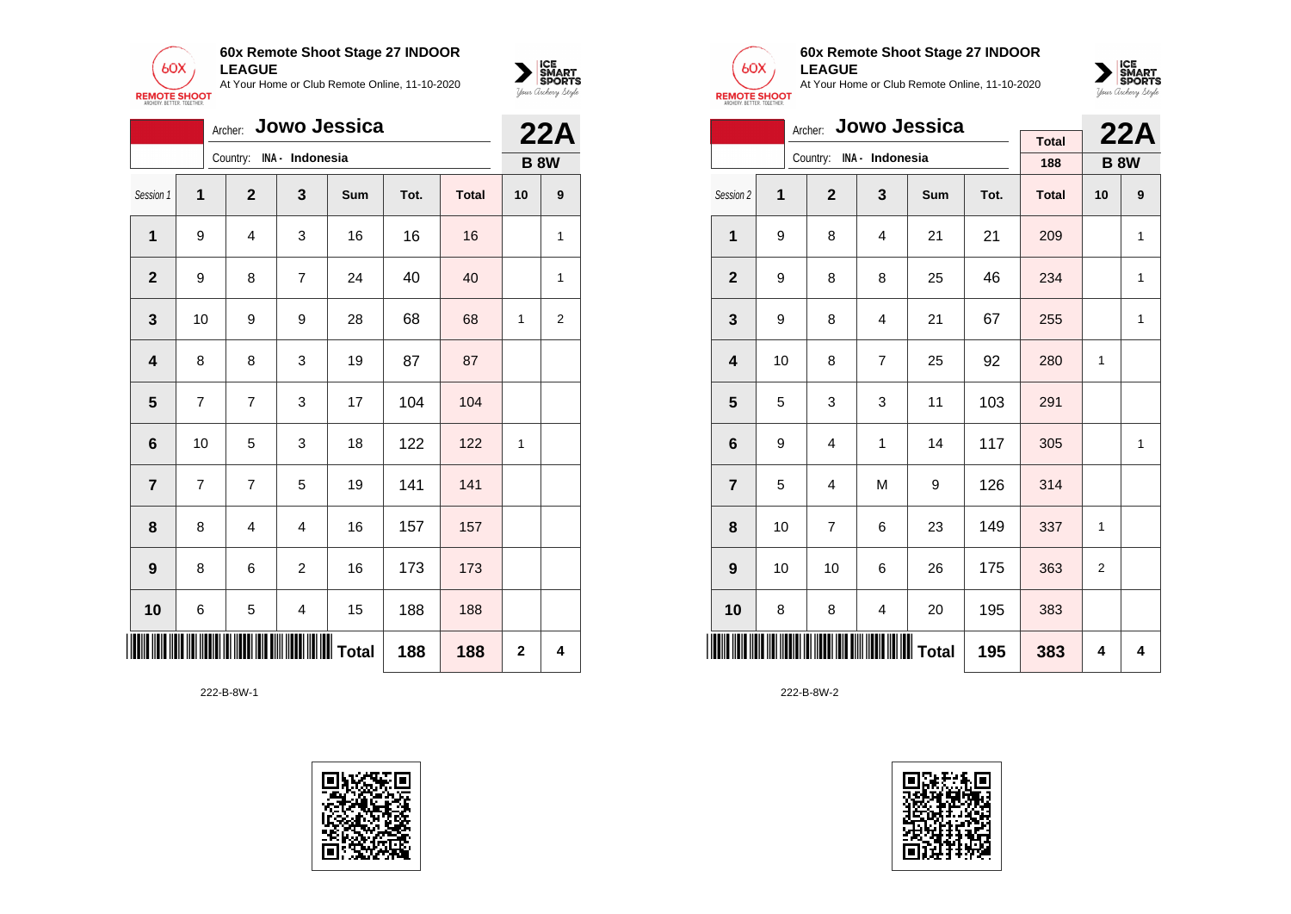



|                         |    |                |                          | Archer: Jowo Jessica |                |              |             | <b>22A</b>     |
|-------------------------|----|----------------|--------------------------|----------------------|----------------|--------------|-------------|----------------|
|                         |    |                | Country: INA - Indonesia |                      |                |              | <b>B 8W</b> |                |
| Session 1               | 1  | $\mathbf{2}$   | 3                        | Sum                  | Tot.           | <b>Total</b> | 10          | 9              |
| 1                       | 9  | 4              | 3                        | 16                   | 16             | 16           |             | 1              |
| $\mathbf{2}$            | 9  | 8              | 7                        | 24                   | 40             | 40           |             | 1              |
| 3                       | 10 | 9              | 9                        | 28                   | 68             | 68           | 1           | $\overline{c}$ |
| $\overline{\mathbf{4}}$ | 8  | 8              | 3                        | 19                   | 87             | 87           |             |                |
| 5                       | 7  | 7              | 3                        | 17                   | 104            | 104          |             |                |
| $6\phantom{1}$          | 10 | 5              | 3                        | 18                   | 122            | 122          | 1           |                |
| $\overline{7}$          | 7  | $\overline{7}$ | 5                        | 19                   | 141            | 141          |             |                |
| 8                       | 8  | 4              | $\overline{4}$           | 16                   | 157            | 157          |             |                |
| 9                       | 8  | 6              | 2                        | 16                   | 173            | 173          |             |                |
| 10                      | 6  | 5              | 4                        | 15                   | 188            | 188          |             |                |
|                         |    |                | 188                      | 188                  | $\overline{2}$ | 4            |             |                |





### **60x Remote Shoot Stage 27 INDOOR LEAGUE**

At Your Home or Club Remote Online, 11-10-2020



|                         | Archer: Jowo Jessica |                |                          |            |      |              |                |             |  |  |  |
|-------------------------|----------------------|----------------|--------------------------|------------|------|--------------|----------------|-------------|--|--|--|
|                         |                      |                | Country: INA - Indonesia |            |      | <b>Total</b> |                | 22A         |  |  |  |
|                         |                      |                |                          |            |      | 188          |                | <b>B 8W</b> |  |  |  |
| Session 2               | 1                    | $\overline{2}$ | 3                        | <b>Sum</b> | Tot. | <b>Total</b> | 10             | 9           |  |  |  |
| $\mathbf{1}$            | 9                    | 8              | 4                        | 21         | 21   | 209          |                | 1           |  |  |  |
| $\overline{2}$          | 9                    | 8              | 8                        | 25         | 46   | 234          |                | 1           |  |  |  |
| 3                       | 9                    | 8              | 4                        | 21         | 67   | 255          |                | 1           |  |  |  |
| $\overline{\mathbf{4}}$ | 10                   | 8              | $\overline{7}$           | 25         | 92   | 280          | 1              |             |  |  |  |
| 5                       | 5                    | 3              | 3                        | 11         | 103  | 291          |                |             |  |  |  |
| $6\phantom{1}$          | 9                    | $\overline{4}$ | 1                        | 14         | 117  | 305          |                | 1           |  |  |  |
| $\overline{7}$          | 5                    | $\overline{4}$ | M                        | 9          | 126  | 314          |                |             |  |  |  |
| 8                       | 10                   | $\overline{7}$ | 6                        | 23         | 149  | 337          | 1              |             |  |  |  |
| 9                       | 10                   | 10             | 6                        | 26         | 175  | 363          | $\overline{2}$ |             |  |  |  |
| 10                      | 8                    | 8              | 4                        | 20         | 195  | 383          |                |             |  |  |  |
| <u>HIII II</u>          |                      |                | ∭∭∭∭∭∭∭∭∏                |            | 195  | 383          | 4              | 4           |  |  |  |

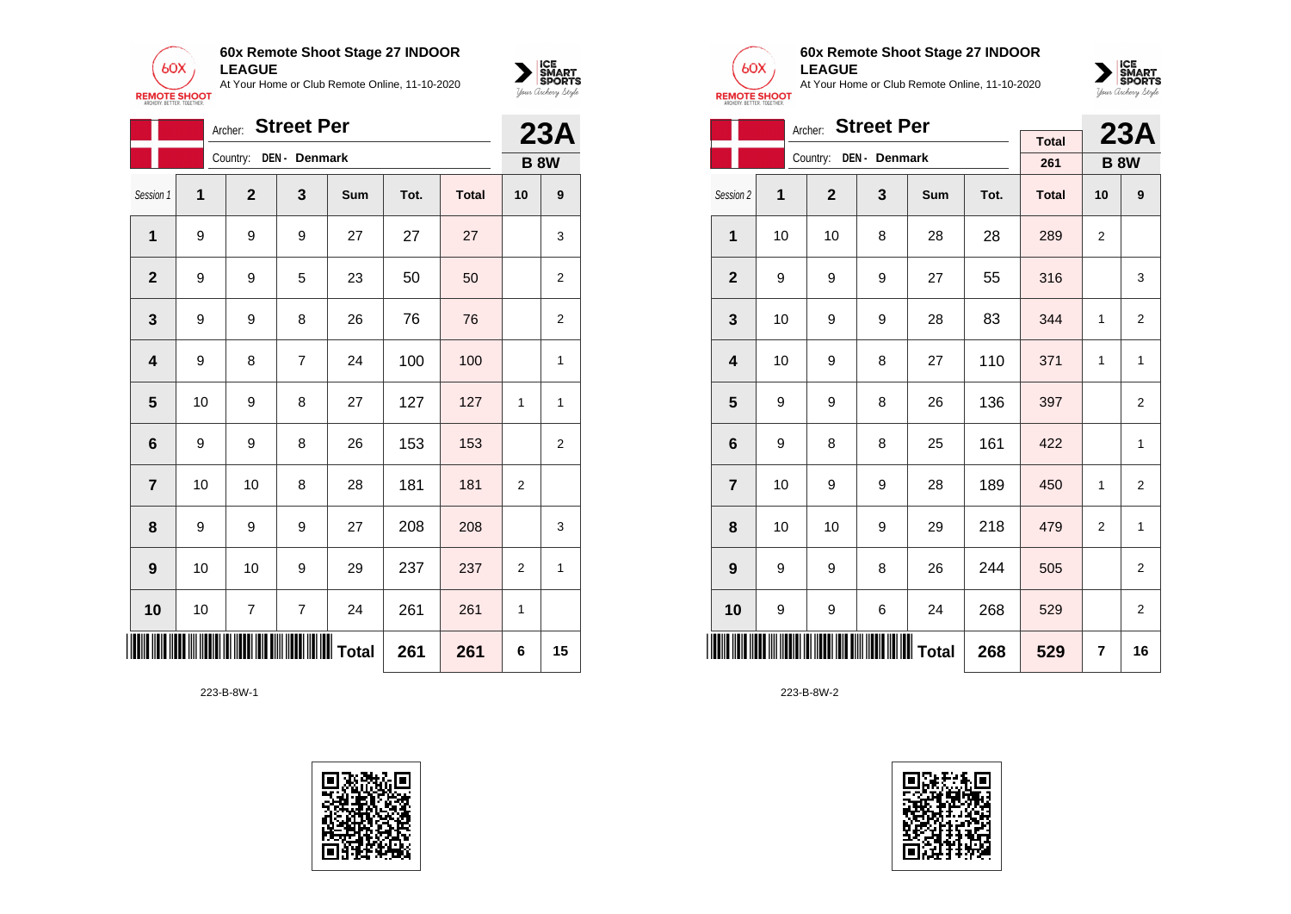



|                         |    | Archer:        | <b>Street Per</b> |     |      |              |                | 23A |
|-------------------------|----|----------------|-------------------|-----|------|--------------|----------------|-----|
|                         |    | Country:       | DEN - Denmark     |     |      |              | <b>B 8W</b>    |     |
| Session 1               | 1  | $\mathbf{2}$   | 3                 | Sum | Tot. | <b>Total</b> | 10             | 9   |
| $\mathbf 1$             | 9  | 9              | 9                 | 27  | 27   | 27           |                | 3   |
| $\overline{2}$          | 9  | 9              | 5                 | 23  | 50   | 50           |                | 2   |
| 3                       | 9  | 9              | 8                 | 26  | 76   | 76           |                | 2   |
| $\overline{\mathbf{4}}$ | 9  | 8              | $\overline{7}$    | 24  | 100  | 100          |                | 1   |
| 5                       | 10 | 9              | 8                 | 27  | 127  | 127          | 1              | 1   |
| 6                       | 9  | 9              | 8                 | 26  | 153  | 153          |                | 2   |
| $\overline{7}$          | 10 | 10             | 8                 | 28  | 181  | 181          | 2              |     |
| 8                       | 9  | 9              | 9                 | 27  | 208  | 208          |                | 3   |
| 9                       | 10 | 10             | 9                 | 29  | 237  | 237          | $\overline{2}$ | 1   |
| 10                      | 10 | $\overline{7}$ | $\overline{7}$    | 24  | 261  | 261          | 1              |     |
| $\blacksquare$          |    |                |                   |     | 261  | 261          | 6              | 15  |





### **60x Remote Shoot Stage 27 INDOOR LEAGUE**

At Your Home or Club Remote Online, 11-10-2020



|                         | Archer: Street Per |                |                        |     |      |              |                |                |  |  |  |
|-------------------------|--------------------|----------------|------------------------|-----|------|--------------|----------------|----------------|--|--|--|
|                         |                    |                |                        |     |      | <b>Total</b> |                | 23A            |  |  |  |
|                         |                    |                | Country: DEN - Denmark |     |      | 261          | <b>B 8W</b>    |                |  |  |  |
| Session 2               | 1                  | $\overline{2}$ | 3                      | Sum | Tot. | <b>Total</b> | 10             | 9              |  |  |  |
| $\mathbf{1}$            | 10                 | 10             | 8                      | 28  | 28   | 289          | $\overline{2}$ |                |  |  |  |
| $\overline{2}$          | 9                  | 9              | 9                      | 27  | 55   | 316          |                | 3              |  |  |  |
| 3                       | 10                 | 9              | 9                      | 28  | 83   | 344          | 1              | 2              |  |  |  |
| $\overline{\mathbf{4}}$ | 10                 | 9              | 8                      | 27  | 110  | 371          | 1              | 1              |  |  |  |
| 5                       | 9                  | 9              | 8                      | 26  | 136  | 397          |                | 2              |  |  |  |
| 6                       | 9                  | 8              | 8                      | 25  | 161  | 422          |                | 1              |  |  |  |
| $\overline{7}$          | 10                 | 9              | 9                      | 28  | 189  | 450          | $\mathbf{1}$   | $\overline{2}$ |  |  |  |
| 8                       | 10                 | 10             | 9                      | 29  | 218  | 479          | 2              | $\mathbf{1}$   |  |  |  |
| 9                       | 9                  | 9              | 8                      | 26  | 244  | 505          |                | $\overline{2}$ |  |  |  |
| 10                      | 9                  | 9              | 6                      | 24  | 268  | 529          |                | $\overline{2}$ |  |  |  |
|                         |                    |                | 268                    | 529 | 7    | 16           |                |                |  |  |  |

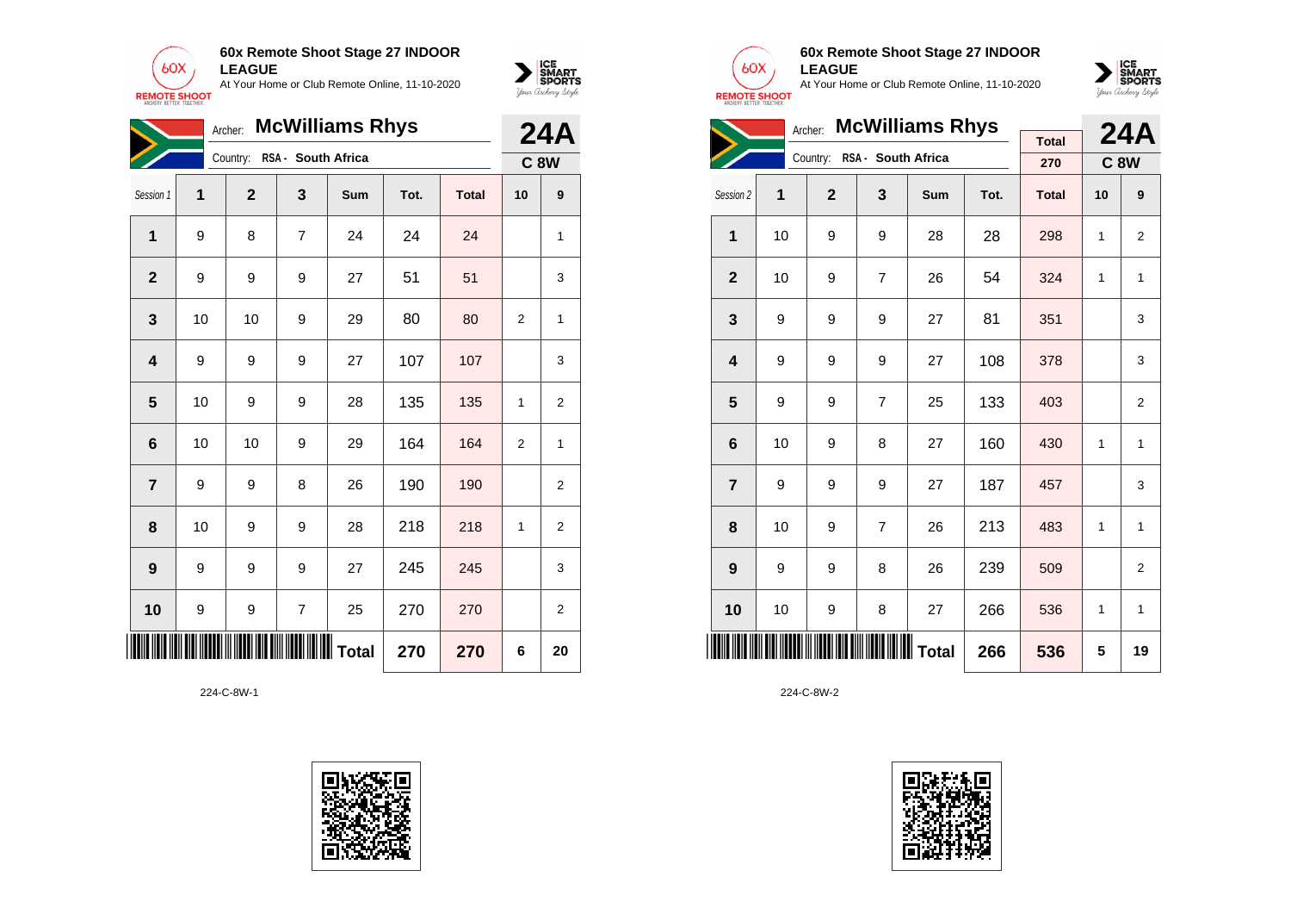



|                                  |    | Archer:      |                    | <b>McWilliams Rhys</b> |      |              |                | <b>24A</b>     |  |
|----------------------------------|----|--------------|--------------------|------------------------|------|--------------|----------------|----------------|--|
|                                  |    | Country:     | RSA - South Africa |                        |      |              |                | <b>C 8W</b>    |  |
| Session 1                        | 1  | $\mathbf{2}$ | 3                  | Sum                    | Tot. | <b>Total</b> | 10             | 9              |  |
| 1                                | 9  | 8            | 7                  | 24                     | 24   | 24           |                | 1              |  |
| $\overline{2}$                   | 9  | 9            | 9                  | 27                     | 51   | 51           |                | 3              |  |
| 3                                | 10 | 10           | 9                  | 29                     | 80   | 80           | $\overline{2}$ | 1              |  |
| $\overline{\mathbf{4}}$          | 9  | 9            | 9                  | 27                     | 107  | 107          |                | 3              |  |
| $\overline{\mathbf{5}}$          | 10 | 9            | 9                  | 28                     | 135  | 135          | 1              | $\overline{2}$ |  |
| $\bf 6$                          | 10 | 10           | 9                  | 29                     | 164  | 164          | $\overline{2}$ | 1              |  |
| $\overline{7}$                   | 9  | 9            | 8                  | 26                     | 190  | 190          |                | 2              |  |
| 8                                | 10 | 9            | 9                  | 28                     | 218  | 218          | 1              | $\overline{c}$ |  |
| 9                                | 9  | 9            | 9                  | 27                     | 245  | 245          |                | 3              |  |
| 10                               | 9  | 9            | $\overline{7}$     | 25                     | 270  | 270          |                | 2              |  |
| <b>∭∭   </b> Total<br>270<br>270 |    |              |                    |                        |      |              | 6              | 20             |  |

224-C-8W-1





### **60x Remote Shoot Stage 27 INDOOR LEAGUE**

At Your Home or Club Remote Online, 11-10-2020



| <b>McWilliams Rhys</b><br>Archer: |    |                |                    |     |      |              |            | <b>24A</b>     |
|-----------------------------------|----|----------------|--------------------|-----|------|--------------|------------|----------------|
|                                   |    |                |                    |     |      | <b>Total</b> |            |                |
|                                   |    | Country:       | RSA - South Africa |     |      | 270          | <b>C8W</b> |                |
| Session 2                         | 1  | $\overline{2}$ | 3                  | Sum | Tot. | <b>Total</b> | 10         | 9              |
| 1                                 | 10 | 9              | 9                  | 28  | 28   | 298          | 1          | $\overline{2}$ |
| $\mathbf{2}$                      | 10 | 9              | $\overline{7}$     | 26  | 54   | 324          | 1          | 1              |
| 3                                 | 9  | 9              | 9                  | 27  | 81   | 351          |            | 3              |
| $\overline{\mathbf{4}}$           | 9  | 9              | 9                  | 27  | 108  | 378          |            | 3              |
| 5                                 | 9  | 9              | $\overline{7}$     | 25  | 133  | 403          |            | 2              |
| 6                                 | 10 | 9              | 8                  | 27  | 160  | 430          | 1          | 1              |
| $\overline{7}$                    | 9  | 9              | 9                  | 27  | 187  | 457          |            | 3              |
| 8                                 | 10 | 9              | $\overline{7}$     | 26  | 213  | 483          | 1          | $\mathbf{1}$   |
| 9                                 | 9  | 9              | 8                  | 26  | 239  | 509          |            | $\overline{2}$ |
| 10                                | 10 | 9              | 8                  | 27  | 266  | 536          | 1          | $\mathbf{1}$   |
|                                   |    |                |                    |     | 266  | 536          | 5          | 19             |

224-C-8W-2

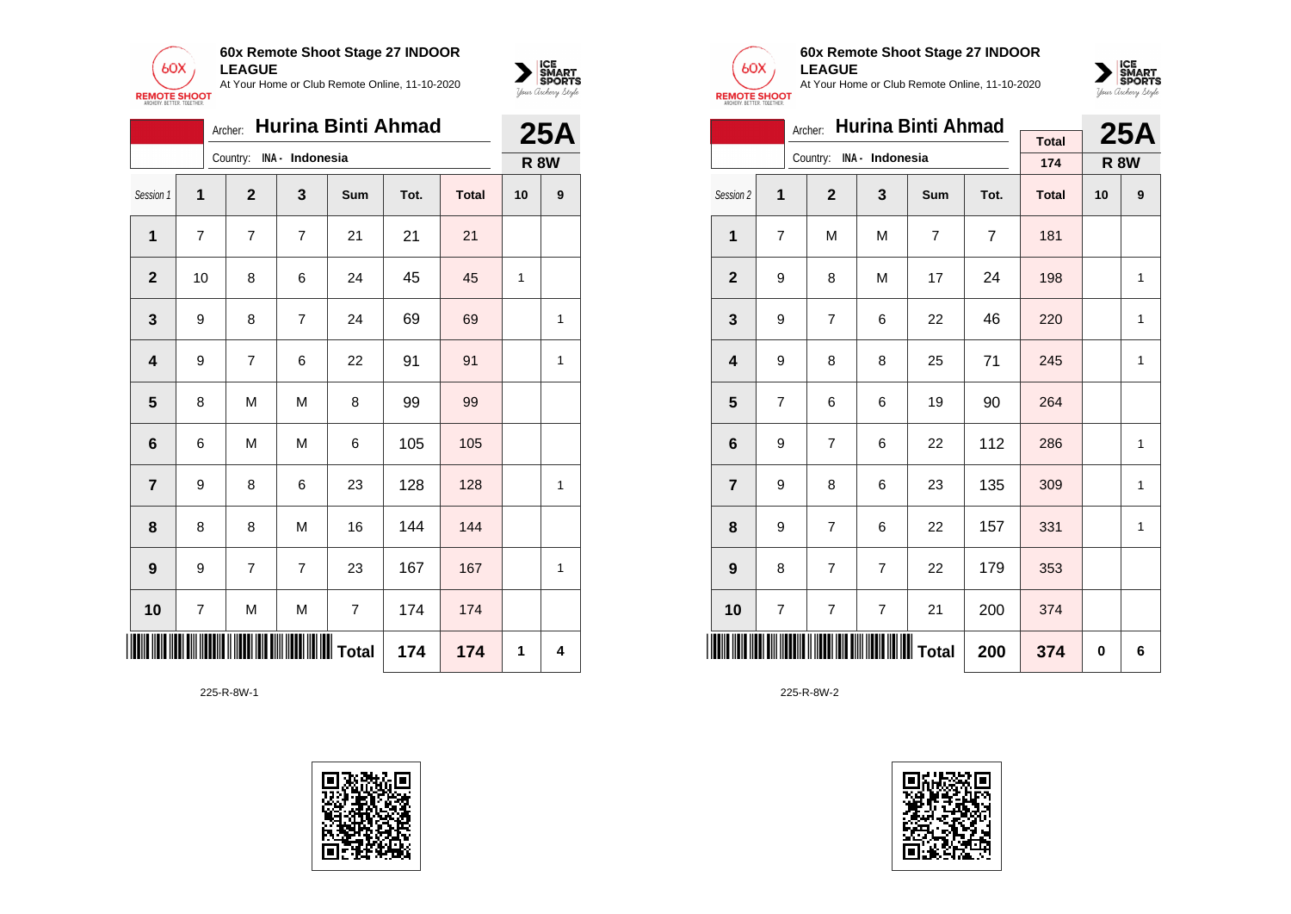



|                 |                          |                          |                | Archer: Hurina Binti Ahmad |      |              |    | <b>25A</b>  |
|-----------------|--------------------------|--------------------------|----------------|----------------------------|------|--------------|----|-------------|
|                 |                          | Country: INA - Indonesia |                |                            |      |              |    | <b>R 8W</b> |
| Session 1       | 1                        | $\mathbf{2}$             | 3              | Sum                        | Tot. | <b>Total</b> | 10 | 9           |
| 1               | 7                        | 7                        | $\overline{7}$ | 21                         | 21   | 21           |    |             |
| $\mathbf 2$     | 10                       | 8                        | 6              | 24                         | 45   | 45           | 1  |             |
| 3               | 9                        | 8                        | 7              | 24                         | 69   | 69           |    | 1           |
| 4               | 9                        | $\overline{7}$           | 6              | 22                         | 91   | 91           |    | 1           |
| 5               | 8                        | M                        | М              | 8                          | 99   | 99           |    |             |
| $6\phantom{1}6$ | 6                        | M                        | M              | 6                          | 105  | 105          |    |             |
| 7               | 9                        | 8                        | 6              | 23                         | 128  | 128          |    | 1           |
| 8               | 8                        | 8                        | M              | 16                         | 144  | 144          |    |             |
| 9               | 9                        | 7                        | $\overline{7}$ | 23                         | 167  | 167          |    | 1           |
| 10              | $\overline{\mathcal{I}}$ | M                        | M              | $\overline{7}$             | 174  | 174          |    |             |
|                 |                          |                          |                |                            | 174  | 174          | 1  | 4           |





# **60x Remote Shoot Stage 27 INDOOR LEAGUE**

At Your Home or Club Remote Online, 11-10-2020



|                         |                                 | Archer:                  |                | <b>Hurina Binti Ahmad</b> |                |                     |             | 25A |
|-------------------------|---------------------------------|--------------------------|----------------|---------------------------|----------------|---------------------|-------------|-----|
|                         |                                 | Country: INA - Indonesia |                |                           |                | <b>Total</b><br>174 | <b>R 8W</b> |     |
|                         |                                 |                          |                |                           |                |                     |             |     |
| Session 2               | 1                               | $\overline{2}$           | 3              | Sum                       | Tot.           | <b>Total</b>        | 10          | 9   |
| 1                       | 7                               | M                        | M              | $\overline{7}$            | $\overline{7}$ | 181                 |             |     |
| $\mathbf{2}$            | 9                               | 8                        | M              | 17                        | 24             | 198                 |             | 1   |
| 3                       | 9                               | 7                        | 6              | 22                        | 46             | 220                 |             | 1   |
| $\overline{\mathbf{4}}$ | 9                               | 8                        | 8              | 25                        | 71             | 245                 |             | 1   |
| 5                       | 7                               | 6                        | 6              | 19                        | 90             | 264                 |             |     |
| 6                       | 9                               | $\overline{7}$           | 6              | 22                        | 112            | 286                 |             | 1   |
| $\overline{7}$          | 9                               | 8                        | 6              | 23                        | 135            | 309                 |             | 1   |
| 8                       | 9                               | 7                        | 6              | 22                        | 157            | 331                 |             | 1   |
| 9                       | 8                               | $\overline{7}$           | $\overline{7}$ | 22                        | 179            | 353                 |             |     |
| 10                      | 7                               | 7                        | 7              | 21                        | 200            | 374                 |             |     |
| IIII                    | <b>IIIIIIIIIII</b> Total<br>200 |                          |                |                           |                |                     | 0           | 6   |

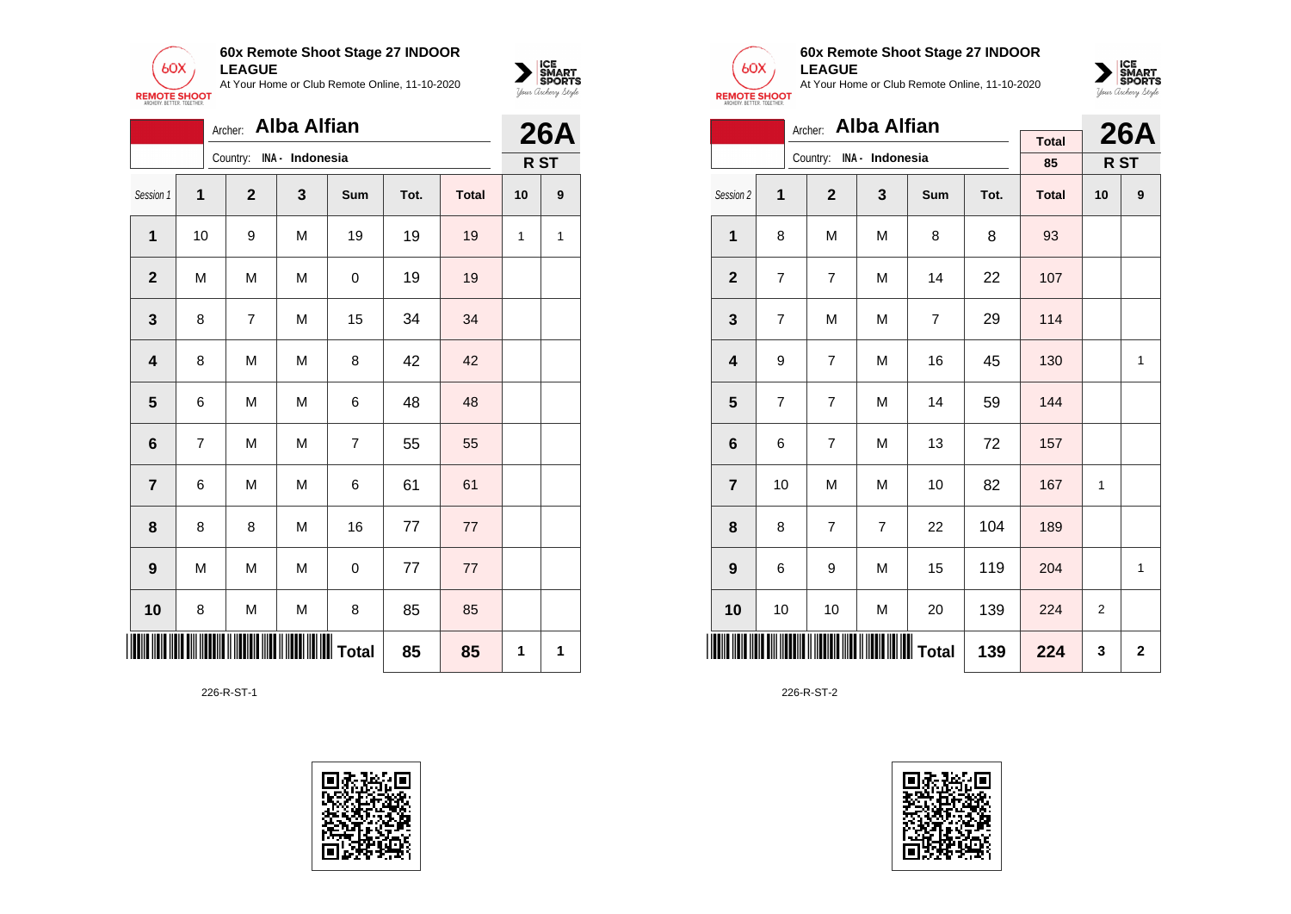



|                         |    | Archer:        | <b>Alba Alfian</b> |                |      |              |    | <b>26A</b> |
|-------------------------|----|----------------|--------------------|----------------|------|--------------|----|------------|
|                         |    | Country:       | INA - Indonesia    |                |      |              |    | R ST       |
| Session 1               | 1  | $\mathbf 2$    | 3                  | Sum            | Tot. | <b>Total</b> | 10 | 9          |
| 1                       | 10 | 9              | M                  | 19             | 19   | 19           | 1  | 1          |
| $\mathbf{2}$            | M  | M              | M                  | 0              | 19   | 19           |    |            |
| 3                       | 8  | $\overline{7}$ | M                  | 15             | 34   | 34           |    |            |
| $\overline{\mathbf{4}}$ | 8  | M              | M                  | 8              | 42   | 42           |    |            |
| 5                       | 6  | M              | M                  | 6              | 48   | 48           |    |            |
| $6\phantom{1}$          | 7  | M              | M                  | $\overline{7}$ | 55   | 55           |    |            |
| $\overline{\mathbf{r}}$ | 6  | M              | M                  | 6              | 61   | 61           |    |            |
| 8                       | 8  | 8              | M                  | 16             | 77   | 77           |    |            |
| 9                       | M  | M              | M                  | 0              | 77   | 77           |    |            |
| 10                      | 8  | M              | M                  | 8              | 85   | 85           |    |            |
| III III                 |    |                |                    |                | 85   | 85           | 1  | 1          |

226-R-ST-1





### **60x Remote Shoot Stage 27 INDOOR LEAGUE**

At Your Home or Club Remote Online, 11-10-2020



|                         | <b>Alba Alfian</b><br>Archer: |                |                          |                |      |              |                |              |  |  |  |
|-------------------------|-------------------------------|----------------|--------------------------|----------------|------|--------------|----------------|--------------|--|--|--|
|                         |                               |                | Country: INA - Indonesia |                |      | <b>Total</b> |                | <b>26A</b>   |  |  |  |
|                         |                               |                |                          |                |      | 85           |                | R ST         |  |  |  |
| Session 2               | 1                             | $\overline{2}$ | 3                        | <b>Sum</b>     | Tot. | <b>Total</b> | 10             | 9            |  |  |  |
| $\mathbf{1}$            | 8                             | M              | M                        | 8              | 8    | 93           |                |              |  |  |  |
| $\overline{2}$          | $\overline{7}$                | $\overline{7}$ | M                        | 14             | 22   | 107          |                |              |  |  |  |
| 3                       | $\overline{7}$                | M              | M                        | $\overline{7}$ | 29   | 114          |                |              |  |  |  |
| $\overline{\mathbf{4}}$ | 9                             | $\overline{7}$ | M                        | 16             | 45   | 130          |                | $\mathbf{1}$ |  |  |  |
| 5                       | $\overline{7}$                | $\overline{7}$ | M                        | 14             | 59   | 144          |                |              |  |  |  |
| 6                       | 6                             | $\overline{7}$ | M                        | 13             | 72   | 157          |                |              |  |  |  |
| $\overline{7}$          | 10                            | M              | M                        | 10             | 82   | 167          | $\mathbf{1}$   |              |  |  |  |
| 8                       | 8                             | $\overline{7}$ | $\overline{7}$           | 22             | 104  | 189          |                |              |  |  |  |
| 9                       | 6                             | 9              | M                        | 15             | 119  | 204          |                | $\mathbf{1}$ |  |  |  |
| 10                      | 10                            | 10             | M                        | 20             | 139  | 224          | $\overline{2}$ |              |  |  |  |
|                         |                               |                | 139                      | 224            | 3    | $\mathbf 2$  |                |              |  |  |  |

226-R-ST-2

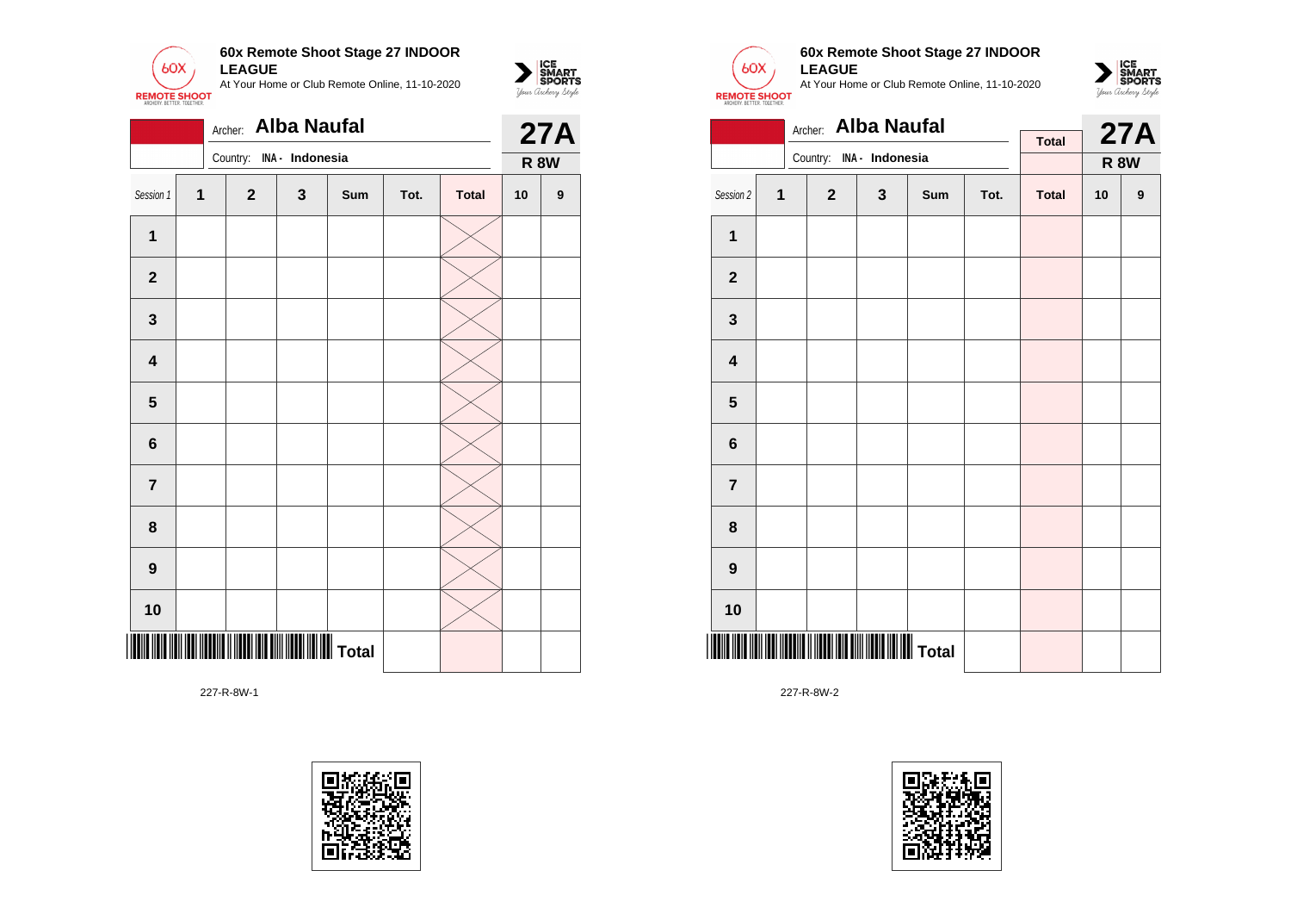







 $\sum_{\text{M} \subseteq \text{S$ **PORTS** 

### **60x Remote Shoot Stage 27 INDOOR LEAGUE**

At Your Home or Club Remote Online, 11-10-2020



|                         |   | Archer:                  | <b>Alba Naufal</b> |     |      |              |    | <b>27A</b>  |
|-------------------------|---|--------------------------|--------------------|-----|------|--------------|----|-------------|
|                         |   | Country: INA - Indonesia |                    |     |      | <b>Total</b> |    | <b>R 8W</b> |
|                         |   |                          |                    |     |      |              |    |             |
| Session 2               | 1 | $\mathbf{2}$             | 3                  | Sum | Tot. | <b>Total</b> | 10 | 9           |
| $\mathbf{1}$            |   |                          |                    |     |      |              |    |             |
| $\mathbf{2}$            |   |                          |                    |     |      |              |    |             |
| $\mathbf{3}$            |   |                          |                    |     |      |              |    |             |
| $\overline{\mathbf{4}}$ |   |                          |                    |     |      |              |    |             |
| 5                       |   |                          |                    |     |      |              |    |             |
| 6                       |   |                          |                    |     |      |              |    |             |
| $\overline{7}$          |   |                          |                    |     |      |              |    |             |
| 8                       |   |                          |                    |     |      |              |    |             |
| 9                       |   |                          |                    |     |      |              |    |             |
| 10                      |   |                          |                    |     |      |              |    |             |
|                         |   |                          |                    |     |      |              |    |             |

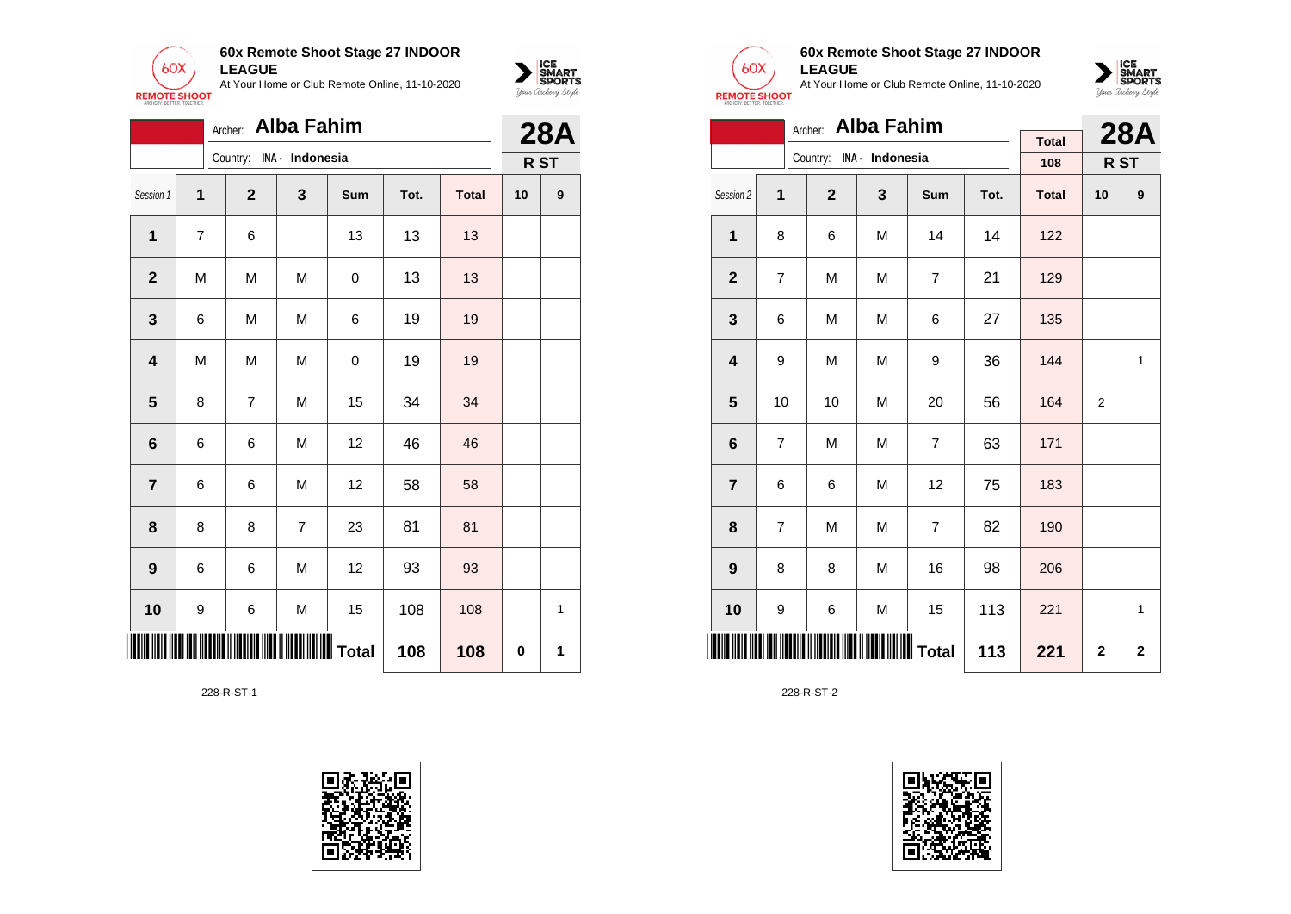



|                         |   | Archer:      | Alba Fahim      |             |      |              |      | <b>28A</b> |
|-------------------------|---|--------------|-----------------|-------------|------|--------------|------|------------|
|                         |   | Country:     | INA - Indonesia |             |      |              | R ST |            |
| Session 1               | 1 | $\mathbf{2}$ | 3               | Sum         | Tot. | <b>Total</b> | 10   | 9          |
| 1                       | 7 | 6            |                 | 13          | 13   | 13           |      |            |
| $\mathbf{2}$            | M | M            | M               | 0           | 13   | 13           |      |            |
| $\mathbf{3}$            | 6 | M            | M               | 6           | 19   | 19           |      |            |
| $\overline{\mathbf{4}}$ | M | M            | M               | $\mathbf 0$ | 19   | 19           |      |            |
| $\overline{\mathbf{5}}$ | 8 | 7            | M               | 15          | 34   | 34           |      |            |
| 6                       | 6 | 6            | M               | 12          | 46   | 46           |      |            |
| $\overline{\mathbf{r}}$ | 6 | 6            | M               | 12          | 58   | 58           |      |            |
| 8                       | 8 | 8            | 7               | 23          | 81   | 81           |      |            |
| $\boldsymbol{9}$        | 6 | 6            | M               | 12          | 93   | 93           |      |            |
| 10                      | 9 | 6            | M               | 15          | 108  | 108          |      | 1          |
|                         |   |              |                 |             | 108  | 108          | 0    | 1          |

228-R-ST-1





### **60x Remote Shoot Stage 27 INDOOR LEAGUE**

At Your Home or Club Remote Online, 11-10-2020



|                         |    | Archer:                  | <b>Alba Fahim</b> |                |              |                     |    | <b>28A</b> |
|-------------------------|----|--------------------------|-------------------|----------------|--------------|---------------------|----|------------|
|                         |    | Country: INA - Indonesia |                   |                |              | <b>Total</b><br>108 |    | R ST       |
|                         |    |                          |                   |                |              |                     |    |            |
| Session 2               | 1  | $\overline{2}$           | 3                 | Sum            | Tot.         | <b>Total</b>        | 10 | 9          |
| 1                       | 8  | 6                        | M                 | 14             | 14           | 122                 |    |            |
| $\overline{2}$          | 7  | M                        | M                 | $\overline{7}$ | 21           | 129                 |    |            |
| 3                       | 6  | M                        | M                 | 6              | 27           | 135                 |    |            |
| $\overline{\mathbf{4}}$ | 9  | M                        | M                 | 9              | 36           | 144                 |    | 1          |
| 5                       | 10 | 10                       | M                 | 20             | 56           | 164                 | 2  |            |
| 6                       | 7  | M                        | M                 | $\overline{7}$ | 63           | 171                 |    |            |
| $\overline{7}$          | 6  | 6                        | M                 | 12             | 75           | 183                 |    |            |
| 8                       | 7  | M                        | M                 | 7              | 82           | 190                 |    |            |
| 9                       | 8  | 8                        | M                 | 16             | 98           | 206                 |    |            |
| 10                      | 9  | 6                        | M                 | 15             | 113          | 221                 |    | 1          |
| IIII                    |    |                          | 113               | 221            | $\mathbf{2}$ | $\mathbf 2$         |    |            |

228-R-ST-2

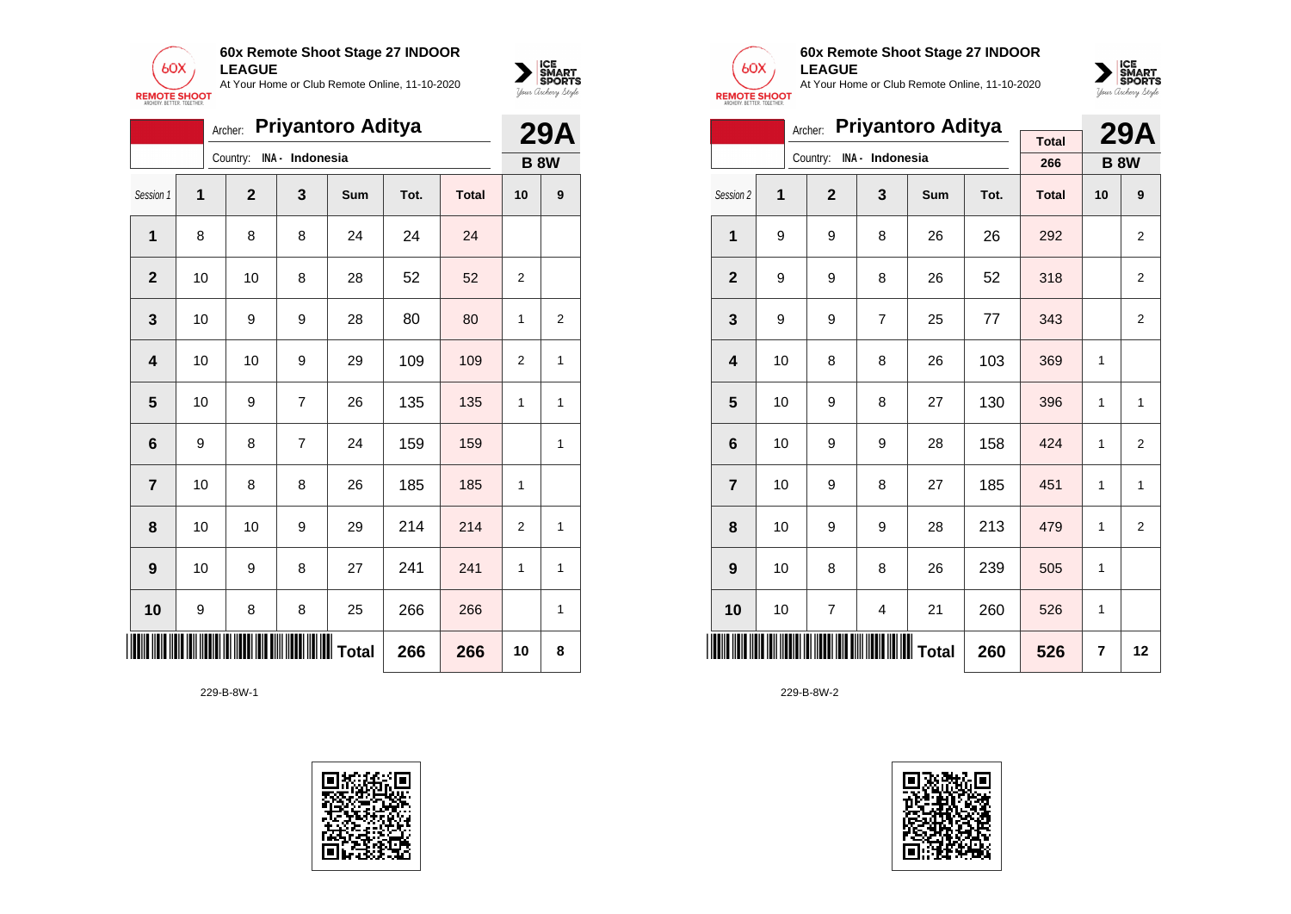



|                         |    | Archer:      |                 | <b>Priyantoro Aditya</b> |      |              |                | <b>29A</b>     |
|-------------------------|----|--------------|-----------------|--------------------------|------|--------------|----------------|----------------|
|                         |    | Country:     | INA - Indonesia |                          |      |              |                | <b>B 8W</b>    |
| Session 1               | 1  | $\mathbf{2}$ | 3               | Sum                      | Tot. | <b>Total</b> | 10             | 9              |
| 1                       | 8  | 8            | 8               | 24                       | 24   | 24           |                |                |
| $\mathbf{2}$            | 10 | 10           | 8               | 28                       | 52   | 52           | $\overline{2}$ |                |
| 3                       | 10 | 9            | 9               | 28                       | 80   | 80           | 1              | $\overline{2}$ |
| $\overline{\mathbf{4}}$ | 10 | 10           | 9               | 29                       | 109  | 109          | $\overline{2}$ | 1              |
| $\overline{\mathbf{5}}$ | 10 | 9            | $\overline{7}$  | 26                       | 135  | 135          | 1              | 1              |
| 6                       | 9  | 8            | $\overline{7}$  | 24                       | 159  | 159          |                | 1              |
| 7                       | 10 | 8            | 8               | 26                       | 185  | 185          | 1              |                |
| 8                       | 10 | 10           | 9               | 29                       | 214  | 214          | 2              | 1              |
| 9                       | 10 | 9            | 8               | 27                       | 241  | 241          | 1              | 1              |
| 10                      | 9  | 8            | 8               | 25                       | 266  | 266          |                | 1              |
| III                     |    |              | Total           |                          | 266  | 266          | 10             | 8              |





# **60x Remote Shoot Stage 27 INDOOR LEAGUE**

At Your Home or Club Remote Online, 11-10-2020



|                         | Archer: |                |                 | <b>29A</b> |      |              |    |                |
|-------------------------|---------|----------------|-----------------|------------|------|--------------|----|----------------|
|                         |         | Country:       | INA - Indonesia |            |      | <b>Total</b> |    |                |
|                         |         |                |                 |            |      | 266          |    | <b>B 8W</b>    |
| Session 2               | 1       | $\overline{2}$ | 3               | <b>Sum</b> | Tot. | <b>Total</b> | 10 | 9              |
| 1                       | 9       | 9              | 8               | 26         | 26   | 292          |    | $\overline{2}$ |
| $\overline{2}$          | 9       | 9              | 8               | 26         | 52   | 318          |    | $\overline{2}$ |
| 3                       | 9       | 9              | $\overline{7}$  | 25         | 77   | 343          |    | $\overline{2}$ |
| $\overline{\mathbf{4}}$ | 10      | 8              | 8               | 26         | 103  | 369          | 1  |                |
| 5                       | 10      | 9              | 8               | 27         | 130  | 396          | 1  | 1              |
| 6                       | 10      | 9              | 9               | 28         | 158  | 424          | 1  | $\overline{2}$ |
| $\overline{7}$          | 10      | 9              | 8               | 27         | 185  | 451          | 1  | 1              |
| 8                       | 10      | 9              | 9               | 28         | 213  | 479          | 1  | $\overline{2}$ |
| 9                       | 10      | 8              | 8               | 26         | 239  | 505          | 1  |                |
| 10                      | 10      | 7              | 4               | 21         | 260  | 526          | 1  |                |
|                         |         |                | 260             | 526        | 7    | 12           |    |                |

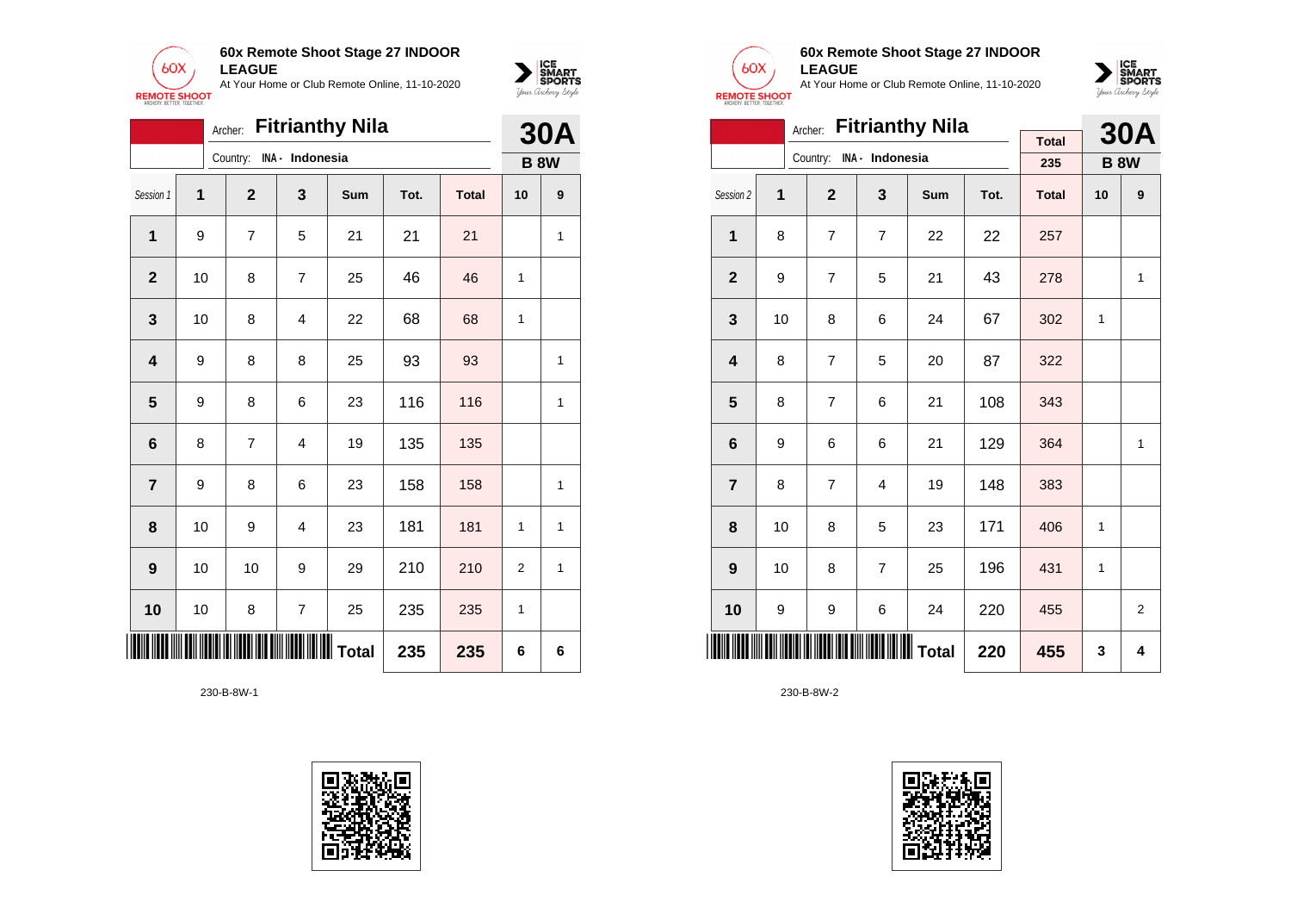



|                         |              | Archer:        |                         | <b>Fitrianthy Nila</b> |      |              |                | <b>30A</b>  |
|-------------------------|--------------|----------------|-------------------------|------------------------|------|--------------|----------------|-------------|
|                         |              | Country:       | INA - Indonesia         |                        |      |              |                | <b>B 8W</b> |
| Session 1               | $\mathbf{1}$ | $\mathbf{2}$   | 3                       | Sum                    | Tot. | <b>Total</b> | 10             | 9           |
| 1                       | 9            | 7              | 5                       | 21                     | 21   | 21           |                | 1           |
| $\mathbf{2}$            | 10           | 8              | $\overline{7}$          | 25                     | 46   | 46           | 1              |             |
| $\mathbf 3$             | 10           | 8              | $\overline{4}$          | 22                     | 68   | 68           | 1              |             |
| $\overline{\mathbf{4}}$ | 9            | 8              | 8                       | 25                     | 93   | 93           |                | 1           |
| $5\phantom{1}$          | 9            | 8              | 6                       | 23                     | 116  | 116          |                | 1           |
| 6                       | 8            | $\overline{7}$ | $\overline{4}$          | 19                     | 135  | 135          |                |             |
| $\overline{\mathbf{r}}$ | 9            | 8              | 6                       | 23                     | 158  | 158          |                | 1           |
| 8                       | 10           | 9              | $\overline{4}$          | 23                     | 181  | 181          | 1              | 1           |
| 9                       | 10           | 10             | 9                       | 29                     | 210  | 210          | $\overline{2}$ | 1           |
| 10                      | 10           | 8              | $\overline{\mathbf{7}}$ | 25                     | 235  | 235          | 1              |             |
|                         |              |                |                         | IIIIIIIIIIII Total     | 235  | 235          | 6              | 6           |





### **60x Remote Shoot Stage 27 INDOOR LEAGUE**

At Your Home or Club Remote Online, 11-10-2020



|                         |    | Archer:        |                          | <b>Fitrianthy Nila</b> |      |              |    | <b>30A</b>  |
|-------------------------|----|----------------|--------------------------|------------------------|------|--------------|----|-------------|
|                         |    |                | Country: INA - Indonesia |                        |      | <b>Total</b> |    |             |
|                         |    |                |                          |                        |      | 235          |    | <b>B 8W</b> |
| Session 2               | 1  | $\overline{2}$ | 3                        | <b>Sum</b>             | Tot. | <b>Total</b> | 10 | 9           |
| 1                       | 8  | $\overline{7}$ | $\overline{7}$           | 22                     | 22   | 257          |    |             |
| $\overline{2}$          | 9  | $\overline{7}$ | 5                        | 21                     | 43   | 278          |    | 1           |
| 3                       | 10 | 8              | 6                        | 24                     | 67   | 302          | 1  |             |
| $\overline{\mathbf{4}}$ | 8  | $\overline{7}$ | 5                        | 20                     | 87   | 322          |    |             |
| 5                       | 8  | $\overline{7}$ | 6                        | 21                     | 108  | 343          |    |             |
| 6                       | 9  | 6              | 6                        | 21                     | 129  | 364          |    | 1           |
| $\overline{7}$          | 8  | $\overline{7}$ | 4                        | 19                     | 148  | 383          |    |             |
| 8                       | 10 | 8              | 5                        | 23                     | 171  | 406          | 1  |             |
| 9                       | 10 | 8              | $\overline{7}$           | 25                     | 196  | 431          | 1  |             |
| 10                      | 9  | 9              | 6                        | 24                     | 220  | 455          |    | 2           |
| <b>IIIIIII</b>          |    |                |                          |                        | 220  | 455          | 3  | 4           |

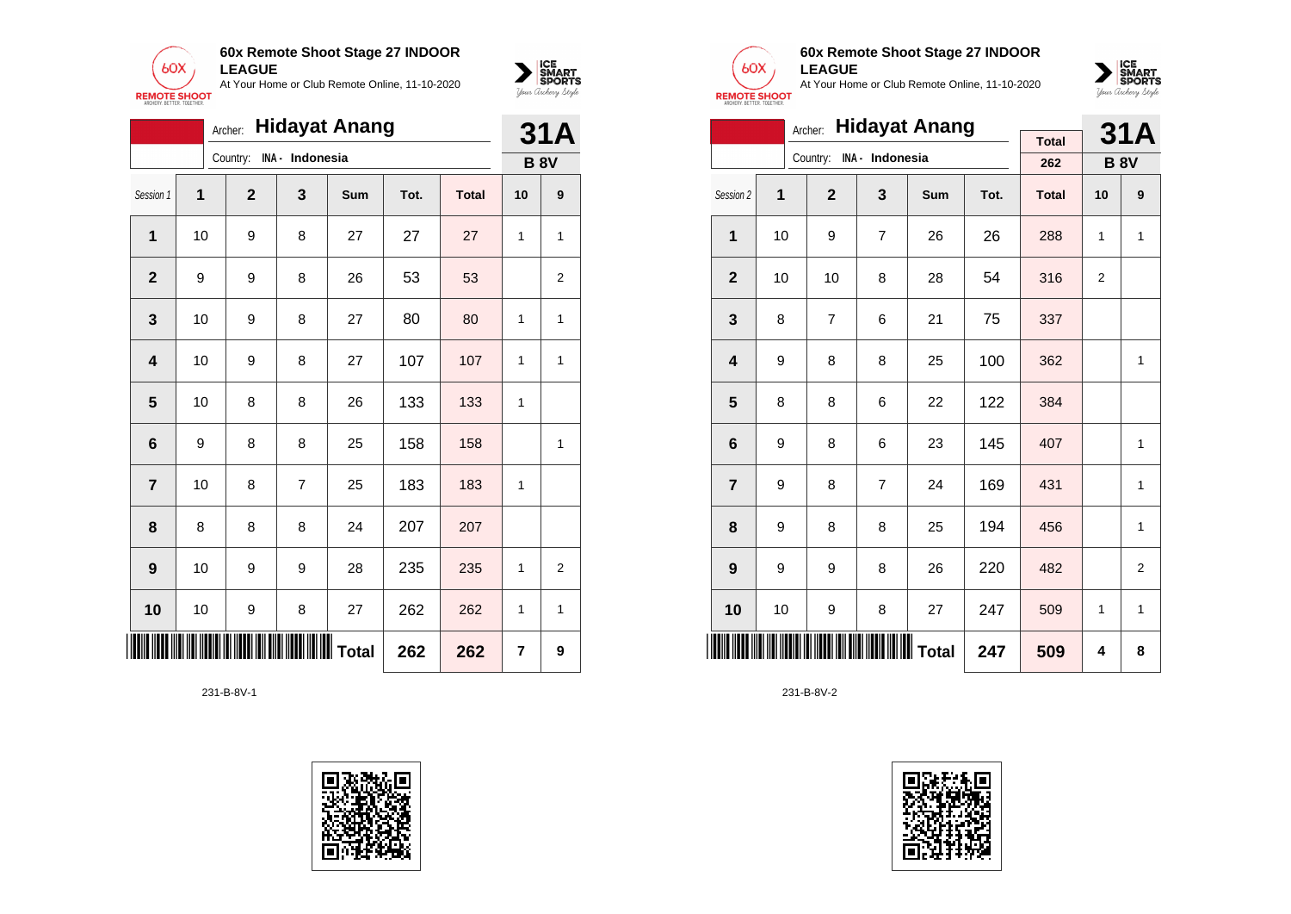



|                         |                                      | Archer:          |                 | <b>Hidayat Anang</b> |      |              |    | <b>31A</b>     |
|-------------------------|--------------------------------------|------------------|-----------------|----------------------|------|--------------|----|----------------|
|                         |                                      | Country:         | INA - Indonesia |                      |      |              |    | <b>B 8V</b>    |
| Session 1               | 1                                    | $\mathbf{2}$     | 3               | Sum                  | Tot. | <b>Total</b> | 10 | 9              |
| 1                       | 10                                   | 9                | 8               | 27                   | 27   | 27           | 1  | 1              |
| $\mathbf{2}$            | 9                                    | 9                | 8               | 26                   | 53   | 53           |    | $\overline{2}$ |
| $\mathbf 3$             | 10                                   | 9                | 8               | 27                   | 80   | 80           | 1  | 1              |
| 4                       | 10                                   | 9                | 8               | 27                   | 107  | 107          | 1  | 1              |
| 5                       | 10                                   | 8                | 8               | 26                   | 133  | 133          | 1  |                |
| 6                       | 9                                    | 8                | 8               | 25                   | 158  | 158          |    | 1              |
| $\overline{\mathbf{r}}$ | 10                                   | 8                | $\overline{7}$  | 25                   | 183  | 183          | 1  |                |
| 8                       | 8                                    | 8                | 8               | 24                   | 207  | 207          |    |                |
| 9                       | 10                                   | 9                | 9               | 28                   | 235  | 235          | 1  | $\overline{2}$ |
| 10                      | 10                                   | $\boldsymbol{9}$ | 8               | 27                   | 262  | 262          | 1  | 1              |
| W                       | <b>  </b>        Total<br>262<br>262 |                  |                 |                      |      |              |    | 9              |

231-B-8V-1





### **60x Remote Shoot Stage 27 INDOOR LEAGUE**

At Your Home or Club Remote Online, 11-10-2020



|                         |    | Archer:                  |                | <b>Hidayat Anang</b> |      |              |                | <b>31A</b>     |
|-------------------------|----|--------------------------|----------------|----------------------|------|--------------|----------------|----------------|
|                         |    | Country: INA - Indonesia |                |                      |      | <b>Total</b> |                |                |
|                         |    |                          |                |                      |      | 262          |                | <b>B 8V</b>    |
| Session 2               | 1  | $\overline{2}$           | 3              | Sum                  | Tot. | <b>Total</b> | 10             | 9              |
| 1                       | 10 | 9                        | $\overline{7}$ | 26                   | 26   | 288          | 1              | 1              |
| $\overline{2}$          | 10 | 10                       | 8              | 28                   | 54   | 316          | $\overline{2}$ |                |
| 3                       | 8  | 7                        | 6              | 21                   | 75   | 337          |                |                |
| $\overline{\mathbf{4}}$ | 9  | 8                        | 8              | 25                   | 100  | 362          |                | 1              |
| 5                       | 8  | 8                        | 6              | 22                   | 122  | 384          |                |                |
| $6\phantom{1}6$         | 9  | 8                        | 6              | 23                   | 145  | 407          |                | 1              |
| $\overline{7}$          | 9  | 8                        | $\overline{7}$ | 24                   | 169  | 431          |                | 1              |
| 8                       | 9  | 8                        | 8              | 25                   | 194  | 456          |                | 1              |
| 9                       | 9  | 9                        | 8              | 26                   | 220  | 482          |                | $\overline{2}$ |
| 10                      | 10 | 9                        | 8              | 27                   | 247  | 509          | 1              | $\mathbf{1}$   |
|                         |    |                          |                | <b>WW</b> Total      | 247  | 509          | 4              | 8              |

231-B-8V-2

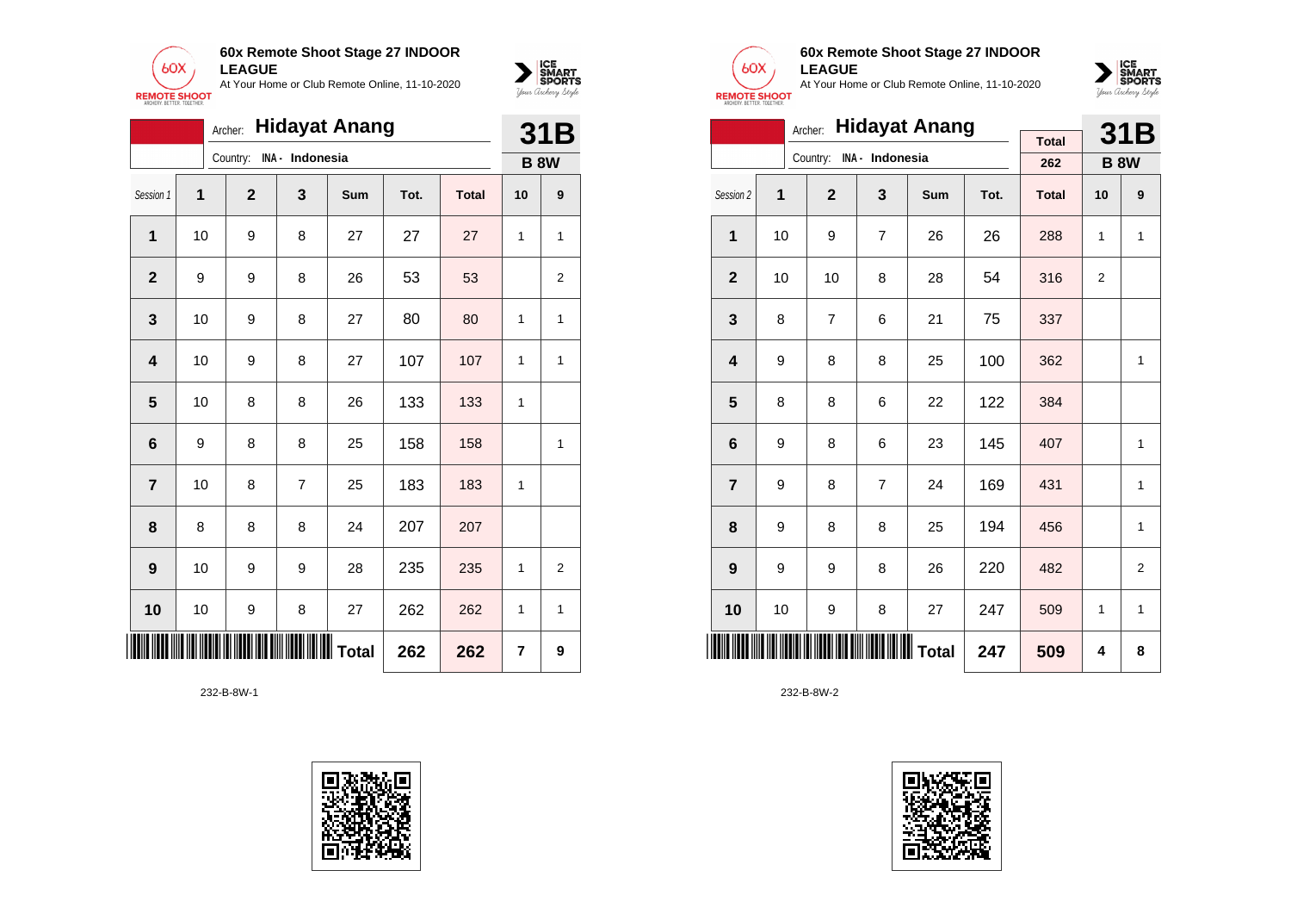

|                         |    | Archer:        |                 | <b>Hidayat Anang</b> |      |              | 31B |                |
|-------------------------|----|----------------|-----------------|----------------------|------|--------------|-----|----------------|
|                         |    | Country:       | INA - Indonesia |                      |      |              |     | <b>B 8W</b>    |
| Session 1               | 1  | $\overline{2}$ | 3               | <b>Sum</b>           | Tot. | <b>Total</b> | 10  | 9              |
| 1                       | 10 | 9              | 8               | 27                   | 27   | 27           | 1   | 1              |
| $\overline{2}$          | 9  | 9              | 8               | 26                   | 53   | 53           |     | 2              |
| 3                       | 10 | 9              | 8               | 27                   | 80   | 80           | 1   | 1              |
| $\overline{\mathbf{4}}$ | 10 | 9              | 8               | 27                   | 107  | 107          | 1   | 1              |
| 5                       | 10 | 8              | 8               | 26                   | 133  | 133          | 1   |                |
| $6\phantom{1}6$         | 9  | 8              | 8               | 25                   | 158  | 158          |     | 1              |
| $\overline{7}$          | 10 | 8              | 7               | 25                   | 183  | 183          | 1   |                |
| 8                       | 8  | 8              | 8               | 24                   | 207  | 207          |     |                |
| 9                       | 10 | 9              | 9               | 28                   | 235  | 235          | 1   | $\overline{2}$ |
| 10                      | 10 | 9              | 8               | 27                   | 262  | 262          | 1   | 1              |
|                         |    |                |                 |                      | 262  | 262          | 7   | 9              |





 $\sum_{\text{M} \subseteq \text{S$ **PORTS** 

### **60x Remote Shoot Stage 27 INDOOR LEAGUE**

At Your Home or Club Remote Online, 11-10-2020



|                         |    | Archer:        |                          | <b>Hidayat Anang</b> |      |              | 31B            |                |
|-------------------------|----|----------------|--------------------------|----------------------|------|--------------|----------------|----------------|
|                         |    |                | Country: INA - Indonesia |                      |      | <b>Total</b> |                |                |
|                         |    |                |                          |                      |      | 262          | <b>B 8W</b>    |                |
| Session 2               | 1  | $\overline{2}$ | 3                        | <b>Sum</b>           | Tot. | <b>Total</b> | 10             | 9              |
| 1                       | 10 | 9              | $\overline{7}$           | 26                   | 26   | 288          | 1              | 1              |
| $\overline{2}$          | 10 | 10             | 8                        | 28                   | 54   | 316          | $\overline{2}$ |                |
| 3                       | 8  | 7              | 6                        | 21                   | 75   | 337          |                |                |
| $\overline{\mathbf{4}}$ | 9  | 8              | 8                        | 25                   | 100  | 362          |                | $\mathbf{1}$   |
| 5                       | 8  | 8              | 6                        | 22                   | 122  | 384          |                |                |
| 6                       | 9  | 8              | 6                        | 23                   | 145  | 407          |                | $\mathbf{1}$   |
| $\overline{7}$          | 9  | 8              | $\overline{7}$           | 24                   | 169  | 431          |                | 1              |
| 8                       | 9  | 8              | 8                        | 25                   | 194  | 456          |                | 1              |
| 9                       | 9  | 9              | 8                        | 26                   | 220  | 482          |                | $\overline{2}$ |
| 10                      | 10 | 9              | 8                        | 27                   | 247  | 509          | 1              | 1              |
|                         |    |                |                          |                      | 247  | 509          | 4              | 8              |

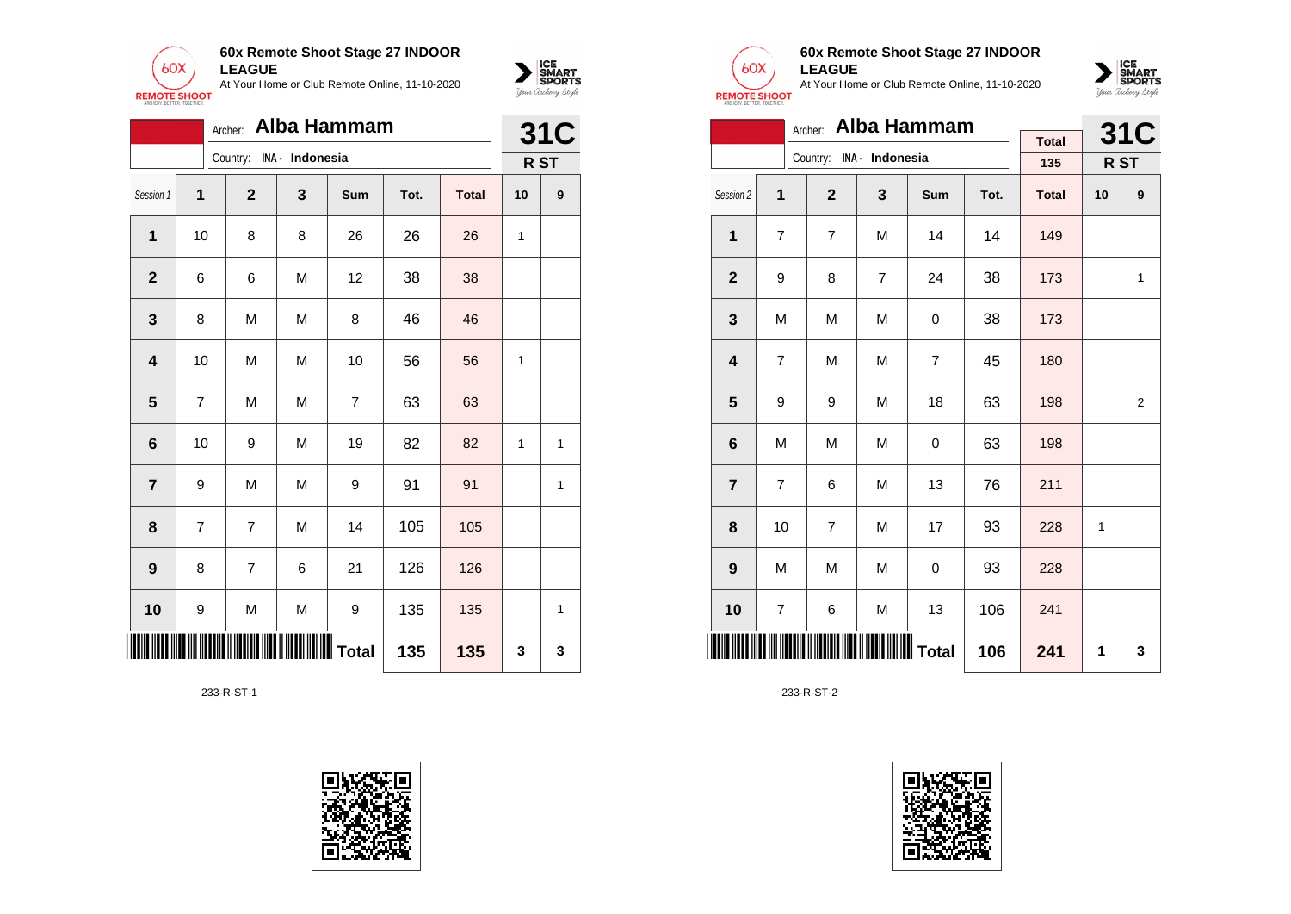



|                         |                |                          |   | Archer: Alba Hammam |      |              | <b>31C</b> |      |
|-------------------------|----------------|--------------------------|---|---------------------|------|--------------|------------|------|
|                         |                | Country: INA - Indonesia |   |                     |      |              |            | R ST |
| Session 1               | 1              | $\mathbf{2}$             | 3 | Sum                 | Tot. | <b>Total</b> | 10         | 9    |
| 1                       | 10             | 8                        | 8 | 26                  | 26   | 26           | 1          |      |
| $\mathbf 2$             | 6              | 6                        | M | 12                  | 38   | 38           |            |      |
| 3                       | 8              | M                        | M | 8                   | 46   | 46           |            |      |
| $\overline{\mathbf{4}}$ | 10             | M                        | M | 10                  | 56   | 56           | 1          |      |
| 5                       | 7              | M                        | M | $\overline{7}$      | 63   | 63           |            |      |
| 6                       | 10             | 9                        | M | 19                  | 82   | 82           | 1          | 1    |
| $\overline{\mathbf{r}}$ | 9              | M                        | M | 9                   | 91   | 91           |            | 1    |
| 8                       | $\overline{7}$ | $\overline{7}$           | M | 14                  | 105  | 105          |            |      |
| 9                       | 8              | $\overline{7}$           | 6 | 21                  | 126  | 126          |            |      |
| 10                      | 9              | M                        | M | 9                   | 135  | 135          |            | 1    |
| <b>HUILLE</b>           |                |                          |   |                     | 135  | 135          | 3          | 3    |

233-R-ST-1





### **60x Remote Shoot Stage 27 INDOOR LEAGUE**

At Your Home or Club Remote Online, 11-10-2020



|                 |    |                          |                | Archer: Alba Hammam |      |              | <b>31C</b>   |                |
|-----------------|----|--------------------------|----------------|---------------------|------|--------------|--------------|----------------|
|                 |    | Country: INA - Indonesia |                |                     |      | <b>Total</b> |              |                |
|                 |    |                          |                |                     |      | 135          |              | R ST           |
| Session 2       | 1  | $\overline{2}$           | 3              | Sum                 | Tot. | <b>Total</b> | 10           | 9              |
| 1               | 7  | 7                        | M              | 14                  | 14   | 149          |              |                |
| $\mathbf{2}$    | 9  | 8                        | $\overline{7}$ | 24                  | 38   | 173          |              | 1              |
| 3               | M  | M                        | M              | 0                   | 38   | 173          |              |                |
| 4               | 7  | M                        | M              | $\overline{7}$      | 45   | 180          |              |                |
| 5               | 9  | 9                        | M              | 18                  | 63   | 198          |              | $\overline{2}$ |
| 6               | M  | M                        | M              | 0                   | 63   | 198          |              |                |
| $\overline{7}$  | 7  | 6                        | M              | 13                  | 76   | 211          |              |                |
| 8               | 10 | 7                        | M              | 17                  | 93   | 228          | $\mathbf{1}$ |                |
| 9               | M  | M                        | M              | 0                   | 93   | 228          |              |                |
| 10              | 7  | 6                        | M              | 13                  | 106  | 241          |              |                |
| <b>THE REAL</b> |    |                          |                |                     | 106  | 241          | 1            | 3              |

233-R-ST-2

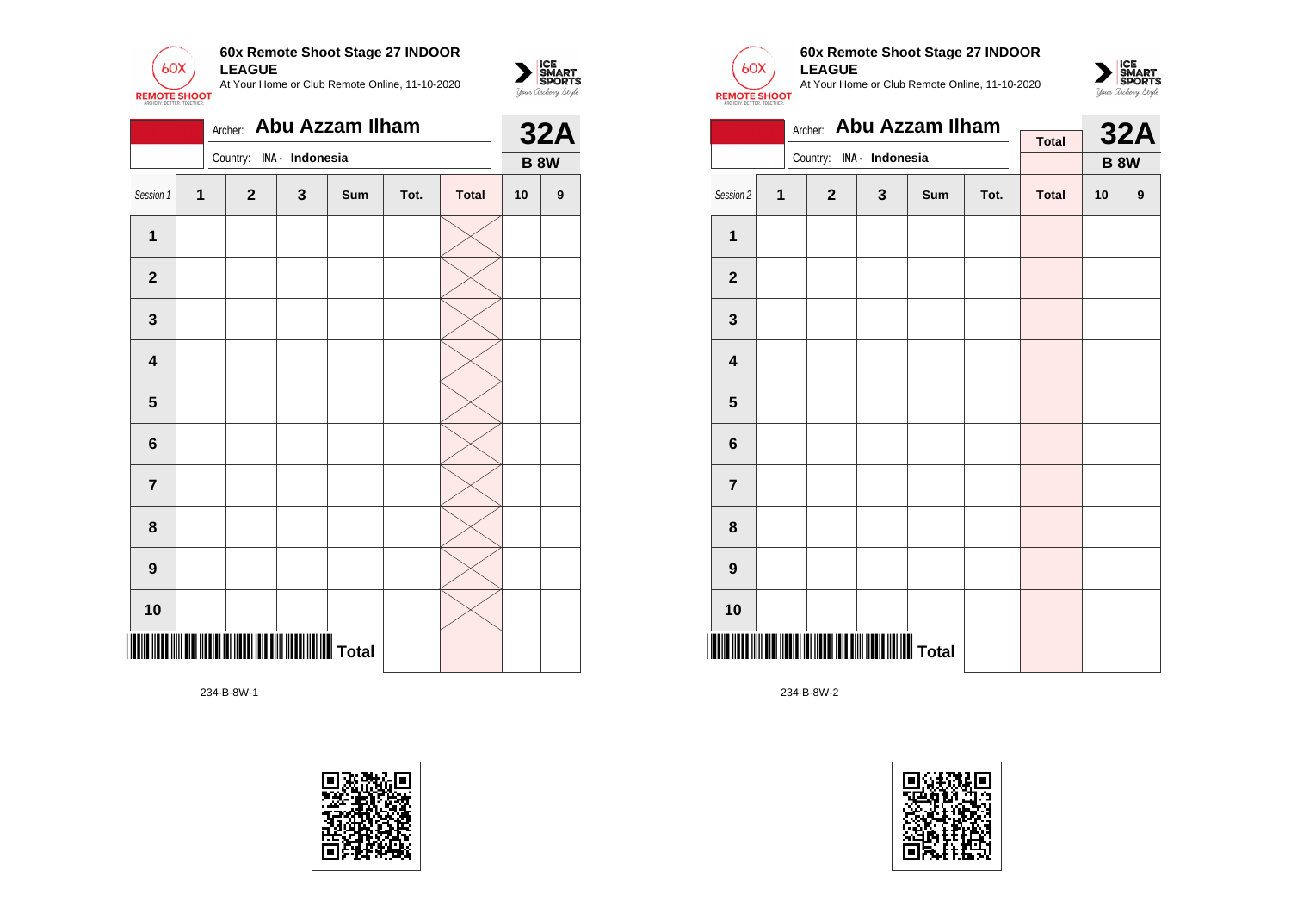

|                |   | Archer:                  |              | Abu Azzam Ilham |      |              | <b>32A</b>  |   |
|----------------|---|--------------------------|--------------|-----------------|------|--------------|-------------|---|
|                |   | Country: INA - Indonesia |              |                 |      |              | <b>B 8W</b> |   |
| Session 1      | 1 | $\overline{2}$           | $\mathbf{3}$ | Sum             | Tot. | <b>Total</b> | 10          | 9 |
| $\mathbf{1}$   |   |                          |              |                 |      |              |             |   |
| $\overline{2}$ |   |                          |              |                 |      |              |             |   |
| 3              |   |                          |              |                 |      |              |             |   |
| 4              |   |                          |              |                 |      |              |             |   |
| 5              |   |                          |              |                 |      |              |             |   |
| $\bf 6$        |   |                          |              |                 |      |              |             |   |
| $\overline{7}$ |   |                          |              |                 |      |              |             |   |
| 8              |   |                          |              |                 |      |              |             |   |
| 9              |   |                          |              |                 |      |              |             |   |
| 10             |   |                          |              |                 |      |              |             |   |
|                |   |                          |              |                 |      |              |             |   |





 $\sum_{\text{M} \subseteq \text{S$ **PORTS** 

## **60x Remote Shoot Stage 27 INDOOR LEAGUE**

At Your Home or Club Remote Online, 11-10-2020



|                         |              | Archer:        | <b>Abu Azzam Ilham</b> |     |      | <b>32A</b>   |             |   |  |
|-------------------------|--------------|----------------|------------------------|-----|------|--------------|-------------|---|--|
|                         |              | Country:       | INA - Indonesia        |     |      | <b>Total</b> | <b>B 8W</b> |   |  |
| Session 2               | $\mathbf{1}$ | $\overline{2}$ | $\mathbf{3}$           | Sum | Tot. | <b>Total</b> | 10          | 9 |  |
|                         |              |                |                        |     |      |              |             |   |  |
| 1                       |              |                |                        |     |      |              |             |   |  |
| $\mathbf{2}$            |              |                |                        |     |      |              |             |   |  |
| 3                       |              |                |                        |     |      |              |             |   |  |
| $\overline{\mathbf{4}}$ |              |                |                        |     |      |              |             |   |  |
| 5                       |              |                |                        |     |      |              |             |   |  |
| 6                       |              |                |                        |     |      |              |             |   |  |
| $\overline{7}$          |              |                |                        |     |      |              |             |   |  |
| 8                       |              |                |                        |     |      |              |             |   |  |
| 9                       |              |                |                        |     |      |              |             |   |  |
| 10                      |              |                |                        |     |      |              |             |   |  |
|                         |              |                |                        |     |      |              |             |   |  |

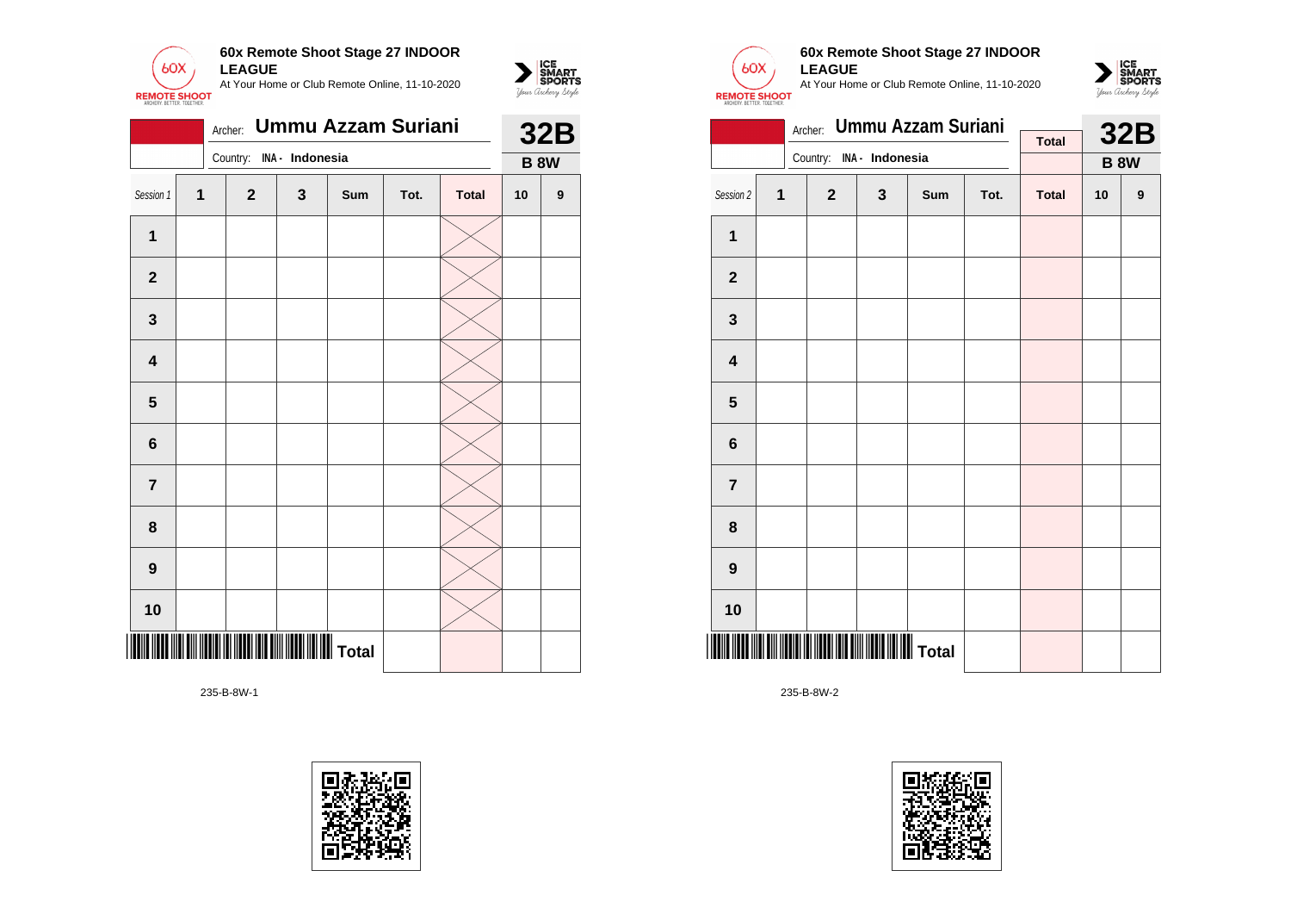

|                         |              | Archer:                  |   | <b>Ummu Azzam Suriani</b> |      |              | <b>32B</b>  |                  |  |
|-------------------------|--------------|--------------------------|---|---------------------------|------|--------------|-------------|------------------|--|
|                         |              | Country: INA - Indonesia |   |                           |      |              | <b>B 8W</b> |                  |  |
| Session 1               | $\mathbf{1}$ | $\mathbf{2}$             | 3 | Sum                       | Tot. | <b>Total</b> | 10          | $\boldsymbol{9}$ |  |
| $\mathbf{1}$            |              |                          |   |                           |      |              |             |                  |  |
| $\mathbf{2}$            |              |                          |   |                           |      |              |             |                  |  |
| 3                       |              |                          |   |                           |      |              |             |                  |  |
| $\overline{\mathbf{4}}$ |              |                          |   |                           |      |              |             |                  |  |
| 5                       |              |                          |   |                           |      |              |             |                  |  |
| $6\phantom{1}$          |              |                          |   |                           |      |              |             |                  |  |
| $\overline{7}$          |              |                          |   |                           |      |              |             |                  |  |
| 8                       |              |                          |   |                           |      |              |             |                  |  |
| $\boldsymbol{9}$        |              |                          |   |                           |      |              |             |                  |  |
| 10                      |              |                          |   |                           |      |              |             |                  |  |
|                         |              |                          |   |                           |      |              |             |                  |  |





 $\sum_{\text{M} \subseteq \text{S$ **PORTS** 

### **60x Remote Shoot Stage 27 INDOOR LEAGUE**

At Your Home or Club Remote Online, 11-10-2020



|                         |   | Archer:                  |   | <b>Ummu Azzam Suriani</b> |      |              | <b>32B</b> |             |
|-------------------------|---|--------------------------|---|---------------------------|------|--------------|------------|-------------|
|                         |   | Country: INA - Indonesia |   |                           |      | <b>Total</b> |            |             |
|                         |   |                          |   |                           |      |              |            | <b>B 8W</b> |
| Session 2               | 1 | $\mathbf{2}$             | 3 | Sum                       | Tot. | <b>Total</b> | 10         | 9           |
| $\mathbf{1}$            |   |                          |   |                           |      |              |            |             |
| $\mathbf{2}$            |   |                          |   |                           |      |              |            |             |
| 3                       |   |                          |   |                           |      |              |            |             |
| $\overline{\mathbf{4}}$ |   |                          |   |                           |      |              |            |             |
| 5                       |   |                          |   |                           |      |              |            |             |
| 6                       |   |                          |   |                           |      |              |            |             |
| $\overline{7}$          |   |                          |   |                           |      |              |            |             |
| 8                       |   |                          |   |                           |      |              |            |             |
| $\boldsymbol{9}$        |   |                          |   |                           |      |              |            |             |
| 10                      |   |                          |   |                           |      |              |            |             |
|                         |   |                          |   |                           |      |              |            |             |

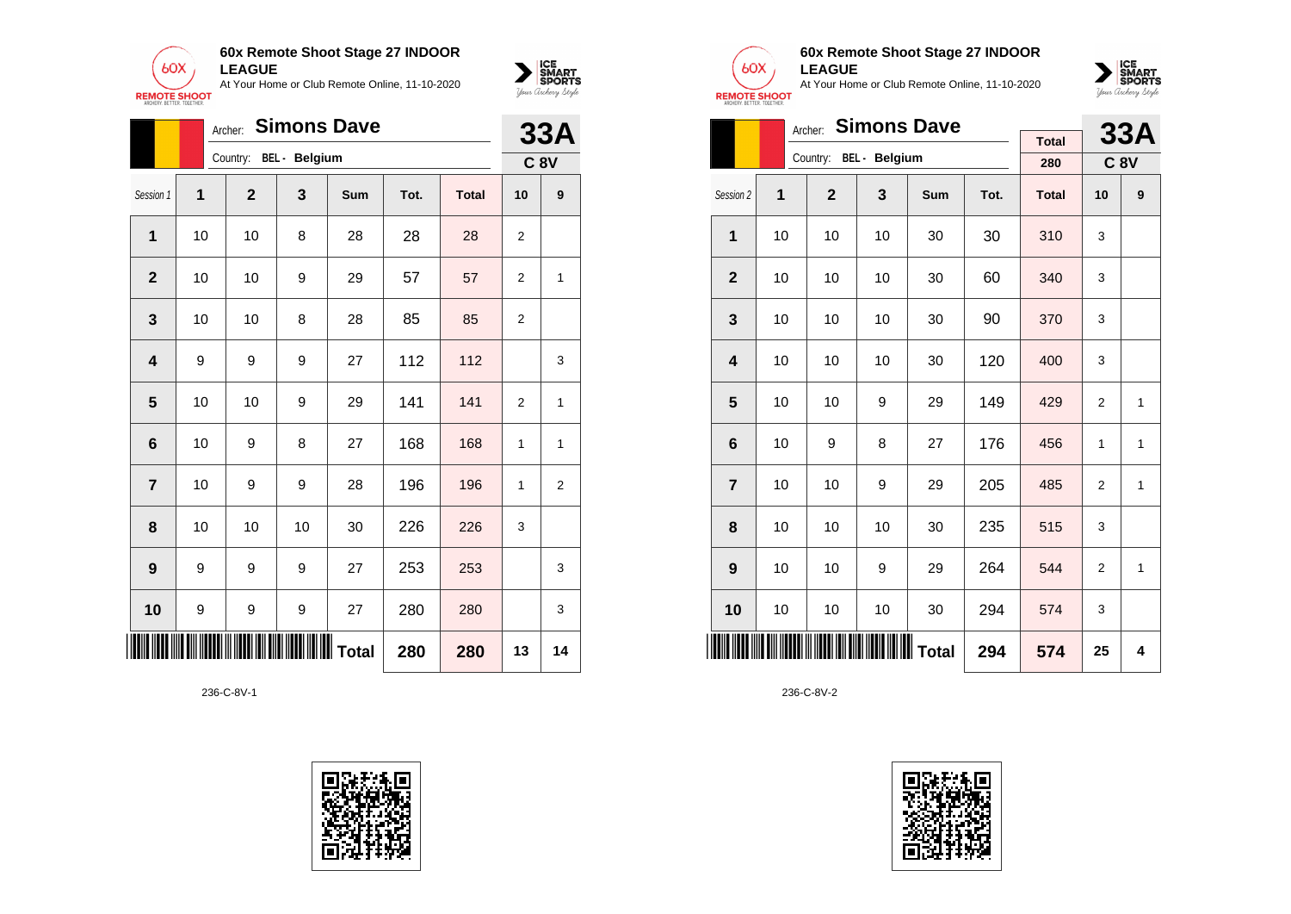



|                         |    | <b>Simons Dave</b><br>Archer: |    |                  | <b>33A</b> |              |                |             |
|-------------------------|----|-------------------------------|----|------------------|------------|--------------|----------------|-------------|
|                         |    | Country: BEL - Belgium        |    |                  |            |              |                | <b>C 8V</b> |
| Session 1               | 1  | $\mathbf{2}$                  | 3  | Sum              | Tot.       | <b>Total</b> | 10             | 9           |
| 1                       | 10 | 10                            | 8  | 28               | 28         | 28           | 2              |             |
| $\mathbf{2}$            | 10 | 10                            | 9  | 29               | 57         | 57           | 2              | 1           |
| 3                       | 10 | 10                            | 8  | 28               | 85         | 85           | 2              |             |
| $\overline{\mathbf{4}}$ | 9  | 9                             | 9  | 27               | 112        | 112          |                | 3           |
| 5                       | 10 | 10                            | 9  | 29               | 141        | 141          | $\overline{2}$ | 1           |
| $6\phantom{1}6$         | 10 | 9                             | 8  | 27               | 168        | 168          | 1              | 1           |
| $\overline{7}$          | 10 | 9                             | 9  | 28               | 196        | 196          | 1              | 2           |
| 8                       | 10 | 10                            | 10 | 30               | 226        | 226          | 3              |             |
| $\boldsymbol{9}$        | 9  | 9                             | 9  | 27               | 253        | 253          |                | 3           |
| 10                      | 9  | 9                             | 9  | 27               | 280        | 280          |                | 3           |
|                         |    |                               |    | <b>WWW</b> Total | 280        | 280          | 13             | 14          |

236-C-8V-1





### **60x Remote Shoot Stage 27 INDOOR LEAGUE**

At Your Home or Club Remote Online, 11-10-2020



|                         |    | <b>Simons Dave</b><br>Archer: |                        |     |      | <b>33A</b>          |                |              |
|-------------------------|----|-------------------------------|------------------------|-----|------|---------------------|----------------|--------------|
|                         |    |                               | Country: BEL - Belgium |     |      | <b>Total</b><br>280 | <b>C 8V</b>    |              |
|                         |    |                               |                        |     |      |                     |                |              |
| Session 2               | 1  | $\overline{2}$                | 3                      | Sum | Tot. | <b>Total</b>        | 10             | 9            |
| $\mathbf{1}$            | 10 | 10                            | 10                     | 30  | 30   | 310                 | 3              |              |
| $\overline{2}$          | 10 | 10                            | 10                     | 30  | 60   | 340                 | 3              |              |
| 3                       | 10 | 10                            | 10                     | 30  | 90   | 370                 | 3              |              |
| $\overline{\mathbf{4}}$ | 10 | 10                            | 10                     | 30  | 120  | 400                 | 3              |              |
| 5                       | 10 | 10                            | 9                      | 29  | 149  | 429                 | $\overline{2}$ | $\mathbf{1}$ |
| $6\phantom{1}6$         | 10 | 9                             | 8                      | 27  | 176  | 456                 | 1              | 1            |
| $\overline{7}$          | 10 | 10                            | 9                      | 29  | 205  | 485                 | $\overline{2}$ | 1            |
| 8                       | 10 | 10                            | 10                     | 30  | 235  | 515                 | 3              |              |
| 9                       | 10 | 10                            | 9                      | 29  | 264  | 544                 | $\overline{2}$ | 1            |
| 10                      | 10 | 10                            | 10                     | 30  | 294  | 574                 | 3              |              |
| <b>THE REAL</b>         |    |                               | Total                  |     | 294  | 574                 | 25             | 4            |

236-C-8V-2

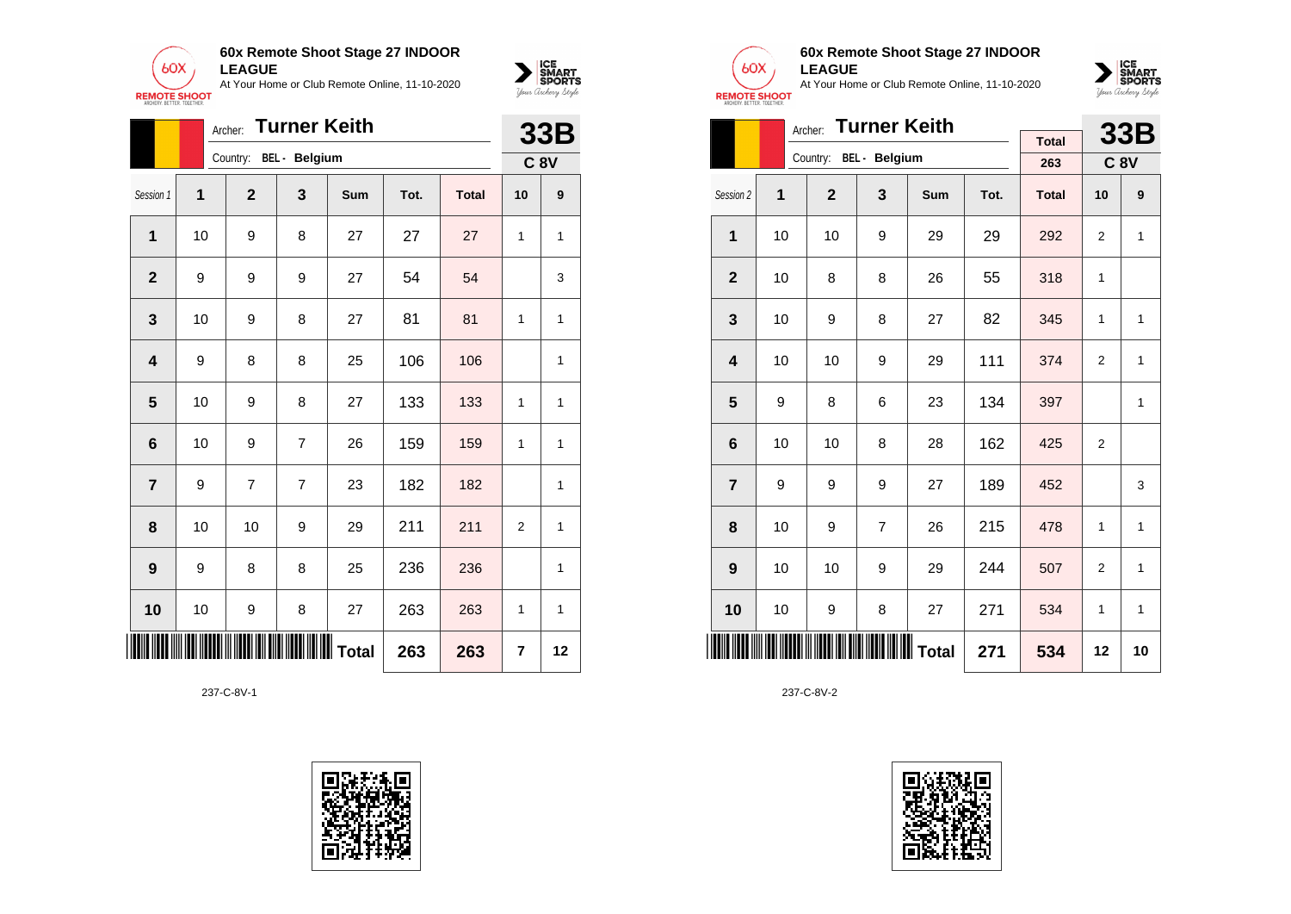

|                 |    | <b>Turner Keith</b><br>Archer: |                |           |      |              |                |              |  |  |
|-----------------|----|--------------------------------|----------------|-----------|------|--------------|----------------|--------------|--|--|
|                 |    | Country:                       | BEL - Belgium  |           |      |              |                | <b>C 8V</b>  |  |  |
| Session 1       | 1  | $\mathbf 2$                    | 3              | Sum       | Tot. | <b>Total</b> | 10             | 9            |  |  |
| 1               | 10 | 9                              | 8              | 27        | 27   | 27           | 1              | $\mathbf{1}$ |  |  |
| $\mathbf{2}$    | 9  | 9                              | 9              | 27        | 54   | 54           |                | 3            |  |  |
| 3               | 10 | 9                              | 8              | 27        | 81   | 81           | 1              | $\mathbf{1}$ |  |  |
| 4               | 9  | 8                              | 8              | 25        | 106  | 106          |                | $\mathbf{1}$ |  |  |
| 5               | 10 | 9                              | 8              | 27        | 133  | 133          | 1              | $\mathbf{1}$ |  |  |
| $6\phantom{1}6$ | 10 | 9                              | $\overline{7}$ | 26        | 159  | 159          | 1              | $\mathbf{1}$ |  |  |
| $\overline{7}$  | 9  | 7                              | 7              | 23        | 182  | 182          |                | 1            |  |  |
| 8               | 10 | 10                             | 9              | 29        | 211  | 211          | $\overline{2}$ | $\mathbf{1}$ |  |  |
| 9               | 9  | 8                              | 8              | 25        | 236  | 236          |                | 1            |  |  |
| 10              | 10 | 9                              | 8              | 27        | 263  | 263          | 1              | $\mathbf{1}$ |  |  |
|                 |    |                                |                | ∭∭∭ Total | 263  | 263          | 7              | 12           |  |  |





 $\sum_{\text{M} \subseteq \text{S$ **PORTS** 

## **60x Remote Shoot Stage 27 INDOOR LEAGUE**

At Your Home or Club Remote Online, 11-10-2020



|                         |    | <b>Turner Keith</b><br>Archer: |                                        |            |      | <b>33B</b>   |                |              |
|-------------------------|----|--------------------------------|----------------------------------------|------------|------|--------------|----------------|--------------|
|                         |    | Country:                       | BEL - Belgium                          |            |      | <b>Total</b> |                |              |
|                         |    |                                |                                        |            |      | 263          |                | <b>C 8V</b>  |
| Session 2               | 1  | $\overline{2}$                 | 3                                      | <b>Sum</b> | Tot. | <b>Total</b> | 10             | 9            |
| 1                       | 10 | 10                             | 9                                      | 29         | 29   | 292          | $\overline{2}$ | $\mathbf{1}$ |
| $\overline{\mathbf{2}}$ | 10 | 8                              | 8                                      | 26         | 55   | 318          | 1              |              |
| 3                       | 10 | 9                              | 8                                      | 27         | 82   | 345          | 1              | 1            |
| $\overline{\mathbf{4}}$ | 10 | 10                             | 9                                      | 29         | 111  | 374          | $\overline{2}$ | 1            |
| 5                       | 9  | 8                              | 6                                      | 23         | 134  | 397          |                | $\mathbf{1}$ |
| 6                       | 10 | 10                             | 8                                      | 28         | 162  | 425          | $\overline{2}$ |              |
| $\overline{7}$          | 9  | 9                              | 9                                      | 27         | 189  | 452          |                | 3            |
| 8                       | 10 | 9                              | $\overline{7}$                         | 26         | 215  | 478          | 1              | $\mathbf{1}$ |
| 9                       | 10 | 10                             | 9                                      | 29         | 244  | 507          | $\overline{2}$ | 1            |
| 10                      | 10 | 9                              | 8                                      | 27         | 271  | 534          | 1              | $\mathbf{1}$ |
| ║                       |    |                                | <b>IIII IIIIIIIIIIIIIIIIIIII</b> Total |            | 271  | 534          | 12             | 10           |

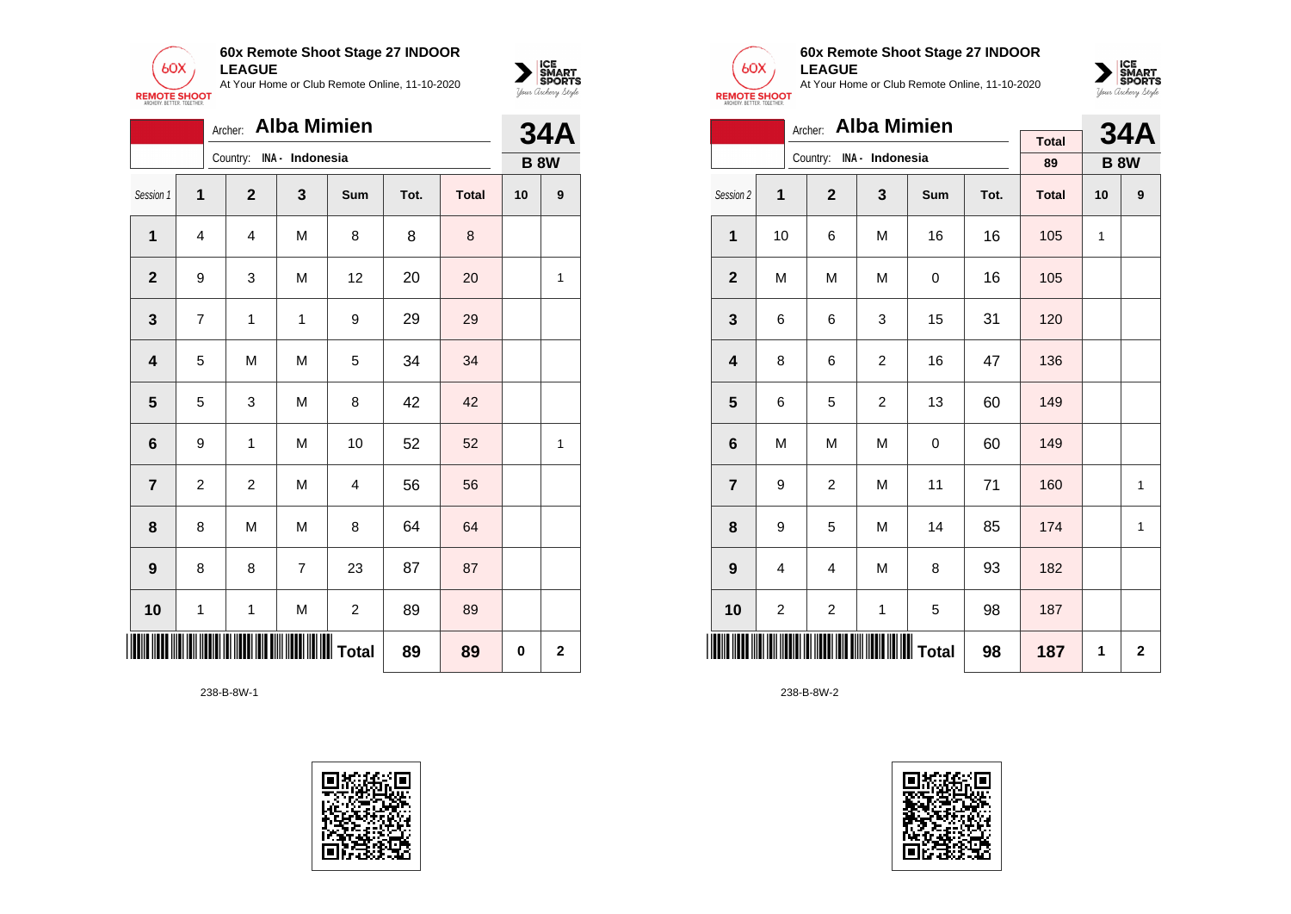



|                         | Archer: Alba Mimien |              |                 |                         |      |              |    |                  |  |  |  |
|-------------------------|---------------------|--------------|-----------------|-------------------------|------|--------------|----|------------------|--|--|--|
|                         |                     | Country:     | INA - Indonesia |                         |      |              |    | <b>B 8W</b>      |  |  |  |
| Session 1               | 1                   | $\mathbf{2}$ | 3               | Sum                     | Tot. | <b>Total</b> | 10 | $\boldsymbol{9}$ |  |  |  |
| 1                       | 4                   | 4            | M               | 8                       | 8    | $\bf 8$      |    |                  |  |  |  |
| $\overline{2}$          | 9                   | 3            | M               | 12                      | 20   | 20           |    | 1                |  |  |  |
| $\mathbf 3$             | $\overline{7}$      | $\mathbf 1$  | 1               | 9                       | 29   | 29           |    |                  |  |  |  |
| $\overline{\mathbf{4}}$ | 5                   | M            | M               | 5                       | 34   | 34           |    |                  |  |  |  |
| $\overline{\mathbf{5}}$ | 5                   | 3            | M               | 8                       | 42   | 42           |    |                  |  |  |  |
| $\bf 6$                 | 9                   | 1            | M               | 10                      | 52   | 52           |    | $\mathbf{1}$     |  |  |  |
| $\overline{\mathbf{7}}$ | 2                   | 2            | M               | 4                       | 56   | 56           |    |                  |  |  |  |
| 8                       | 8                   | M            | M               | 8                       | 64   | 64           |    |                  |  |  |  |
| 9                       | 8                   | 8            | $\overline{7}$  | 23                      | 87   | 87           |    |                  |  |  |  |
| 10                      | 1                   | $\mathbf 1$  | M               | $\overline{c}$          | 89   | 89           |    |                  |  |  |  |
|                         |                     | 89           | 0               | $\overline{\mathbf{2}}$ |      |              |    |                  |  |  |  |

238-B-8W-1





### **60x Remote Shoot Stage 27 INDOOR LEAGUE**

At Your Home or Club Remote Online, 11-10-2020



|                 |                         | <b>Alba Mimien</b><br>Archer: |                          |     |      | <b>34A</b>   |              |             |
|-----------------|-------------------------|-------------------------------|--------------------------|-----|------|--------------|--------------|-------------|
|                 |                         |                               | Country: INA - Indonesia |     |      | <b>Total</b> |              |             |
|                 |                         |                               |                          |     |      | 89           |              | <b>B 8W</b> |
| Session 2       | 1                       | $\overline{2}$                | 3                        | Sum | Tot. | <b>Total</b> | 10           | 9           |
| $\mathbf{1}$    | 10                      | 6                             | M                        | 16  | 16   | 105          | $\mathbf{1}$ |             |
| $\mathbf 2$     | M                       | M                             | M                        | 0   | 16   | 105          |              |             |
| 3               | 6                       | 6                             | 3                        | 15  | 31   | 120          |              |             |
| 4               | 8                       | 6                             | $\overline{2}$           | 16  | 47   | 136          |              |             |
| 5               | 6                       | 5                             | $\overline{2}$           | 13  | 60   | 149          |              |             |
| $6\phantom{1}6$ | M                       | M                             | M                        | 0   | 60   | 149          |              |             |
| $\overline{7}$  | 9                       | $\overline{c}$                | M                        | 11  | 71   | 160          |              | 1           |
| 8               | 9                       | 5                             | M                        | 14  | 85   | 174          |              | 1           |
| 9               | 4                       | 4                             | M                        | 8   | 93   | 182          |              |             |
| 10              | $\overline{\mathbf{c}}$ | $\overline{\mathbf{c}}$       | 1                        | 5   | 98   | 187          |              |             |
|                 |                         |                               | ∭∭∭∭∭∭∭∭∏                | 98  | 187  | 1            | $\mathbf 2$  |             |

238-B-8W-2

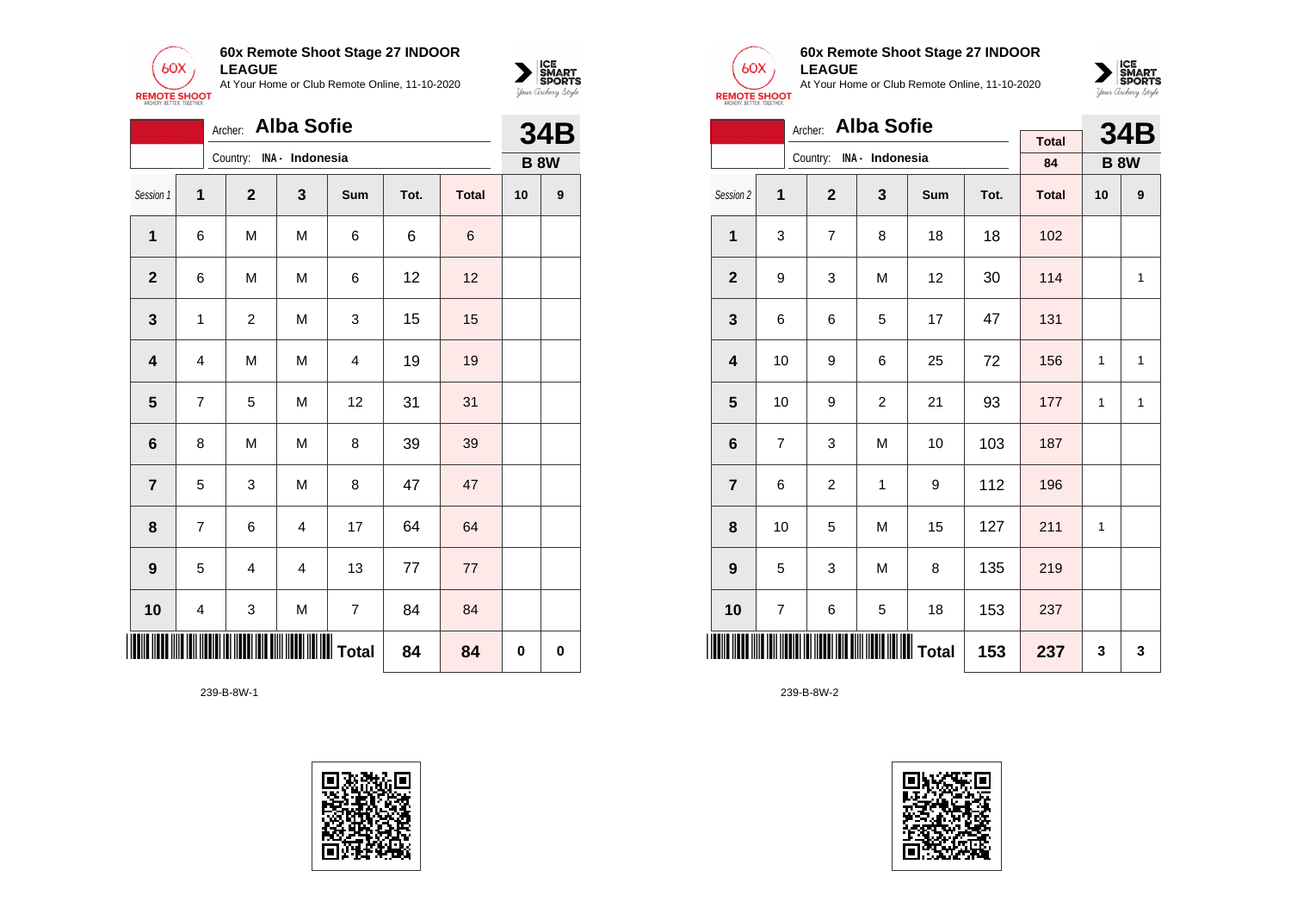



|                         |                         | Archer:        | <b>Alba Sofie</b>   |                         |      |              | <b>34B</b> |             |
|-------------------------|-------------------------|----------------|---------------------|-------------------------|------|--------------|------------|-------------|
|                         |                         | Country:       | INA - Indonesia     |                         |      |              |            | <b>B 8W</b> |
| Session 1               | 1                       | $\mathbf{2}$   | 3                   | Sum                     | Tot. | <b>Total</b> | 10         | 9           |
| 1                       | 6                       | M              | M                   | 6                       | 6    | 6            |            |             |
| $\mathbf{2}$            | 6                       | M              | M                   | 6                       | 12   | 12           |            |             |
| $\mathbf{3}$            | $\mathbf 1$             | $\overline{c}$ | M                   | 3                       | 15   | 15           |            |             |
| $\overline{\mathbf{4}}$ | $\overline{\mathbf{4}}$ | M              | M                   | $\overline{\mathbf{4}}$ | 19   | 19           |            |             |
| $\overline{\mathbf{5}}$ | $\overline{7}$          | 5              | M                   | 12                      | 31   | 31           |            |             |
| 6                       | 8                       | M              | M                   | 8                       | 39   | 39           |            |             |
| $\overline{\mathbf{7}}$ | 5                       | 3              | М                   | 8                       | 47   | 47           |            |             |
| 8                       | $\overline{7}$          | 6              | $\overline{4}$      | 17                      | 64   | 64           |            |             |
| $\boldsymbol{9}$        | 5                       | 4              | $\overline{4}$      | 13                      | 77   | 77           |            |             |
| 10                      | 4                       | 3              | ${\sf M}$           | $\overline{7}$          | 84   | 84           |            |             |
| <u>Hilli</u>            |                         |                | <b>IIIIII</b> Total | 84                      | 84   | 0            | 0          |             |

239-B-8W-1





### **60x Remote Shoot Stage 27 INDOOR LEAGUE**

At Your Home or Club Remote Online, 11-10-2020



|                         | Archer: Alba Sofie |                |                          |     |      |              |    |              |  |  |  |
|-------------------------|--------------------|----------------|--------------------------|-----|------|--------------|----|--------------|--|--|--|
|                         |                    |                | Country: INA - Indonesia |     |      | <b>Total</b> |    | <b>34B</b>   |  |  |  |
|                         |                    |                |                          |     |      | 84           |    | <b>B 8W</b>  |  |  |  |
| Session 2               | 1                  | $\overline{2}$ | 3                        | Sum | Tot. | <b>Total</b> | 10 | 9            |  |  |  |
| $\mathbf{1}$            | 3                  | $\overline{7}$ | 8                        | 18  | 18   | 102          |    |              |  |  |  |
| $\overline{2}$          | 9                  | 3              | M                        | 12  | 30   | 114          |    | 1            |  |  |  |
| 3                       | 6                  | 6              | 5                        | 17  | 47   | 131          |    |              |  |  |  |
| $\overline{\mathbf{4}}$ | 10                 | 9              | 6                        | 25  | 72   | 156          | 1  | $\mathbf{1}$ |  |  |  |
| 5                       | 10                 | 9              | $\overline{c}$           | 21  | 93   | 177          | 1  | $\mathbf{1}$ |  |  |  |
| 6                       | $\overline{7}$     | 3              | M                        | 10  | 103  | 187          |    |              |  |  |  |
| $\overline{7}$          | 6                  | $\overline{2}$ | $\mathbf{1}$             | 9   | 112  | 196          |    |              |  |  |  |
| 8                       | 10                 | 5              | M                        | 15  | 127  | 211          | 1  |              |  |  |  |
| 9                       | 5                  | 3              | M                        | 8   | 135  | 219          |    |              |  |  |  |
| 10                      | 7                  | 6              | 5                        | 18  | 153  | 237          |    |              |  |  |  |
| <b>IIIIII</b>           |                    |                |                          | 153 | 237  | 3            | 3  |              |  |  |  |

239-B-8W-2

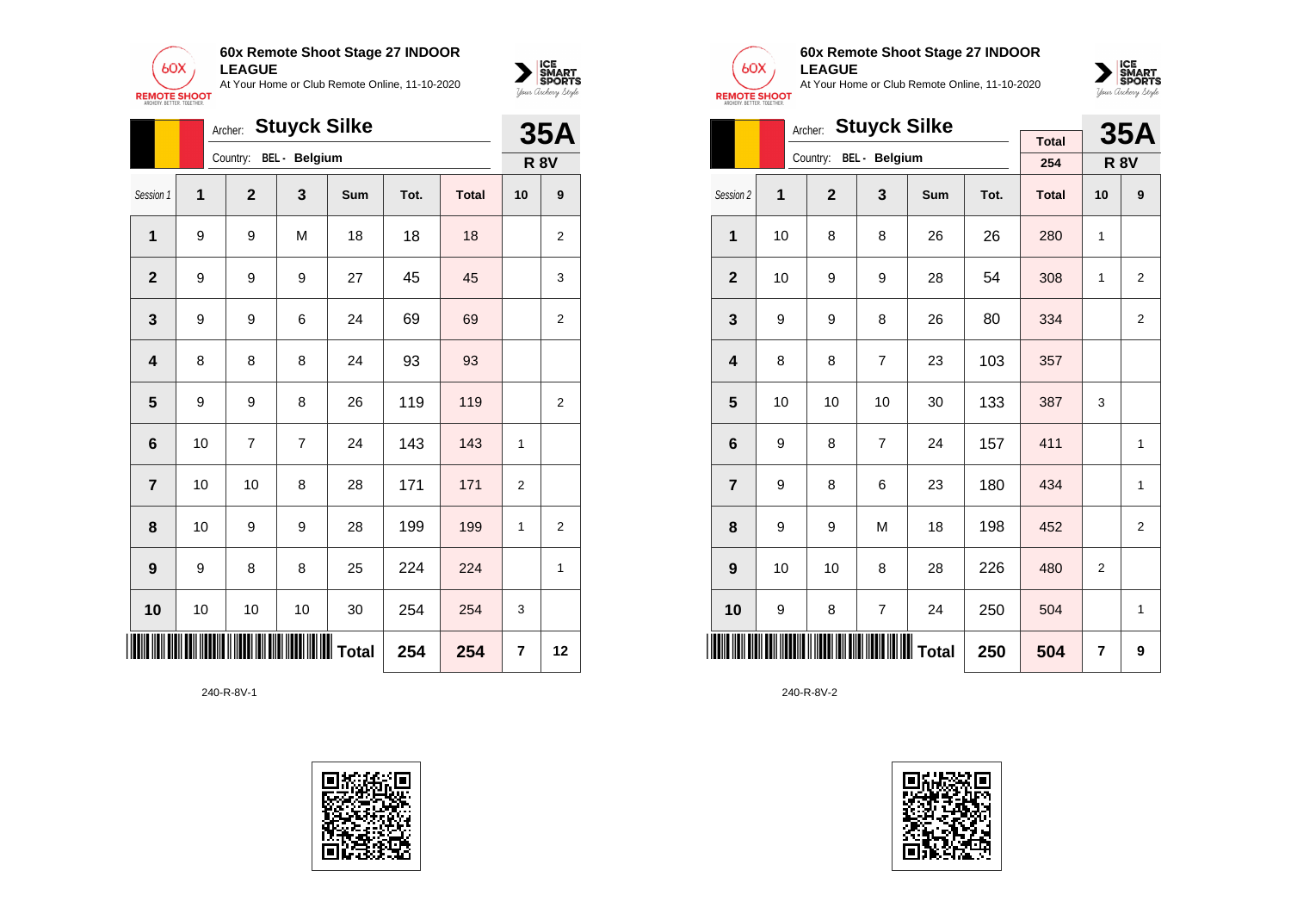

|                 |    | Archer: |                |                      | <b>35A</b>      |      |              |                |                |
|-----------------|----|---------|----------------|----------------------|-----------------|------|--------------|----------------|----------------|
|                 |    |         | Country:       | <b>BEL</b> - Belgium |                 |      |              |                | <b>R 8V</b>    |
| Session 1       | 1  |         | $\mathbf 2$    | 3                    | <b>Sum</b>      | Tot. | <b>Total</b> | 10             | 9              |
| 1               | 9  |         | 9              | M                    | 18              | 18   | 18           |                | $\overline{2}$ |
| $\mathbf{2}$    | 9  |         | 9              | 9                    | 27              | 45   | 45           |                | 3              |
| 3               | 9  |         | 9              | 6                    | 24              | 69   | 69           |                | $\overline{2}$ |
| 4               | 8  |         | 8              | 8                    | 24              | 93   | 93           |                |                |
| 5               | 9  |         | 9              | 8                    | 26              | 119  | 119          |                | $\overline{2}$ |
| $6\phantom{1}6$ | 10 |         | $\overline{7}$ | $\overline{7}$       | 24              | 143  | 143          | 1              |                |
| $\overline{7}$  | 10 |         | 10             | 8                    | 28              | 171  | 171          | $\overline{2}$ |                |
| 8               | 10 |         | 9              | 9                    | 28              | 199  | 199          | 1              | 2              |
| 9               | 9  |         | 8              | 8                    | 25              | 224  | 224          |                | 1              |
| 10              | 10 |         | 10             | 10                   | 30              | 254  | 254          | 3              |                |
| III             |    |         |                |                      | <b>II</b> Total | 254  | 254          | 7              | 12             |

240-R-8V-1





 $\sum_{\text{M} \subseteq \text{S$ **PORTS** 

## **60x Remote Shoot Stage 27 INDOOR LEAGUE**

At Your Home or Club Remote Online, 11-10-2020



|                 |    | <b>Stuyck Silke</b><br>Archer: |                        |            |      | <b>35A</b>   |                |                |
|-----------------|----|--------------------------------|------------------------|------------|------|--------------|----------------|----------------|
|                 |    |                                | Country: BEL - Belgium |            |      | <b>Total</b> |                |                |
|                 |    |                                |                        |            |      | 254          |                | <b>R 8V</b>    |
| Session 2       | 1  | $\overline{2}$                 | 3                      | <b>Sum</b> | Tot. | <b>Total</b> | 10             | 9              |
| 1               | 10 | 8                              | 8                      | 26         | 26   | 280          | 1              |                |
| $\overline{2}$  | 10 | 9                              | 9                      | 28         | 54   | 308          | 1              | $\overline{2}$ |
| 3               | 9  | 9                              | 8                      | 26         | 80   | 334          |                | $\overline{2}$ |
| 4               | 8  | 8                              | 7                      | 23         | 103  | 357          |                |                |
| 5               | 10 | 10                             | 10                     | 30         | 133  | 387          | 3              |                |
| $6\phantom{1}6$ | 9  | 8                              | $\overline{7}$         | 24         | 157  | 411          |                | 1              |
| $\overline{7}$  | 9  | 8                              | 6                      | 23         | 180  | 434          |                | 1              |
| 8               | 9  | 9                              | M                      | 18         | 198  | 452          |                | 2              |
| 9               | 10 | 10                             | 8                      | 28         | 226  | 480          | $\overline{2}$ |                |
| 10              | 9  | 8                              | $\overline{7}$         | 24         | 250  | 504          |                | 1              |
| <b>THE REAL</b> |    | IIIIIIIIIIIIIIIII Total        | 250                    | 504        | 7    | 9            |                |                |

240-R-8V-2

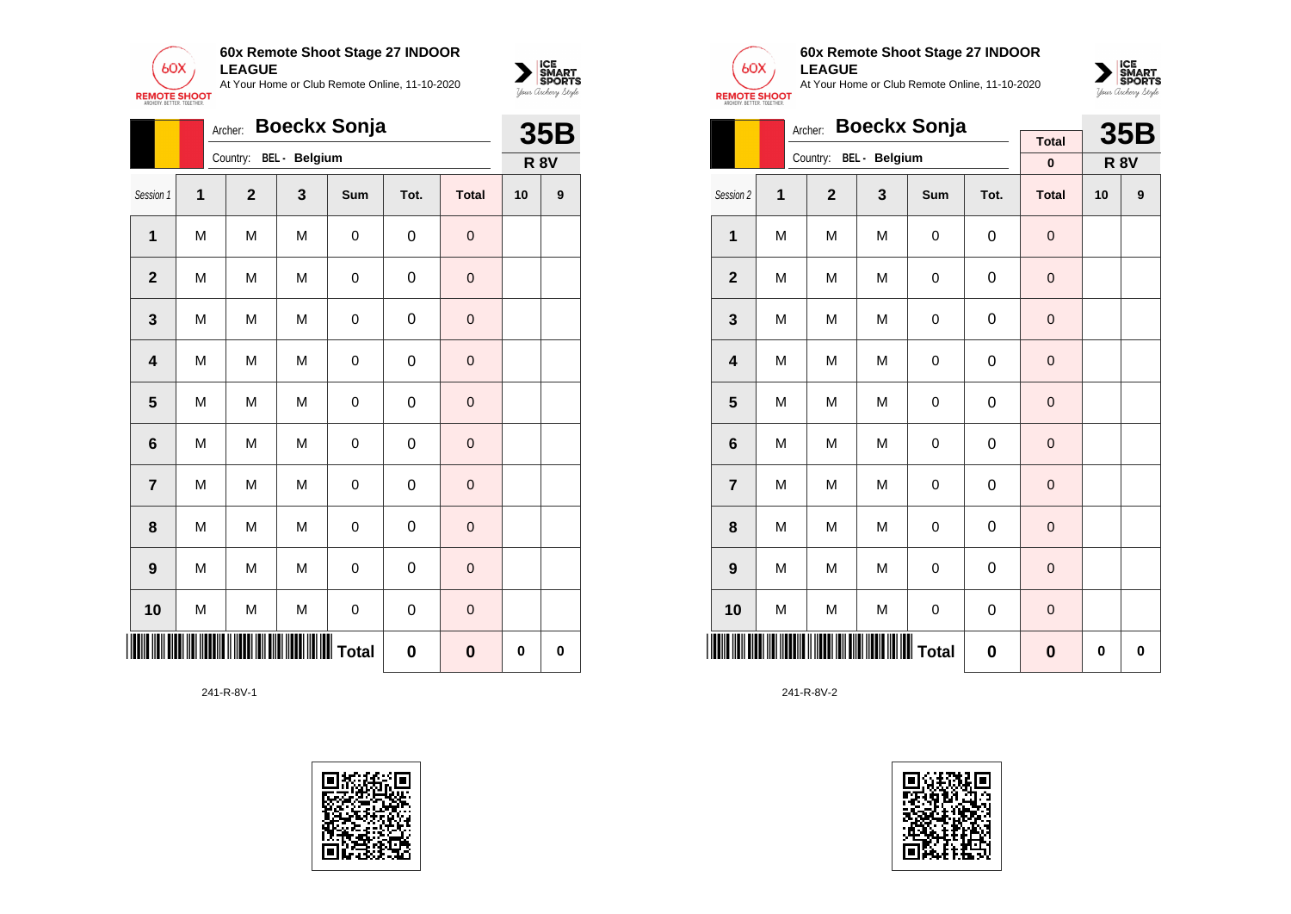

|                | Archer:      |              |               | 35B |             |              |             |          |
|----------------|--------------|--------------|---------------|-----|-------------|--------------|-------------|----------|
|                |              | Country:     | BEL - Belgium |     |             |              | <b>R 8V</b> |          |
| Session 1      | $\mathbf{1}$ | $\mathbf{2}$ | 3             | Sum | Tot.        | <b>Total</b> | 10          | 9        |
| $\mathbf 1$    | M            | M            | M             | 0   | 0           | $\mathbf 0$  |             |          |
| $\overline{2}$ | M            | M            | M             | 0   | 0           | 0            |             |          |
| $\mathbf{3}$   | M            | M            | M             | 0   | 0           | $\pmb{0}$    |             |          |
| 4              | M            | M            | M             | 0   | 0           | $\mathbf 0$  |             |          |
| 5              | M            | M            | M             | 0   | 0           | $\mathbf 0$  |             |          |
| $\bf 6$        | M            | M            | M             | 0   | 0           | $\mathbf 0$  |             |          |
| $\overline{7}$ | M            | M            | M             | 0   | 0           | $\mathbf 0$  |             |          |
| 8              | M            | M            | M             | 0   | 0           | $\mathbf 0$  |             |          |
| 9              | M            | M            | M             | 0   | 0           | $\mathbf 0$  |             |          |
| 10             | M            | M            | M             | 0   | 0           | $\mathbf 0$  |             |          |
|                |              |              |               |     | $\mathbf 0$ | $\bf{0}$     | 0           | $\bf{0}$ |

241-R-8V-1





 $\sum_{\text{M} \subseteq \text{S$ **PORTS** 

# **60x Remote Shoot Stage 27 INDOOR LEAGUE**

At Your Home or Club Remote Online, 11-10-2020



|                 |   | <b>Boeckx Sonja</b><br>Archer: |                                                     |             |                  | <b>35B</b>     |             |   |
|-----------------|---|--------------------------------|-----------------------------------------------------|-------------|------------------|----------------|-------------|---|
|                 |   | Country:                       | BEL - Belgium                                       |             |                  | <b>Total</b>   |             |   |
|                 |   |                                |                                                     |             |                  | $\bf{0}$       | <b>R 8V</b> |   |
| Session 2       | 1 | $\overline{2}$                 | 3                                                   | <b>Sum</b>  | Tot.             | <b>Total</b>   | 10          | 9 |
| $\mathbf{1}$    | M | M                              | M                                                   | 0           | 0                | $\mathbf 0$    |             |   |
| $\mathbf 2$     | M | M                              | M                                                   | $\mathsf 0$ | $\mathbf 0$      | $\overline{0}$ |             |   |
| 3               | M | M                              | M                                                   | 0           | 0                | $\mathbf 0$    |             |   |
| 4               | M | M                              | M                                                   | 0           | 0                | $\mathbf 0$    |             |   |
| 5               | M | M                              | M                                                   | 0           | $\mathbf 0$      | $\mathbf 0$    |             |   |
| $6\phantom{1}6$ | M | M                              | M                                                   | 0           | $\mathbf 0$      | $\mathbf 0$    |             |   |
| $\overline{7}$  | M | M                              | M                                                   | $\mathsf 0$ | $\boldsymbol{0}$ | $\mathbf 0$    |             |   |
| 8               | M | M                              | M                                                   | 0           | 0                | 0              |             |   |
| 9               | M | M                              | M                                                   | $\mathbf 0$ | $\mathbf 0$      | $\mathbf 0$    |             |   |
| 10              | M | M                              | M                                                   | $\mathsf 0$ | $\mathbf 0$      | $\mathbf 0$    |             |   |
|                 |   |                                | <b>                                      </b> Total | 0           | $\bf{0}$         | 0              | $\bf{0}$    |   |

241-R-8V-2

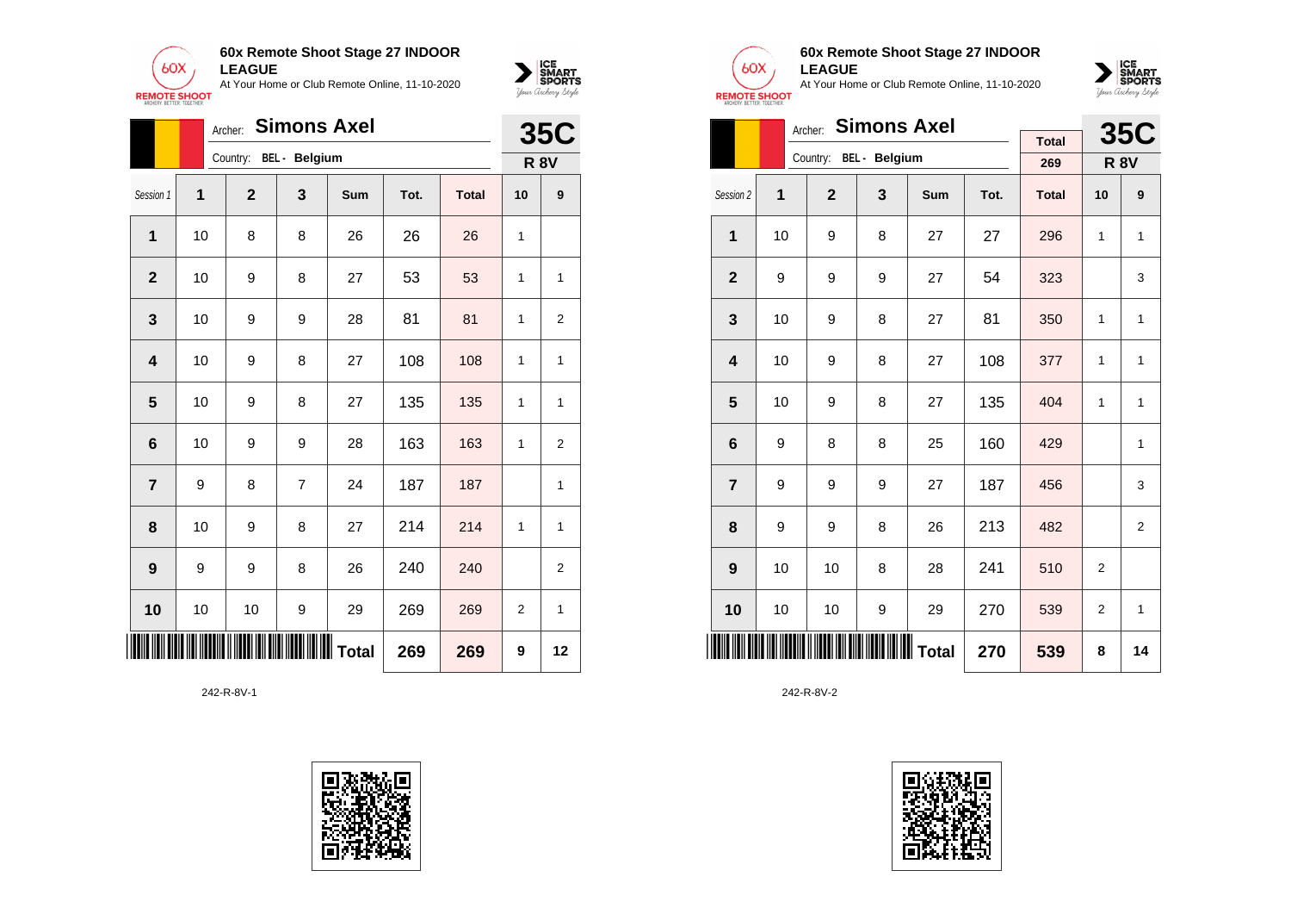



|                         |    | <b>35C</b>   |                                                     |     |      |              |                |                |
|-------------------------|----|--------------|-----------------------------------------------------|-----|------|--------------|----------------|----------------|
|                         |    | Country:     | <b>BEL</b> - Belgium                                |     |      |              |                | <b>R 8V</b>    |
| Session 1               | 1  | $\mathbf{2}$ | 3                                                   | Sum | Tot. | <b>Total</b> | 10             | 9              |
| 1                       | 10 | 8            | 8                                                   | 26  | 26   | 26           | 1              |                |
| $\overline{2}$          | 10 | 9            | 8                                                   | 27  | 53   | 53           | 1              | $\mathbf{1}$   |
| 3                       | 10 | 9            | 9                                                   | 28  | 81   | 81           | 1              | $\overline{2}$ |
| $\overline{\mathbf{4}}$ | 10 | 9            | 8                                                   | 27  | 108  | 108          | 1              | $\mathbf{1}$   |
| 5                       | 10 | 9            | 8                                                   | 27  | 135  | 135          | 1              | $\mathbf{1}$   |
| 6                       | 10 | 9            | 9                                                   | 28  | 163  | 163          | 1              | $\overline{2}$ |
| $\overline{7}$          | 9  | 8            | 7                                                   | 24  | 187  | 187          |                | 1              |
| 8                       | 10 | 9            | 8                                                   | 27  | 214  | 214          | 1              | $\mathbf{1}$   |
| 9                       | 9  | 9            | 8                                                   | 26  | 240  | 240          |                | $\overline{2}$ |
| 10                      | 10 | 10           | 9                                                   | 29  | 269  | 269          | $\overline{2}$ | $\mathbf{1}$   |
| IIII                    |    |              | <b>                                      </b> Total | 269 | 269  | 9            | 12             |                |

242-R-8V-1





## **60x Remote Shoot Stage 27 INDOOR LEAGUE**

At Your Home or Club Remote Online, 11-10-2020



|                         |    | <b>Simons Axel</b><br>Archer: |                        |     |      | <b>35C</b>   |                |                |
|-------------------------|----|-------------------------------|------------------------|-----|------|--------------|----------------|----------------|
|                         |    |                               | Country: BEL - Belgium |     |      | <b>Total</b> |                |                |
|                         |    |                               |                        |     |      | 269          | <b>R 8V</b>    |                |
| Session 2               | 1  | $\overline{2}$                | 3                      | Sum | Tot. | <b>Total</b> | 10             | 9              |
| 1                       | 10 | 9                             | 8                      | 27  | 27   | 296          | 1              | $\mathbf{1}$   |
| $\overline{\mathbf{2}}$ | 9  | 9                             | 9                      | 27  | 54   | 323          |                | 3              |
| 3                       | 10 | 9                             | 8                      | 27  | 81   | 350          | 1              | 1              |
| 4                       | 10 | 9                             | 8                      | 27  | 108  | 377          | 1              | 1              |
| 5                       | 10 | 9                             | 8                      | 27  | 135  | 404          | 1              | 1              |
| 6                       | 9  | 8                             | 8                      | 25  | 160  | 429          |                | 1              |
| $\overline{7}$          | 9  | 9                             | 9                      | 27  | 187  | 456          |                | 3              |
| 8                       | 9  | 9                             | 8                      | 26  | 213  | 482          |                | $\overline{2}$ |
| 9                       | 10 | 10                            | 8                      | 28  | 241  | 510          | $\overline{2}$ |                |
| 10                      | 10 | 10                            | 9                      | 29  | 270  | 539          | $\overline{2}$ | $\mathbf{1}$   |
|                         |    |                               | Total                  | 270 | 539  | 8            | 14             |                |

242-R-8V-2

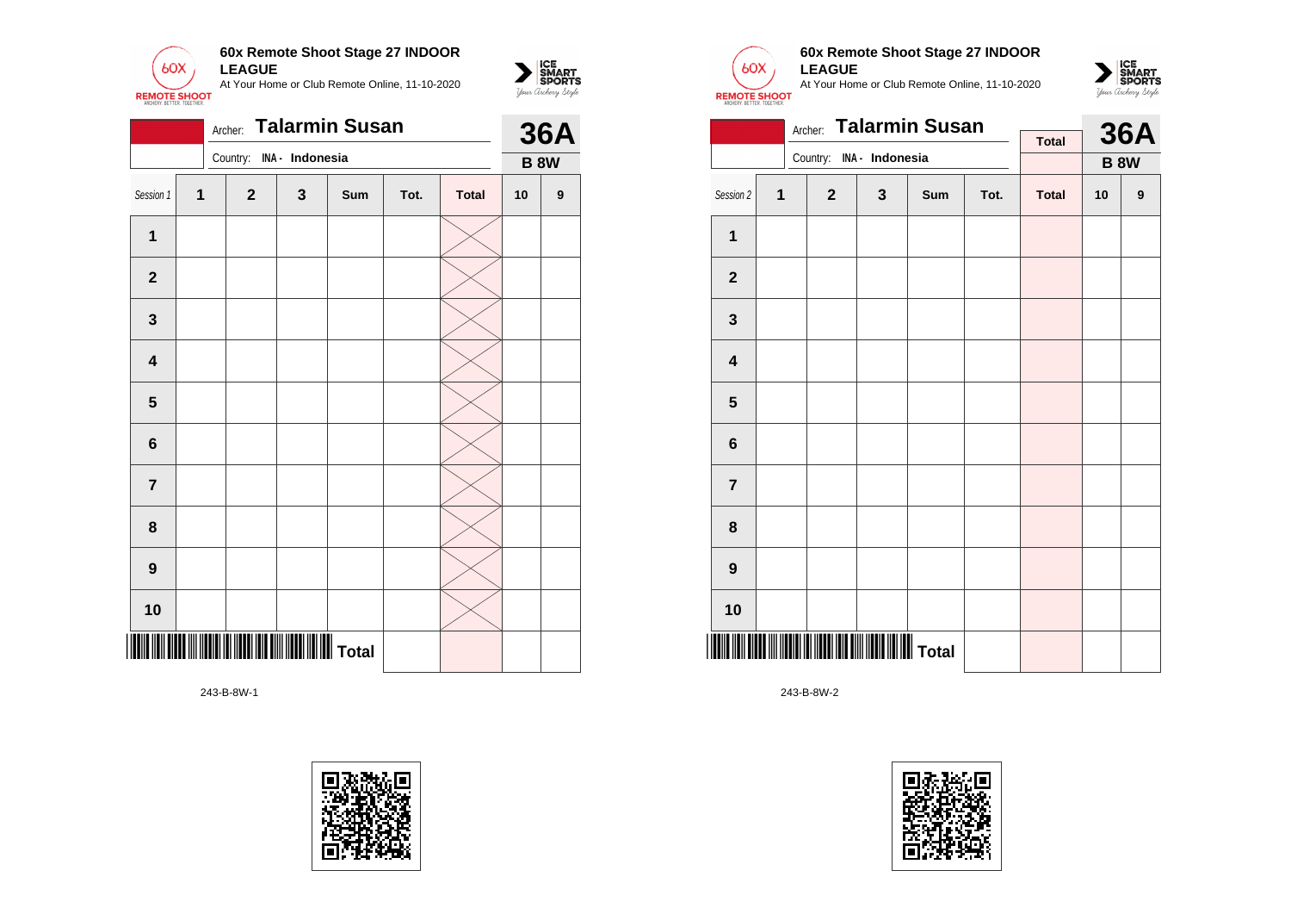

|                         |                         | Archer:      |                 | <b>Talarmin Susan</b> |      |              |    | <b>36A</b>  |
|-------------------------|-------------------------|--------------|-----------------|-----------------------|------|--------------|----|-------------|
|                         |                         | Country:     | INA - Indonesia |                       |      |              |    | <b>B 8W</b> |
| Session 1               | $\overline{\mathbf{1}}$ | $\mathbf{2}$ | 3               | Sum                   | Tot. | <b>Total</b> | 10 | 9           |
| $\mathbf 1$             |                         |              |                 |                       |      |              |    |             |
| $\mathbf{2}$            |                         |              |                 |                       |      |              |    |             |
| $\mathbf{3}$            |                         |              |                 |                       |      |              |    |             |
| $\overline{\mathbf{4}}$ |                         |              |                 |                       |      |              |    |             |
| $\overline{\mathbf{5}}$ |                         |              |                 |                       |      |              |    |             |
| $6\phantom{a}$          |                         |              |                 |                       |      |              |    |             |
| $\overline{7}$          |                         |              |                 |                       |      |              |    |             |
| 8                       |                         |              |                 |                       |      |              |    |             |
| $\boldsymbol{9}$        |                         |              |                 |                       |      |              |    |             |
| 10                      |                         |              |                 |                       |      |              |    |             |
|                         |                         |              |                 |                       |      |              |    |             |

243-B-8W-1





 $\sum_{\text{M} \subseteq \text{S$ **PORTS** 

# **60x Remote Shoot Stage 27 INDOOR LEAGUE**

At Your Home or Club Remote Online, 11-10-2020



|                         |   | Archer:      |                 | <b>Talarmin Susan</b> |      |              |    | <b>36A</b>  |
|-------------------------|---|--------------|-----------------|-----------------------|------|--------------|----|-------------|
|                         |   | Country:     | INA - Indonesia |                       |      | <b>Total</b> |    |             |
|                         |   |              |                 |                       |      |              |    | <b>B 8W</b> |
| Session 2               | 1 | $\mathbf{2}$ | 3               | Sum                   | Tot. | <b>Total</b> | 10 | 9           |
| 1                       |   |              |                 |                       |      |              |    |             |
| $\mathbf{2}$            |   |              |                 |                       |      |              |    |             |
| 3                       |   |              |                 |                       |      |              |    |             |
| $\overline{\mathbf{4}}$ |   |              |                 |                       |      |              |    |             |
| 5                       |   |              |                 |                       |      |              |    |             |
| 6                       |   |              |                 |                       |      |              |    |             |
| $\overline{\mathbf{r}}$ |   |              |                 |                       |      |              |    |             |
| 8                       |   |              |                 |                       |      |              |    |             |
| 9                       |   |              |                 |                       |      |              |    |             |
| 10                      |   |              |                 |                       |      |              |    |             |
|                         |   |              |                 |                       |      |              |    |             |

243-B-8W-2

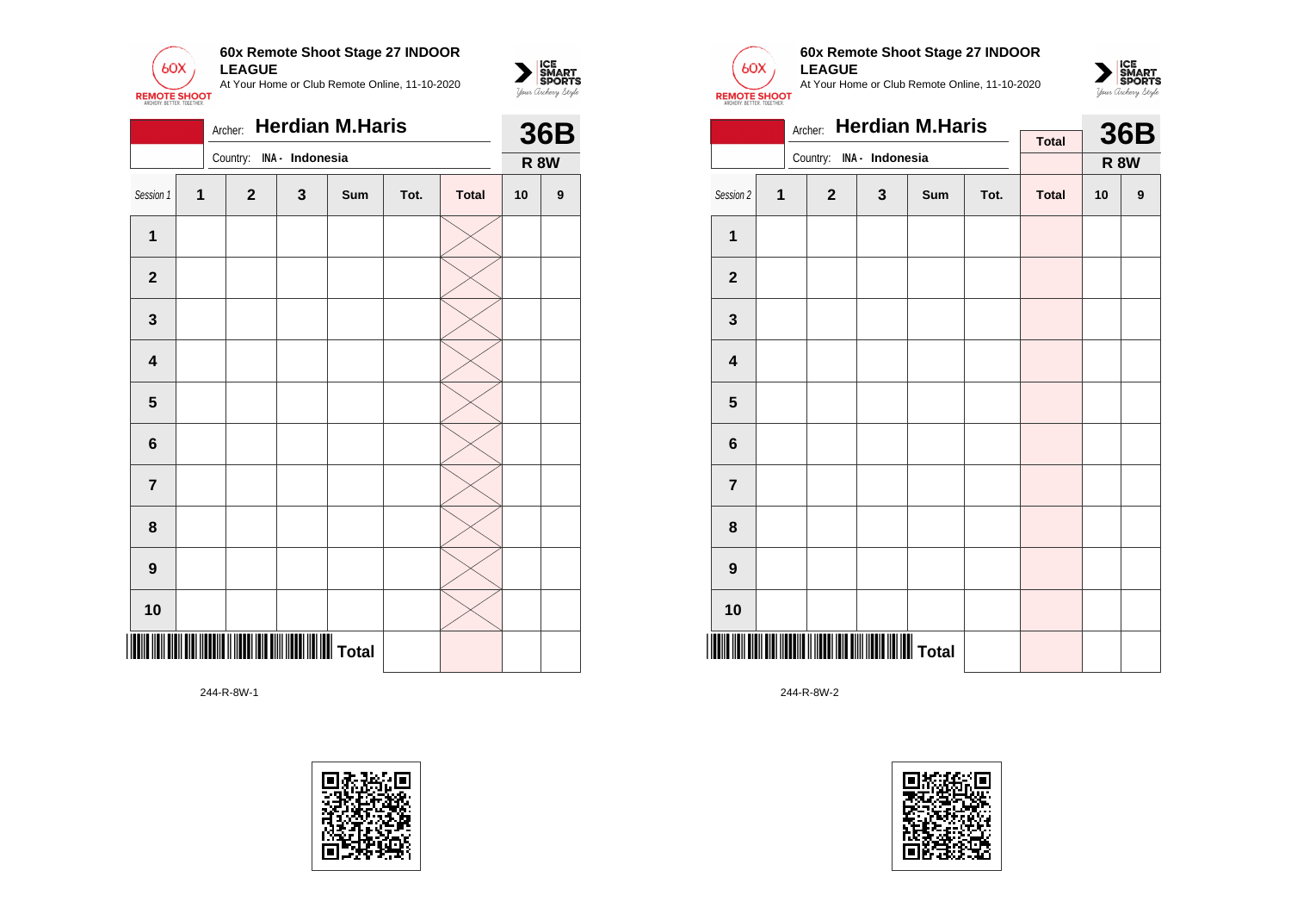

|                         |                |              | <b>36B</b><br><b>R 8W</b><br>9 |     |      |              |    |  |
|-------------------------|----------------|--------------|--------------------------------|-----|------|--------------|----|--|
|                         |                | Country:     | INA - Indonesia                |     |      |              |    |  |
| Session 1               | $\overline{1}$ | $\mathbf{2}$ | $\mathbf{3}$                   | Sum | Tot. | <b>Total</b> | 10 |  |
| 1                       |                |              |                                |     |      |              |    |  |
| $\mathbf{2}$            |                |              |                                |     |      |              |    |  |
| 3                       |                |              |                                |     |      |              |    |  |
| $\overline{\mathbf{4}}$ |                |              |                                |     |      |              |    |  |
| $\overline{\mathbf{5}}$ |                |              |                                |     |      |              |    |  |
| $\bf 6$                 |                |              |                                |     |      |              |    |  |
| $\overline{7}$          |                |              |                                |     |      |              |    |  |
| 8                       |                |              |                                |     |      |              |    |  |
| $\boldsymbol{9}$        |                |              |                                |     |      |              |    |  |
| 10                      |                |              |                                |     |      |              |    |  |
|                         |                |              |                                |     |      |              |    |  |

244-R-8W-1





 $\sum_{\text{M} \subseteq \text{S$ **PORTS** 

## **60x Remote Shoot Stage 27 INDOOR LEAGUE**

At Your Home or Club Remote Online, 11-10-2020



|                         |   | Archer:      |                 | <b>Herdian M.Haris</b> |      |              |    | <b>36B</b>  |
|-------------------------|---|--------------|-----------------|------------------------|------|--------------|----|-------------|
|                         |   | Country:     |                 |                        |      | <b>Total</b> |    |             |
|                         |   |              | INA - Indonesia |                        |      |              |    | <b>R 8W</b> |
| Session 2               | 1 | $\mathbf{2}$ | $\mathbf{3}$    | <b>Sum</b>             | Tot. | <b>Total</b> | 10 | 9           |
| $\mathbf 1$             |   |              |                 |                        |      |              |    |             |
| $\mathbf{2}$            |   |              |                 |                        |      |              |    |             |
| $\mathbf{3}$            |   |              |                 |                        |      |              |    |             |
| $\overline{\mathbf{4}}$ |   |              |                 |                        |      |              |    |             |
| 5                       |   |              |                 |                        |      |              |    |             |
| 6                       |   |              |                 |                        |      |              |    |             |
| $\overline{7}$          |   |              |                 |                        |      |              |    |             |
| 8                       |   |              |                 |                        |      |              |    |             |
| $\boldsymbol{9}$        |   |              |                 |                        |      |              |    |             |
| 10                      |   |              |                 |                        |      |              |    |             |
|                         |   |              |                 |                        |      |              |    |             |

244-R-8W-2

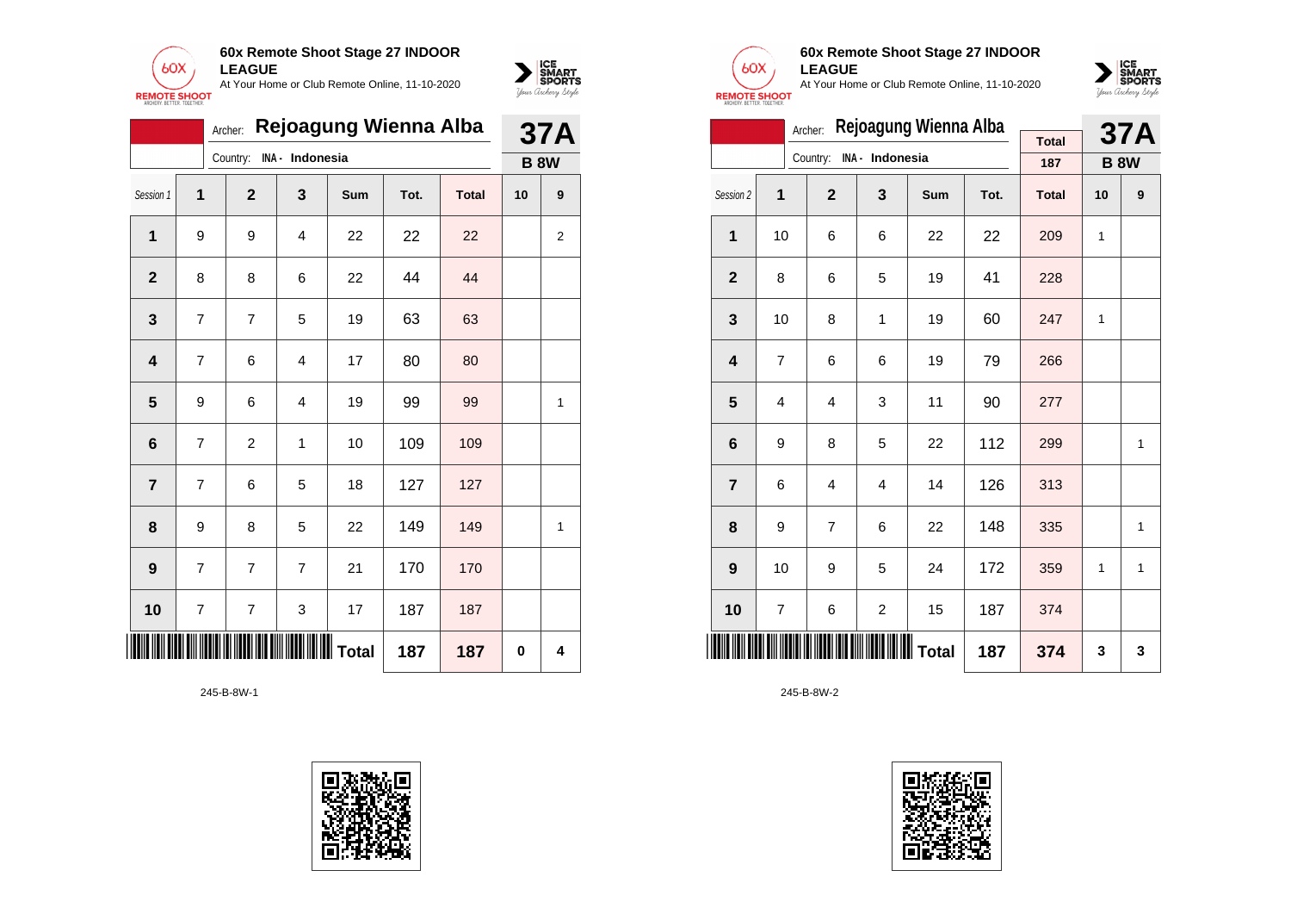



|                         |                | Archer:        |                 | Rejoagung Wienna Alba |      |              |             | <b>37A</b> |
|-------------------------|----------------|----------------|-----------------|-----------------------|------|--------------|-------------|------------|
|                         |                | Country:       | INA - Indonesia |                       |      |              | <b>B 8W</b> |            |
| Session 1               | 1              | $\mathbf{2}$   | 3               | Sum                   | Tot. | <b>Total</b> | 10          | 9          |
| 1                       | 9              | 9              | 4               | 22                    | 22   | 22           |             | 2          |
| $\mathbf{2}$            | 8              | 8              | 6               | 22                    | 44   | 44           |             |            |
| 3                       | 7              | $\overline{7}$ | 5               | 19                    | 63   | 63           |             |            |
| $\overline{\mathbf{4}}$ | $\overline{7}$ | 6              | 4               | 17                    | 80   | 80           |             |            |
| $\overline{\mathbf{5}}$ | 9              | 6              | $\overline{4}$  | 19                    | 99   | 99           |             | 1          |
| $\bf 6$                 | 7              | $\overline{c}$ | 1               | 10                    | 109  | 109          |             |            |
| $\overline{\mathbf{r}}$ | 7              | 6              | 5               | 18                    | 127  | 127          |             |            |
| 8                       | 9              | 8              | 5               | 22                    | 149  | 149          |             | 1          |
| 9                       | $\overline{7}$ | $\overline{7}$ | $\overline{7}$  | 21                    | 170  | 170          |             |            |
| 10                      | $\overline{7}$ | $\overline{7}$ | 3               | 17                    | 187  | 187          |             |            |
|                         |                |                | 187             | 187                   | 0    | 4            |             |            |

245-B-8W-1





## **60x Remote Shoot Stage 27 INDOOR LEAGUE**

At Your Home or Club Remote Online, 11-10-2020



|                         |    | <b>37A</b><br><b>B 8W</b><br>9<br>1<br>1<br>$\mathbf{1}$ |                          |                       |      |              |    |  |
|-------------------------|----|----------------------------------------------------------|--------------------------|-----------------------|------|--------------|----|--|
|                         |    |                                                          |                          | Rejoagung Wienna Alba |      | <b>Total</b> |    |  |
|                         |    |                                                          | Country: INA - Indonesia |                       |      | 187          |    |  |
| Session 2               | 1  | $\overline{2}$                                           | 3                        | <b>Sum</b>            | Tot. | <b>Total</b> | 10 |  |
| 1                       | 10 | 6                                                        | 6                        | 22                    | 22   | 209          | 1  |  |
| $\overline{2}$          | 8  | 6                                                        | 5                        | 19                    | 41   | 228          |    |  |
| 3                       | 10 | 8                                                        | 1                        | 19                    | 60   | 247          | 1  |  |
| $\overline{\mathbf{4}}$ | 7  | 6                                                        | 6                        | 19                    | 79   | 266          |    |  |
| 5                       | 4  | 4                                                        | 3                        | 11                    | 90   | 277          |    |  |
| 6                       | 9  | 8                                                        | 5                        | 22                    | 112  | 299          |    |  |
| $\overline{7}$          | 6  | 4                                                        | 4                        | 14                    | 126  | 313          |    |  |
| 8                       | 9  | $\overline{7}$                                           | 6                        | 22                    | 148  | 335          |    |  |
| 9                       | 10 | 9                                                        | 5                        | 24                    | 172  | 359          | 1  |  |
| 10                      | 7  | 6                                                        | $\overline{\mathbf{c}}$  | 15                    | 187  | 374          |    |  |
| IIII                    |    | <b>                                    </b>   Total      | 187                      | 374                   | 3    | 3            |    |  |

245-B-8W-2

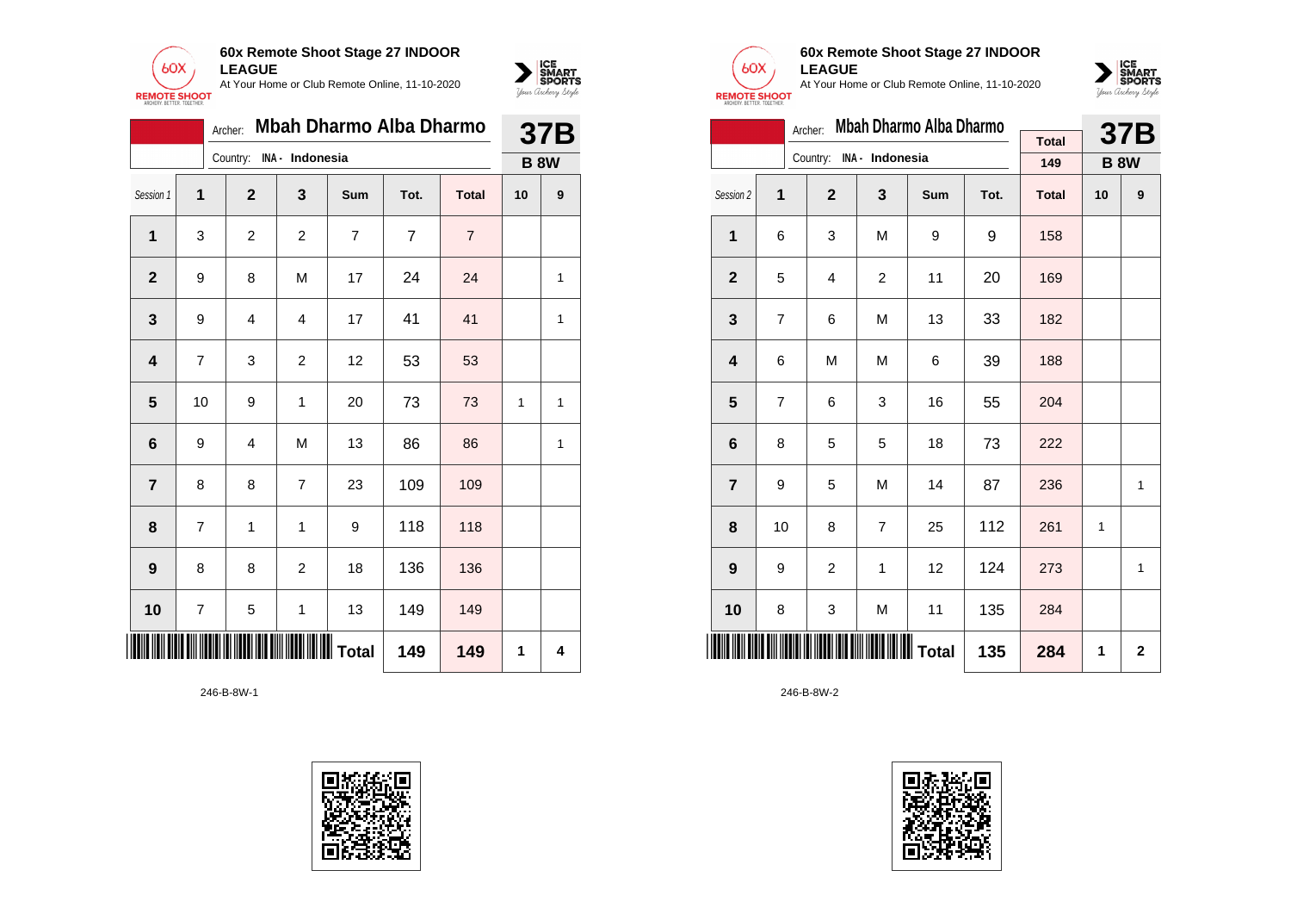



|                | Mbah Dharmo Alba Dharmo<br>Archer:<br>Country:<br>INA - Indonesia<br>$\mathbf{2}$<br>$\mathbf{3}$<br>1<br><b>Sum</b><br>Tot.<br><b>Total</b><br>$\overline{7}$<br>1<br>$\overline{c}$<br>$\overline{7}$<br>3<br>2<br>$\overline{7}$<br>24<br>M<br>17<br>24<br>8<br>$\mathbf{2}$<br>9<br>41<br>41<br>9<br>17<br>3<br>4<br>4<br>53<br>3<br>12<br>53<br>4<br>7<br>$\overline{c}$<br>5<br>73<br>10<br>9<br>1<br>20<br>73<br>$6\phantom{1}6$<br>M<br>13<br>86<br>86<br>9<br>4 |   |                | 37B |     |     |    |             |
|----------------|--------------------------------------------------------------------------------------------------------------------------------------------------------------------------------------------------------------------------------------------------------------------------------------------------------------------------------------------------------------------------------------------------------------------------------------------------------------------------|---|----------------|-----|-----|-----|----|-------------|
|                |                                                                                                                                                                                                                                                                                                                                                                                                                                                                          |   |                |     |     |     |    | <b>B 8W</b> |
| Session 1      |                                                                                                                                                                                                                                                                                                                                                                                                                                                                          |   |                |     |     |     | 10 | 9           |
|                |                                                                                                                                                                                                                                                                                                                                                                                                                                                                          |   |                |     |     |     |    |             |
|                |                                                                                                                                                                                                                                                                                                                                                                                                                                                                          |   |                |     |     |     |    | 1           |
|                |                                                                                                                                                                                                                                                                                                                                                                                                                                                                          |   |                |     |     |     |    | 1           |
|                |                                                                                                                                                                                                                                                                                                                                                                                                                                                                          |   |                |     |     |     |    |             |
|                |                                                                                                                                                                                                                                                                                                                                                                                                                                                                          |   |                |     |     |     | 1  | 1           |
|                |                                                                                                                                                                                                                                                                                                                                                                                                                                                                          |   |                |     |     |     |    | 1           |
| $\overline{7}$ | 8                                                                                                                                                                                                                                                                                                                                                                                                                                                                        | 8 | 7              | 23  | 109 | 109 |    |             |
| 8              | 7                                                                                                                                                                                                                                                                                                                                                                                                                                                                        | 1 | 1              | 9   | 118 | 118 |    |             |
| 9              | 8                                                                                                                                                                                                                                                                                                                                                                                                                                                                        | 8 | $\overline{2}$ | 18  | 136 | 136 |    |             |
| 10             | 7                                                                                                                                                                                                                                                                                                                                                                                                                                                                        | 5 | 1              | 13  | 149 | 149 |    |             |
|                | 149<br>149                                                                                                                                                                                                                                                                                                                                                                                                                                                               |   |                |     |     |     |    | 4           |

246-B-8W-1





### **60x Remote Shoot Stage 27 INDOOR LEAGUE**

At Your Home or Club Remote Online, 11-10-2020



|                         |    | Archer:        |                 | Mbah Dharmo Alba Dharmo |      |              |                | <b>37B</b>  |
|-------------------------|----|----------------|-----------------|-------------------------|------|--------------|----------------|-------------|
|                         |    | Country:       | INA - Indonesia |                         |      | <b>Total</b> |                |             |
|                         |    |                |                 |                         |      | 149          |                | <b>B 8W</b> |
| Session 2               | 1  | $\overline{2}$ | 3               | Sum                     | Tot. | <b>Total</b> | 10             | 9           |
| 1                       | 6  | 3              | M               | 9                       | 9    | 158          |                |             |
| $\overline{2}$          | 5  | 4              | $\overline{c}$  | 11                      | 20   | 169          |                |             |
| 3                       | 7  | 6              | M               | 13                      | 33   | 182          |                |             |
| $\overline{\mathbf{4}}$ | 6  | M              | M               | 6                       | 39   | 188          |                |             |
| 5                       | 7  | 6              | 3               | 16                      | 55   | 204          |                |             |
| $6\phantom{1}$          | 8  | 5              | 5               | 18                      | 73   | 222          |                |             |
| $\overline{7}$          | 9  | 5              | M               | 14                      | 87   | 236          |                | 1           |
| 8                       | 10 | 8              | 7               | 25                      | 112  | 261          | 1              |             |
| 9                       | 9  | $\overline{c}$ | 1               | 12                      | 124  | 273          |                | 1           |
| 10                      | 8  | 3              | M               | 11                      | 135  | 284          |                |             |
|                         |    |                |                 | 135                     | 284  | 1            | $\overline{2}$ |             |

246-B-8W-2

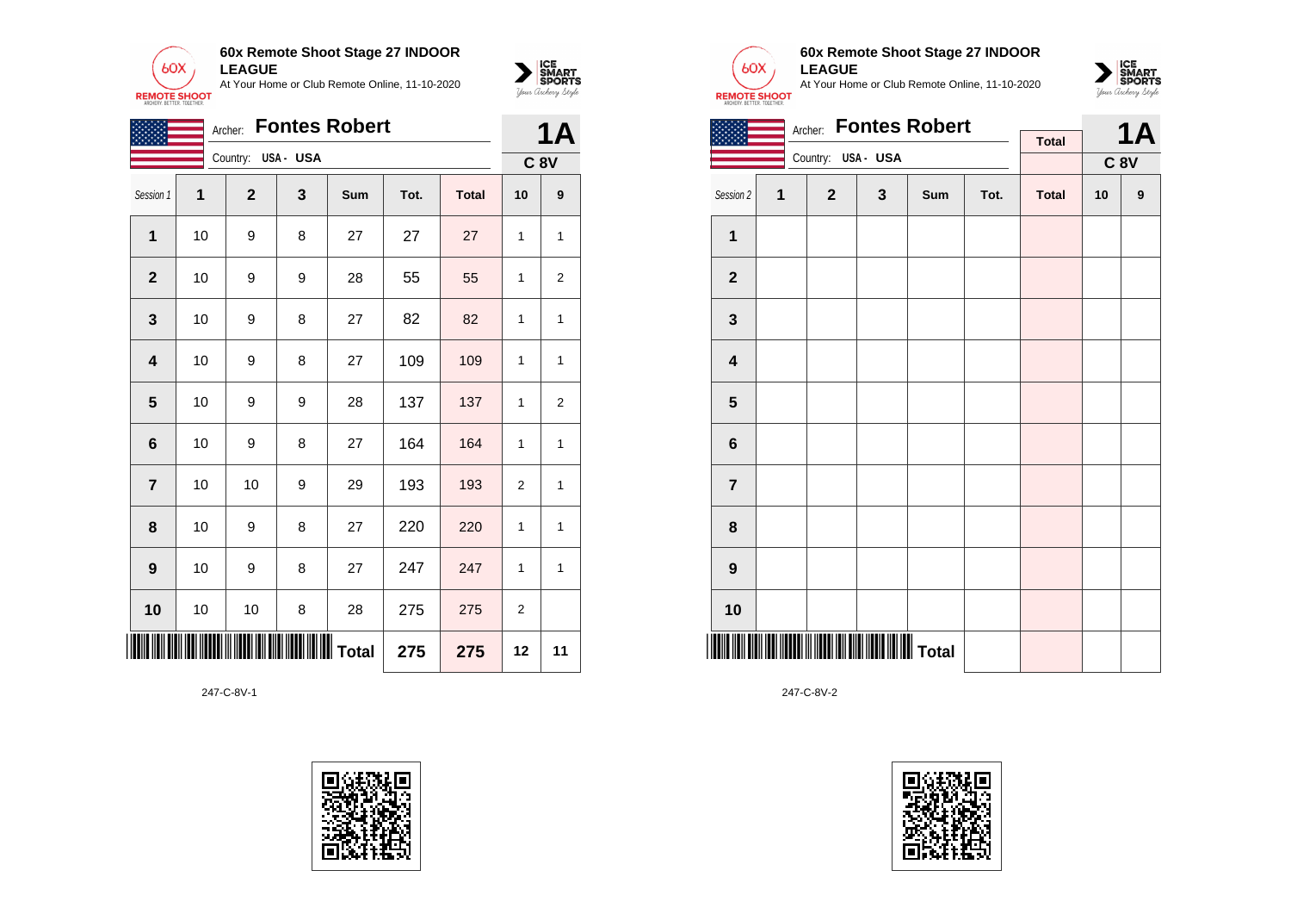



|                                                  |    | Archer:      |         | <b>Fontes Robert</b> |      |              |                | <b>1A</b>        |
|--------------------------------------------------|----|--------------|---------|----------------------|------|--------------|----------------|------------------|
|                                                  |    | Country:     | USA-USA |                      |      |              |                | <b>C 8V</b>      |
| Session 1                                        | 1  | $\mathbf{2}$ | 3       | Sum                  | Tot. | <b>Total</b> | 10             | $\boldsymbol{9}$ |
| 1                                                | 10 | 9            | 8       | 27                   | 27   | 27           | 1              | 1                |
| $\mathbf 2$                                      | 10 | 9            | 9       | 28                   | 55   | 55           | 1              | 2                |
| $\mathbf 3$                                      | 10 | 9            | 8       | 27                   | 82   | 82           | 1              | 1                |
| 4                                                | 10 | 9            | 8       | 27                   | 109  | 109          | 1              | 1                |
| 5                                                | 10 | 9            | 9       | 28                   | 137  | 137          | 1              | 2                |
| 6                                                | 10 | 9            | 8       | 27                   | 164  | 164          | 1              | 1                |
| $\overline{7}$                                   | 10 | 10           | 9       | 29                   | 193  | 193          | $\overline{2}$ | 1                |
| 8                                                | 10 | 9            | 8       | 27                   | 220  | 220          | 1              | 1                |
| 9                                                | 10 | 9            | 8       | 27                   | 247  | 247          | 1              | 1                |
| 10                                               | 10 | 10           | 8       | 28                   | 275  | 275          | $\overline{2}$ |                  |
| IIIII<br><b>IIIIIIIIIIII</b> Total<br>275<br>275 |    |              |         |                      |      |              | 12             | 11               |





### **60x Remote Shoot Stage 27 INDOOR LEAGUE**

At Your Home or Club Remote Online, 11-10-2020



|                         |   | Archer:            |              | <b>Fontes Robert</b> |      |              |    | <b>1A</b>        |
|-------------------------|---|--------------------|--------------|----------------------|------|--------------|----|------------------|
|                         |   |                    |              |                      |      | <b>Total</b> |    |                  |
|                         |   | Country: USA - USA |              |                      |      |              |    | $C$ 8 $V$        |
| Session 2               | 1 | $\mathbf{2}$       | $\mathbf{3}$ | Sum                  | Tot. | <b>Total</b> | 10 | $\boldsymbol{9}$ |
| 1                       |   |                    |              |                      |      |              |    |                  |
| $\mathbf{2}$            |   |                    |              |                      |      |              |    |                  |
| $\mathbf{3}$            |   |                    |              |                      |      |              |    |                  |
| $\overline{\mathbf{4}}$ |   |                    |              |                      |      |              |    |                  |
| 5                       |   |                    |              |                      |      |              |    |                  |
| 6                       |   |                    |              |                      |      |              |    |                  |
| $\overline{7}$          |   |                    |              |                      |      |              |    |                  |
| 8                       |   |                    |              |                      |      |              |    |                  |
| $\boldsymbol{9}$        |   |                    |              |                      |      |              |    |                  |
| 10                      |   |                    |              |                      |      |              |    |                  |
|                         |   |                    |              |                      |      |              |    |                  |

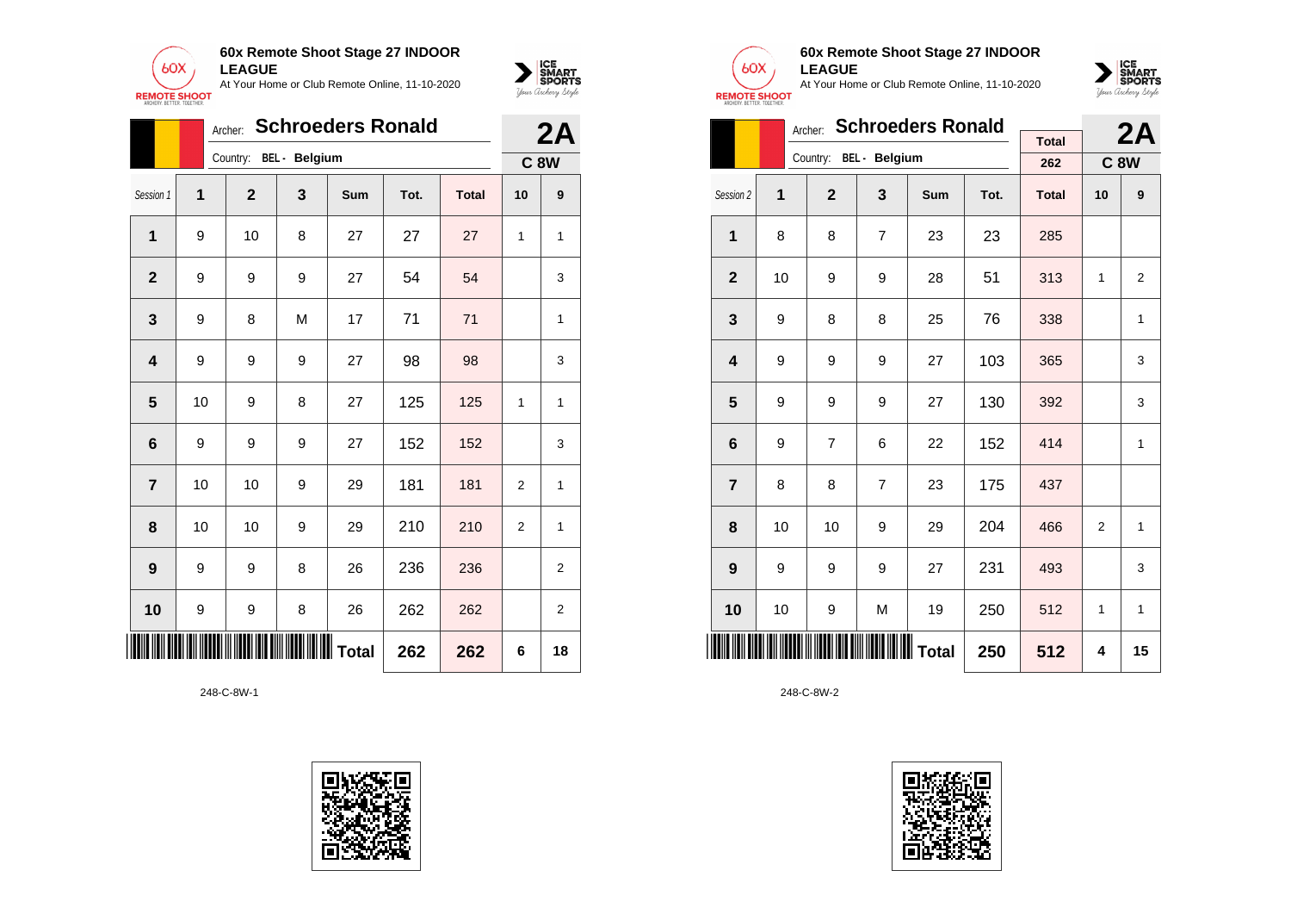



|                         |                | <b>Schroeders Ronald</b><br>Archer: |                        |              | 2A   |              |                |                |
|-------------------------|----------------|-------------------------------------|------------------------|--------------|------|--------------|----------------|----------------|
|                         |                |                                     | Country: BEL - Belgium |              |      |              | <b>C 8W</b>    |                |
| Session 1               | $\overline{1}$ | $\mathbf{2}$                        | 3                      | Sum          | Tot. | <b>Total</b> | 10             | 9              |
| 1                       | 9              | 10                                  | 8                      | 27           | 27   | 27           | 1              | 1              |
| $\mathbf{2}$            | 9              | 9                                   | 9                      | 27           | 54   | 54           |                | 3              |
| 3                       | 9              | 8                                   | M                      | 17           | 71   | 71           |                | 1              |
| $\overline{\mathbf{4}}$ | 9              | 9                                   | 9                      | 27           | 98   | 98           |                | 3              |
| 5                       | 10             | 9                                   | 8                      | 27           | 125  | 125          | 1              | 1              |
| 6                       | 9              | 9                                   | 9                      | 27           | 152  | 152          |                | 3              |
| $\overline{7}$          | 10             | 10                                  | 9                      | 29           | 181  | 181          | $\overline{2}$ | 1              |
| 8                       | 10             | 10                                  | 9                      | 29           | 210  | 210          | 2              | 1              |
| 9                       | 9              | 9                                   | 8                      | 26           | 236  | 236          |                | $\overline{2}$ |
| 10                      | 9              | 9                                   | 8                      | 26           | 262  | 262          |                | $\overline{c}$ |
|                         |                | <b>111</b>                          |                        | IIIIII Total | 262  | 262          | 6              | 18             |





# **60x Remote Shoot Stage 27 INDOOR LEAGUE**

At Your Home or Club Remote Online, 11-10-2020



|                         |    | Archer:        | <b>Schroeders Ronald</b> |            |      | <b>C8W</b><br>10<br>1<br>$\overline{2}$ | 2A |                |
|-------------------------|----|----------------|--------------------------|------------|------|-----------------------------------------|----|----------------|
|                         |    |                |                          |            |      | <b>Total</b>                            |    |                |
|                         |    |                | Country: BEL - Belgium   |            |      | 262                                     |    |                |
| Session 2               | 1  | $\overline{2}$ | 3                        | <b>Sum</b> | Tot. | <b>Total</b>                            |    | 9              |
| $\mathbf{1}$            | 8  | 8              | $\overline{7}$           | 23         | 23   | 285                                     |    |                |
| $\overline{2}$          | 10 | 9              | 9                        | 28         | 51   | 313                                     |    | $\overline{2}$ |
| 3                       | 9  | 8              | 8                        | 25         | 76   | 338                                     |    | 1              |
| $\overline{\mathbf{4}}$ | 9  | 9              | 9                        | 27         | 103  | 365                                     |    | 3              |
| 5                       | 9  | 9              | 9                        | 27         | 130  | 392                                     |    | 3              |
| 6                       | 9  | $\overline{7}$ | 6                        | 22         | 152  | 414                                     |    | $\mathbf{1}$   |
| $\overline{7}$          | 8  | 8              | $\overline{7}$           | 23         | 175  | 437                                     |    |                |
| 8                       | 10 | 10             | 9                        | 29         | 204  | 466                                     |    | 1              |
| 9                       | 9  | 9              | 9                        | 27         | 231  | 493                                     |    | 3              |
| 10                      | 10 | 9              | M                        | 19         | 250  | 512                                     | 1  | 1              |
| ║║║                     |    |                | <b>IIIIIIIIIII</b> Total | 250        | 512  | 4                                       | 15 |                |

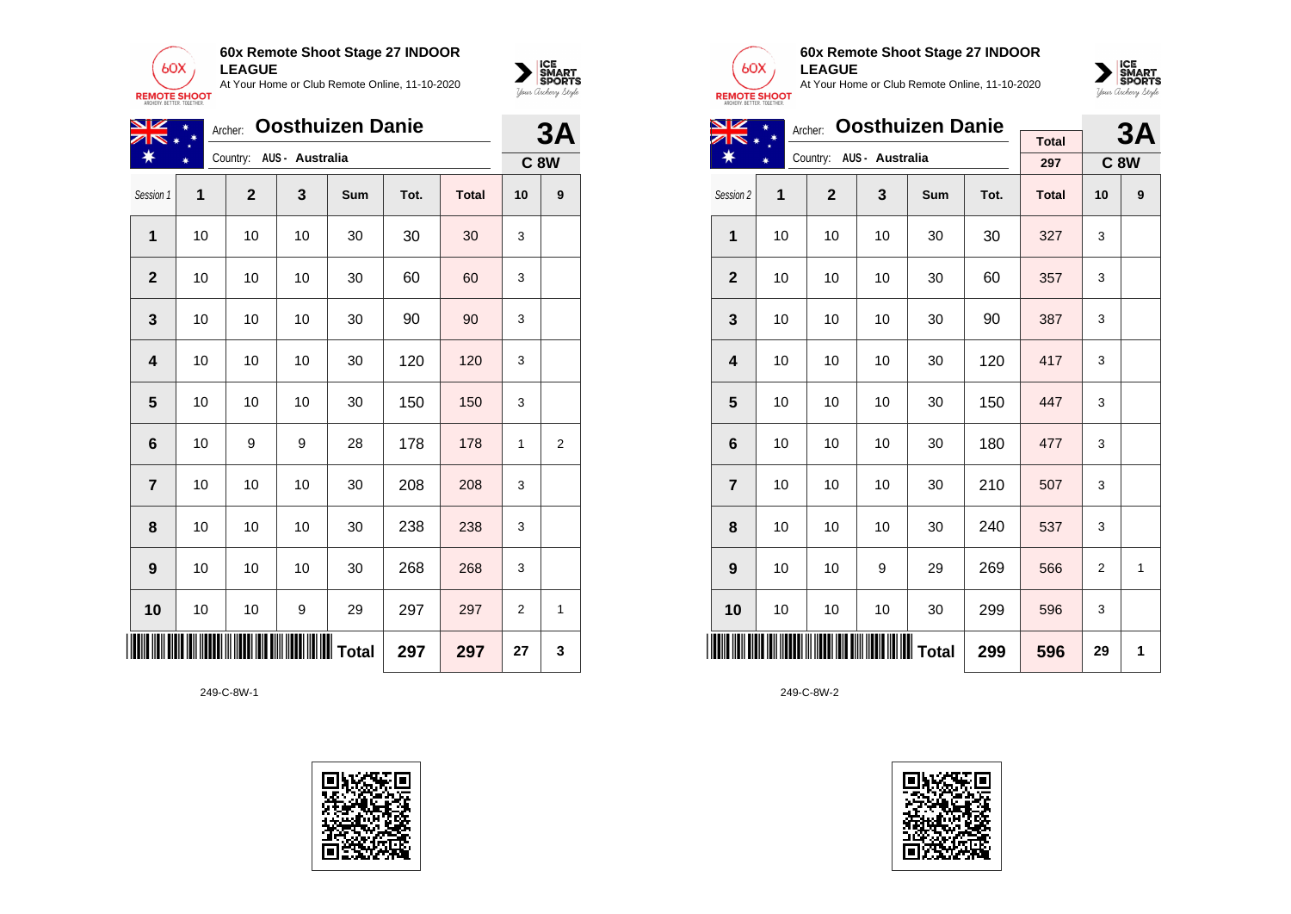



| NZ                      |    | Archer:      |                          | <b>Oosthuizen Danie</b> |      |              |             | 3A |
|-------------------------|----|--------------|--------------------------|-------------------------|------|--------------|-------------|----|
| ₩                       |    |              | Country: AUS - Australia |                         |      |              | <b>C 8W</b> |    |
| Session 1               | 1  | $\mathbf{2}$ | 3                        | Sum                     | Tot. | <b>Total</b> | 10          | 9  |
| 1                       | 10 | 10           | 10                       | 30                      | 30   | 30           | 3           |    |
| $\overline{2}$          | 10 | 10           | 10                       | 30                      | 60   | 60           | 3           |    |
| 3                       | 10 | 10           | 10                       | 30                      | 90   | 90           | 3           |    |
| 4                       | 10 | 10           | 10                       | 30                      | 120  | 120          | 3           |    |
| 5                       | 10 | 10           | 10                       | 30                      | 150  | 150          | 3           |    |
| 6                       | 10 | 9            | 9                        | 28                      | 178  | 178          | 1           | 2  |
| $\overline{\mathbf{r}}$ | 10 | 10           | 10                       | 30                      | 208  | 208          | 3           |    |
| 8                       | 10 | 10           | 10                       | 30                      | 238  | 238          | 3           |    |
| $\boldsymbol{9}$        | 10 | 10           | 10                       | 30                      | 268  | 268          | 3           |    |
| 10                      | 10 | 10           | 9                        | 29                      | 297  | 297          | 2           | 1  |
|                         |    |              |                          |                         | 297  | 297          | 27          | 3  |





## **60x Remote Shoot Stage 27 INDOOR LEAGUE**

At Your Home or Club Remote Online, 11-10-2020



| <b>NZ</b>      |    |              | 3A              |     |      |              |            |   |
|----------------|----|--------------|-----------------|-----|------|--------------|------------|---|
|                |    | Archer:      |                 |     |      | <b>Total</b> |            |   |
|                |    | Country:     | AUS - Australia |     |      | 297          | <b>C8W</b> |   |
| Session 2      | 1  | $\mathbf{2}$ | 3               | Sum | Tot. | <b>Total</b> | 10         | 9 |
| 1              | 10 | 10           | 10              | 30  | 30   | 327          | 3          |   |
| $\mathbf{2}$   | 10 | 10           | 10              | 30  | 60   | 357          | 3          |   |
| 3              | 10 | 10           | 10              | 30  | 90   | 387          | 3          |   |
| 4              | 10 | 10           | 10              | 30  | 120  | 417          | 3          |   |
| 5              | 10 | 10           | 10              | 30  | 150  | 447          | 3          |   |
| 6              | 10 | 10           | 10              | 30  | 180  | 477          | 3          |   |
| $\overline{7}$ | 10 | 10           | 10              | 30  | 210  | 507          | 3          |   |
| 8              | 10 | 10           | 10              | 30  | 240  | 537          | 3          |   |
| 9              | 10 | 10           | 9               | 29  | 269  | 566          | 2          | 1 |
| 10             | 10 | 10           | 10              | 30  | 299  | 596          | 3          |   |
|                |    |              |                 |     | 299  | 596          | 29         | 1 |

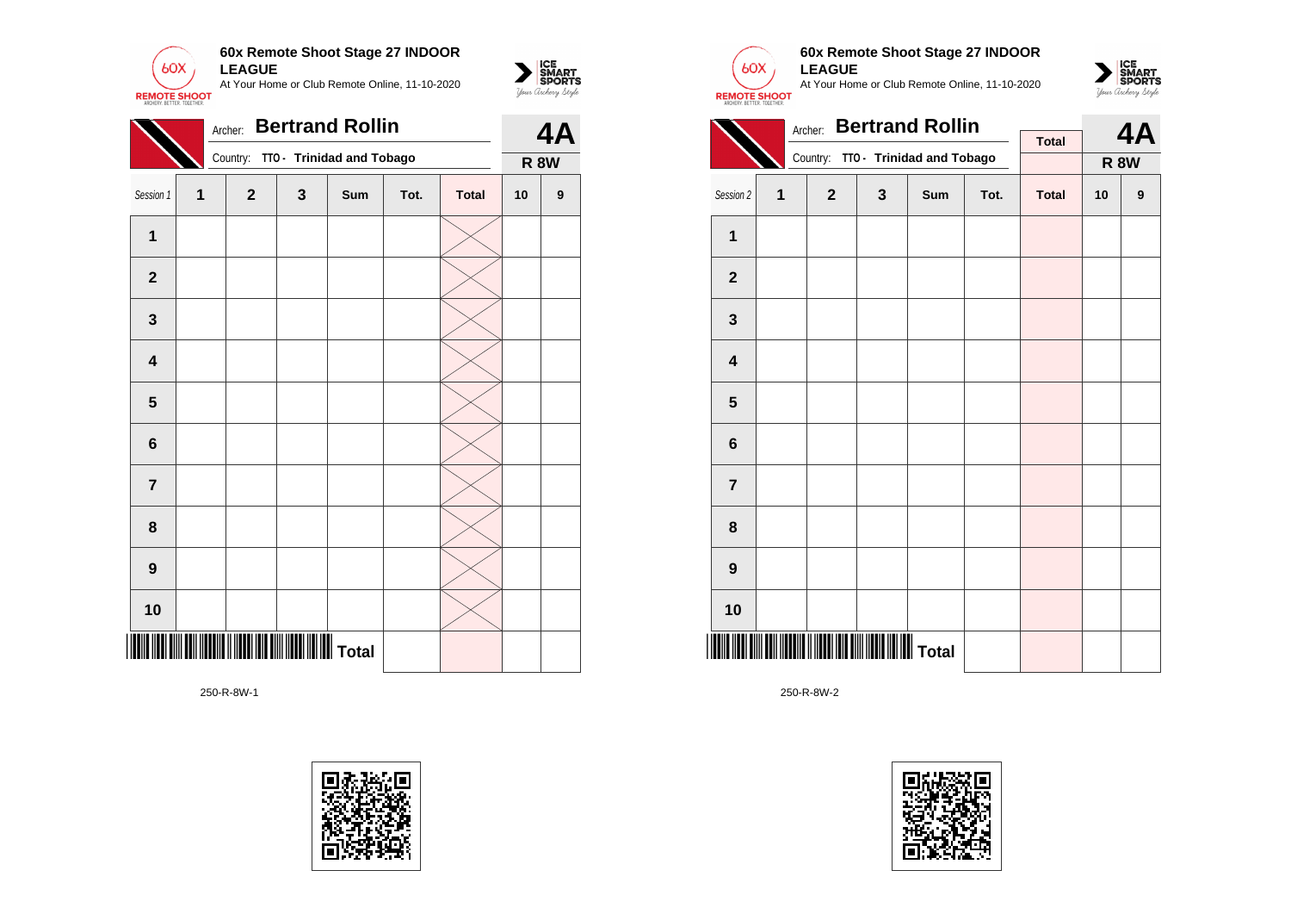

|                | <b>Bertrand Rollin</b><br>Archer: |              |              |                           |      |              |             |                  |
|----------------|-----------------------------------|--------------|--------------|---------------------------|------|--------------|-------------|------------------|
|                |                                   | Country:     |              | TTO - Trinidad and Tobago |      |              | <b>R 8W</b> |                  |
| Session 1      | 1                                 | $\mathbf{2}$ | $\mathbf{3}$ | Sum                       | Tot. | <b>Total</b> | 10          | $\boldsymbol{9}$ |
| $\mathbf{1}$   |                                   |              |              |                           |      |              |             |                  |
| $\mathbf{2}$   |                                   |              |              |                           |      |              |             |                  |
| 3              |                                   |              |              |                           |      |              |             |                  |
| 4              |                                   |              |              |                           |      |              |             |                  |
| 5              |                                   |              |              |                           |      |              |             |                  |
| 6              |                                   |              |              |                           |      |              |             |                  |
| $\overline{7}$ |                                   |              |              |                           |      |              |             |                  |
| 8              |                                   |              |              |                           |      |              |             |                  |
| 9              |                                   |              |              |                           |      |              |             |                  |
| 10             |                                   |              |              |                           |      |              |             |                  |
|                |                                   |              |              |                           |      |              |             |                  |

250-R-8W-1





 $\sum_{\text{M} \subseteq \text{S$ **PORTS** 

## **60x Remote Shoot Stage 27 INDOOR LEAGUE**

At Your Home or Club Remote Online, 11-10-2020



|                         |   | 4Α           |   |                                    |      |              |    |                  |  |
|-------------------------|---|--------------|---|------------------------------------|------|--------------|----|------------------|--|
|                         |   | Archer:      |   | <b>Bertrand Rollin</b>             |      | <b>Total</b> |    |                  |  |
|                         |   |              |   | Country: TTO - Trinidad and Tobago |      |              |    | <b>R 8W</b>      |  |
| Session 2               | 1 | $\mathbf{2}$ | 3 | Sum                                | Tot. | <b>Total</b> | 10 | $\boldsymbol{9}$ |  |
| $\overline{1}$          |   |              |   |                                    |      |              |    |                  |  |
| $\mathbf 2$             |   |              |   |                                    |      |              |    |                  |  |
| $\mathbf{3}$            |   |              |   |                                    |      |              |    |                  |  |
| $\overline{\mathbf{4}}$ |   |              |   |                                    |      |              |    |                  |  |
| 5                       |   |              |   |                                    |      |              |    |                  |  |
| 6                       |   |              |   |                                    |      |              |    |                  |  |
| $\overline{7}$          |   |              |   |                                    |      |              |    |                  |  |
| 8                       |   |              |   |                                    |      |              |    |                  |  |
| $\boldsymbol{9}$        |   |              |   |                                    |      |              |    |                  |  |
| 10                      |   |              |   |                                    |      |              |    |                  |  |
|                         |   |              |   |                                    |      |              |    |                  |  |

250-R-8W-2

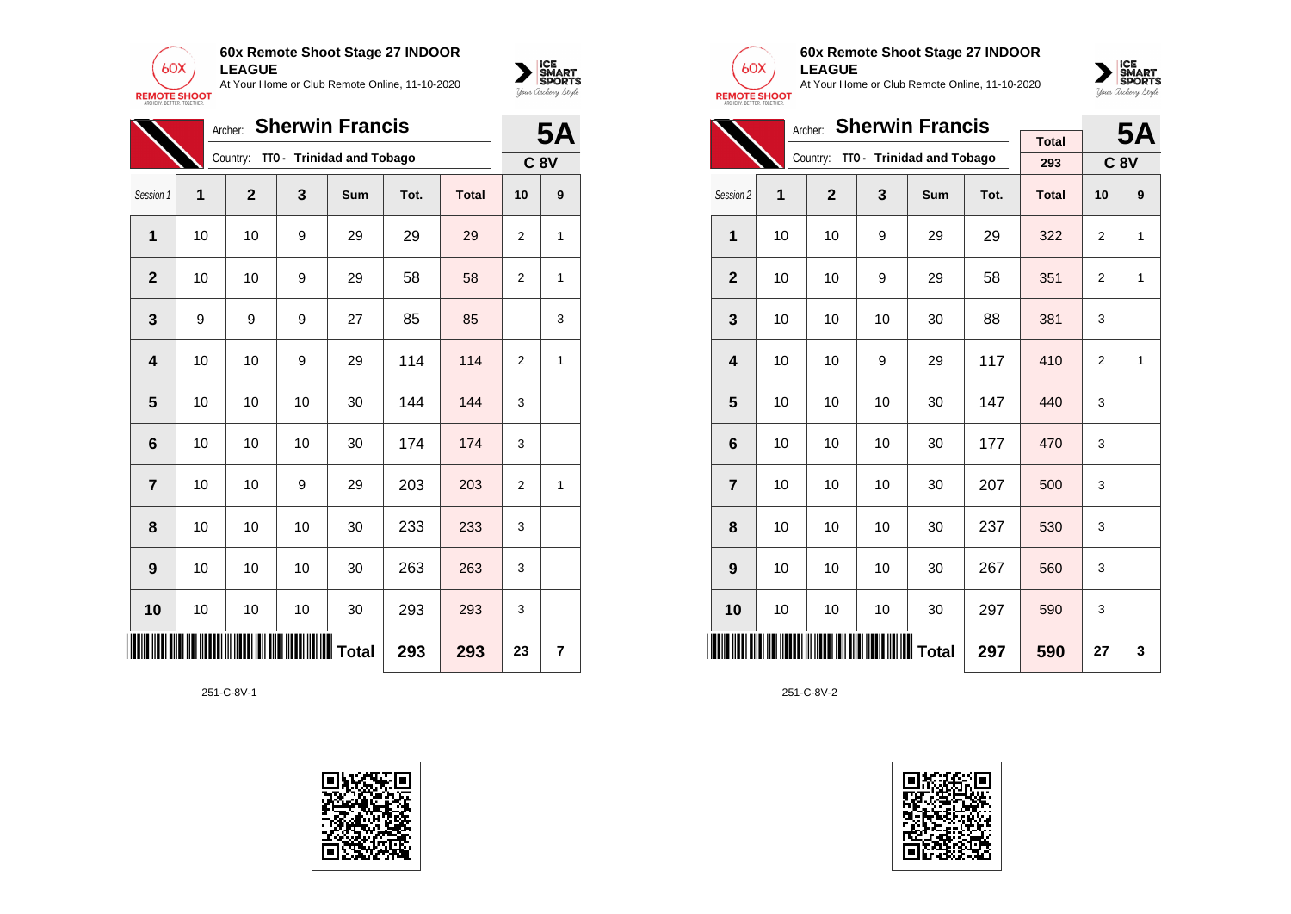



|                |    | Archer:      |     | <b>Sherwin Francis</b>    |      |              |                | <b>5A</b> |
|----------------|----|--------------|-----|---------------------------|------|--------------|----------------|-----------|
|                |    | Country:     |     | TTO - Trinidad and Tobago |      |              | <b>C 8V</b>    |           |
| Session 1      | 1  | $\mathbf{2}$ | 3   | Sum                       | Tot. | <b>Total</b> | 10             | 9         |
| $\mathbf 1$    | 10 | 10           | 9   | 29                        | 29   | 29           | 2              | 1         |
| $\mathbf{2}$   | 10 | 10           | 9   | 29                        | 58   | 58           | $\overline{2}$ | 1         |
| 3              | 9  | 9            | 9   | 27                        | 85   | 85           |                | 3         |
| 4              | 10 | 10           | 9   | 29                        | 114  | 114          | $\overline{2}$ | 1         |
| 5              | 10 | 10           | 10  | 30                        | 144  | 144          | 3              |           |
| 6              | 10 | 10           | 10  | 30                        | 174  | 174          | 3              |           |
| $\overline{7}$ | 10 | 10           | 9   | 29                        | 203  | 203          | $\overline{2}$ | 1         |
| 8              | 10 | 10           | 10  | 30                        | 233  | 233          | 3              |           |
| 9              | 10 | 10           | 10  | 30                        | 263  | 263          | 3              |           |
| 10             | 10 | 10           | 10  | 30                        | 293  | 293          | 3              |           |
| ║              |    |              | 293 | 293                       | 23   | 7            |                |           |





# **60x Remote Shoot Stage 27 INDOOR LEAGUE**

At Your Home or Club Remote Online, 11-10-2020



|                         |    | <b>5A</b>      |    |                                    |      |              |                |   |
|-------------------------|----|----------------|----|------------------------------------|------|--------------|----------------|---|
|                         |    |                |    | Country: TTO - Trinidad and Tobago |      | <b>Total</b> |                |   |
|                         |    |                |    |                                    |      | 293          | <b>C 8V</b>    |   |
| Session 2               | 1  | $\overline{2}$ | 3  | Sum                                | Tot. | <b>Total</b> | 10             | 9 |
| 1                       | 10 | 10             | 9  | 29                                 | 29   | 322          | 2              | 1 |
| $\mathbf{2}$            | 10 | 10             | 9  | 29                                 | 58   | 351          | $\overline{2}$ | 1 |
| 3                       | 10 | 10             | 10 | 30                                 | 88   | 381          | 3              |   |
| $\overline{\mathbf{4}}$ | 10 | 10             | 9  | 29                                 | 117  | 410          | 2              | 1 |
| 5                       | 10 | 10             | 10 | 30                                 | 147  | 440          | 3              |   |
| 6                       | 10 | 10             | 10 | 30                                 | 177  | 470          | 3              |   |
| $\overline{7}$          | 10 | 10             | 10 | 30                                 | 207  | 500          | 3              |   |
| 8                       | 10 | 10             | 10 | 30                                 | 237  | 530          | 3              |   |
| 9                       | 10 | 10             | 10 | 30                                 | 267  | 560          | 3              |   |
| 10                      | 10 | 10             | 10 | 30                                 | 297  | 590          | 3              |   |
|                         |    | 590            | 27 | 3                                  |      |              |                |   |

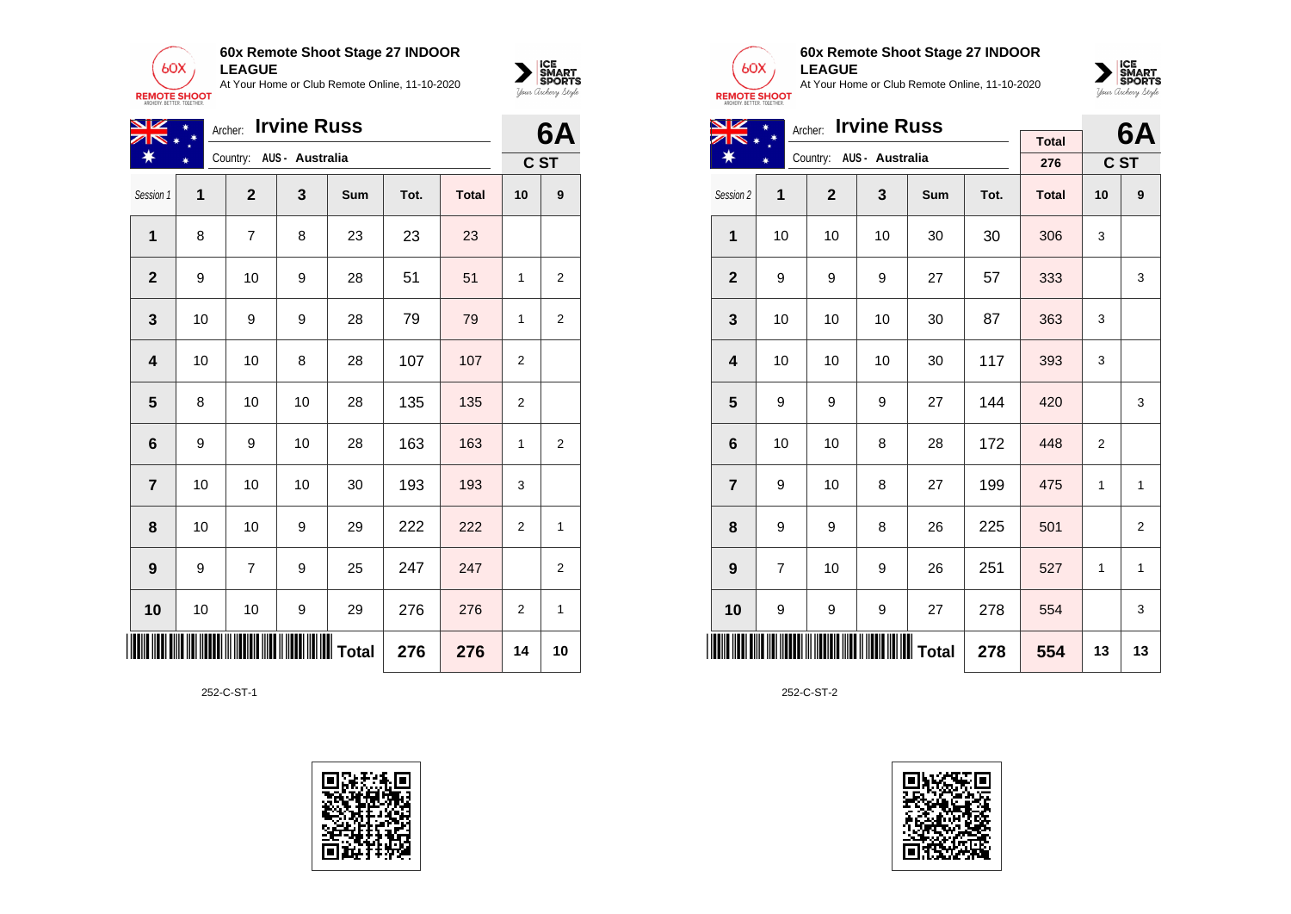

| VZ<br>$\overline{\mathbf{z}}$ | <b>Irvine Russ</b><br>Archer: |              |                          |     |      |              |                |                |  |
|-------------------------------|-------------------------------|--------------|--------------------------|-----|------|--------------|----------------|----------------|--|
| ∗                             |                               |              | Country: AUS - Australia |     |      |              |                | C ST           |  |
| Session 1                     | 1                             | $\mathbf{2}$ | 3                        | Sum | Tot. | <b>Total</b> | 10             | 9              |  |
| 1                             | 8                             | 7            | 8                        | 23  | 23   | 23           |                |                |  |
| $\mathbf 2$                   | 9                             | 10           | 9                        | 28  | 51   | 51           | 1              | $\overline{2}$ |  |
| 3                             | 10                            | 9            | 9                        | 28  | 79   | 79           | 1              | $\overline{2}$ |  |
| 4                             | 10                            | 10           | 8                        | 28  | 107  | 107          | $\overline{2}$ |                |  |
| 5                             | 8                             | 10           | 10                       | 28  | 135  | 135          | 2              |                |  |
| $6\phantom{1}6$               | 9                             | 9            | 10                       | 28  | 163  | 163          | 1              | $\overline{2}$ |  |
| $\overline{7}$                | 10                            | 10           | 10                       | 30  | 193  | 193          | 3              |                |  |
| 8                             | 10                            | 10           | 9                        | 29  | 222  | 222          | $\overline{2}$ | 1              |  |
| 9                             | 9                             | 7            | 9                        | 25  | 247  | 247          |                | 2              |  |
| 10                            | 10                            | 10           | 9                        | 29  | 276  | 276          | $\overline{2}$ | 1              |  |
| III III                       |                               |              |                          |     | 276  | 276          | 14             | 10             |  |

252-C-ST-1





 $\sum_{\text{M} \subseteq \text{S$ **PORTS** 

### **60x Remote Shoot Stage 27 INDOOR LEAGUE**

At Your Home or Club Remote Online, 11-10-2020



| NZ                      |                | Archer: Irvine Russ |                          |            |      | 6A           |                |              |
|-------------------------|----------------|---------------------|--------------------------|------------|------|--------------|----------------|--------------|
|                         |                |                     |                          |            |      | <b>Total</b> |                |              |
| ☀                       |                |                     | Country: AUS - Australia |            |      | 276          |                | C ST         |
| Session 2               | $\mathbf{1}$   | $\mathbf{2}$        | 3                        | <b>Sum</b> | Tot. | <b>Total</b> | 10             | 9            |
| $\mathbf{1}$            | 10             | 10                  | 10                       | 30         | 30   | 306          | 3              |              |
| $\overline{2}$          | 9              | 9                   | 9                        | 27         | 57   | 333          |                | 3            |
| 3                       | 10             | 10                  | 10                       | 30         | 87   | 363          | 3              |              |
| $\overline{\mathbf{4}}$ | 10             | 10                  | 10                       | 30         | 117  | 393          | 3              |              |
| 5                       | 9              | 9                   | 9                        | 27         | 144  | 420          |                | 3            |
| 6                       | 10             | 10                  | 8                        | 28         | 172  | 448          | $\overline{2}$ |              |
| $\overline{7}$          | 9              | 10                  | 8                        | 27         | 199  | 475          | $\mathbf{1}$   | $\mathbf{1}$ |
| 8                       | 9              | 9                   | 8                        | 26         | 225  | 501          |                | 2            |
| 9                       | $\overline{7}$ | 10                  | 9                        | 26         | 251  | 527          | 1              | $\mathbf{1}$ |
| 10                      | 9              | 9                   | 9                        | 27         | 278  | 554          |                | 3            |
|                         |                |                     | 278                      | 554        | 13   | 13           |                |              |

252-C-ST-2

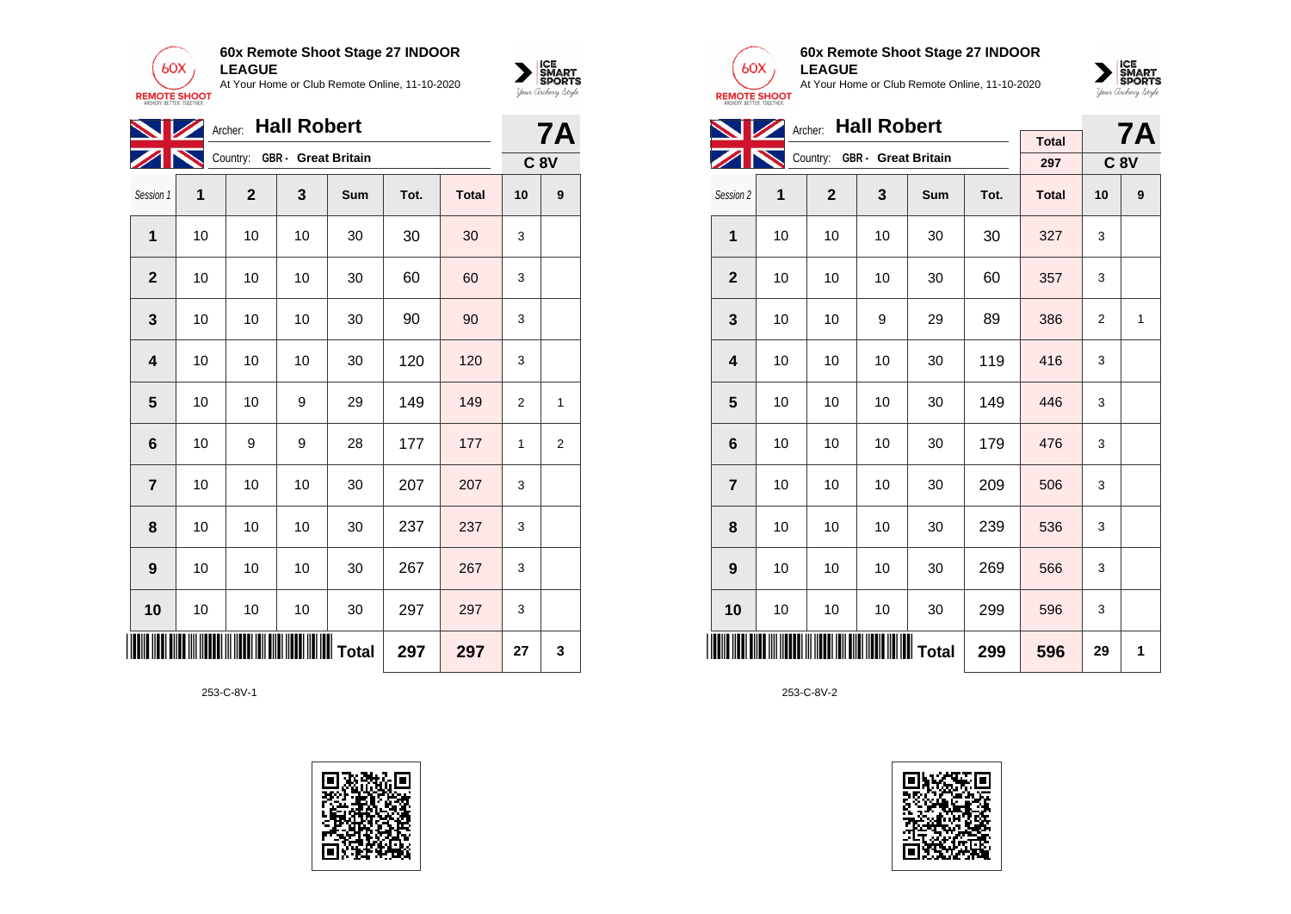

|              | Archer Hall Robert<br><b>NZ</b> |              |                              |     |      |              |                |   |  |
|--------------|---------------------------------|--------------|------------------------------|-----|------|--------------|----------------|---|--|
|              |                                 |              | Country: GBR - Great Britain |     |      |              | <b>C 8V</b>    |   |  |
| Session 1    | 1                               | $\mathbf{2}$ | 3                            | Sum | Tot. | <b>Total</b> | 10             | 9 |  |
| 1            | 10                              | 10           | 10                           | 30  | 30   | 30           | 3              |   |  |
| $\mathbf 2$  | 10                              | 10           | 10                           | 30  | 60   | 60           | 3              |   |  |
| 3            | 10                              | 10           | 10                           | 30  | 90   | 90           | 3              |   |  |
| 4            | 10                              | 10           | 10                           | 30  | 120  | 120          | 3              |   |  |
| 5            | 10                              | 10           | 9                            | 29  | 149  | 149          | $\overline{2}$ | 1 |  |
| 6            | 10                              | 9            | 9                            | 28  | 177  | 177          | 1              | 2 |  |
| 7            | 10                              | 10           | 10                           | 30  | 207  | 207          | 3              |   |  |
| 8            | 10                              | 10           | 10                           | 30  | 237  | 237          | 3              |   |  |
| 9            | 10                              | 10           | 10                           | 30  | 267  | 267          | 3              |   |  |
| 10           | 10                              | 10           | 10                           | 30  | 297  | 297          | 3              |   |  |
| <b>IIIII</b> |                                 |              |                              |     | 297  | 297          | 27             | 3 |  |





 $\sum_{\text{M} \subseteq \text{S$ **PORTS** 

### **60x Remote Shoot Stage 27 INDOOR LEAGUE**

At Your Home or Club Remote Online, 11-10-2020



|                         |    | Archer: Hall Robert |                              |     |      | <b>7A</b>    |    |             |
|-------------------------|----|---------------------|------------------------------|-----|------|--------------|----|-------------|
|                         |    |                     | Country: GBR - Great Britain |     |      | <b>Total</b> |    |             |
|                         |    |                     |                              |     |      | 297          |    | <b>C 8V</b> |
| Session 2               | 1  | $\mathbf{2}$        | 3                            | Sum | Tot. | <b>Total</b> | 10 | 9           |
| 1                       | 10 | 10                  | 10                           | 30  | 30   | 327          | 3  |             |
| $\mathbf{2}$            | 10 | 10                  | 10                           | 30  | 60   | 357          | 3  |             |
| 3                       | 10 | 10                  | 9                            | 29  | 89   | 386          | 2  | 1           |
| $\overline{\mathbf{4}}$ | 10 | 10                  | 10                           | 30  | 119  | 416          | 3  |             |
| 5                       | 10 | 10                  | 10                           | 30  | 149  | 446          | 3  |             |
| 6                       | 10 | 10                  | 10                           | 30  | 179  | 476          | 3  |             |
| $\overline{7}$          | 10 | 10                  | 10                           | 30  | 209  | 506          | 3  |             |
| 8                       | 10 | 10                  | 10                           | 30  | 239  | 536          | 3  |             |
| 9                       | 10 | 10                  | 10                           | 30  | 269  | 566          | 3  |             |
| 10                      | 10 | 10                  | 10                           | 30  | 299  | 596          | 3  |             |
|                         |    |                     |                              |     | 299  | 596          | 29 | 1           |

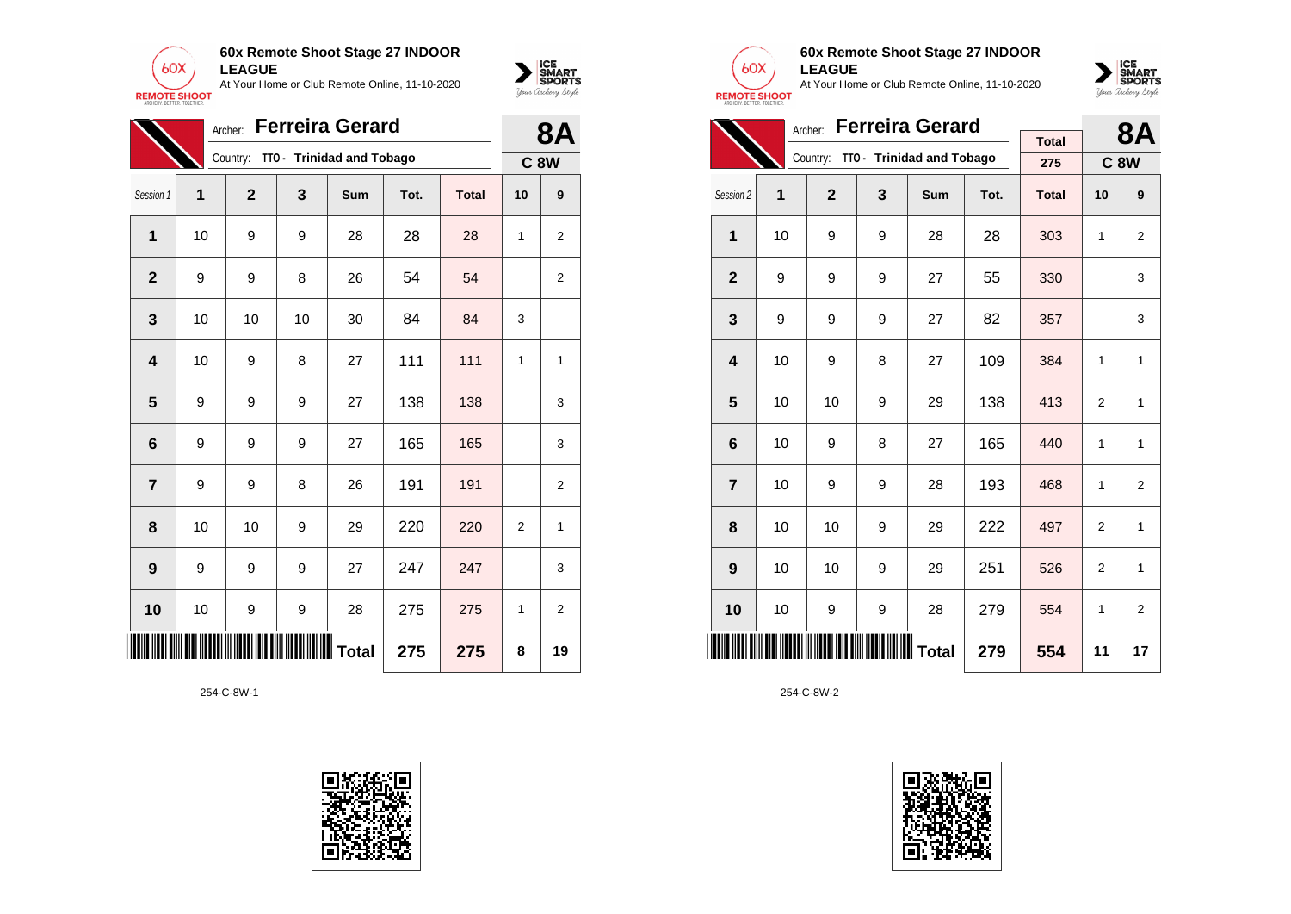

|                         | <b>Ferreira Gerard</b><br>Archer: |              |    |                                    |      |              |                |                |  |
|-------------------------|-----------------------------------|--------------|----|------------------------------------|------|--------------|----------------|----------------|--|
|                         |                                   |              |    | Country: TTO - Trinidad and Tobago |      |              |                | <b>C 8W</b>    |  |
| Session 1               | 1                                 | $\mathbf{2}$ | 3  | Sum                                | Tot. | <b>Total</b> | 10             | 9              |  |
| 1                       | 10                                | 9            | 9  | 28                                 | 28   | 28           | 1              | $\overline{2}$ |  |
| $\mathbf{2}$            | 9                                 | 9            | 8  | 26                                 | 54   | 54           |                | $\overline{2}$ |  |
| 3                       | 10                                | 10           | 10 | 30                                 | 84   | 84           | 3              |                |  |
| $\overline{\mathbf{4}}$ | 10                                | 9            | 8  | 27                                 | 111  | 111          | 1              | 1              |  |
| 5                       | 9                                 | 9            | 9  | 27                                 | 138  | 138          |                | 3              |  |
| 6                       | 9                                 | 9            | 9  | 27                                 | 165  | 165          |                | 3              |  |
| $\overline{7}$          | 9                                 | 9            | 8  | 26                                 | 191  | 191          |                | $\overline{2}$ |  |
| 8                       | 10                                | 10           | 9  | 29                                 | 220  | 220          | $\overline{2}$ | 1              |  |
| 9                       | 9                                 | 9            | 9  | 27                                 | 247  | 247          |                | 3              |  |
| 10                      | 10                                | 9            | 9  | 28                                 | 275  | 275          | 1              | 2              |  |
|                         |                                   |              |    | <b>Total</b>                       | 275  | 275          | 8              | 19             |  |





 $\sum_{\text{Vour }\text{Cuchy }\text{Sty} \text{over}}\left|\underset{\text{SPORTS}}{\text{SIMART}}\right|$ 

## **60x Remote Shoot Stage 27 INDOOR LEAGUE**

At Your Home or Club Remote Online, 11-10-2020



|                         |    | 8Α           |   |                                    |      |              |                |                |
|-------------------------|----|--------------|---|------------------------------------|------|--------------|----------------|----------------|
|                         |    |              |   |                                    |      | <b>Total</b> |                |                |
|                         |    |              |   | Country: TTO - Trinidad and Tobago |      | 275          |                | <b>C8W</b>     |
| Session 2               | 1  | $\mathbf{2}$ | 3 | Sum                                | Tot. | <b>Total</b> | 10             | 9              |
| $\mathbf{1}$            | 10 | 9            | 9 | 28                                 | 28   | 303          | 1              | $\overline{2}$ |
| $\mathbf{2}$            | 9  | 9            | 9 | 27                                 | 55   | 330          |                | 3              |
| 3                       | 9  | 9            | 9 | 27                                 | 82   | 357          |                | 3              |
| $\overline{\mathbf{4}}$ | 10 | 9            | 8 | 27                                 | 109  | 384          | 1              | 1              |
| 5                       | 10 | 10           | 9 | 29                                 | 138  | 413          | $\overline{2}$ | 1              |
| 6                       | 10 | 9            | 8 | 27                                 | 165  | 440          | 1              | 1              |
| $\overline{7}$          | 10 | 9            | 9 | 28                                 | 193  | 468          | $\mathbf{1}$   | $\overline{2}$ |
| 8                       | 10 | 10           | 9 | 29                                 | 222  | 497          | $\overline{2}$ | $\mathbf{1}$   |
| 9                       | 10 | 10           | 9 | 29                                 | 251  | 526          | 2              | 1              |
| 10                      | 10 | 9            | 9 | 28                                 | 279  | 554          | 1              | $\overline{2}$ |
|                         |    |              |   |                                    | 279  | 554          | 11             | 17             |

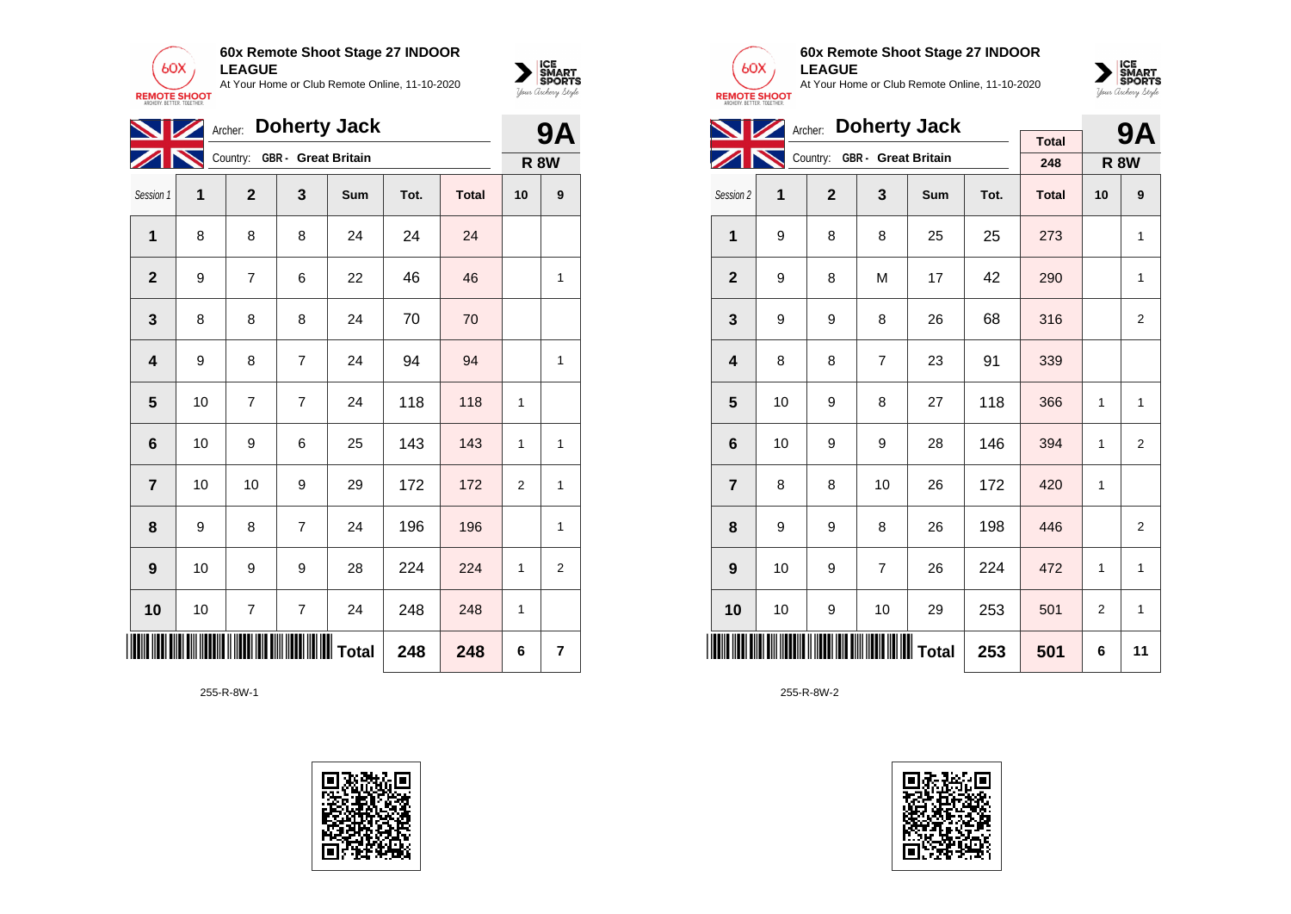

|                         | Archer: Doherty Jack<br><b>WZ</b> |                |                              |            |      |              |                |   |  |
|-------------------------|-----------------------------------|----------------|------------------------------|------------|------|--------------|----------------|---|--|
|                         |                                   |                | Country: GBR - Great Britain |            |      |              | <b>R 8W</b>    |   |  |
| Session 1               | 1                                 | $\overline{2}$ | 3                            | <b>Sum</b> | Tot. | <b>Total</b> | 10             | 9 |  |
| 1                       | 8                                 | 8              | 8                            | 24         | 24   | 24           |                |   |  |
| $\mathbf 2$             | 9                                 | 7              | 6                            | 22         | 46   | 46           |                | 1 |  |
| 3                       | 8                                 | 8              | 8                            | 24         | 70   | 70           |                |   |  |
| $\overline{\mathbf{4}}$ | 9                                 | 8              | $\overline{7}$               | 24         | 94   | 94           |                | 1 |  |
| 5                       | 10                                | 7              | 7                            | 24         | 118  | 118          | 1              |   |  |
| $\bf 6$                 | 10                                | 9              | 6                            | 25         | 143  | 143          | 1              | 1 |  |
| $\overline{\mathbf{r}}$ | 10                                | 10             | 9                            | 29         | 172  | 172          | $\overline{2}$ | 1 |  |
| 8                       | 9                                 | 8              | 7                            | 24         | 196  | 196          |                | 1 |  |
| 9                       | 10                                | 9              | 9                            | 28         | 224  | 224          | 1              | 2 |  |
| 10                      | 10                                | 7              | 7                            | 24         | 248  | 248          | 1              |   |  |
| ║║║║                    |                                   |                |                              |            | 248  | 248          | 6              | 7 |  |

255-R-8W-1





 $\sum_{\text{M} \subseteq \text{S$ **PORTS** 

#### **60x Remote Shoot Stage 27 INDOOR LEAGUE**

At Your Home or Club Remote Online, 11-10-2020



|                         |    | Archer: Doherty Jack |                              |     |      | 9Α           |                |                |
|-------------------------|----|----------------------|------------------------------|-----|------|--------------|----------------|----------------|
|                         |    |                      |                              |     |      | <b>Total</b> |                |                |
|                         |    |                      | Country: GBR - Great Britain |     |      | 248          |                | <b>R 8W</b>    |
| Session 2               | 1  | $\overline{2}$       | 3                            | Sum | Tot. | <b>Total</b> | 10             | 9              |
| 1                       | 9  | 8                    | 8                            | 25  | 25   | 273          |                | 1              |
| $\mathbf{2}$            | 9  | 8                    | M                            | 17  | 42   | 290          |                | 1              |
| 3                       | 9  | 9                    | 8                            | 26  | 68   | 316          |                | 2              |
| $\overline{\mathbf{4}}$ | 8  | 8                    | $\overline{7}$               | 23  | 91   | 339          |                |                |
| 5                       | 10 | 9                    | 8                            | 27  | 118  | 366          | 1              | 1              |
| 6                       | 10 | 9                    | 9                            | 28  | 146  | 394          | 1              | 2              |
| $\overline{7}$          | 8  | 8                    | 10                           | 26  | 172  | 420          | 1              |                |
| 8                       | 9  | 9                    | 8                            | 26  | 198  | 446          |                | $\overline{2}$ |
| 9                       | 10 | 9                    | $\overline{7}$               | 26  | 224  | 472          | 1              | 1              |
| 10                      | 10 | 9                    | 10                           | 29  | 253  | 501          | $\overline{2}$ | $\mathbf{1}$   |
|                         |    |                      |                              |     | 253  | 501          | 6              | 11             |

255-R-8W-2

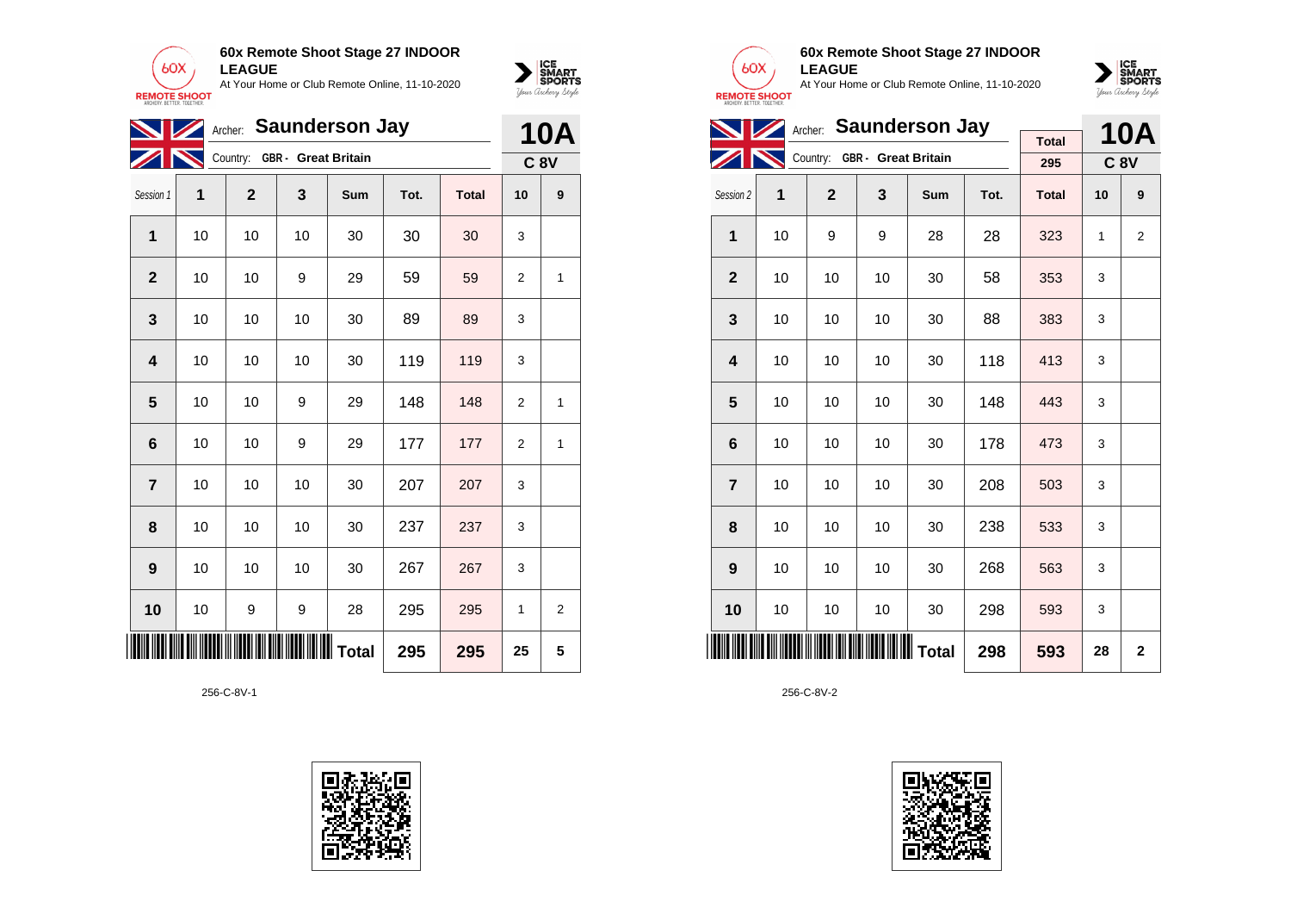



| <b>NZ</b>      |    |              |                              | Archer: Saunderson Jay |      |              |                | <b>10A</b> |
|----------------|----|--------------|------------------------------|------------------------|------|--------------|----------------|------------|
|                |    |              | Country: GBR - Great Britain |                        |      |              |                | <b>C8V</b> |
| Session 1      | 1  | $\mathbf{2}$ | 3                            | Sum                    | Tot. | <b>Total</b> | 10             | 9          |
| 1              | 10 | 10           | 10                           | 30                     | 30   | 30           | 3              |            |
| $\mathbf 2$    | 10 | 10           | 9                            | 29                     | 59   | 59           | 2              | 1          |
| 3              | 10 | 10           | 10                           | 30                     | 89   | 89           | 3              |            |
| 4              | 10 | 10           | 10                           | 30                     | 119  | 119          | 3              |            |
| 5              | 10 | 10           | 9                            | 29                     | 148  | 148          | $\overline{2}$ | 1          |
| 6              | 10 | 10           | 9                            | 29                     | 177  | 177          | $\overline{2}$ | 1          |
| $\overline{7}$ | 10 | 10           | 10                           | 30                     | 207  | 207          | 3              |            |
| 8              | 10 | 10           | 10                           | 30                     | 237  | 237          | 3              |            |
| 9              | 10 | 10           | 10                           | 30                     | 267  | 267          | 3              |            |
| 10             | 10 | 9            | 9                            | 28                     | 295  | 295          | 1              | 2          |
|                |    |              |                              |                        | 295  | 295          | 25             | 5          |





**60x Remote Shoot Stage 27 INDOOR LEAGUE** At Your Home or Club Remote Online, 11-10-2020



|                         |                                      | Archer: Saunderson Jay       |     |     |              | <b>10A</b>   |    |             |
|-------------------------|--------------------------------------|------------------------------|-----|-----|--------------|--------------|----|-------------|
|                         |                                      | Country: GBR - Great Britain |     |     |              | <b>Total</b> |    |             |
|                         |                                      |                              |     |     |              | 295          |    | <b>C 8V</b> |
| Session 2               | 1                                    | $\mathbf{2}$                 | 3   | Sum | Tot.         | <b>Total</b> | 10 | 9           |
| 1                       | 10                                   | 9                            | 9   | 28  | 28           | 323          | 1  | 2           |
| $\mathbf{2}$            | 10                                   | 10                           | 10  | 30  | 58           | 353          | 3  |             |
| 3                       | 10                                   | 10                           | 10  | 30  | 88           | 383          | 3  |             |
| $\overline{\mathbf{4}}$ | 10                                   | 10                           | 10  | 30  | 118          | 413          | 3  |             |
| 5                       | 10                                   | 10                           | 10  | 30  | 148          | 443          | 3  |             |
| 6                       | 10                                   | 10                           | 10  | 30  | 178          | 473          | 3  |             |
| $\overline{7}$          | 10                                   | 10                           | 10  | 30  | 208          | 503          | 3  |             |
| 8                       | 10                                   | 10                           | 10  | 30  | 238          | 533          | 3  |             |
| 9                       | 10                                   | 10                           | 10  | 30  | 268          | 563          | 3  |             |
| 10                      | 10                                   | 10                           | 10  | 30  | 298          | 593          | 3  |             |
|                         | <b>MINIMUM MINIMUM MINIMUM</b> Total | 298                          | 593 | 28  | $\mathbf{2}$ |              |    |             |

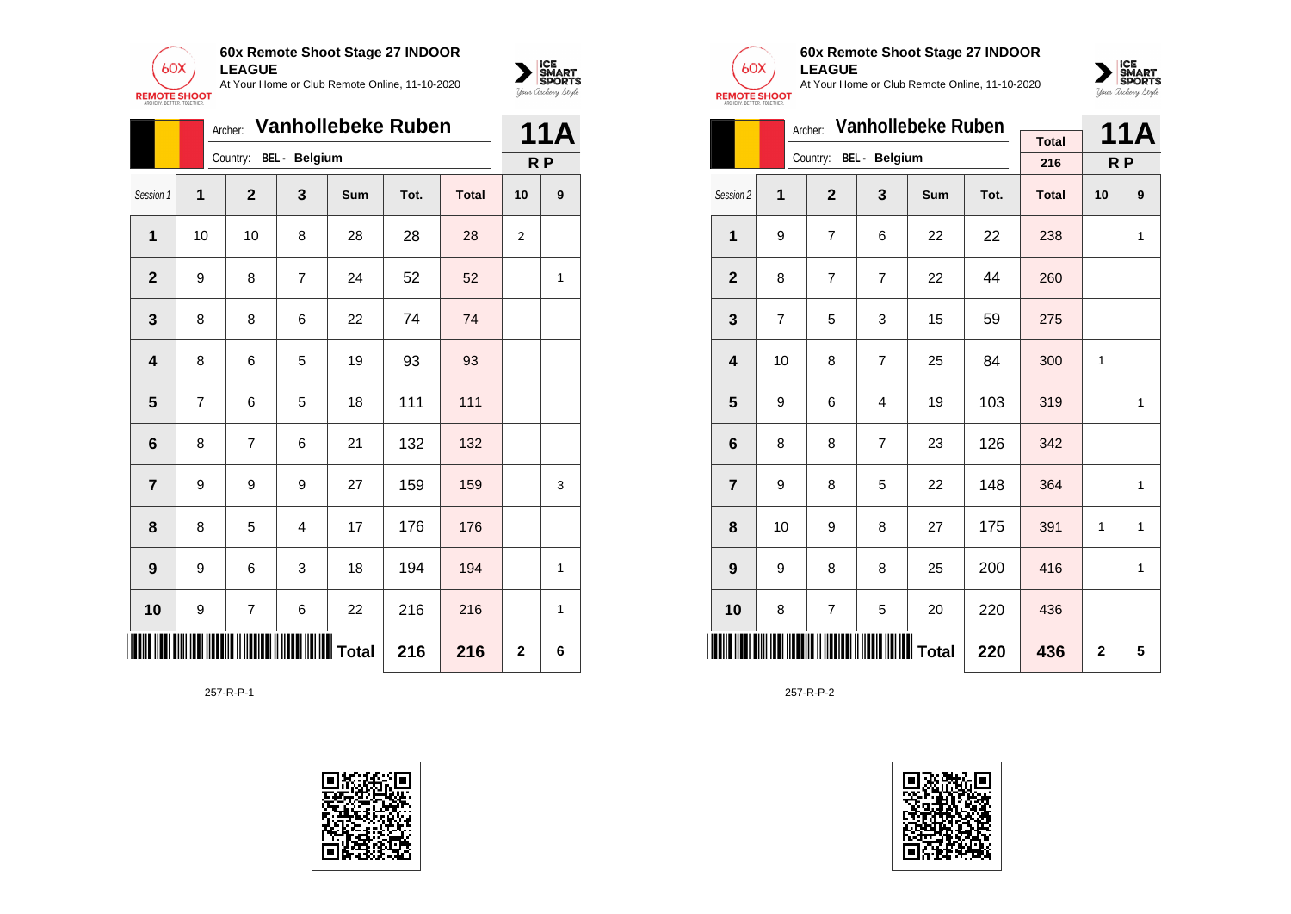

|                         | <b>Vanhollebeke Ruben</b> |                                        | 11A            |     |      |              |    |                                    |
|-------------------------|---------------------------|----------------------------------------|----------------|-----|------|--------------|----|------------------------------------|
| Session 1               | 1                         | Country: BEL - Belgium<br>$\mathbf{2}$ | 3              | Sum | Tot. | <b>Total</b> | 10 | R <sub>P</sub><br>$\boldsymbol{9}$ |
| 1                       | 10                        | 10                                     | 8              | 28  | 28   | 28           | 2  |                                    |
| $\mathbf{2}$            | 9                         | 8                                      | $\overline{7}$ | 24  | 52   | 52           |    | 1                                  |
| 3                       | 8                         | 8                                      | 6              | 22  | 74   | 74           |    |                                    |
| $\overline{\mathbf{4}}$ | 8                         | 6                                      | 5              | 19  | 93   | 93           |    |                                    |
| 5                       | 7                         | 6                                      | 5              | 18  | 111  | 111          |    |                                    |
| $6\phantom{1}6$         | 8                         | 7                                      | 6              | 21  | 132  | 132          |    |                                    |
| $\overline{7}$          | 9                         | 9                                      | 9              | 27  | 159  | 159          |    | 3                                  |
| 8                       | 8                         | 5                                      | $\overline{4}$ | 17  | 176  | 176          |    |                                    |
| 9                       | 9                         | 6                                      | 3              | 18  | 194  | 194          |    | 1                                  |
| 10                      | 9                         | 7                                      | 6              | 22  | 216  | 216          |    | 1                                  |
| 216<br>216              |                           |                                        |                |     |      |              |    | 6                                  |

257-R-P-1





 $\sum_{\text{M} \subseteq \text{S$ **PORTS** 

# **60x Remote Shoot Stage 27 INDOOR LEAGUE**

At Your Home or Club Remote Online, 11-10-2020



|                         |    | Archer:                | <b>Vanhollebeke Ruben</b> |            |                | 11A          |              |              |
|-------------------------|----|------------------------|---------------------------|------------|----------------|--------------|--------------|--------------|
|                         |    | Country: BEL - Belgium |                           |            |                | <b>Total</b> |              |              |
|                         |    |                        |                           |            |                | 216          |              | R P          |
| Session 2               | 1  | $\overline{2}$         | 3                         | <b>Sum</b> | Tot.           | <b>Total</b> | 10           | 9            |
| 1                       | 9  | $\overline{7}$         | 6                         | 22         | 22             | 238          |              | 1            |
| $\overline{2}$          | 8  | $\overline{7}$         | 7                         | 22         | 44             | 260          |              |              |
| 3                       | 7  | 5                      | 3                         | 15         | 59             | 275          |              |              |
| $\overline{\mathbf{4}}$ | 10 | 8                      | $\overline{7}$            | 25         | 84             | 300          | $\mathbf{1}$ |              |
| 5                       | 9  | 6                      | 4                         | 19         | 103            | 319          |              | 1            |
| 6                       | 8  | 8                      | 7                         | 23         | 126            | 342          |              |              |
| $\overline{7}$          | 9  | 8                      | 5                         | 22         | 148            | 364          |              | $\mathbf{1}$ |
| 8                       | 10 | 9                      | 8                         | 27         | 175            | 391          | 1            | 1            |
| 9                       | 9  | 8                      | 8                         | 25         | 200            | 416          |              | $\mathbf{1}$ |
| 10                      | 8  | 7                      | 5                         | 20         | 220            | 436          |              |              |
| IIII                    |    |                        | 220                       | 436        | $\overline{2}$ | 5            |              |              |

257-R-P-2

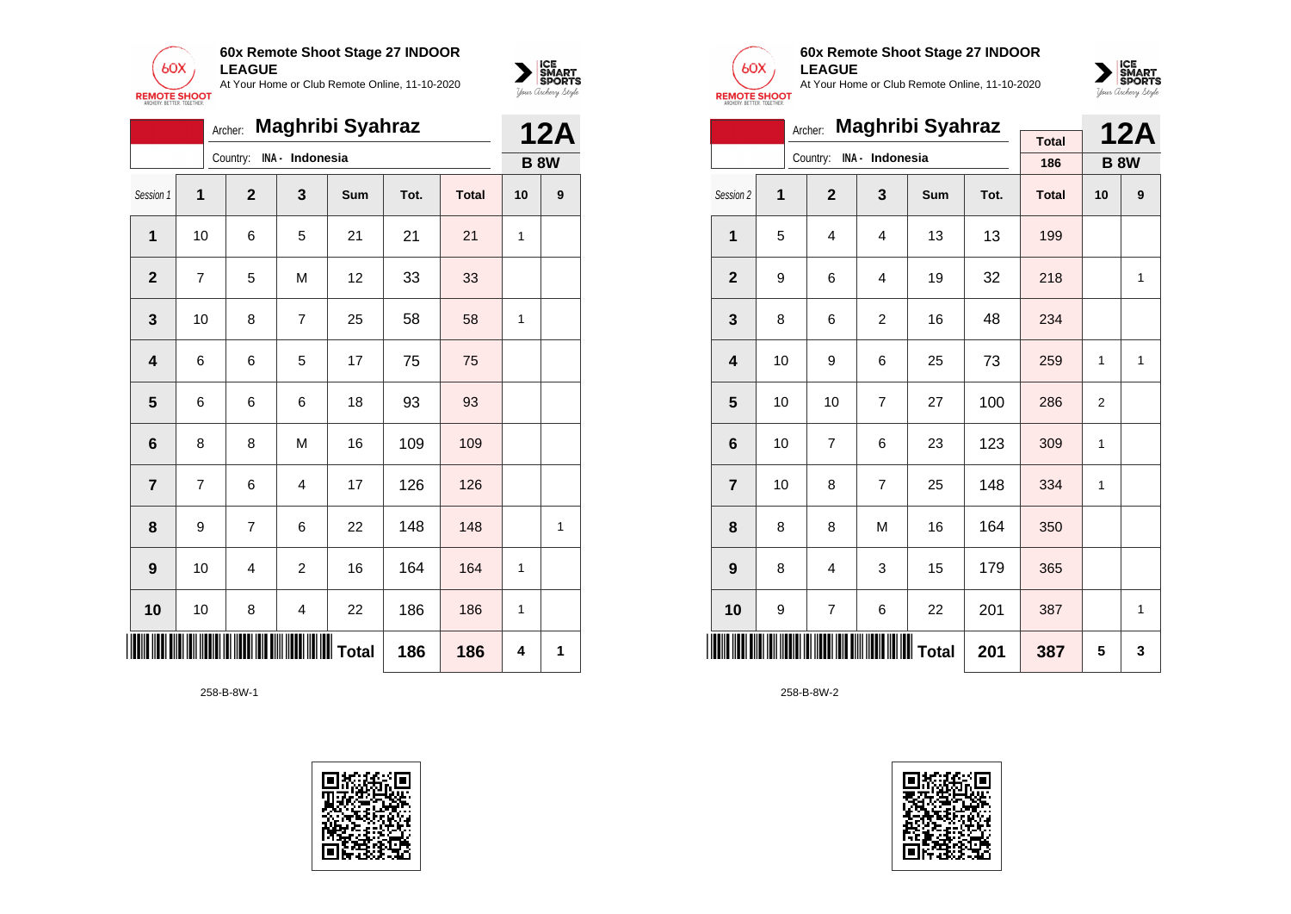



|                |    | Archer:        |                 | <b>Maghribi Syahraz</b> |      |              |    | <b>12A</b>  |
|----------------|----|----------------|-----------------|-------------------------|------|--------------|----|-------------|
|                |    | Country:       | INA - Indonesia |                         |      |              |    | <b>B 8W</b> |
| Session 1      | 1  | $\overline{2}$ | 3               | Sum                     | Tot. | <b>Total</b> | 10 | 9           |
| 1              | 10 | 6              | 5               | 21                      | 21   | 21           | 1  |             |
| $\overline{2}$ | 7  | 5              | M               | 12                      | 33   | 33           |    |             |
| 3              | 10 | 8              | $\overline{7}$  | 25                      | 58   | 58           | 1  |             |
| 4              | 6  | 6              | 5               | 17                      | 75   | 75           |    |             |
| 5              | 6  | 6              | 6               | 18                      | 93   | 93           |    |             |
| 6              | 8  | 8              | M               | 16                      | 109  | 109          |    |             |
| $\overline{7}$ | 7  | 6              | 4               | 17                      | 126  | 126          |    |             |
| 8              | 9  | 7              | 6               | 22                      | 148  | 148          |    | 1           |
| 9              | 10 | 4              | $\overline{c}$  | 16                      | 164  | 164          | 1  |             |
| 10             | 10 | 8              | 4               | 22                      | 186  | 186          | 1  |             |
|                |    |                |                 |                         | 186  | 186          | 4  | 1           |

258-B-8W-1





# **60x Remote Shoot Stage 27 INDOOR LEAGUE**

At Your Home or Club Remote Online, 11-10-2020



|                |    | Archer:        |                 | <b>Maghribi Syahraz</b> |      |              |                | <b>12A</b>  |
|----------------|----|----------------|-----------------|-------------------------|------|--------------|----------------|-------------|
|                |    |                | INA - Indonesia |                         |      | <b>Total</b> |                |             |
|                |    | Country:       |                 |                         |      | 186          |                | <b>B 8W</b> |
| Session 2      | 1  | $\overline{2}$ | 3               | Sum                     | Tot. | <b>Total</b> | 10             | 9           |
| 1              | 5  | $\overline{4}$ | 4               | 13                      | 13   | 199          |                |             |
| $\overline{2}$ | 9  | 6              | 4               | 19                      | 32   | 218          |                | 1           |
| 3              | 8  | 6              | $\overline{c}$  | 16                      | 48   | 234          |                |             |
| 4              | 10 | 9              | 6               | 25                      | 73   | 259          | 1              | 1           |
| 5              | 10 | 10             | $\overline{7}$  | 27                      | 100  | 286          | $\overline{2}$ |             |
| 6              | 10 | $\overline{7}$ | 6               | 23                      | 123  | 309          | 1              |             |
| $\overline{7}$ | 10 | 8              | $\overline{7}$  | 25                      | 148  | 334          | 1              |             |
| 8              | 8  | 8              | M               | 16                      | 164  | 350          |                |             |
| 9              | 8  | $\overline{4}$ | 3               | 15                      | 179  | 365          |                |             |
| 10             | 9  | 7              | 6               | 22                      | 201  | 387          |                | 1           |
|                |    |                |                 |                         | 201  | 387          | 5              | 3           |

258-B-8W-2

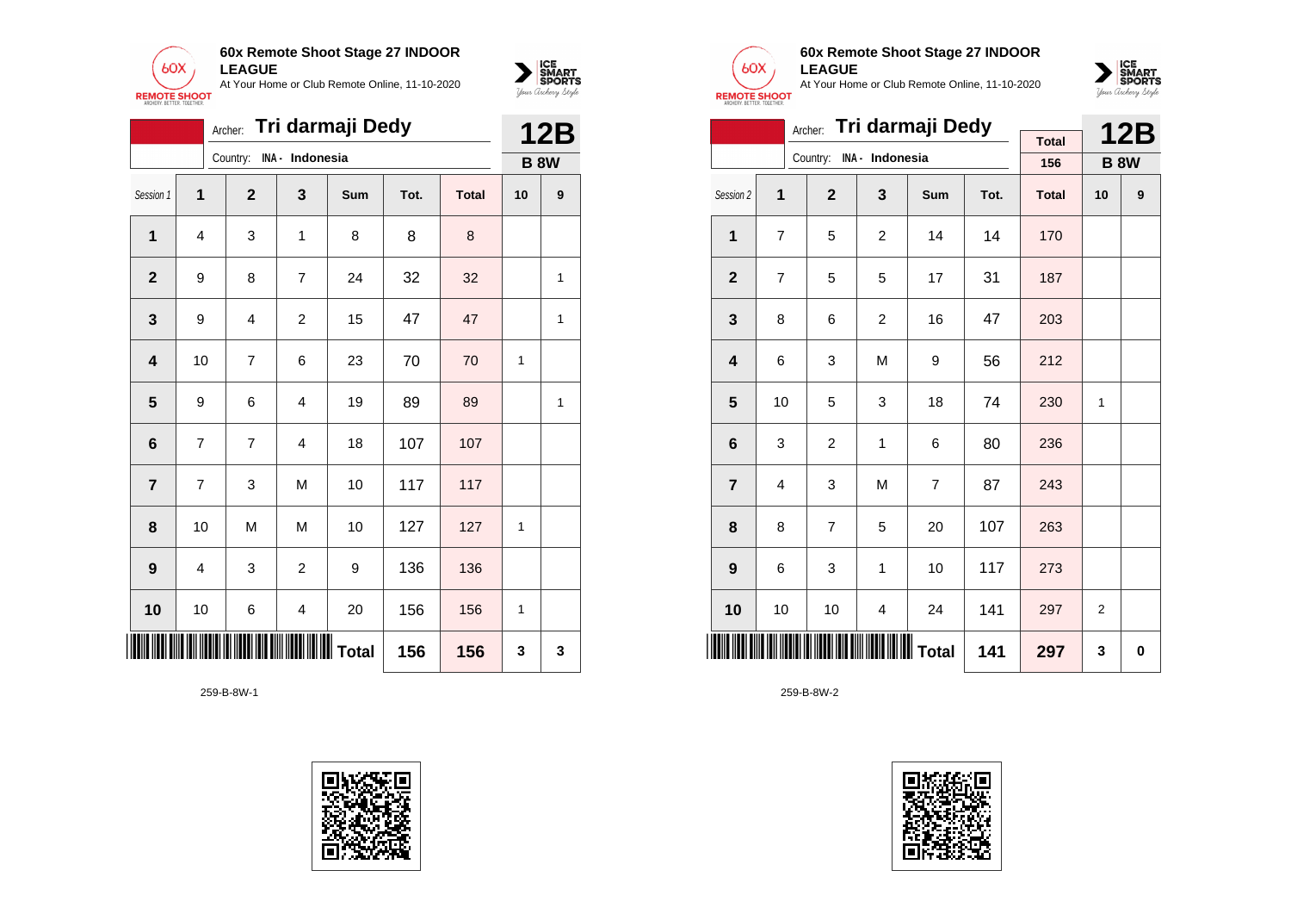



|                         |                |                |                         | Archer: Tri darmaji Dedy |      |              |    | <b>12B</b>  |
|-------------------------|----------------|----------------|-------------------------|--------------------------|------|--------------|----|-------------|
|                         |                | Country:       | INA - Indonesia         |                          |      |              |    | <b>B 8W</b> |
| Session 1               | $\mathbf{1}$   | $\mathbf{2}$   | 3                       | Sum                      | Tot. | <b>Total</b> | 10 | 9           |
| 1                       | 4              | 3              | 1                       | 8                        | 8    | 8            |    |             |
| $\mathbf{2}$            | 9              | 8              | $\overline{7}$          | 24                       | 32   | 32           |    | 1           |
| $\mathbf{3}$            | 9              | 4              | $\overline{c}$          | 15                       | 47   | 47           |    | 1           |
| $\overline{\mathbf{4}}$ | 10             | $\overline{7}$ | 6                       | 23                       | 70   | 70           | 1  |             |
| $5\phantom{1}$          | 9              | 6              | $\overline{4}$          | 19                       | 89   | 89           |    | 1           |
| 6                       | $\overline{7}$ | $\overline{7}$ | $\overline{4}$          | 18                       | 107  | 107          |    |             |
| $\overline{7}$          | 7              | 3              | M                       | 10                       | 117  | 117          |    |             |
| 8                       | 10             | M              | M                       | 10                       | 127  | 127          | 1  |             |
| $\boldsymbol{9}$        | 4              | 3              | $\overline{c}$          | 9                        | 136  | 136          |    |             |
| 10                      | 10             | 6              | $\overline{\mathbf{4}}$ | 20                       | 156  | 156          | 1  |             |
|                         |                |                | 156                     | 156                      | 3    | 3            |    |             |

259-B-8W-1





## **60x Remote Shoot Stage 27 INDOOR LEAGUE**

At Your Home or Club Remote Online, 11-10-2020



|                         |    | Archer:        |                 | Tri darmaji Dedy |      |              |                | <b>12B</b>       |
|-------------------------|----|----------------|-----------------|------------------|------|--------------|----------------|------------------|
|                         |    | Country:       | INA - Indonesia |                  |      | <b>Total</b> |                |                  |
|                         |    |                |                 |                  |      | 156          |                | <b>B 8W</b>      |
| Session 2               | 1  | $\overline{2}$ | 3               | Sum              | Tot. | <b>Total</b> | 10             | $\boldsymbol{9}$ |
| 1                       | 7  | 5              | $\overline{c}$  | 14               | 14   | 170          |                |                  |
| $\overline{2}$          | 7  | 5              | 5               | 17               | 31   | 187          |                |                  |
| 3                       | 8  | 6              | $\overline{c}$  | 16               | 47   | 203          |                |                  |
| $\overline{\mathbf{4}}$ | 6  | 3              | M               | 9                | 56   | 212          |                |                  |
| 5                       | 10 | 5              | 3               | 18               | 74   | 230          | 1              |                  |
| 6                       | 3  | $\overline{c}$ | $\mathbf{1}$    | 6                | 80   | 236          |                |                  |
| $\overline{7}$          | 4  | 3              | M               | $\overline{7}$   | 87   | 243          |                |                  |
| 8                       | 8  | $\overline{7}$ | 5               | 20               | 107  | 263          |                |                  |
| 9                       | 6  | 3              | 1               | 10               | 117  | 273          |                |                  |
| 10                      | 10 | 10             | 4               | 24               | 141  | 297          | $\overline{2}$ |                  |
| <b>HILLER</b>           |    |                |                 |                  | 141  | 297          | 3              | 0                |

259-B-8W-2

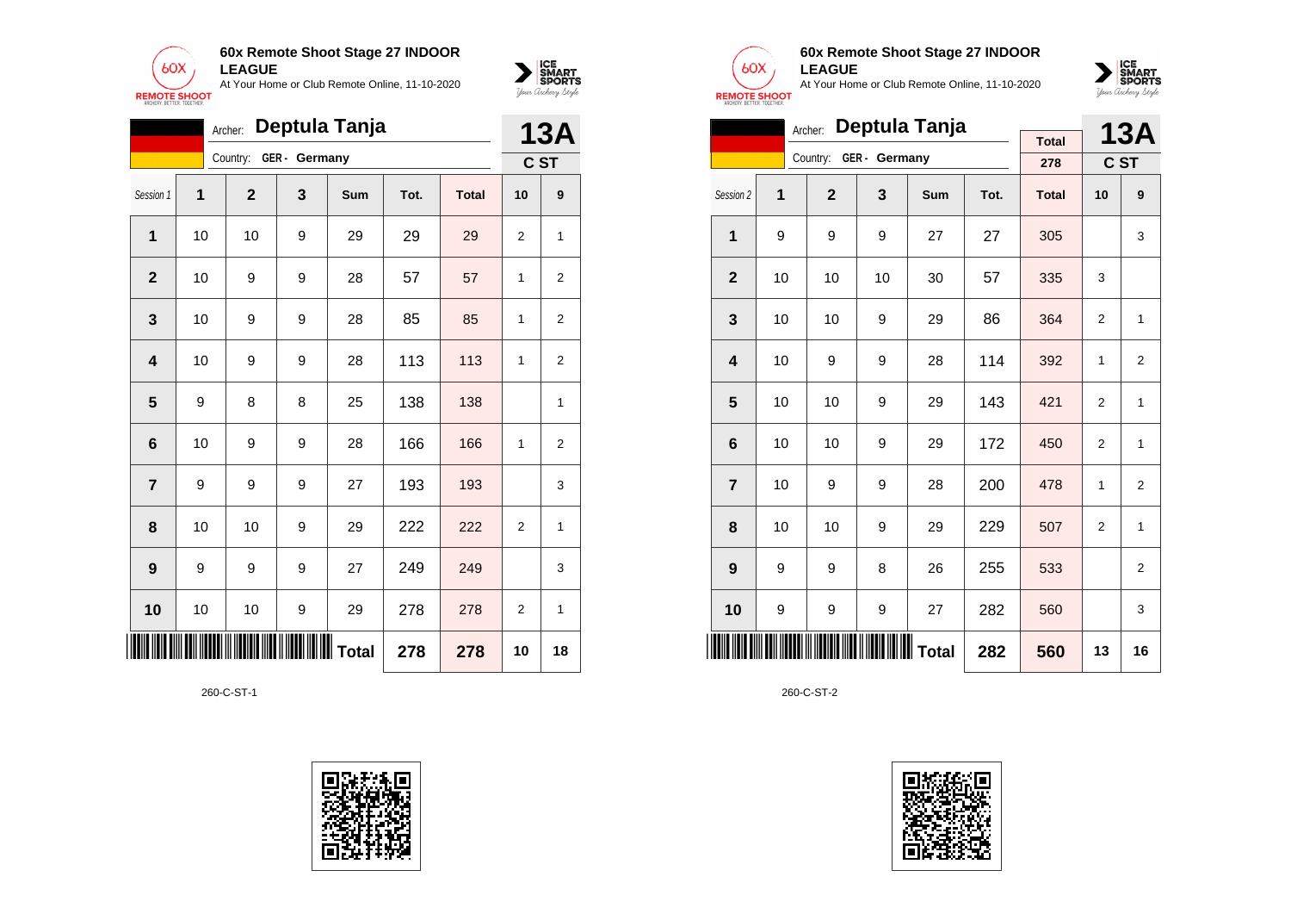



|                         |    | Archer:      |               | Deptula Tanja |      |              |                | <b>13A</b>     |
|-------------------------|----|--------------|---------------|---------------|------|--------------|----------------|----------------|
|                         |    | Country:     | GER - Germany |               |      |              |                | C ST           |
| Session 1               | 1  | $\mathbf{2}$ | 3             | Sum           | Tot. | <b>Total</b> | 10             | 9              |
| $\mathbf 1$             | 10 | 10           | 9             | 29            | 29   | 29           | $\overline{2}$ | 1              |
| $\mathbf{2}$            | 10 | 9            | 9             | 28            | 57   | 57           | 1              | $\overline{2}$ |
| 3                       | 10 | 9            | 9             | 28            | 85   | 85           | 1              | 2              |
| $\overline{\mathbf{4}}$ | 10 | 9            | 9             | 28            | 113  | 113          | 1              | $\overline{2}$ |
| 5                       | 9  | 8            | 8             | 25            | 138  | 138          |                | 1              |
| $6\phantom{1}$          | 10 | 9            | 9             | 28            | 166  | 166          | 1              | $\overline{2}$ |
| $\overline{7}$          | 9  | 9            | 9             | 27            | 193  | 193          |                | 3              |
| 8                       | 10 | 10           | 9             | 29            | 222  | 222          | $\overline{2}$ | 1              |
| 9                       | 9  | 9            | 9             | 27            | 249  | 249          |                | 3              |
| 10                      | 10 | 10           | 9             | 29            | 278  | 278          | 2              | 1              |
| ║║║                     |    |              |               |               | 278  | 278          | 10             | 18             |

260-C-ST-1





## **60x Remote Shoot Stage 27 INDOOR LEAGUE**

At Your Home or Club Remote Online, 11-10-2020



|                         | Deptula Tanja<br>Archer:<br><b>Total</b> |                |               |     |      |              |                |                |  |  |  |
|-------------------------|------------------------------------------|----------------|---------------|-----|------|--------------|----------------|----------------|--|--|--|
|                         |                                          | Country:       | GER - Germany |     |      |              |                | <b>13A</b>     |  |  |  |
|                         |                                          |                |               |     |      | 278          |                | C ST           |  |  |  |
| Session 2               | 1                                        | $\overline{2}$ | 3             | Sum | Tot. | <b>Total</b> | 10             | 9              |  |  |  |
| 1                       | 9                                        | 9              | 9             | 27  | 27   | 305          |                | 3              |  |  |  |
| $\overline{2}$          | 10                                       | 10             | 10            | 30  | 57   | 335          | 3              |                |  |  |  |
| 3                       | 10                                       | 10             | 9             | 29  | 86   | 364          | $\overline{2}$ | 1              |  |  |  |
| $\overline{\mathbf{4}}$ | 10                                       | 9              | 9             | 28  | 114  | 392          | $\mathbf{1}$   | $\overline{2}$ |  |  |  |
| 5                       | 10                                       | 10             | 9             | 29  | 143  | 421          | 2              | 1              |  |  |  |
| 6                       | 10                                       | 10             | 9             | 29  | 172  | 450          | 2              | 1              |  |  |  |
| $\overline{7}$          | 10                                       | 9              | 9             | 28  | 200  | 478          | $\mathbf{1}$   | $\overline{2}$ |  |  |  |
| 8                       | 10                                       | 10             | 9             | 29  | 229  | 507          | 2              | $\mathbf{1}$   |  |  |  |
| 9                       | 9                                        | 9              | 8             | 26  | 255  | 533          |                | $\overline{2}$ |  |  |  |
| 10                      | 9                                        | 9              | 9             | 27  | 282  | 560          |                | 3              |  |  |  |
| IIII                    |                                          |                | 282           | 560 | 13   | 16           |                |                |  |  |  |

260-C-ST-2

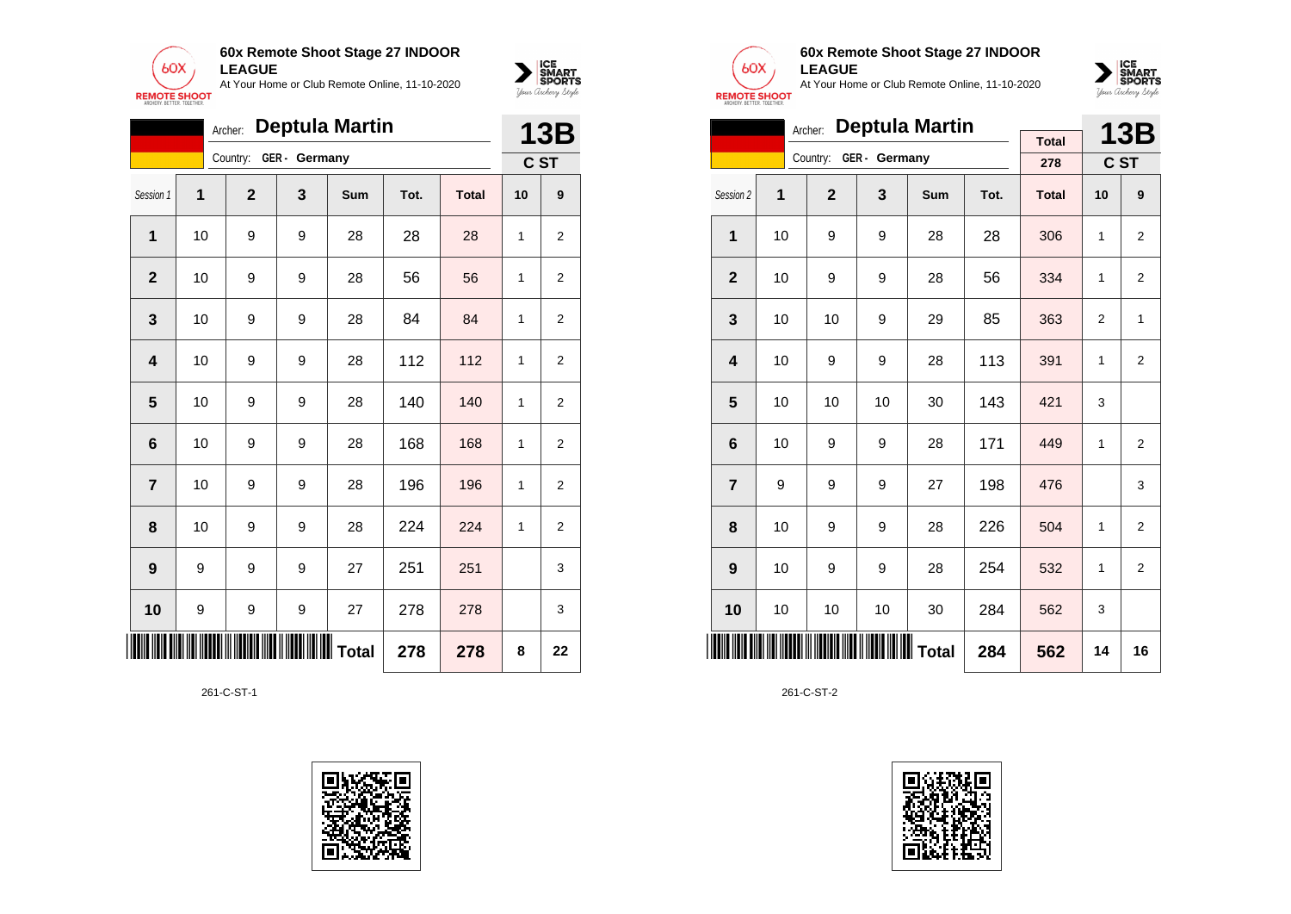



|                 | <b>Deptula Martin</b><br>Archer:<br>GER - Germany<br>Country:<br>$\mathbf{2}$<br>3<br>1<br>Tot.<br>Sum<br><b>Total</b><br>1<br>10<br>28<br>9<br>9<br>28<br>28<br>56<br>$\overline{2}$<br>10<br>9<br>9<br>28<br>56<br>10<br>9<br>9<br>84<br>84<br>3<br>28<br>112<br>9<br>112<br>4<br>10<br>9<br>28<br>5<br>140<br>28<br>140<br>10<br>9<br>9 |   |   |    |     |     | <b>13B</b> |                  |
|-----------------|--------------------------------------------------------------------------------------------------------------------------------------------------------------------------------------------------------------------------------------------------------------------------------------------------------------------------------------------|---|---|----|-----|-----|------------|------------------|
|                 |                                                                                                                                                                                                                                                                                                                                            |   |   |    |     |     |            | C ST             |
| Session 1       |                                                                                                                                                                                                                                                                                                                                            |   |   |    |     |     | 10         | 9                |
|                 |                                                                                                                                                                                                                                                                                                                                            |   |   |    |     |     | 1          | 2                |
|                 |                                                                                                                                                                                                                                                                                                                                            |   |   |    |     |     | 1          | 2                |
|                 |                                                                                                                                                                                                                                                                                                                                            |   |   |    |     |     | 1          | $\overline{2}$   |
|                 |                                                                                                                                                                                                                                                                                                                                            |   |   |    |     |     | 1          | $\overline{2}$   |
|                 |                                                                                                                                                                                                                                                                                                                                            |   |   |    |     |     | 1          | $\overline{2}$   |
| $6\phantom{1}6$ | 10                                                                                                                                                                                                                                                                                                                                         | 9 | 9 | 28 | 168 | 168 | 1          | $\overline{2}$   |
| $\overline{7}$  | 10                                                                                                                                                                                                                                                                                                                                         | 9 | 9 | 28 | 196 | 196 | 1          | 2                |
| 8               | 10                                                                                                                                                                                                                                                                                                                                         | 9 | 9 | 28 | 224 | 224 | 1          | $\boldsymbol{2}$ |
| 9               | 9                                                                                                                                                                                                                                                                                                                                          | 9 | 9 | 27 | 251 | 251 |            | 3                |
| 10              | 9                                                                                                                                                                                                                                                                                                                                          | 9 | 9 | 27 | 278 | 278 |            | 3                |
|                 |                                                                                                                                                                                                                                                                                                                                            |   |   |    | 278 | 278 | 8          | 22               |

261-C-ST-1





### **60x Remote Shoot Stage 27 INDOOR LEAGUE**

At Your Home or Club Remote Online, 11-10-2020



|                         | <b>Deptula Martin</b><br>Archer:<br><b>Total</b> |                |               |     |      |              |                |                |  |  |
|-------------------------|--------------------------------------------------|----------------|---------------|-----|------|--------------|----------------|----------------|--|--|
|                         |                                                  | Country:       | GER - Germany |     |      |              |                | <b>13B</b>     |  |  |
|                         |                                                  |                |               |     |      | 278          |                | C ST           |  |  |
| Session 2               | 1                                                | $\overline{2}$ | 3             | Sum | Tot. | <b>Total</b> | 10             | 9              |  |  |
| 1                       | 10                                               | 9              | 9             | 28  | 28   | 306          | $\mathbf{1}$   | $\overline{2}$ |  |  |
| $\overline{2}$          | 10                                               | 9              | 9             | 28  | 56   | 334          | $\mathbf{1}$   | $\overline{2}$ |  |  |
| 3                       | 10                                               | 10             | 9             | 29  | 85   | 363          | $\overline{2}$ | 1              |  |  |
| $\overline{\mathbf{4}}$ | 10                                               | 9              | 9             | 28  | 113  | 391          | 1              | $\overline{2}$ |  |  |
| 5                       | 10                                               | 10             | 10            | 30  | 143  | 421          | 3              |                |  |  |
| 6                       | 10                                               | 9              | 9             | 28  | 171  | 449          | 1              | $\overline{2}$ |  |  |
| $\overline{7}$          | 9                                                | 9              | 9             | 27  | 198  | 476          |                | 3              |  |  |
| 8                       | 10                                               | 9              | 9             | 28  | 226  | 504          | 1              | $\overline{2}$ |  |  |
| 9                       | 10                                               | 9              | 9             | 28  | 254  | 532          | 1              | $\overline{2}$ |  |  |
| 10                      | 10                                               | 10             | 10            | 30  | 284  | 562          | 3              |                |  |  |
| <b>III</b>              |                                                  |                | Total         | 284 | 562  | 14           | 16             |                |  |  |

261-C-ST-2

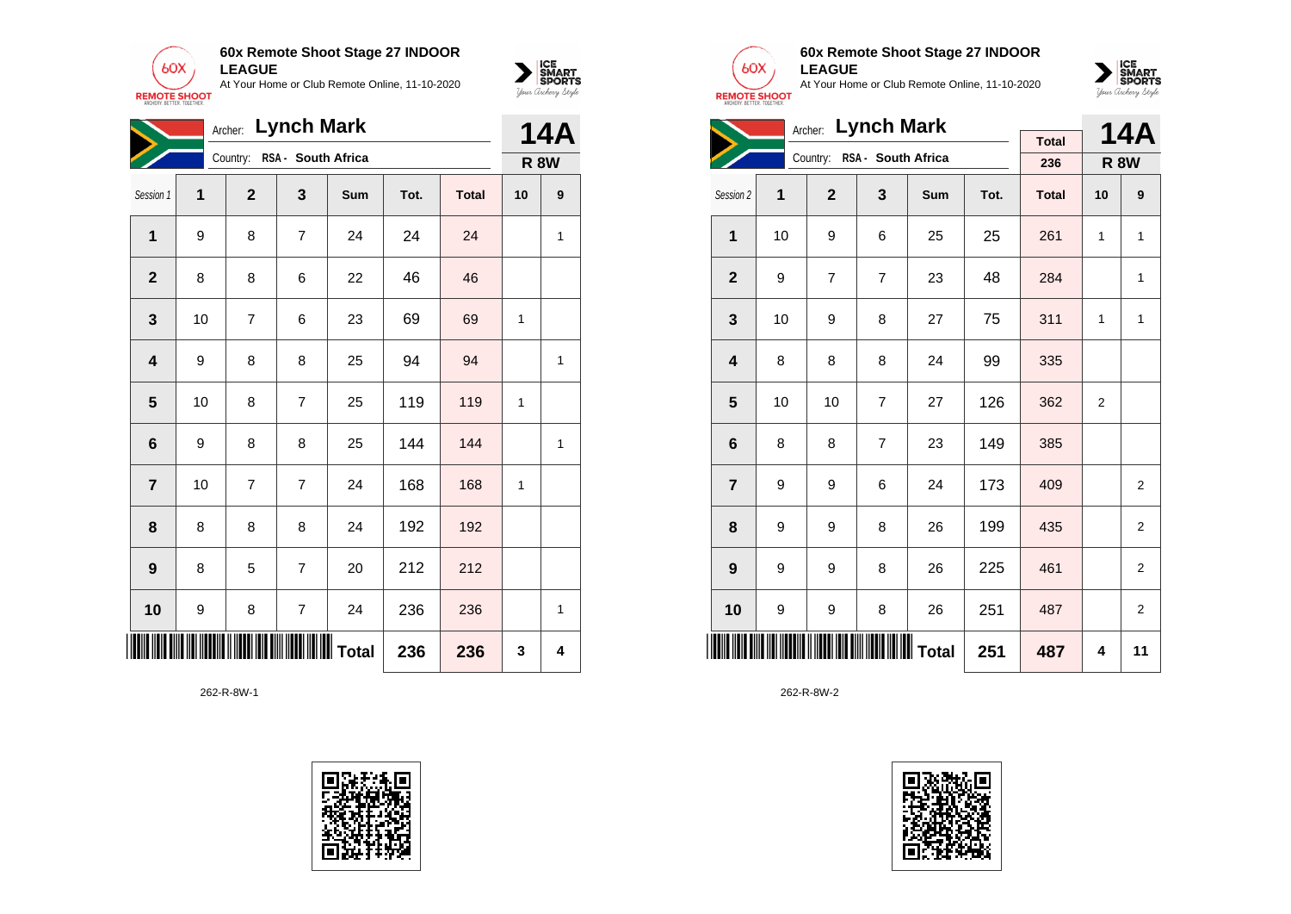



|                         |    |                | Archer: Lynch Mark          |     |      |              |    | <b>14A</b>  |
|-------------------------|----|----------------|-----------------------------|-----|------|--------------|----|-------------|
|                         |    |                | Country: RSA - South Africa |     |      |              |    | <b>R 8W</b> |
| Session 1               | 1  | $\mathbf{2}$   | 3                           | Sum | Tot. | <b>Total</b> | 10 | 9           |
| 1                       | 9  | 8              | $\overline{7}$              | 24  | 24   | 24           |    | 1           |
| $\overline{2}$          | 8  | 8              | 6                           | 22  | 46   | 46           |    |             |
| 3                       | 10 | 7              | 6                           | 23  | 69   | 69           | 1  |             |
| $\overline{\mathbf{4}}$ | 9  | 8              | 8                           | 25  | 94   | 94           |    | 1           |
| $\overline{\mathbf{5}}$ | 10 | 8              | $\overline{7}$              | 25  | 119  | 119          | 1  |             |
| $6\phantom{1}$          | 9  | 8              | 8                           | 25  | 144  | 144          |    | 1           |
| $\overline{7}$          | 10 | $\overline{7}$ | 7                           | 24  | 168  | 168          | 1  |             |
| 8                       | 8  | 8              | 8                           | 24  | 192  | 192          |    |             |
| 9                       | 8  | 5              | 7                           | 20  | 212  | 212          |    |             |
| 10                      | 9  | 8              | $\overline{7}$              | 24  | 236  | 236          |    | 1           |
|                         |    |                |                             |     | 236  | 236          | 3  | 4           |

262-R-8W-1





## **60x Remote Shoot Stage 27 INDOOR LEAGUE**

At Your Home or Club Remote Online, 11-10-2020



| Archer: Lynch Mark      |    |                |                    |            |      |              |                | 14A            |
|-------------------------|----|----------------|--------------------|------------|------|--------------|----------------|----------------|
|                         |    |                |                    |            |      | <b>Total</b> |                |                |
|                         |    | Country:       | RSA - South Africa |            |      | 236          | <b>R 8W</b>    |                |
| Session 2               | 1  | $\overline{2}$ | 3                  | <b>Sum</b> | Tot. | <b>Total</b> | 10             | 9              |
| 1                       | 10 | 9              | 6                  | 25         | 25   | 261          | 1              | 1              |
| $\mathbf{2}$            | 9  | $\overline{7}$ | $\overline{7}$     | 23         | 48   | 284          |                | 1              |
| 3                       | 10 | 9              | 8                  | 27         | 75   | 311          | 1              | 1              |
| $\overline{\mathbf{4}}$ | 8  | 8              | 8                  | 24         | 99   | 335          |                |                |
| 5                       | 10 | 10             | $\overline{7}$     | 27         | 126  | 362          | $\overline{2}$ |                |
| $6\phantom{1}6$         | 8  | 8              | $\overline{7}$     | 23         | 149  | 385          |                |                |
| $\overline{7}$          | 9  | 9              | 6                  | 24         | 173  | 409          |                | 2              |
| 8                       | 9  | 9              | 8                  | 26         | 199  | 435          |                | 2              |
| 9                       | 9  | 9              | 8                  | 26         | 225  | 461          |                | $\overline{2}$ |
| 10                      | 9  | 9              | 8                  | 26         | 251  | 487          |                | 2              |
|                         |    |                |                    |            | 251  | 487          | 4              | 11             |

262-R-8W-2

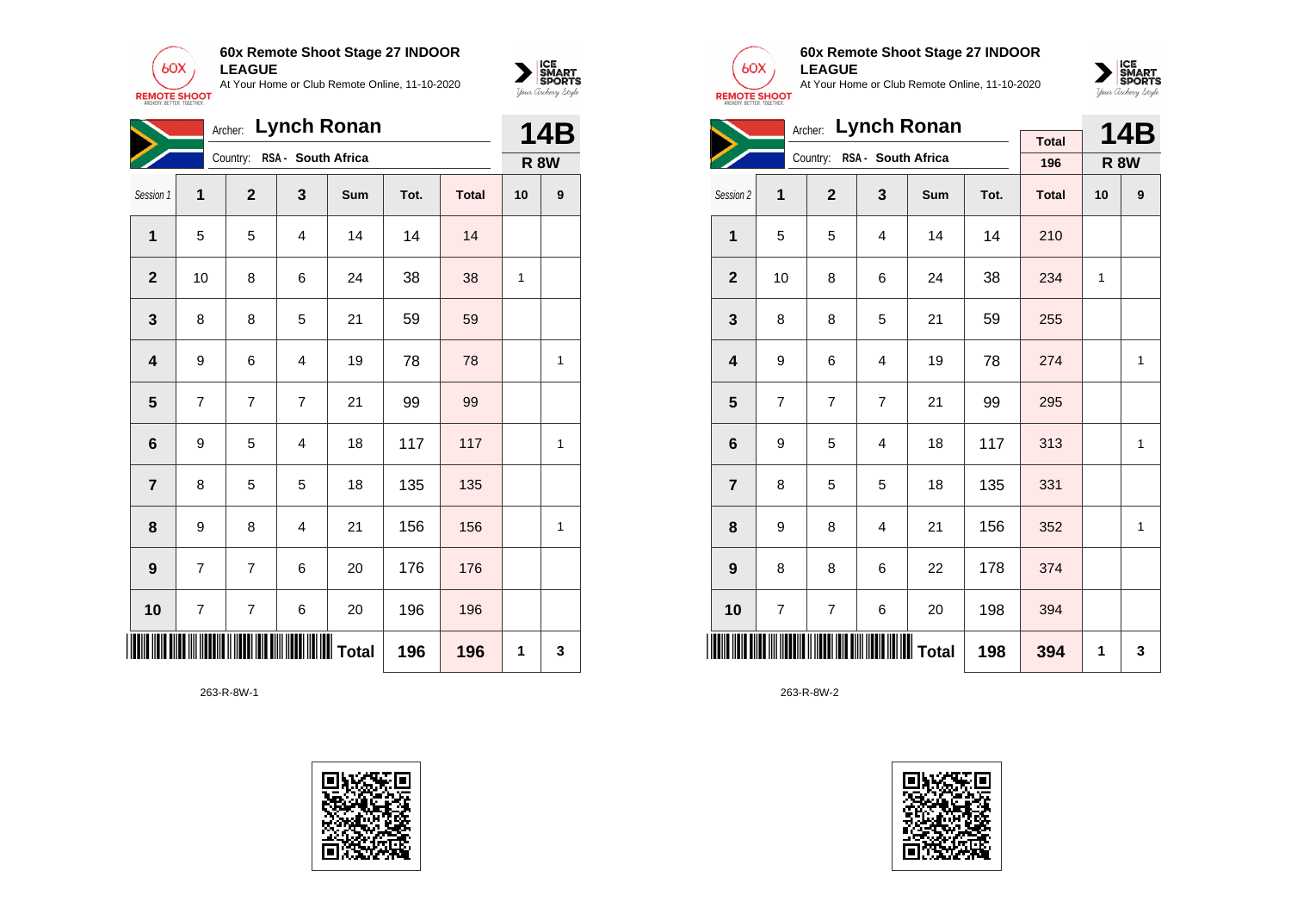



|                         |                | Archer:        |                         | <b>Lynch Ronan</b> |      |              |             | <b>14B</b> |
|-------------------------|----------------|----------------|-------------------------|--------------------|------|--------------|-------------|------------|
|                         |                | Country:       | RSA - South Africa      |                    |      |              | <b>R 8W</b> |            |
| Session 1               | 1              | $\mathbf{2}$   | 3                       | Sum                | Tot. | <b>Total</b> | 10          | 9          |
| $\overline{1}$          | 5              | 5              | 4                       | 14                 | 14   | 14           |             |            |
| $\mathbf{2}$            | 10             | 8              | 6                       | 24                 | 38   | 38           | 1           |            |
| 3                       | 8              | 8              | 5                       | 21                 | 59   | 59           |             |            |
| $\overline{\mathbf{4}}$ | 9              | 6              | 4                       | 19                 | 78   | 78           |             | 1          |
| $\overline{\mathbf{5}}$ | $\overline{7}$ | $\overline{7}$ | $\overline{7}$          | 21                 | 99   | 99           |             |            |
| 6                       | 9              | 5              | $\overline{\mathbf{4}}$ | 18                 | 117  | 117          |             | 1          |
| $\overline{7}$          | 8              | 5              | 5                       | 18                 | 135  | 135          |             |            |
| 8                       | 9              | 8              | $\overline{4}$          | 21                 | 156  | 156          |             | 1          |
| 9                       | 7              | 7              | 6                       | 20                 | 176  | 176          |             |            |
| 10                      | $\overline{7}$ | $\overline{7}$ | 6                       | 20                 | 196  | 196          |             |            |
|                         |                |                |                         |                    | 196  | 196          | 1           | 3          |

263-R-8W-1





### **60x Remote Shoot Stage 27 INDOOR LEAGUE**

At Your Home or Club Remote Online, 11-10-2020



| Archer: Lynch Ronan     |                |                |                    |     |      |              |              | 14B |
|-------------------------|----------------|----------------|--------------------|-----|------|--------------|--------------|-----|
|                         |                | Country:       |                    |     |      | <b>Total</b> |              |     |
|                         |                |                | RSA - South Africa |     |      | 196          | <b>R 8W</b>  |     |
| Session 2               | 1              | $\overline{2}$ | 3                  | Sum | Tot. | <b>Total</b> | 10           | 9   |
| 1                       | 5              | 5              | 4                  | 14  | 14   | 210          |              |     |
| $\mathbf{2}$            | 10             | 8              | 6                  | 24  | 38   | 234          | $\mathbf{1}$ |     |
| 3                       | 8              | 8              | 5                  | 21  | 59   | 255          |              |     |
| $\overline{\mathbf{4}}$ | 9              | 6              | 4                  | 19  | 78   | 274          |              | 1   |
| 5                       | $\overline{7}$ | $\overline{7}$ | $\overline{7}$     | 21  | 99   | 295          |              |     |
| $6\phantom{1}6$         | 9              | 5              | 4                  | 18  | 117  | 313          |              | 1   |
| $\overline{7}$          | 8              | 5              | 5                  | 18  | 135  | 331          |              |     |
| 8                       | 9              | 8              | 4                  | 21  | 156  | 352          |              | 1   |
| 9                       | 8              | 8              | 6                  | 22  | 178  | 374          |              |     |
| 10                      | $\overline{7}$ | $\overline{7}$ | 6                  | 20  | 198  | 394          |              |     |
| <b>IIIIII</b>           |                |                |                    |     | 198  | 394          | 1            | 3   |

263-R-8W-2

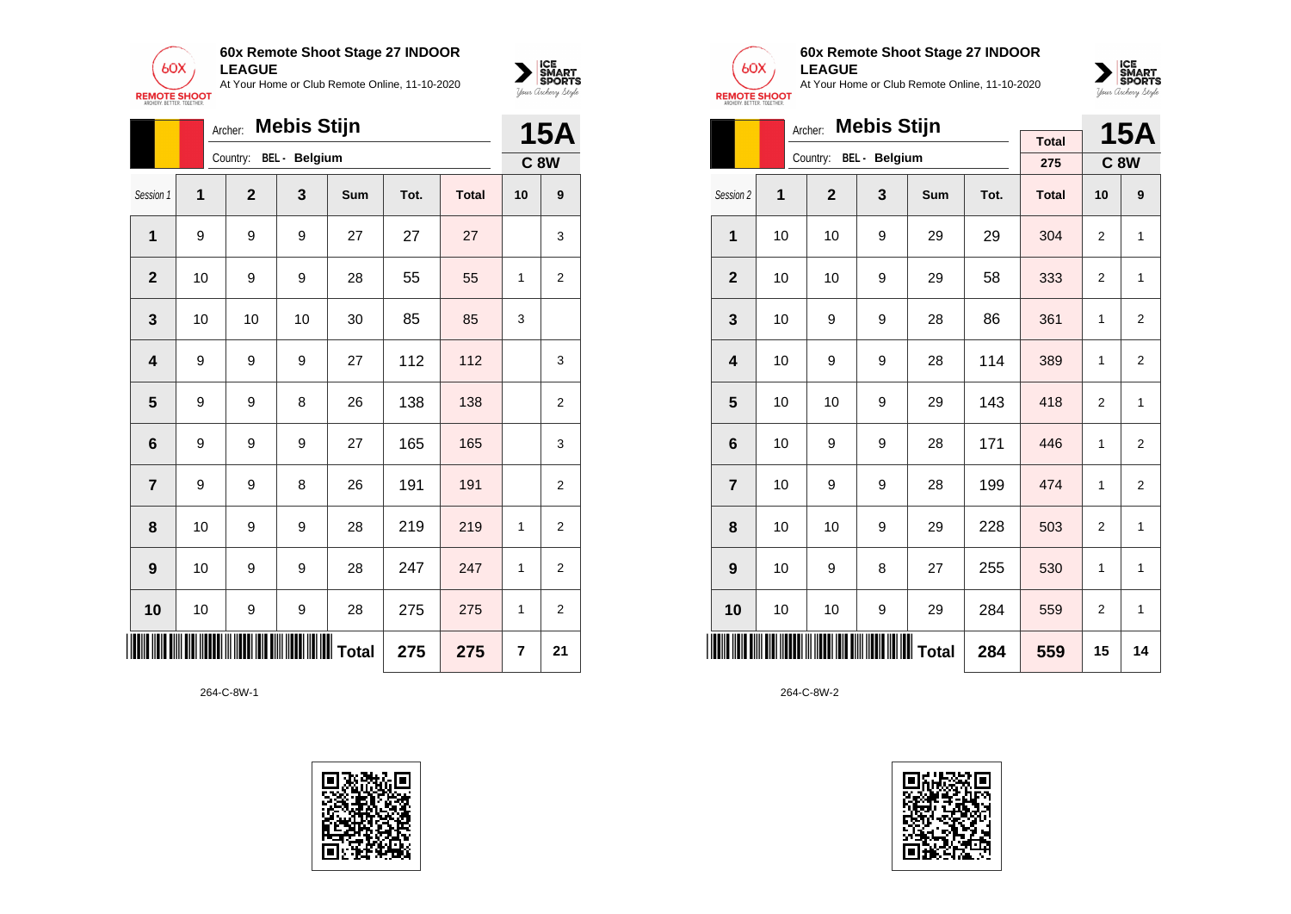



|                 | <b>Mebis Stijn</b><br>Archer: |                |                      |                      |      |              |                |                |  |  |
|-----------------|-------------------------------|----------------|----------------------|----------------------|------|--------------|----------------|----------------|--|--|
|                 |                               | Country:       | <b>BEL</b> - Belgium |                      |      |              |                | <b>C 8W</b>    |  |  |
| Session 1       | 1                             | $\overline{2}$ | 3                    | <b>Sum</b>           | Tot. | <b>Total</b> | 10             | 9              |  |  |
| 1               | 9                             | 9              | 9                    | 27                   | 27   | 27           |                | 3              |  |  |
| $\mathbf{2}$    | 10                            | 9              | 9                    | 28                   | 55   | 55           | 1              | $\overline{2}$ |  |  |
| 3               | 10                            | 10             | 10                   | 30                   | 85   | 85           | 3              |                |  |  |
| 4               | 9                             | 9              | 9                    | 27                   | 112  | 112          |                | 3              |  |  |
| 5               | 9                             | 9              | 8                    | 26                   | 138  | 138          |                | $\overline{2}$ |  |  |
| $6\phantom{1}6$ | 9                             | 9              | 9                    | 27                   | 165  | 165          |                | 3              |  |  |
| $\overline{7}$  | 9                             | 9              | 8                    | 26                   | 191  | 191          |                | $\overline{c}$ |  |  |
| 8               | 10                            | 9              | 9                    | 28                   | 219  | 219          | 1              | 2              |  |  |
| 9               | 10                            | 9              | 9                    | 28                   | 247  | 247          | 1              | $\overline{2}$ |  |  |
| 10              | 10                            | 9              | 9                    | 28                   | 275  | 275          | 1              | $\overline{2}$ |  |  |
|                 |                               |                |                      | <b>IIIIIII</b> Total | 275  | 275          | $\overline{7}$ | 21             |  |  |





## **60x Remote Shoot Stage 27 INDOOR LEAGUE**

At Your Home or Club Remote Online, 11-10-2020



|                         | Archer: |                |                                                  | 15A        |      |              |                |                |
|-------------------------|---------|----------------|--------------------------------------------------|------------|------|--------------|----------------|----------------|
|                         |         | Country:       | BEL - Belgium                                    |            |      | <b>Total</b> |                |                |
|                         |         |                |                                                  |            |      | 275          |                | <b>C8W</b>     |
| Session 2               | 1       | $\overline{2}$ | 3                                                | <b>Sum</b> | Tot. | <b>Total</b> | 10             | 9              |
| 1                       | 10      | 10             | 9                                                | 29         | 29   | 304          | 2              | 1              |
| $\overline{2}$          | 10      | 10             | 9                                                | 29         | 58   | 333          | $\overline{2}$ | 1              |
| 3                       | 10      | 9              | 9                                                | 28         | 86   | 361          | 1              | 2              |
| $\overline{\mathbf{4}}$ | 10      | 9              | 9                                                | 28         | 114  | 389          | 1              | 2              |
| 5                       | 10      | 10             | 9                                                | 29         | 143  | 418          | 2              | 1              |
| 6                       | 10      | 9              | 9                                                | 28         | 171  | 446          | 1              | $\overline{2}$ |
| $\overline{7}$          | 10      | 9              | 9                                                | 28         | 199  | 474          | $\mathbf{1}$   | $\overline{2}$ |
| 8                       | 10      | 10             | 9                                                | 29         | 228  | 503          | $\overline{2}$ | 1              |
| 9                       | 10      | 9              | 8                                                | 27         | 255  | 530          | $\mathbf{1}$   | 1              |
| 10                      | 10      | 10             | 9                                                | 29         | 284  | 559          | $\overline{2}$ | $\mathbf{1}$   |
|                         |         |                | <b>                                   </b> Total |            | 284  | 559          | 15             | 14             |

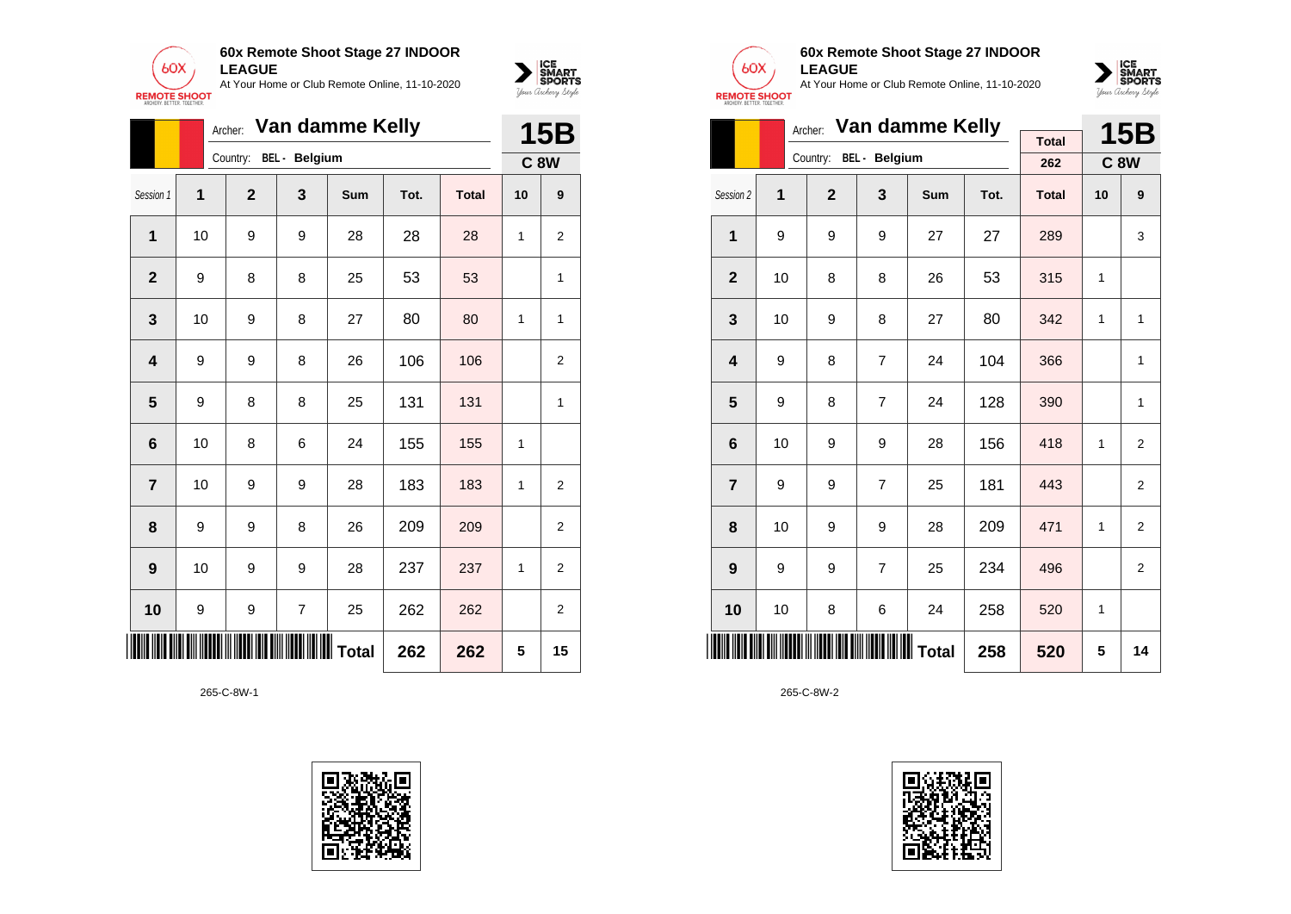



|                         |    | Archer:          |                        | Van damme Kelly |      |              |    | 15B              |
|-------------------------|----|------------------|------------------------|-----------------|------|--------------|----|------------------|
|                         |    |                  | Country: BEL - Belgium |                 |      |              |    | C <sub>8</sub> W |
| Session 1               | 1  | $\mathbf{2}$     | 3                      | Sum             | Tot. | <b>Total</b> | 10 | 9                |
| 1                       | 10 | 9                | 9                      | 28              | 28   | 28           | 1  | $\overline{2}$   |
| $\mathbf{2}$            | 9  | 8                | 8                      | 25              | 53   | 53           |    | 1                |
| $\mathbf 3$             | 10 | 9                | 8                      | 27              | 80   | 80           | 1  | 1                |
| $\overline{\mathbf{4}}$ | 9  | 9                | 8                      | 26              | 106  | 106          |    | $\overline{2}$   |
| 5                       | 9  | 8                | 8                      | 25              | 131  | 131          |    | 1                |
| 6                       | 10 | 8                | 6                      | 24              | 155  | 155          | 1  |                  |
| $\overline{\mathbf{r}}$ | 10 | 9                | 9                      | 28              | 183  | 183          | 1  | 2                |
| 8                       | 9  | 9                | 8                      | 26              | 209  | 209          |    | 2                |
| 9                       | 10 | 9                | 9                      | 28              | 237  | 237          | 1  | 2                |
| 10                      | 9  | $\boldsymbol{9}$ | $\overline{7}$         | 25              | 262  | 262          |    | 2                |
| W                       |    |                  |                        | IIIIIIIII Total | 262  | 262          | 5  | 15               |





# **60x Remote Shoot Stage 27 INDOOR LEAGUE**

At Your Home or Club Remote Online, 11-10-2020



|                         |    | Archer:        | Van damme Kelly        |     |      | <b>15B</b>          |    |                |
|-------------------------|----|----------------|------------------------|-----|------|---------------------|----|----------------|
|                         |    |                | Country: BEL - Belgium |     |      | <b>Total</b><br>262 |    | <b>C8W</b>     |
|                         |    |                |                        |     |      |                     |    |                |
| Session 2               | 1  | $\overline{2}$ | 3                      | Sum | Tot. | <b>Total</b>        | 10 | 9              |
| 1                       | 9  | 9              | 9                      | 27  | 27   | 289                 |    | 3              |
| $\overline{2}$          | 10 | 8              | 8                      | 26  | 53   | 315                 | 1  |                |
| 3                       | 10 | 9              | 8                      | 27  | 80   | 342                 | 1  | 1              |
| $\overline{\mathbf{4}}$ | 9  | 8              | $\overline{7}$         | 24  | 104  | 366                 |    | 1              |
| 5                       | 9  | 8              | $\overline{7}$         | 24  | 128  | 390                 |    | 1              |
| $6\phantom{1}6$         | 10 | 9              | 9                      | 28  | 156  | 418                 | 1  | $\overline{2}$ |
| $\overline{7}$          | 9  | 9              | $\overline{7}$         | 25  | 181  | 443                 |    | $\overline{2}$ |
| 8                       | 10 | 9              | 9                      | 28  | 209  | 471                 | 1  | $\overline{2}$ |
| 9                       | 9  | 9              | $\overline{7}$         | 25  | 234  | 496                 |    | $\overline{2}$ |
| 10                      | 10 | 8              | 6                      | 24  | 258  | 520                 | 1  |                |
|                         |    | 258            | 520                    | 5   | 14   |                     |    |                |

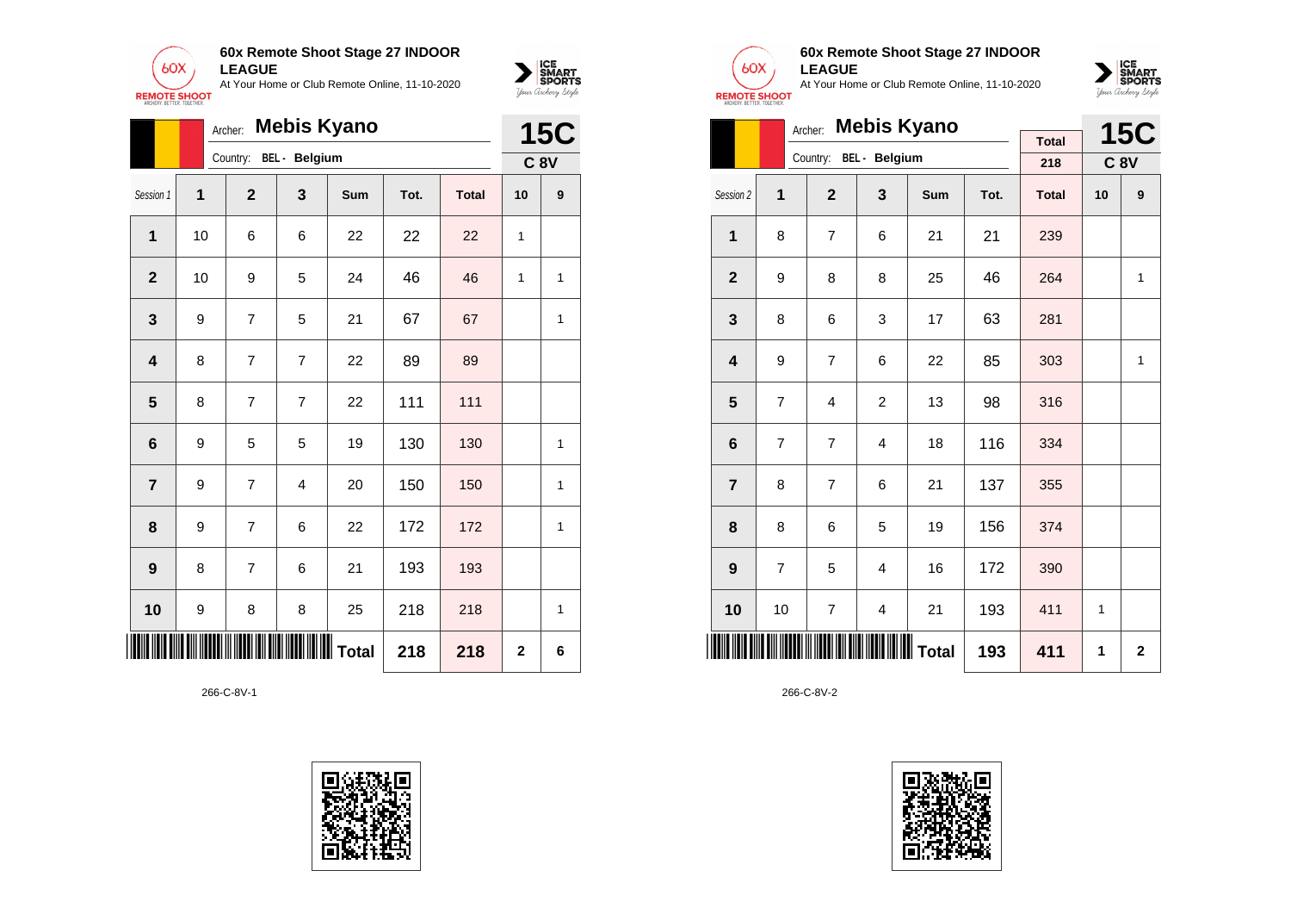



|                | <b>Mebis Kyano</b><br>Archer: |                |                         |                   |      |              |              |                 |  |  |
|----------------|-------------------------------|----------------|-------------------------|-------------------|------|--------------|--------------|-----------------|--|--|
|                |                               |                | Country: BEL - Belgium  |                   |      |              |              | C <sub>8V</sub> |  |  |
| Session 1      | 1                             | $\overline{2}$ | 3                       | Sum               | Tot. | <b>Total</b> | 10           | 9               |  |  |
| 1              | 10                            | 6              | 6                       | 22                | 22   | 22           | 1            |                 |  |  |
| $\overline{2}$ | 10                            | 9              | 5                       | 24                | 46   | 46           | 1            | 1               |  |  |
| 3              | 9                             | $\overline{7}$ | 5                       | 21                | 67   | 67           |              | 1               |  |  |
| 4              | 8                             | $\overline{7}$ | $\overline{7}$          | 22                | 89   | 89           |              |                 |  |  |
| 5              | 8                             | $\overline{7}$ | $\overline{7}$          | 22                | 111  | 111          |              |                 |  |  |
| 6              | 9                             | 5              | 5                       | 19                | 130  | 130          |              | 1               |  |  |
| $\overline{7}$ | 9                             | 7              | $\overline{\mathbf{4}}$ | 20                | 150  | 150          |              | 1               |  |  |
| 8              | 9                             | $\overline{7}$ | 6                       | 22                | 172  | 172          |              | 1               |  |  |
| 9              | 8                             | $\overline{7}$ | 6                       | 21                | 193  | 193          |              |                 |  |  |
| 10             | 9                             | 8              | 8                       | 25                | 218  | 218          |              | $\overline{1}$  |  |  |
| IIII           |                               |                |                         | IIIIIIIIIII Total | 218  | 218          | $\mathbf{2}$ | 6               |  |  |





## **60x Remote Shoot Stage 27 INDOOR LEAGUE**

At Your Home or Club Remote Online, 11-10-2020



|                         | Archer:        |                |                         | <b>15C</b>         |      |              |    |              |
|-------------------------|----------------|----------------|-------------------------|--------------------|------|--------------|----|--------------|
|                         |                |                | Country: BEL - Belgium  | <b>Mebis Kyano</b> |      | <b>Total</b> |    |              |
|                         |                |                |                         |                    |      | 218          |    | <b>C 8V</b>  |
| Session 2               | 1              | $\overline{2}$ | 3                       | <b>Sum</b>         | Tot. | <b>Total</b> | 10 | 9            |
| 1                       | 8              | $\overline{7}$ | 6                       | 21                 | 21   | 239          |    |              |
| $\overline{2}$          | 9              | 8              | 8                       | 25                 | 46   | 264          |    | 1            |
| 3                       | 8              | 6              | 3                       | 17                 | 63   | 281          |    |              |
| $\overline{\mathbf{4}}$ | 9              | 7              | 6                       | 22                 | 85   | 303          |    | $\mathbf{1}$ |
| 5                       | 7              | 4              | $\overline{2}$          | 13                 | 98   | 316          |    |              |
| $6\phantom{1}$          | $\overline{7}$ | $\overline{7}$ | 4                       | 18                 | 116  | 334          |    |              |
| $\overline{7}$          | 8              | 7              | 6                       | 21                 | 137  | 355          |    |              |
| 8                       | 8              | 6              | 5                       | 19                 | 156  | 374          |    |              |
| 9                       | $\overline{7}$ | 5              | 4                       | 16                 | 172  | 390          |    |              |
| 10                      | 10             | 7              | $\overline{\mathbf{4}}$ | 21                 | 193  | 411          | 1  |              |
| ║║║                     |                |                | IIIIIIIIIIIIIIII Total  |                    | 193  | 411          | 1  | $\mathbf{2}$ |

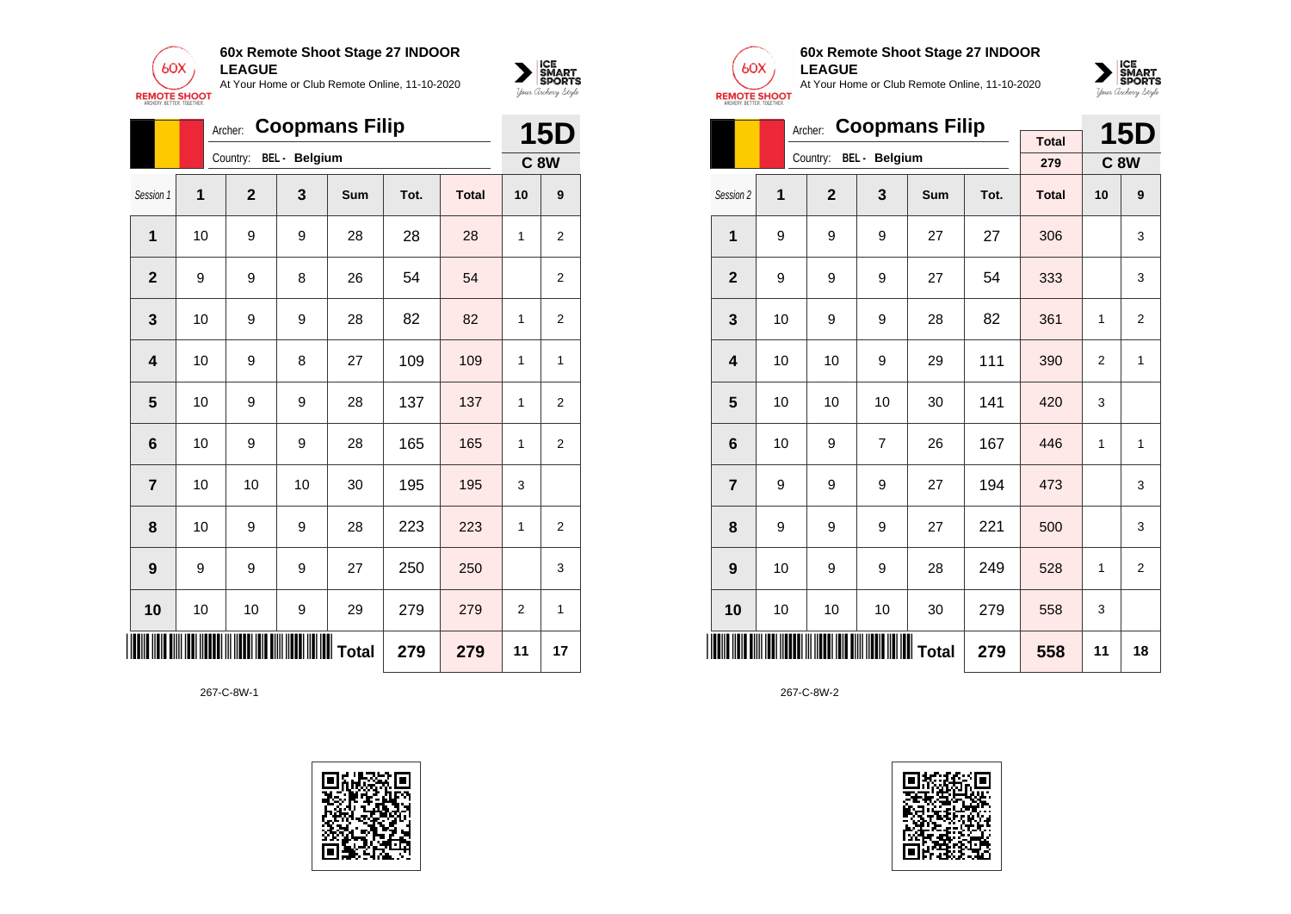



|                | Archer: |                | <b>15D</b>             |            |      |              |                |                |
|----------------|---------|----------------|------------------------|------------|------|--------------|----------------|----------------|
|                |         |                | Country: BEL - Belgium |            |      |              |                | <b>C 8W</b>    |
| Session 1      | 1       | $\overline{2}$ | 3                      | <b>Sum</b> | Tot. | <b>Total</b> | 10             | 9              |
| 1              | 10      | 9              | 9                      | 28         | 28   | 28           | 1              | $\overline{2}$ |
| $\overline{2}$ | 9       | 9              | 8                      | 26         | 54   | 54           |                | $\overline{2}$ |
| 3              | 10      | 9              | 9                      | 28         | 82   | 82           | 1              | $\overline{2}$ |
| 4              | 10      | 9              | 8                      | 27         | 109  | 109          | 1              | 1              |
| 5              | 10      | 9              | 9                      | 28         | 137  | 137          | 1              | $\overline{2}$ |
| 6              | 10      | 9              | 9                      | 28         | 165  | 165          | 1              | $\overline{2}$ |
| $\overline{7}$ | 10      | 10             | 10                     | 30         | 195  | 195          | 3              |                |
| 8              | 10      | 9              | 9                      | 28         | 223  | 223          | 1              | 2              |
| 9              | 9       | 9              | 9                      | 27         | 250  | 250          |                | 3              |
| 10             | 10      | 10             | 9                      | 29         | 279  | 279          | $\overline{2}$ | 1              |
| ∭              |         |                |                        |            | 279  | 279          | 11             | 17             |





# **60x Remote Shoot Stage 27 INDOOR LEAGUE**

At Your Home or Club Remote Online, 11-10-2020



|                         |                             |                | <b>15D</b>             |     |      |              |    |                |
|-------------------------|-----------------------------|----------------|------------------------|-----|------|--------------|----|----------------|
|                         |                             |                | Country: BEL - Belgium |     |      | <b>Total</b> |    |                |
|                         |                             |                |                        |     |      | 279          |    | <b>C8W</b>     |
| Session 2               | 1                           | $\overline{2}$ | 3                      | Sum | Tot. | <b>Total</b> | 10 | 9              |
| 1                       | 9                           | 9              | 9                      | 27  | 27   | 306          |    | 3              |
| $\mathbf{2}$            | 9                           | 9              | 9                      | 27  | 54   | 333          |    | 3              |
| 3                       | 10                          | 9              | 9                      | 28  | 82   | 361          | 1  | $\overline{2}$ |
| $\overline{\mathbf{4}}$ | 10                          | 10             | 9                      | 29  | 111  | 390          | 2  | $\mathbf{1}$   |
| 5                       | 10                          | 10             | 10                     | 30  | 141  | 420          | 3  |                |
| 6                       | 10                          | 9              | $\overline{7}$         | 26  | 167  | 446          | 1  | 1              |
| $\overline{7}$          | 9                           | 9              | 9                      | 27  | 194  | 473          |    | 3              |
| 8                       | 9                           | 9              | 9                      | 27  | 221  | 500          |    | 3              |
| 9                       | 10                          | 9              | 9                      | 28  | 249  | 528          | 1  | $\overline{2}$ |
| 10                      | 10                          | 10             | 10                     | 30  | 279  | 558          | 3  |                |
|                         | <b>WIIIIII</b> Total<br>279 |                |                        |     |      |              | 11 | 18             |

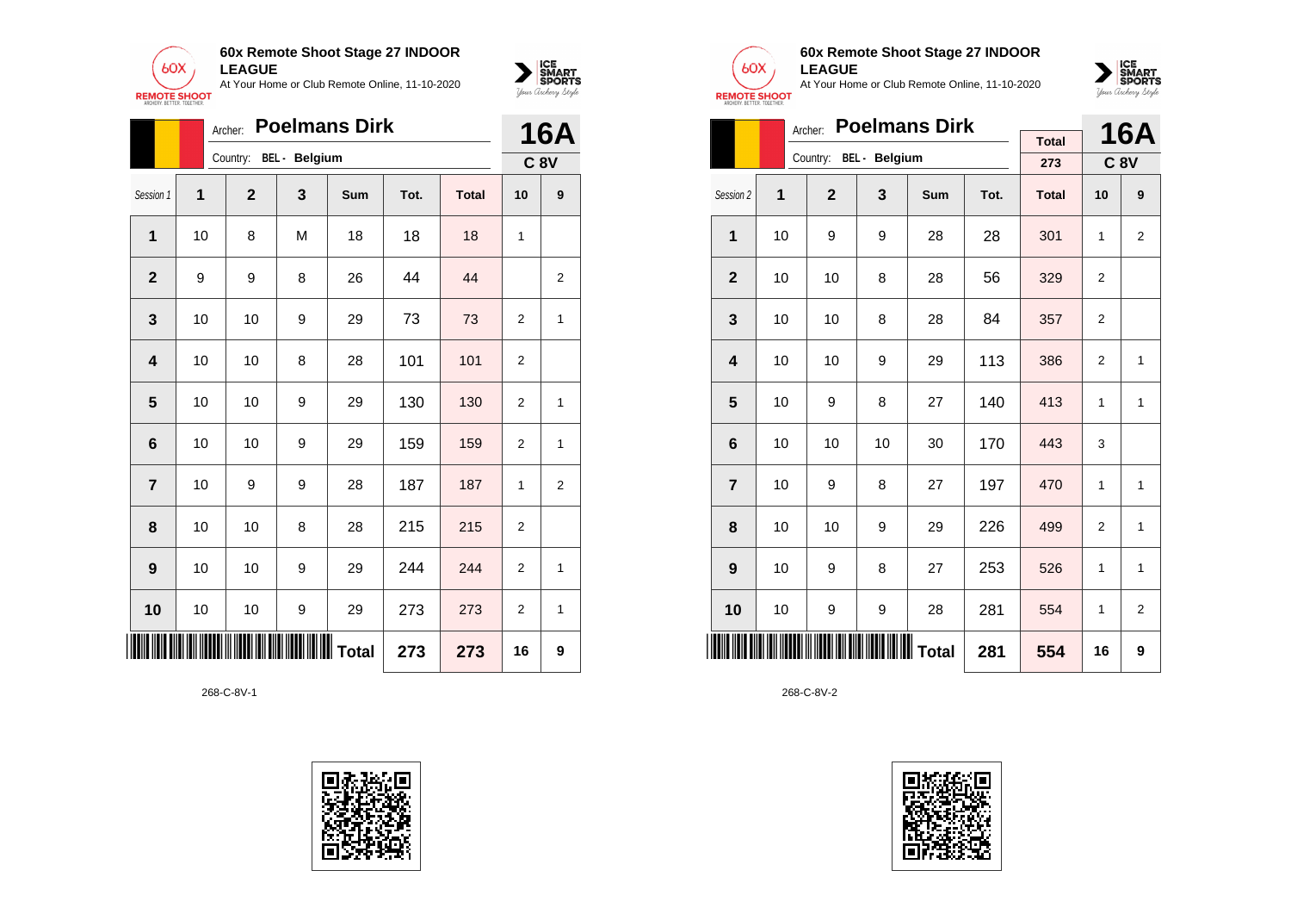

|                 |    | Archer:        |                      | <b>Poelmans Dirk</b> |      |              |                | <b>16A</b>     |
|-----------------|----|----------------|----------------------|----------------------|------|--------------|----------------|----------------|
|                 |    | Country:       | <b>BEL</b> - Belgium |                      |      |              |                | <b>C 8V</b>    |
| Session 1       | 1  | $\overline{2}$ | 3                    | <b>Sum</b>           | Tot. | <b>Total</b> | 10             | 9              |
| 1               | 10 | 8              | M                    | 18                   | 18   | 18           | 1              |                |
| $\overline{2}$  | 9  | 9              | 8                    | 26                   | 44   | 44           |                | $\overline{2}$ |
| 3               | 10 | 10             | 9                    | 29                   | 73   | 73           | $\overline{2}$ | 1              |
| 4               | 10 | 10             | 8                    | 28                   | 101  | 101          | $\overline{2}$ |                |
| 5               | 10 | 10             | 9                    | 29                   | 130  | 130          | $\overline{2}$ | 1              |
| $6\phantom{1}6$ | 10 | 10             | 9                    | 29                   | 159  | 159          | $\overline{2}$ | 1              |
| $\overline{7}$  | 10 | 9              | 9                    | 28                   | 187  | 187          | 1              | $\overline{2}$ |
| 8               | 10 | 10             | 8                    | 28                   | 215  | 215          | $\overline{2}$ |                |
| 9               | 10 | 10             | 9                    | 29                   | 244  | 244          | $\overline{2}$ | 1              |
| 10              | 10 | 10             | 9                    | 29                   | 273  | 273          | $\overline{2}$ | 1              |
|                 |    |                |                      | <b>WWW</b> Total     | 273  | 273          | 16             | 9              |





 $\sum_{\text{M} \subseteq \text{S$ **PORTS** 

# **60x Remote Shoot Stage 27 INDOOR LEAGUE**

At Your Home or Club Remote Online, 11-10-2020



|                         | <b>Poelmans Dirk</b><br>Archer: |                |                        |     |      |              |    |                |  |  |
|-------------------------|---------------------------------|----------------|------------------------|-----|------|--------------|----|----------------|--|--|
|                         |                                 |                | Country: BEL - Belgium |     |      | <b>Total</b> |    | <b>16A</b>     |  |  |
|                         |                                 |                |                        |     |      | 273          |    | <b>C 8V</b>    |  |  |
| Session 2               | 1                               | $\overline{2}$ | 3                      | Sum | Tot. | <b>Total</b> | 10 | 9              |  |  |
| 1                       | 10                              | 9              | 9                      | 28  | 28   | 301          | 1  | $\overline{2}$ |  |  |
| $\overline{2}$          | 10                              | 10             | 8                      | 28  | 56   | 329          | 2  |                |  |  |
| 3                       | 10                              | 10             | 8                      | 28  | 84   | 357          | 2  |                |  |  |
| $\overline{\mathbf{4}}$ | 10                              | 10             | 9                      | 29  | 113  | 386          | 2  | 1              |  |  |
| 5                       | 10                              | 9              | 8                      | 27  | 140  | 413          | 1  | 1              |  |  |
| 6                       | 10                              | 10             | 10                     | 30  | 170  | 443          | 3  |                |  |  |
| $\overline{7}$          | 10                              | 9              | 8                      | 27  | 197  | 470          | 1  | 1              |  |  |
| 8                       | 10                              | 10             | 9                      | 29  | 226  | 499          | 2  | 1              |  |  |
| 9                       | 10                              | 9              | 8                      | 27  | 253  | 526          | 1  | 1              |  |  |
| 10                      | 10                              | 9              | 9                      | 28  | 281  | 554          | 1  | $\overline{2}$ |  |  |
| IIII                    | IIIIIIIIIIIIIII Total<br>281    |                |                        |     |      |              | 16 | 9              |  |  |

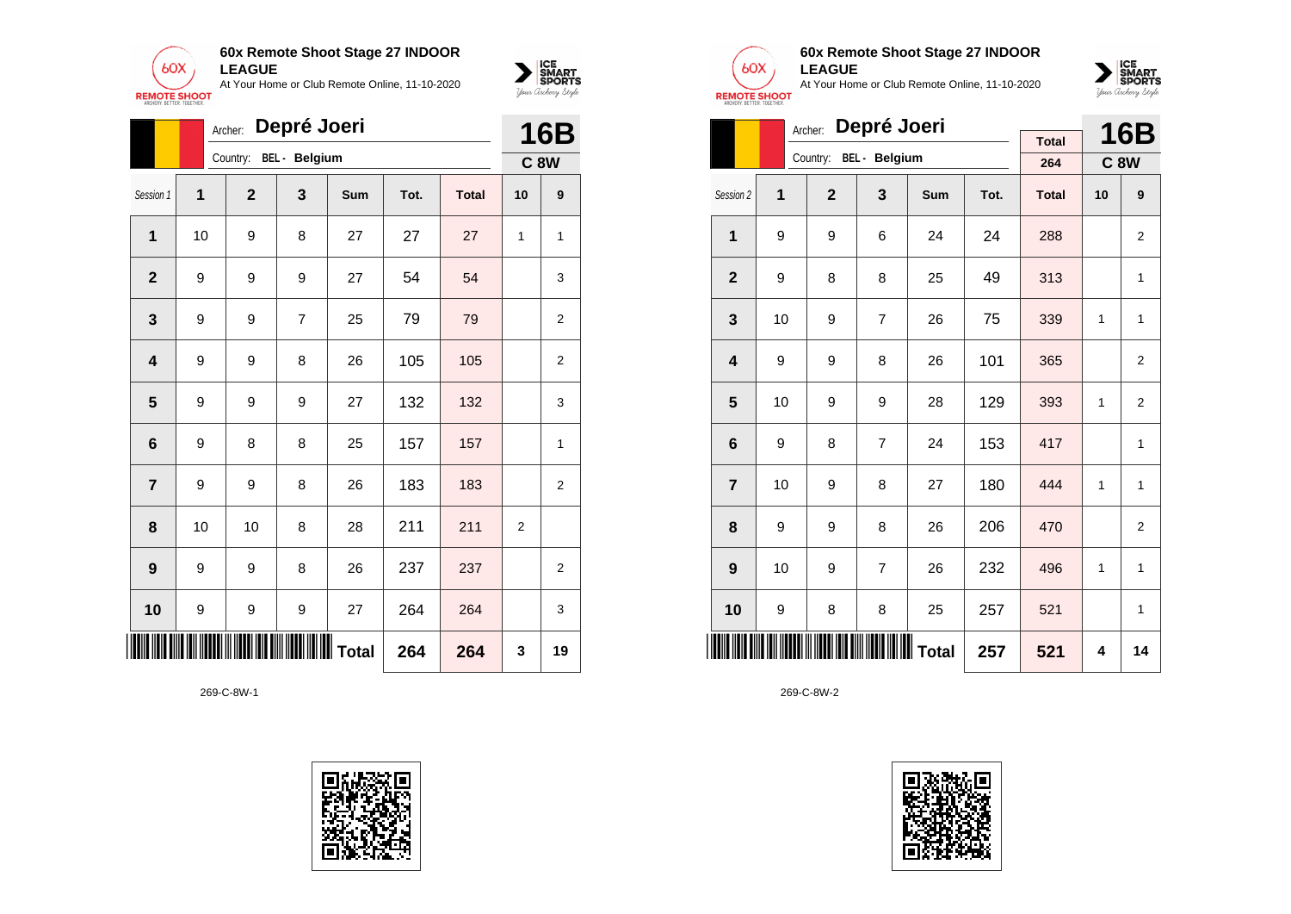



|                         |    | Archer:      | Depré Joeri          |                           |      |              |    | <b>16B</b>     |
|-------------------------|----|--------------|----------------------|---------------------------|------|--------------|----|----------------|
|                         |    | Country:     | <b>BEL</b> - Belgium |                           |      |              |    | <b>C 8W</b>    |
| Session 1               | 1  | $\mathbf{2}$ | 3                    | Sum                       | Tot. | <b>Total</b> | 10 | 9              |
| 1                       | 10 | 9            | 8                    | 27                        | 27   | 27           | 1  | 1              |
| $\mathbf{2}$            | 9  | 9            | 9                    | 27                        | 54   | 54           |    | 3              |
| $\mathbf{3}$            | 9  | 9            | $\overline{7}$       | 25                        | 79   | 79           |    | 2              |
| $\overline{\mathbf{4}}$ | 9  | 9            | 8                    | 26                        | 105  | 105          |    | $\overline{2}$ |
| $\overline{\mathbf{5}}$ | 9  | 9            | 9                    | 27                        | 132  | 132          |    | 3              |
| 6                       | 9  | 8            | 8                    | 25                        | 157  | 157          |    | 1              |
| $\overline{\mathbf{r}}$ | 9  | 9            | 8                    | 26                        | 183  | 183          |    | 2              |
| 8                       | 10 | 10           | 8                    | 28                        | 211  | 211          | 2  |                |
| 9                       | 9  | 9            | 8                    | 26                        | 237  | 237          |    | 2              |
| 10                      | 9  | 9            | 9                    | 27                        | 264  | 264          |    | 3              |
|                         |    |              |                      | <b>IIIIIIIIIIII</b> Total | 264  | 264          | 3  | 19             |





## **60x Remote Shoot Stage 27 INDOOR LEAGUE**

At Your Home or Club Remote Online, 11-10-2020



|                |    | Archer:        | Depré Joeri    |     |      |              | <b>16B</b> |                |
|----------------|----|----------------|----------------|-----|------|--------------|------------|----------------|
|                |    | Country:       | BEL - Belgium  |     |      | <b>Total</b> |            |                |
|                |    |                |                |     |      | 264          |            | <b>C8W</b>     |
| Session 2      | 1  | $\overline{2}$ | 3              | Sum | Tot. | <b>Total</b> | 10         | 9              |
| 1              | 9  | 9              | 6              | 24  | 24   | 288          |            | 2              |
| $\overline{2}$ | 9  | 8              | 8              | 25  | 49   | 313          |            | 1              |
| 3              | 10 | 9              | $\overline{7}$ | 26  | 75   | 339          | 1          | 1              |
| 4              | 9  | 9              | 8              | 26  | 101  | 365          |            | $\overline{2}$ |
| 5              | 10 | 9              | 9              | 28  | 129  | 393          | 1          | $\overline{2}$ |
| 6              | 9  | 8              | $\overline{7}$ | 24  | 153  | 417          |            | 1              |
| $\overline{7}$ | 10 | 9              | 8              | 27  | 180  | 444          | 1          | $\mathbf{1}$   |
| 8              | 9  | 9              | 8              | 26  | 206  | 470          |            | $\overline{2}$ |
| 9              | 10 | 9              | $\overline{7}$ | 26  | 232  | 496          | 1          | 1              |
| 10             | 9  | 8              | 8              | 25  | 257  | 521          |            | 1              |
| IIII           |    |                | Total          |     | 257  | 521          | 4          | 14             |

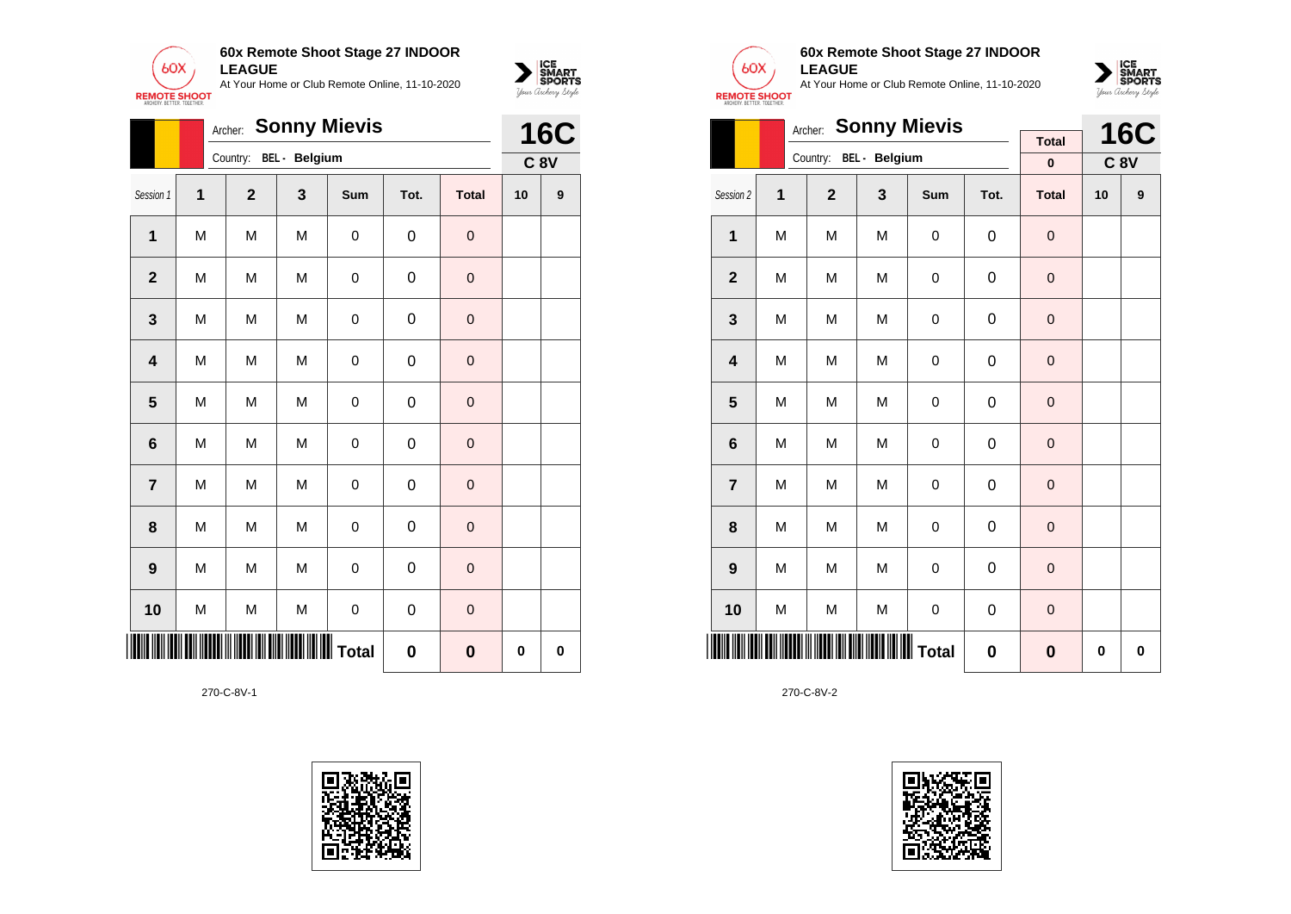

|                         | <b>16C</b> |                |               |                  |             |              |    |            |
|-------------------------|------------|----------------|---------------|------------------|-------------|--------------|----|------------|
|                         |            | Country:       | BEL - Belgium |                  |             |              |    | <b>C8V</b> |
| Session 1               | 1          | $\overline{2}$ | 3             | Sum              | Tot.        | <b>Total</b> | 10 | 9          |
| $\mathbf{1}$            | M          | M              | M             | 0                | 0           | $\pmb{0}$    |    |            |
| $\overline{2}$          | M          | M              | M             | $\boldsymbol{0}$ | $\mathbf 0$ | $\mathbf 0$  |    |            |
| 3                       | M          | M              | M             | 0                | 0           | $\mathbf 0$  |    |            |
| $\overline{\mathbf{4}}$ | M          | M              | M             | $\boldsymbol{0}$ | 0           | $\mathbf 0$  |    |            |
| 5                       | M          | M              | M             | $\boldsymbol{0}$ | 0           | $\mathbf 0$  |    |            |
| $6\phantom{1}6$         | M          | M              | M             | 0                | $\mathbf 0$ | $\mathbf 0$  |    |            |
| $\overline{7}$          | M          | M              | M             | 0                | 0           | $\mathbf 0$  |    |            |
| 8                       | M          | M              | M             | 0                | 0           | $\mathbf 0$  |    |            |
| 9                       | M          | M              | M             | 0                | $\mathbf 0$ | $\mathbf 0$  |    |            |
| 10                      | M          | M              | M             | $\mathbf 0$      | $\mathbf 0$ | $\mathbf 0$  |    |            |
| 0<br>$\bf{0}$           |            |                |               |                  |             |              |    | $\bf{0}$   |





 $\sum_{\text{M} \subseteq \text{S$ **PORTS** 

# **60x Remote Shoot Stage 27 INDOOR LEAGUE**

At Your Home or Club Remote Online, 11-10-2020



|                         |   | <b>Sonny Mievis</b><br>Archer: |               |             |             | <b>16C</b>        |           |          |
|-------------------------|---|--------------------------------|---------------|-------------|-------------|-------------------|-----------|----------|
|                         |   | Country:                       | BEL - Belgium |             |             | <b>Total</b><br>0 | $C$ 8 $V$ |          |
| Session 2               | 1 | $\overline{2}$                 | 3             | Sum         | Tot.        | <b>Total</b>      | 10        | 9        |
| $\mathbf{1}$            | M | M                              | M             | $\mathsf 0$ | $\mathbf 0$ | $\mathbf 0$       |           |          |
| $\mathbf{2}$            | M | M                              | M             | $\mathsf 0$ | $\mathbf 0$ | $\mathbf 0$       |           |          |
| 3                       | M | M                              | M             | 0           | 0           | $\mathbf 0$       |           |          |
| $\overline{\mathbf{4}}$ | M | M                              | M             | 0           | 0           | $\mathbf 0$       |           |          |
| 5                       | M | M                              | M             | $\mathbf 0$ | $\mathbf 0$ | $\mathbf 0$       |           |          |
| $6\phantom{1}6$         | M | M                              | M             | $\mathsf 0$ | $\mathbf 0$ | $\mathbf 0$       |           |          |
| $\overline{7}$          | M | M                              | M             | $\mathsf 0$ | 0           | $\mathbf 0$       |           |          |
| 8                       | M | M                              | M             | $\mathsf 0$ | $\mathbf 0$ | $\mathbf 0$       |           |          |
| 9                       | M | M                              | M             | $\mathsf 0$ | 0           | $\pmb{0}$         |           |          |
| 10                      | M | M                              | M             | $\mathsf 0$ | 0           | $\mathbf 0$       |           |          |
|                         |   |                                |               |             | $\bf{0}$    | $\bf{0}$          | 0         | $\bf{0}$ |

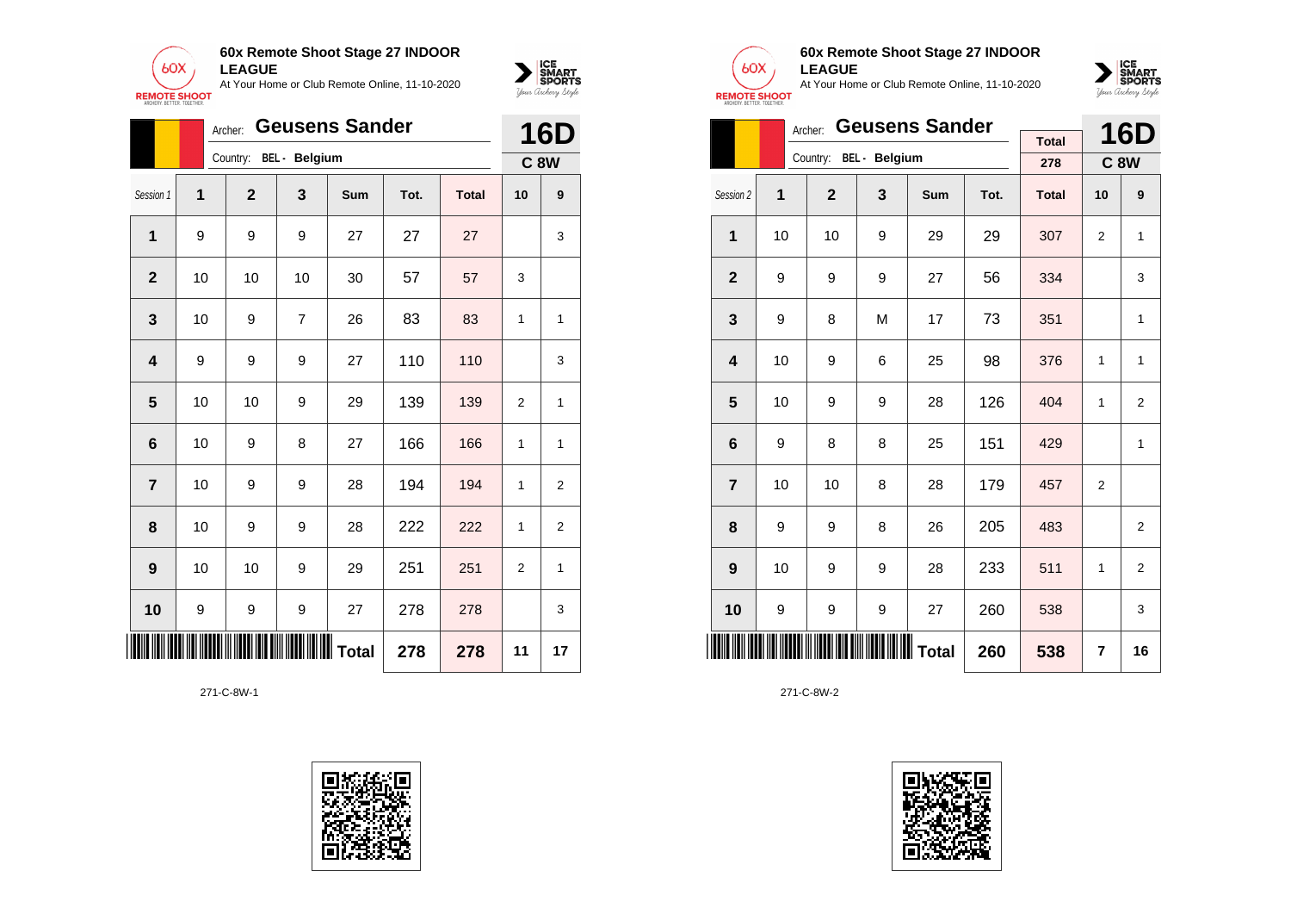



|                         |    | Archer:      |                        | <b>Geusens Sander</b> |      |              |                | <b>16D</b>  |
|-------------------------|----|--------------|------------------------|-----------------------|------|--------------|----------------|-------------|
|                         |    |              | Country: BEL - Belgium |                       |      |              |                | <b>C 8W</b> |
| Session 1               | 1  | $\mathbf{2}$ | 3                      | Sum                   | Tot. | <b>Total</b> | 10             | 9           |
| 1                       | 9  | 9            | 9                      | 27                    | 27   | 27           |                | 3           |
| $\mathbf{2}$            | 10 | 10           | 10                     | 30                    | 57   | 57           | 3              |             |
| $\mathbf{3}$            | 10 | 9            | $\overline{7}$         | 26                    | 83   | 83           | 1              | 1           |
| $\overline{\mathbf{4}}$ | 9  | 9            | 9                      | 27                    | 110  | 110          |                | 3           |
| $\overline{\mathbf{5}}$ | 10 | 10           | 9                      | 29                    | 139  | 139          | $\overline{2}$ | 1           |
| 6                       | 10 | 9            | 8                      | 27                    | 166  | 166          | 1              | 1           |
| $\overline{\mathbf{r}}$ | 10 | 9            | 9                      | 28                    | 194  | 194          | 1              | 2           |
| 8                       | 10 | 9            | 9                      | 28                    | 222  | 222          | 1              | 2           |
| 9                       | 10 | 10           | 9                      | 29                    | 251  | 251          | $\overline{2}$ | 1           |
| 10                      | 9  | 9            | 9                      | 27                    | 278  | 278          |                | 3           |
| III                     |    |              | Total                  |                       | 278  | 278          | 11             | 17          |





# **60x Remote Shoot Stage 27 INDOOR LEAGUE**

At Your Home or Club Remote Online, 11-10-2020



|                |    | Archer:        | <b>Geusens Sander</b>  |     |      | <b>16D</b>   |              |                |
|----------------|----|----------------|------------------------|-----|------|--------------|--------------|----------------|
|                |    |                | Country: BEL - Belgium |     |      | <b>Total</b> |              |                |
|                |    |                |                        |     |      | 278          |              | <b>C8W</b>     |
| Session 2      | 1  | $\overline{2}$ | 3                      | Sum | Tot. | <b>Total</b> | 10           | 9              |
| 1              | 10 | 10             | 9                      | 29  | 29   | 307          | 2            | 1              |
| $\mathbf{2}$   | 9  | 9              | 9                      | 27  | 56   | 334          |              | 3              |
| 3              | 9  | 8              | M                      | 17  | 73   | 351          |              | 1              |
| 4              | 10 | 9              | 6                      | 25  | 98   | 376          | $\mathbf{1}$ | 1              |
| 5              | 10 | 9              | 9                      | 28  | 126  | 404          | 1            | $\overline{2}$ |
| 6              | 9  | 8              | 8                      | 25  | 151  | 429          |              | $\mathbf{1}$   |
| $\overline{7}$ | 10 | 10             | 8                      | 28  | 179  | 457          | 2            |                |
| 8              | 9  | 9              | 8                      | 26  | 205  | 483          |              | $\overline{2}$ |
| 9              | 10 | 9              | 9                      | 28  | 233  | 511          | 1            | $\overline{2}$ |
| 10             | 9  | 9              | 9                      | 27  | 260  | 538          |              | 3              |
|                |    |                | 260                    | 538 | 7    | 16           |              |                |

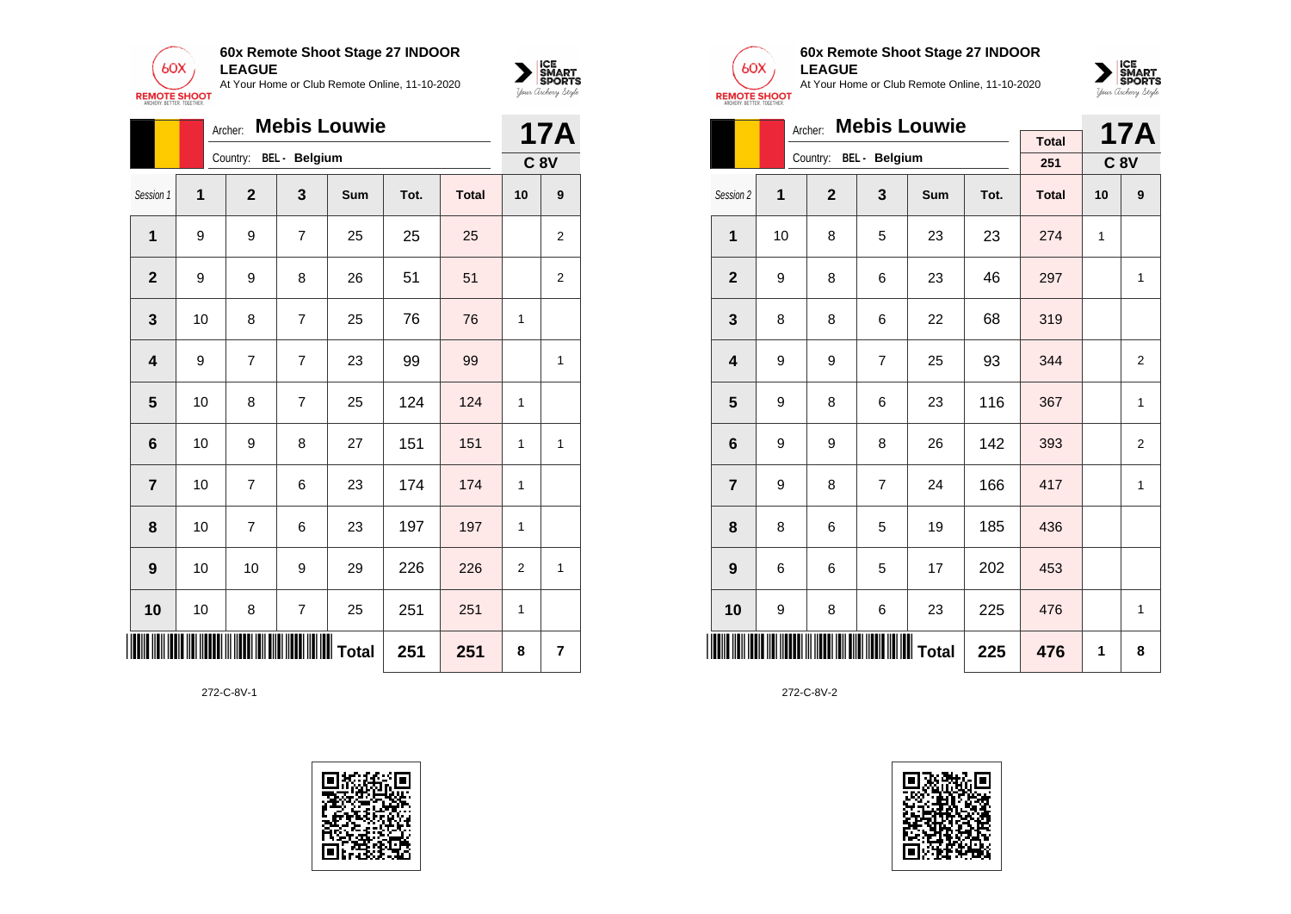



|                         | <b>Mebis Louwie</b><br>Archer: |                |                        |            |      |              |                |                               |  |
|-------------------------|--------------------------------|----------------|------------------------|------------|------|--------------|----------------|-------------------------------|--|
|                         |                                |                | Country: BEL - Belgium |            |      |              |                | <b>17A</b><br>C <sub>8V</sub> |  |
| Session 1               | 1                              | $\mathbf{2}$   | $\mathbf{3}$           | <b>Sum</b> | Tot. | <b>Total</b> | 10             | 9                             |  |
| 1                       | 9                              | 9              | $\overline{7}$         | 25         | 25   | 25           |                | $\overline{2}$                |  |
| $\overline{2}$          | 9                              | 9              | 8                      | 26         | 51   | 51           |                | $\overline{2}$                |  |
| 3                       | 10                             | 8              | $\overline{7}$         | 25         | 76   | 76           | 1              |                               |  |
| $\overline{\mathbf{4}}$ | 9                              | $\overline{7}$ | $\overline{7}$         | 23         | 99   | 99           |                | $\mathbf{1}$                  |  |
| 5                       | 10                             | 8              | $\overline{7}$         | 25         | 124  | 124          | 1              |                               |  |
| $6\phantom{1}6$         | 10                             | 9              | 8                      | 27         | 151  | 151          | 1              | $\mathbf{1}$                  |  |
| $\overline{7}$          | 10                             | $\overline{7}$ | 6                      | 23         | 174  | 174          | 1              |                               |  |
| 8                       | 10                             | $\overline{7}$ | 6                      | 23         | 197  | 197          | 1              |                               |  |
| 9                       | 10                             | 10             | 9                      | 29         | 226  | 226          | $\overline{2}$ | $\mathbf{1}$                  |  |
| 10                      | 10                             | 8              | $\overline{7}$         | 25         | 251  | 251          | 1              |                               |  |
|                         |                                |                | <b>IIIIIIII</b> Total  | 251        | 251  | 8            | $\overline{7}$ |                               |  |





## **60x Remote Shoot Stage 27 INDOOR LEAGUE**

At Your Home or Club Remote Online, 11-10-2020



|                |    | <b>Mebis Louwie</b><br>Archer: |                        |     |      | <b>17A</b>   |             |                |
|----------------|----|--------------------------------|------------------------|-----|------|--------------|-------------|----------------|
|                |    |                                | Country: BEL - Belgium |     |      | <b>Total</b> |             |                |
|                |    |                                |                        |     |      | 251          | <b>C 8V</b> |                |
| Session 2      | 1  | $\overline{2}$                 | 3                      | Sum | Tot. | <b>Total</b> | 10          | 9              |
| 1              | 10 | 8                              | 5                      | 23  | 23   | 274          | 1           |                |
| $\mathbf{2}$   | 9  | 8                              | 6                      | 23  | 46   | 297          |             | 1              |
| 3              | 8  | 8                              | 6                      | 22  | 68   | 319          |             |                |
| 4              | 9  | 9                              | $\overline{7}$         | 25  | 93   | 344          |             | $\overline{2}$ |
| 5              | 9  | 8                              | 6                      | 23  | 116  | 367          |             | 1              |
| 6              | 9  | 9                              | 8                      | 26  | 142  | 393          |             | $\overline{2}$ |
| $\overline{7}$ | 9  | 8                              | $\overline{7}$         | 24  | 166  | 417          |             | $\mathbf{1}$   |
| 8              | 8  | 6                              | 5                      | 19  | 185  | 436          |             |                |
| 9              | 6  | 6                              | 5                      | 17  | 202  | 453          |             |                |
| 10             | 9  | 8                              | 6                      | 23  | 225  | 476          |             | 1              |
| IIII           |    |                                | 225                    | 476 | 1    | 8            |             |                |

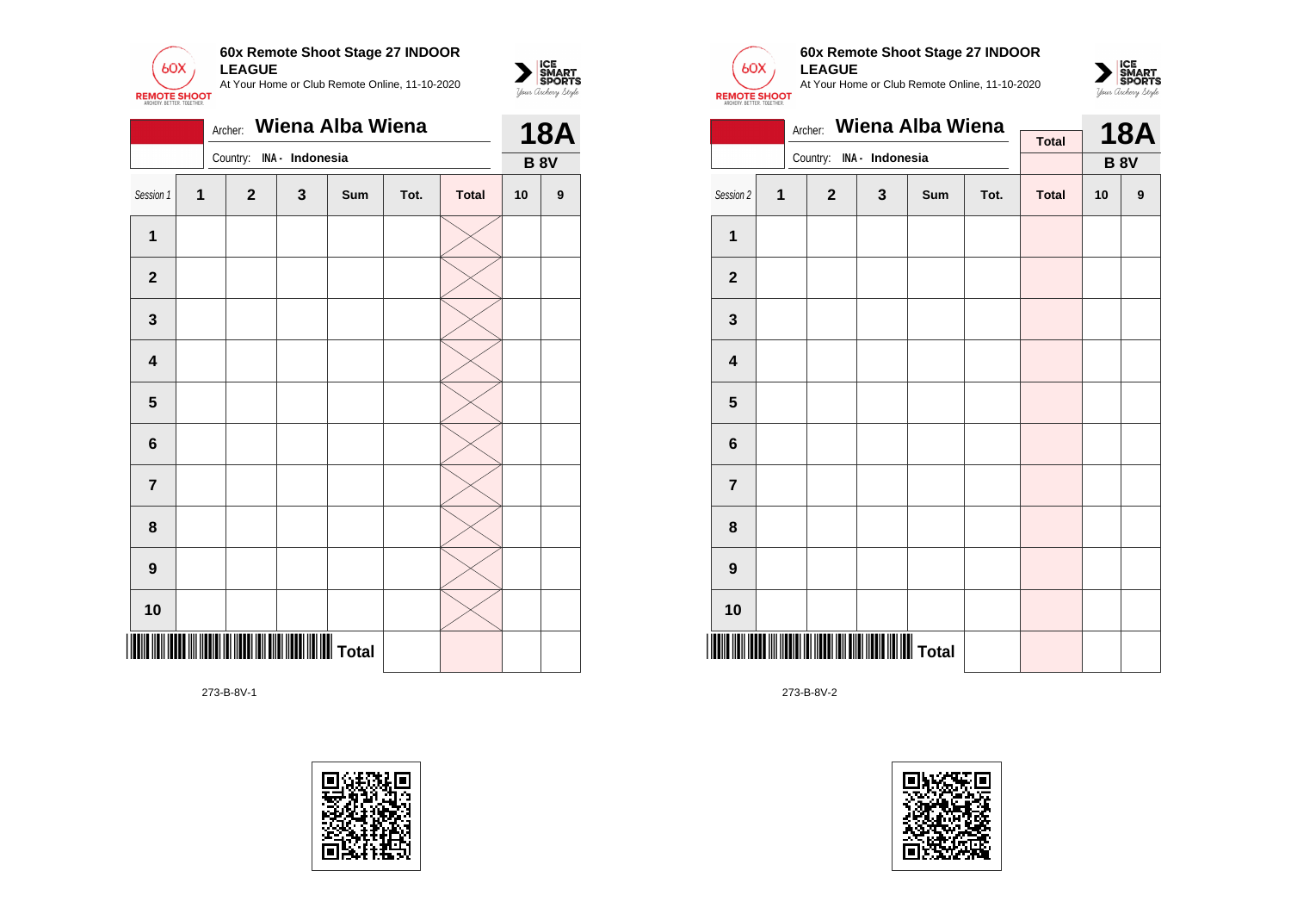

|                         | Wiena Alba Wiena<br>Archer: |              |                 |     |      |              |             |            |  |
|-------------------------|-----------------------------|--------------|-----------------|-----|------|--------------|-------------|------------|--|
|                         |                             | Country:     | INA - Indonesia |     |      |              | <b>B 8V</b> | <b>18A</b> |  |
| Session 1               | $\overline{1}$              | $\mathbf{2}$ | $\mathbf{3}$    | Sum | Tot. | <b>Total</b> | 10          | 9          |  |
| 1                       |                             |              |                 |     |      |              |             |            |  |
| $\mathbf{2}$            |                             |              |                 |     |      |              |             |            |  |
| $\mathbf 3$             |                             |              |                 |     |      |              |             |            |  |
| $\overline{\mathbf{4}}$ |                             |              |                 |     |      |              |             |            |  |
| 5                       |                             |              |                 |     |      |              |             |            |  |
| $6\phantom{1}$          |                             |              |                 |     |      |              |             |            |  |
| $\overline{7}$          |                             |              |                 |     |      |              |             |            |  |
| 8                       |                             |              |                 |     |      |              |             |            |  |
| $\boldsymbol{9}$        |                             |              |                 |     |      |              |             |            |  |
| 10                      |                             |              |                 |     |      |              |             |            |  |
|                         |                             |              |                 |     |      |              |             |            |  |

273-B-8V-1





 $\sum_{\text{M} \subseteq \text{S$ **PORTS** 

# **60x Remote Shoot Stage 27 INDOOR LEAGUE**

At Your Home or Club Remote Online, 11-10-2020



|                  |   | Archer:      |                 | Wiena Alba Wiena |      |              |    | <b>18A</b>  |
|------------------|---|--------------|-----------------|------------------|------|--------------|----|-------------|
|                  |   | Country:     | INA - Indonesia |                  |      | <b>Total</b> |    |             |
|                  |   |              |                 |                  |      |              |    | <b>B 8V</b> |
| Session 2        | 1 | $\mathbf{2}$ | 3               | Sum              | Tot. | <b>Total</b> | 10 | 9           |
| $\mathbf 1$      |   |              |                 |                  |      |              |    |             |
| $\mathbf 2$      |   |              |                 |                  |      |              |    |             |
| $\mathbf{3}$     |   |              |                 |                  |      |              |    |             |
| 4                |   |              |                 |                  |      |              |    |             |
| 5                |   |              |                 |                  |      |              |    |             |
| 6                |   |              |                 |                  |      |              |    |             |
| $\overline{7}$   |   |              |                 |                  |      |              |    |             |
| 8                |   |              |                 |                  |      |              |    |             |
| $\boldsymbol{9}$ |   |              |                 |                  |      |              |    |             |
| 10               |   |              |                 |                  |      |              |    |             |
|                  |   |              |                 |                  |      |              |    |             |

273-B-8V-2

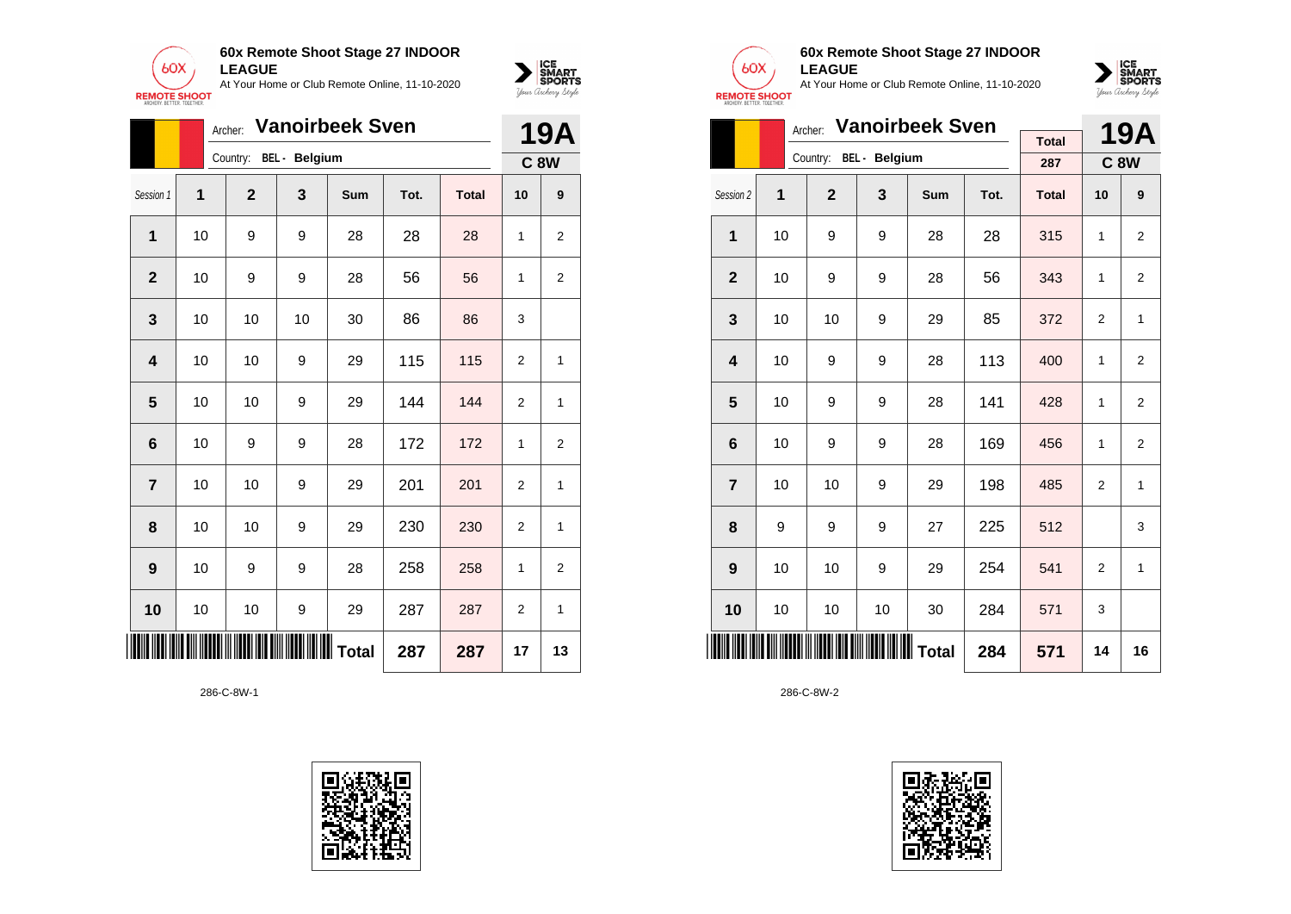

|                 |    | <b>Vanoirbeek Sven</b><br>Archer: |       |            | <b>19A</b> |              |                |                |
|-----------------|----|-----------------------------------|-------|------------|------------|--------------|----------------|----------------|
|                 |    | Country: BEL - Belgium            |       |            |            |              |                | <b>C 8W</b>    |
| Session 1       | 1  | $\overline{2}$                    | 3     | <b>Sum</b> | Tot.       | <b>Total</b> | 10             | 9              |
| 1               | 10 | 9                                 | 9     | 28         | 28         | 28           | 1              | $\overline{2}$ |
| $\overline{2}$  | 10 | 9                                 | 9     | 28         | 56         | 56           | 1              | $\overline{2}$ |
| 3               | 10 | 10                                | 10    | 30         | 86         | 86           | 3              |                |
| 4               | 10 | 10                                | 9     | 29         | 115        | 115          | $\overline{2}$ | $\mathbf{1}$   |
| 5               | 10 | 10                                | 9     | 29         | 144        | 144          | $\overline{2}$ | 1              |
| $6\phantom{1}6$ | 10 | 9                                 | 9     | 28         | 172        | 172          | 1              | $\overline{2}$ |
| $\overline{7}$  | 10 | 10                                | 9     | 29         | 201        | 201          | $\overline{2}$ | $\mathbf{1}$   |
| 8               | 10 | 10                                | 9     | 29         | 230        | 230          | $\overline{2}$ | $\mathbf{1}$   |
| 9               | 10 | 9                                 | 9     | 28         | 258        | 258          | 1              | $\overline{2}$ |
| 10              | 10 | 10                                | 9     | 29         | 287        | 287          | $\overline{2}$ | $\mathbf{1}$   |
|                 |    |                                   | Total |            | 287        | 287          | 17             | 13             |

286-C-8W-1





 $\sum_{\text{M} \subseteq \text{S$ **PORTS** 

# **60x Remote Shoot Stage 27 INDOOR LEAGUE**

At Your Home or Club Remote Online, 11-10-2020



|                         |    | <b>Vanoirbeek Sven</b><br>Archer: |                        |                  | 19A  |              |                |                |
|-------------------------|----|-----------------------------------|------------------------|------------------|------|--------------|----------------|----------------|
|                         |    |                                   | Country: BEL - Belgium |                  |      | <b>Total</b> |                |                |
|                         |    |                                   |                        |                  |      | 287          | <b>C8W</b>     |                |
| Session 2               | 1  | $\overline{2}$                    | 3                      | <b>Sum</b>       | Tot. | <b>Total</b> | 10             | 9              |
| 1                       | 10 | 9                                 | 9                      | 28               | 28   | 315          | 1              | 2              |
| $\mathbf{2}$            | 10 | 9                                 | 9                      | 28               | 56   | 343          | 1              | $\overline{2}$ |
| 3                       | 10 | 10                                | 9                      | 29               | 85   | 372          | 2              | 1              |
| $\overline{\mathbf{4}}$ | 10 | 9                                 | 9                      | 28               | 113  | 400          | 1              | $\overline{2}$ |
| 5                       | 10 | 9                                 | 9                      | 28               | 141  | 428          | 1              | 2              |
| 6                       | 10 | 9                                 | 9                      | 28               | 169  | 456          | 1              | $\overline{2}$ |
| $\overline{7}$          | 10 | 10                                | 9                      | 29               | 198  | 485          | $\overline{2}$ | $\mathbf{1}$   |
| 8                       | 9  | 9                                 | 9                      | 27               | 225  | 512          |                | 3              |
| 9                       | 10 | 10                                | 9                      | 29               | 254  | 541          | 2              | $\mathbf{1}$   |
| 10                      | 10 | 10                                | 10                     | 30               | 284  | 571          | 3              |                |
| IIII                    |    |                                   |                        | <b>WWW</b> Total | 284  | 571          | 14             | 16             |

286-C-8W-2

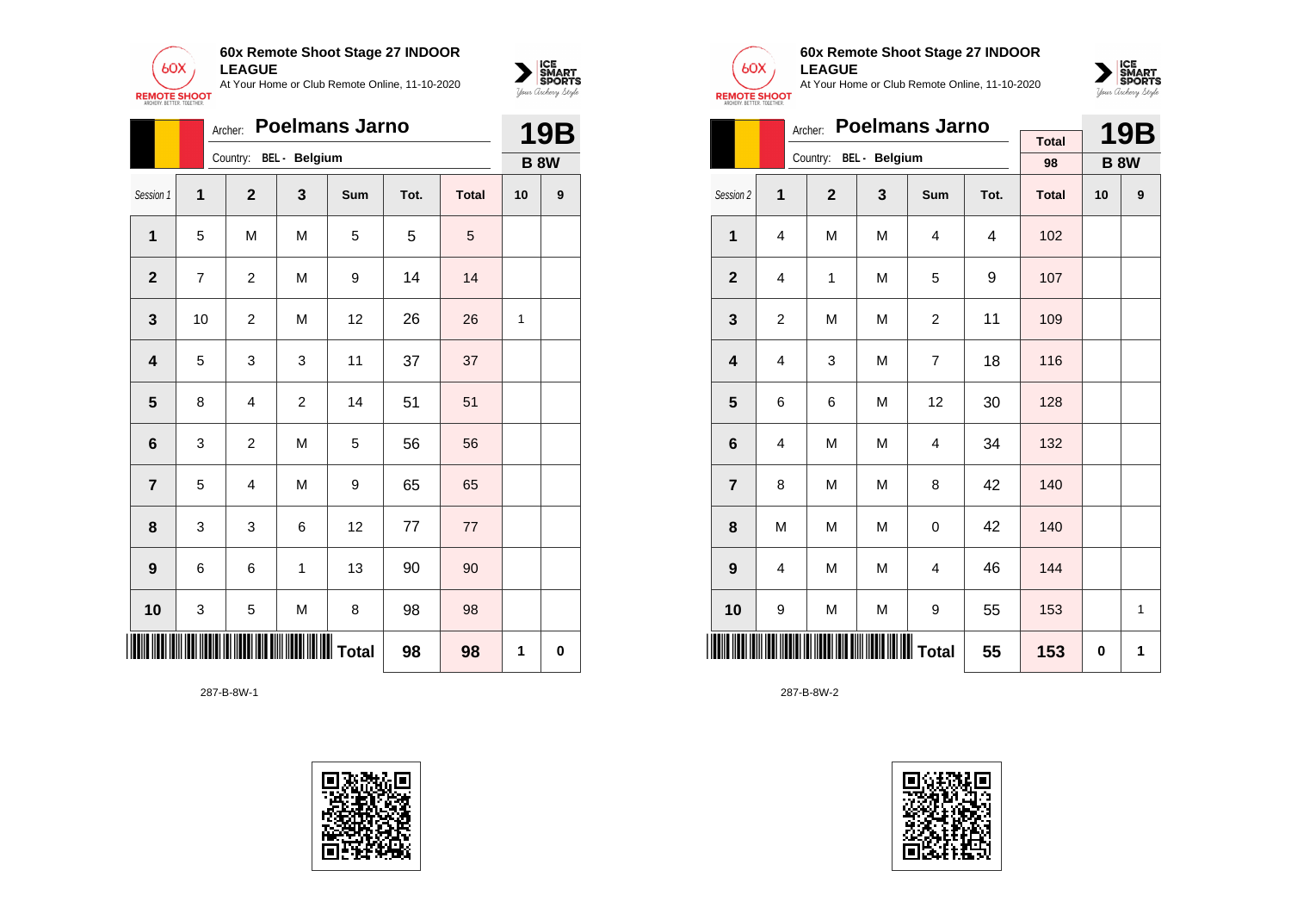



|                 | Archer: |                | <b>19B</b>             |           |      |              |    |             |
|-----------------|---------|----------------|------------------------|-----------|------|--------------|----|-------------|
|                 |         |                | Country: BEL - Belgium |           |      |              |    | <b>B 8W</b> |
| Session 1       | 1       | $\overline{2}$ | 3                      | Sum       | Tot. | <b>Total</b> | 10 | 9           |
| 1               | 5       | M              | M                      | 5         | 5    | 5            |    |             |
| $\mathbf{2}$    | 7       | $\overline{c}$ | M                      | 9         | 14   | 14           |    |             |
| 3               | 10      | $\overline{c}$ | M                      | 12        | 26   | 26           | 1  |             |
| 4               | 5       | 3              | 3                      | 11        | 37   | 37           |    |             |
| 5               | 8       | 4              | $\overline{c}$         | 14        | 51   | 51           |    |             |
| $6\phantom{1}6$ | 3       | $\mathbf 2$    | M                      | 5         | 56   | 56           |    |             |
| $\overline{7}$  | 5       | 4              | M                      | 9         | 65   | 65           |    |             |
| 8               | 3       | 3              | 6                      | 12        | 77   | 77           |    |             |
| 9               | 6       | 6              | $\mathbf{1}$           | 13        | 90   | 90           |    |             |
| 10              | 3       | 5              | M                      | 8         | 98   | 98           |    |             |
| III             |         |                |                        | ∭∭∭ Total | 98   | 98           | 1  | $\mathbf 0$ |

287-B-8W-1





## **60x Remote Shoot Stage 27 INDOOR LEAGUE**

At Your Home or Club Remote Online, 11-10-2020



|                         |   | <b>Poelmans Jarno</b><br>Archer: |                     |                | <b>19B</b> |              |          |              |
|-------------------------|---|----------------------------------|---------------------|----------------|------------|--------------|----------|--------------|
|                         |   | Country: BEL - Belgium           |                     |                |            | <b>Total</b> |          |              |
|                         |   |                                  |                     |                |            | 98           |          | <b>B 8W</b>  |
| Session 2               | 1 | $\overline{2}$                   | 3                   | Sum            | Tot.       | <b>Total</b> | 10       | 9            |
| 1                       | 4 | M                                | M                   | 4              | 4          | 102          |          |              |
| $\mathbf{2}$            | 4 | 1                                | M                   | 5              | 9          | 107          |          |              |
| 3                       | 2 | M                                | M                   | $\overline{c}$ | 11         | 109          |          |              |
| $\overline{\mathbf{4}}$ | 4 | 3                                | M                   | $\overline{7}$ | 18         | 116          |          |              |
| 5                       | 6 | 6                                | M                   | 12             | 30         | 128          |          |              |
| 6                       | 4 | M                                | M                   | $\overline{4}$ | 34         | 132          |          |              |
| $\overline{7}$          | 8 | M                                | M                   | 8              | 42         | 140          |          |              |
| 8                       | M | M                                | M                   | 0              | 42         | 140          |          |              |
| 9                       | 4 | M                                | M                   | 4              | 46         | 144          |          |              |
| 10                      | 9 | M                                | M                   | 9              | 55         | 153          |          | $\mathbf{1}$ |
|                         |   |                                  | <b>WWWWWW</b> Total |                | 55         | 153          | $\bf{0}$ | 1            |

287-B-8W-2

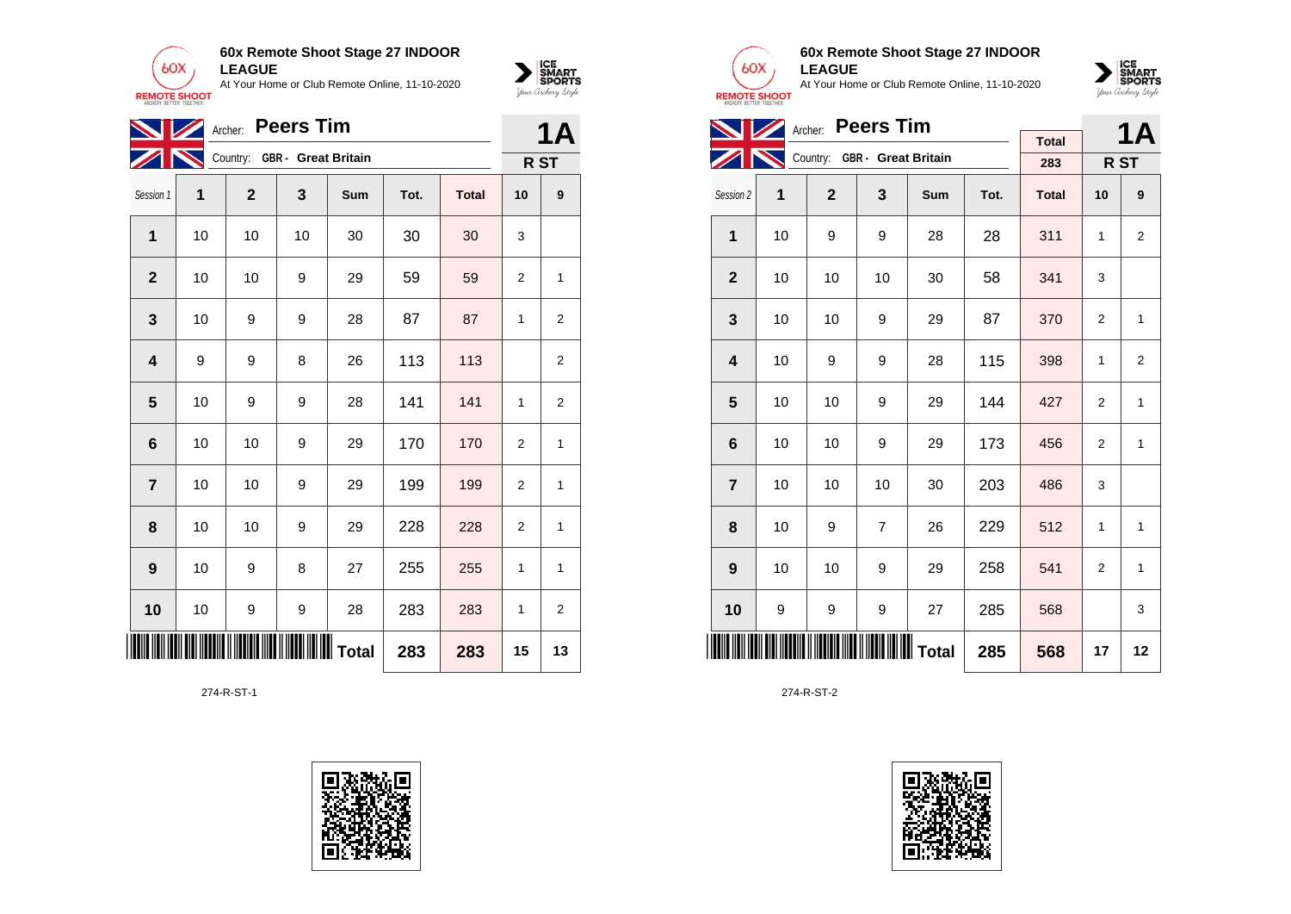



|                 |    |                | <b>1A</b>                    |     |      |              |                 |                |
|-----------------|----|----------------|------------------------------|-----|------|--------------|-----------------|----------------|
|                 |    |                | Country: GBR - Great Britain |     |      |              | R <sub>ST</sub> |                |
| Session 1       | 1  | $\overline{2}$ | 3                            | Sum | Tot. | <b>Total</b> | 10              | 9              |
| 1               | 10 | 10             | 10                           | 30  | 30   | 30           | 3               |                |
| $\overline{2}$  | 10 | 10             | 9                            | 29  | 59   | 59           | $\overline{2}$  | 1              |
| 3               | 10 | 9              | 9                            | 28  | 87   | 87           | 1               | $\overline{2}$ |
| 4               | 9  | 9              | 8                            | 26  | 113  | 113          |                 | $\overline{2}$ |
| 5               | 10 | 9              | 9                            | 28  | 141  | 141          | 1               | 2              |
| $6\phantom{1}6$ | 10 | 10             | 9                            | 29  | 170  | 170          | $\overline{2}$  | $\mathbf{1}$   |
| $\overline{7}$  | 10 | 10             | 9                            | 29  | 199  | 199          | $\overline{2}$  | $\mathbf{1}$   |
| 8               | 10 | 10             | 9                            | 29  | 228  | 228          | 2               | 1              |
| 9               | 10 | 9              | 8                            | 27  | 255  | 255          | 1               | 1              |
| 10              | 10 | 9              | 9                            | 28  | 283  | 283          | 1               | $\overline{2}$ |
| 283<br>283      |    |                |                              |     |      |              | 15              | 13             |

274-R-ST-1





#### **60x Remote Shoot Stage 27 INDOOR LEAGUE**

At Your Home or Club Remote Online, 11-10-2020



|                |                              | Archer: Peers Tim |                |            |      | 1Α           |                |                 |
|----------------|------------------------------|-------------------|----------------|------------|------|--------------|----------------|-----------------|
|                | Country: GBR - Great Britain |                   |                |            |      | <b>Total</b> |                |                 |
|                |                              |                   |                |            |      | 283          |                | R <sub>ST</sub> |
| Session 2      | 1                            | $\mathbf{2}$      | 3              | <b>Sum</b> | Tot. | <b>Total</b> | 10             | 9               |
| 1              | 10                           | 9                 | 9              | 28         | 28   | 311          | 1              | $\overline{2}$  |
| $\overline{2}$ | 10                           | 10                | 10             | 30         | 58   | 341          | 3              |                 |
| 3              | 10                           | 10                | 9              | 29         | 87   | 370          | 2              | 1               |
| 4              | 10                           | 9                 | 9              | 28         | 115  | 398          | $\mathbf{1}$   | $\overline{2}$  |
| 5              | 10                           | 10                | 9              | 29         | 144  | 427          | $\overline{2}$ | 1               |
| 6              | 10                           | 10                | 9              | 29         | 173  | 456          | $\overline{2}$ | $\mathbf{1}$    |
| $\overline{7}$ | 10                           | 10                | 10             | 30         | 203  | 486          | 3              |                 |
| 8              | 10                           | 9                 | $\overline{7}$ | 26         | 229  | 512          | 1              | 1               |
| 9              | 10                           | 10                | 9              | 29         | 258  | 541          | 2              | $\mathbf{1}$    |
| 10             | 9                            | 9                 | 9              | 27         | 285  | 568          |                | 3               |
|                |                              | 285               | 568            | 17         | 12   |              |                |                 |

274-R-ST-2

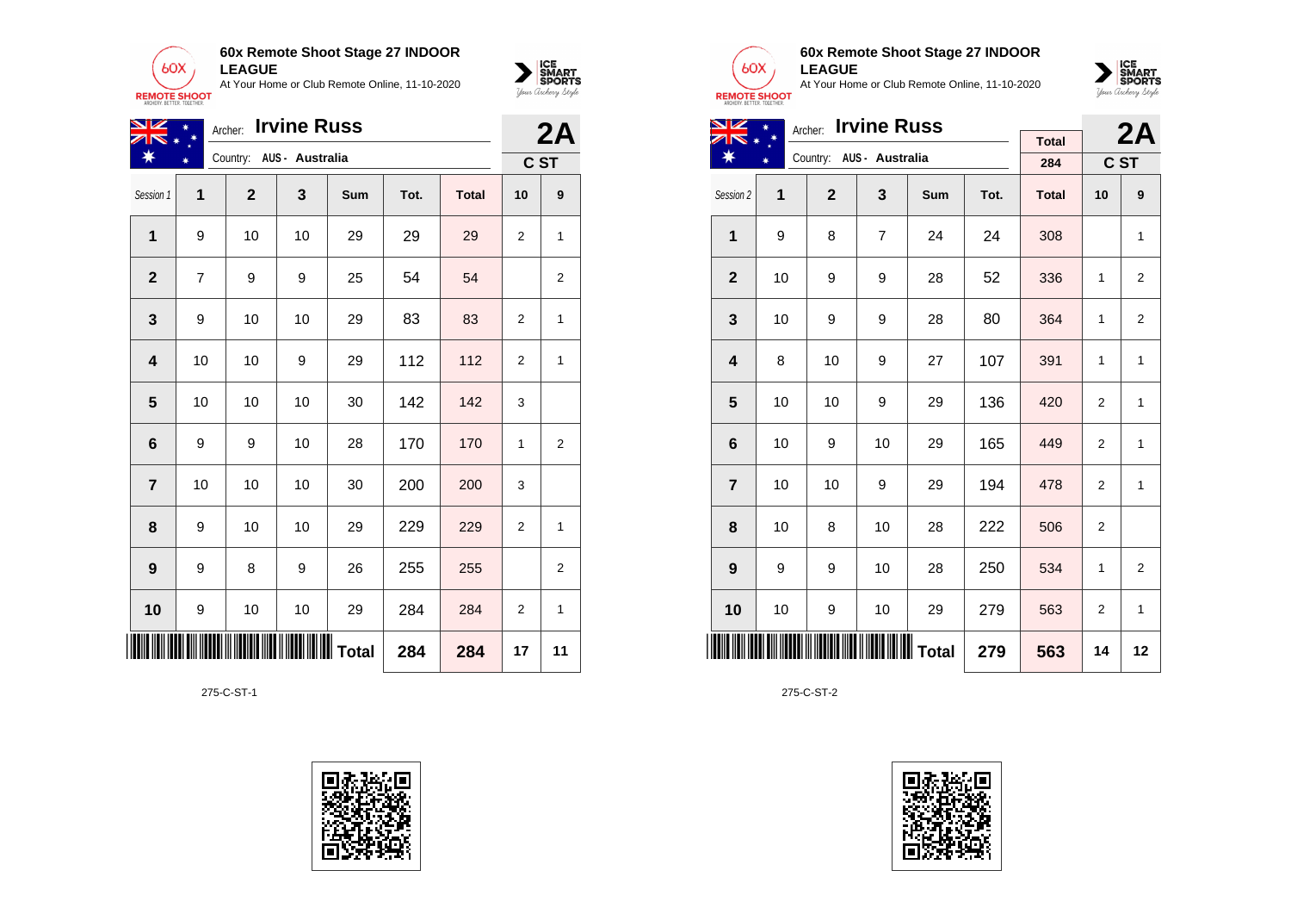



| NZ               |                | Archer:      | <b>Irvine Russ</b>       |                  |      |              |                | 2A             |
|------------------|----------------|--------------|--------------------------|------------------|------|--------------|----------------|----------------|
| ☀                |                |              | Country: AUS - Australia |                  |      |              |                | C ST           |
| Session 1        | 1              | $\mathbf{2}$ | 3                        | Sum              | Tot. | <b>Total</b> | 10             | 9              |
| 1                | 9              | 10           | 10                       | 29               | 29   | 29           | 2              | $\mathbf{1}$   |
| $\mathbf{2}$     | $\overline{7}$ | 9            | 9                        | 25               | 54   | 54           |                | 2              |
| 3                | 9              | 10           | 10                       | 29               | 83   | 83           | 2              | $\mathbf{1}$   |
| 4                | 10             | 10           | 9                        | 29               | 112  | 112          | 2              | 1              |
| 5                | 10             | 10           | 10                       | 30               | 142  | 142          | 3              |                |
| $6\phantom{1}6$  | 9              | 9            | 10                       | 28               | 170  | 170          | 1              | 2              |
| $\overline{7}$   | 10             | 10           | 10                       | 30               | 200  | 200          | 3              |                |
| 8                | 9              | 10           | 10                       | 29               | 229  | 229          | 2              | 1              |
| $\boldsymbol{9}$ | 9              | 8            | 9                        | 26               | 255  | 255          |                | $\overline{2}$ |
| 10               | 9              | 10           | 10                       | 29               | 284  | 284          | $\overline{2}$ | $\mathbf{1}$   |
| IIII             |                |              |                          | <b>III</b> Total | 284  | 284          | 17             | 11             |

275-C-ST-1





### **60x Remote Shoot Stage 27 INDOOR LEAGUE**

At Your Home or Club Remote Online, 11-10-2020



| VZ                      | Archer: |                |                          | 2A  |      |              |                |                |
|-------------------------|---------|----------------|--------------------------|-----|------|--------------|----------------|----------------|
| ☀                       |         |                |                          |     |      | <b>Total</b> |                |                |
|                         | ∗       |                | Country: AUS - Australia |     |      | 284          |                | C ST           |
| Session 2               | 1       | $\overline{2}$ | 3                        | Sum | Tot. | <b>Total</b> | 10             | 9              |
| $\mathbf{1}$            | 9       | 8              | $\overline{7}$           | 24  | 24   | 308          |                | 1              |
| $\mathbf{2}$            | 10      | 9              | 9                        | 28  | 52   | 336          | 1              | $\overline{2}$ |
| 3                       | 10      | 9              | 9                        | 28  | 80   | 364          | 1              | $\overline{2}$ |
| $\overline{\mathbf{4}}$ | 8       | 10             | 9                        | 27  | 107  | 391          | 1              | 1              |
| 5                       | 10      | 10             | 9                        | 29  | 136  | 420          | $\overline{2}$ | 1              |
| 6                       | 10      | 9              | 10                       | 29  | 165  | 449          | $\overline{2}$ | $\mathbf{1}$   |
| $\overline{7}$          | 10      | 10             | 9                        | 29  | 194  | 478          | 2              | 1              |
| 8                       | 10      | 8              | 10                       | 28  | 222  | 506          | 2              |                |
| 9                       | 9       | 9              | 10                       | 28  | 250  | 534          | $\mathbf{1}$   | $\overline{2}$ |
| 10                      | 10      | 9              | 10                       | 29  | 279  | 563          | $\overline{2}$ | 1              |
|                         | 279     |                |                          |     |      |              | 14             | 12             |

275-C-ST-2

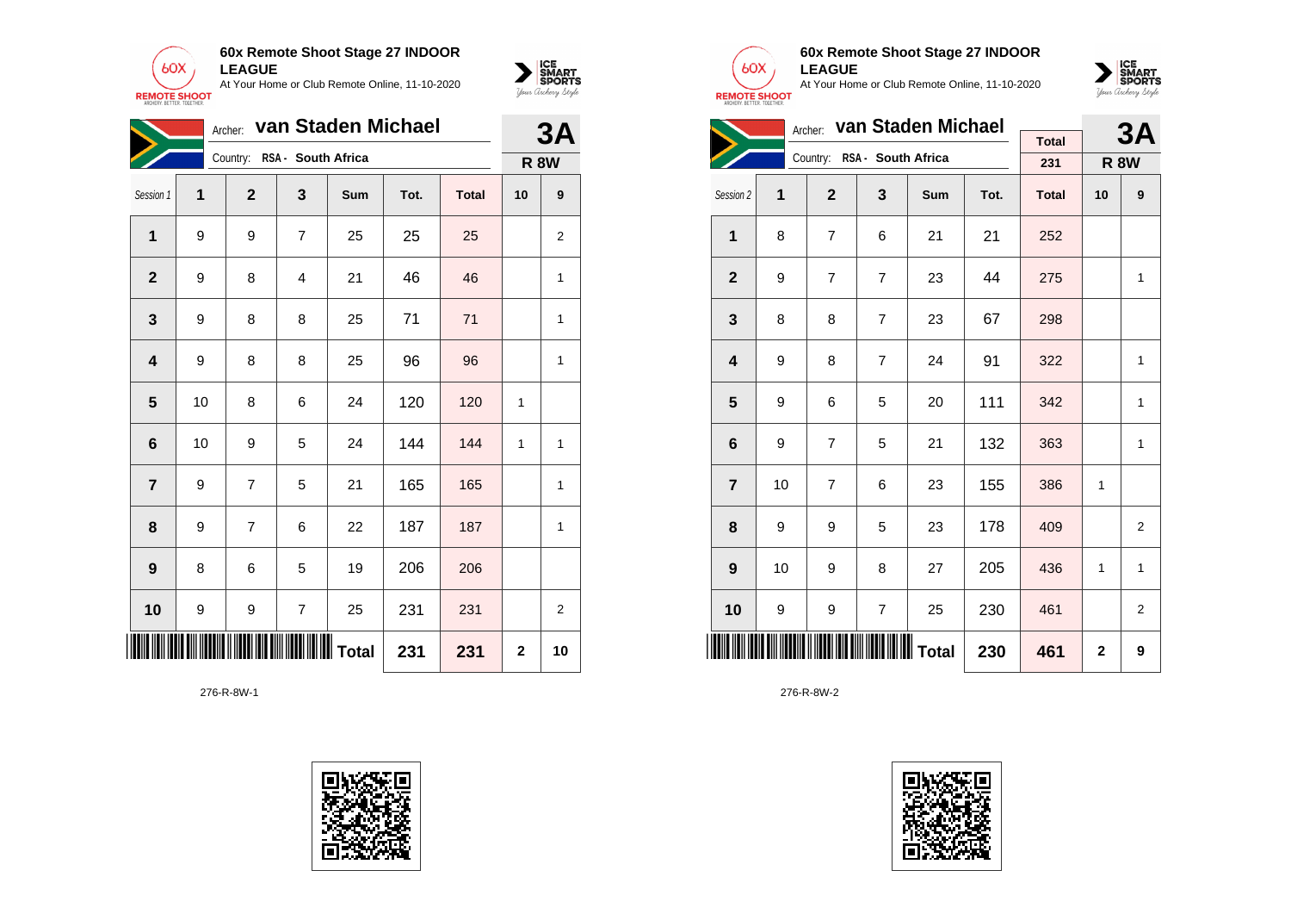



|                | Archer: <b>Van Staden Michael</b><br>Country: RSA - South Africa |                |                |     |      |              |             |    |
|----------------|------------------------------------------------------------------|----------------|----------------|-----|------|--------------|-------------|----|
|                |                                                                  |                |                |     |      |              | <b>R 8W</b> |    |
| Session 1      | 1                                                                | $\mathbf{2}$   | 3              | Sum | Tot. | <b>Total</b> | 10          | 9  |
| $\mathbf{1}$   | 9                                                                | 9              | $\overline{7}$ | 25  | 25   | 25           |             | 2  |
| $\mathbf{2}$   | 9                                                                | 8              | 4              | 21  | 46   | 46           |             | 1  |
| 3              | 9                                                                | 8              | 8              | 25  | 71   | 71           |             | 1  |
| 4              | 9                                                                | 8              | 8              | 25  | 96   | 96           |             | 1  |
| 5              | 10                                                               | 8              | 6              | 24  | 120  | 120          | 1           |    |
| 6              | 10                                                               | 9              | 5              | 24  | 144  | 144          | 1           | 1  |
| $\overline{7}$ | 9                                                                | $\overline{7}$ | 5              | 21  | 165  | 165          |             | 1  |
| 8              | 9                                                                | $\overline{7}$ | 6              | 22  | 187  | 187          |             | 1  |
| 9              | 8                                                                | 6              | 5              | 19  | 206  | 206          |             |    |
| 10             | 9                                                                | 9              | $\overline{7}$ | 25  | 231  | 231          |             | 2  |
| 231            |                                                                  |                |                |     |      | 231          | 2           | 10 |

276-R-8W-1





### **60x Remote Shoot Stage 27 INDOOR LEAGUE**

At Your Home or Club Remote Online, 11-10-2020



| Archer: van Staden Michael |    |                |                             |     |      |              |             | 3A          |
|----------------------------|----|----------------|-----------------------------|-----|------|--------------|-------------|-------------|
|                            |    |                |                             |     |      | <b>Total</b> |             |             |
|                            |    |                | Country: RSA - South Africa |     |      | 231          |             | <b>R 8W</b> |
| Session 2                  | 1  | $\overline{2}$ | 3                           | Sum | Tot. | <b>Total</b> | 10          | 9           |
| 1                          | 8  | $\overline{7}$ | 6                           | 21  | 21   | 252          |             |             |
| $\overline{2}$             | 9  | $\overline{7}$ | $\overline{7}$              | 23  | 44   | 275          |             | 1           |
| 3                          | 8  | 8              | $\overline{7}$              | 23  | 67   | 298          |             |             |
| $\overline{\mathbf{4}}$    | 9  | 8              | $\overline{7}$              | 24  | 91   | 322          |             | 1           |
| 5                          | 9  | 6              | 5                           | 20  | 111  | 342          |             | 1           |
| $6\phantom{1}6$            | 9  | $\overline{7}$ | 5                           | 21  | 132  | 363          |             | 1           |
| $\overline{7}$             | 10 | $\overline{7}$ | 6                           | 23  | 155  | 386          | 1           |             |
| 8                          | 9  | 9              | 5                           | 23  | 178  | 409          |             | 2           |
| 9                          | 10 | 9              | 8                           | 27  | 205  | 436          | 1           | 1           |
| 10                         | 9  | 9              | $\overline{7}$              | 25  | 230  | 461          |             | 2           |
|                            |    |                |                             |     | 230  | 461          | $\mathbf 2$ | 9           |

276-R-8W-2

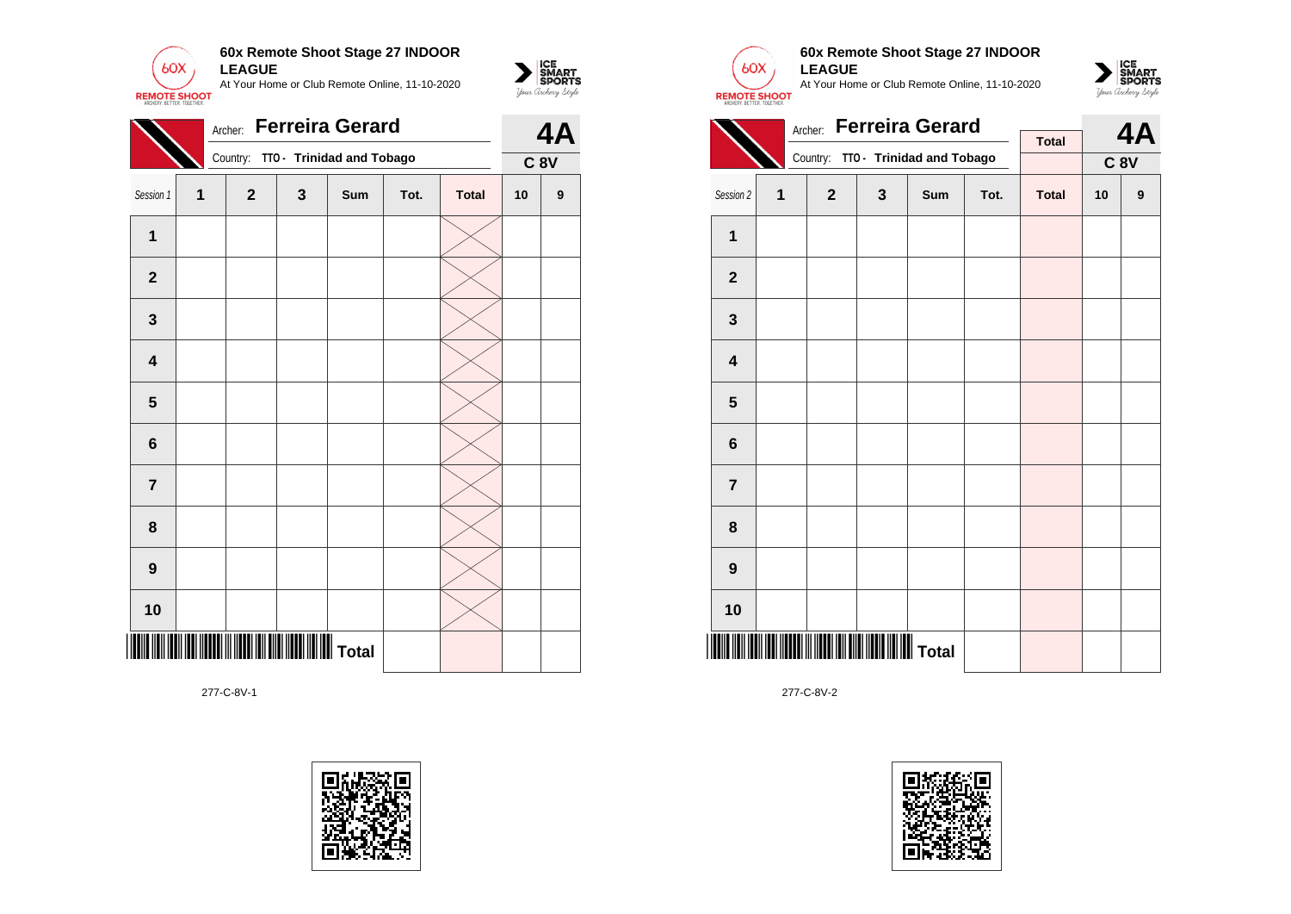

|                         |   |              |   | Country: TTO - Trinidad and Tobago |      |              | 4A<br>$C$ 8 $V$<br>10<br>$\boldsymbol{9}$ |  |
|-------------------------|---|--------------|---|------------------------------------|------|--------------|-------------------------------------------|--|
| Session 1               | 1 | $\mathbf{2}$ | 3 | Sum                                | Tot. | <b>Total</b> |                                           |  |
| $\mathbf{1}$            |   |              |   |                                    |      |              |                                           |  |
| $\mathbf{2}$            |   |              |   |                                    |      |              |                                           |  |
| 3                       |   |              |   |                                    |      |              |                                           |  |
| $\overline{\mathbf{4}}$ |   |              |   |                                    |      |              |                                           |  |
| 5                       |   |              |   |                                    |      |              |                                           |  |
| $\bf 6$                 |   |              |   |                                    |      |              |                                           |  |
| $\overline{7}$          |   |              |   |                                    |      |              |                                           |  |
| 8                       |   |              |   |                                    |      |              |                                           |  |
| 9                       |   |              |   |                                    |      |              |                                           |  |
| 10                      |   |              |   |                                    |      |              |                                           |  |
|                         |   |              |   | <b>WWWWW</b> Total                 |      |              |                                           |  |





 $\sum_{\text{M} \subseteq \text{S$ **PORTS** 

## **60x Remote Shoot Stage 27 INDOOR LEAGUE**

At Your Home or Club Remote Online, 11-10-2020



|                         | Archer:                 |                |              | 4A                                 |      |              |    |                 |  |
|-------------------------|-------------------------|----------------|--------------|------------------------------------|------|--------------|----|-----------------|--|
|                         |                         |                |              |                                    |      | <b>Total</b> |    |                 |  |
|                         |                         |                |              | Country: TTO - Trinidad and Tobago |      |              |    | C <sub>8V</sub> |  |
| Session 2               | $\overline{\mathbf{1}}$ | $\overline{2}$ | $\mathbf{3}$ | Sum                                | Tot. | <b>Total</b> | 10 | 9               |  |
| 1                       |                         |                |              |                                    |      |              |    |                 |  |
| $\mathbf 2$             |                         |                |              |                                    |      |              |    |                 |  |
| 3                       |                         |                |              |                                    |      |              |    |                 |  |
| $\overline{\mathbf{4}}$ |                         |                |              |                                    |      |              |    |                 |  |
| 5                       |                         |                |              |                                    |      |              |    |                 |  |
| 6                       |                         |                |              |                                    |      |              |    |                 |  |
| $\overline{7}$          |                         |                |              |                                    |      |              |    |                 |  |
| 8                       |                         |                |              |                                    |      |              |    |                 |  |
| 9                       |                         |                |              |                                    |      |              |    |                 |  |
| 10                      |                         |                |              |                                    |      |              |    |                 |  |
|                         |                         |                |              |                                    |      |              |    |                 |  |

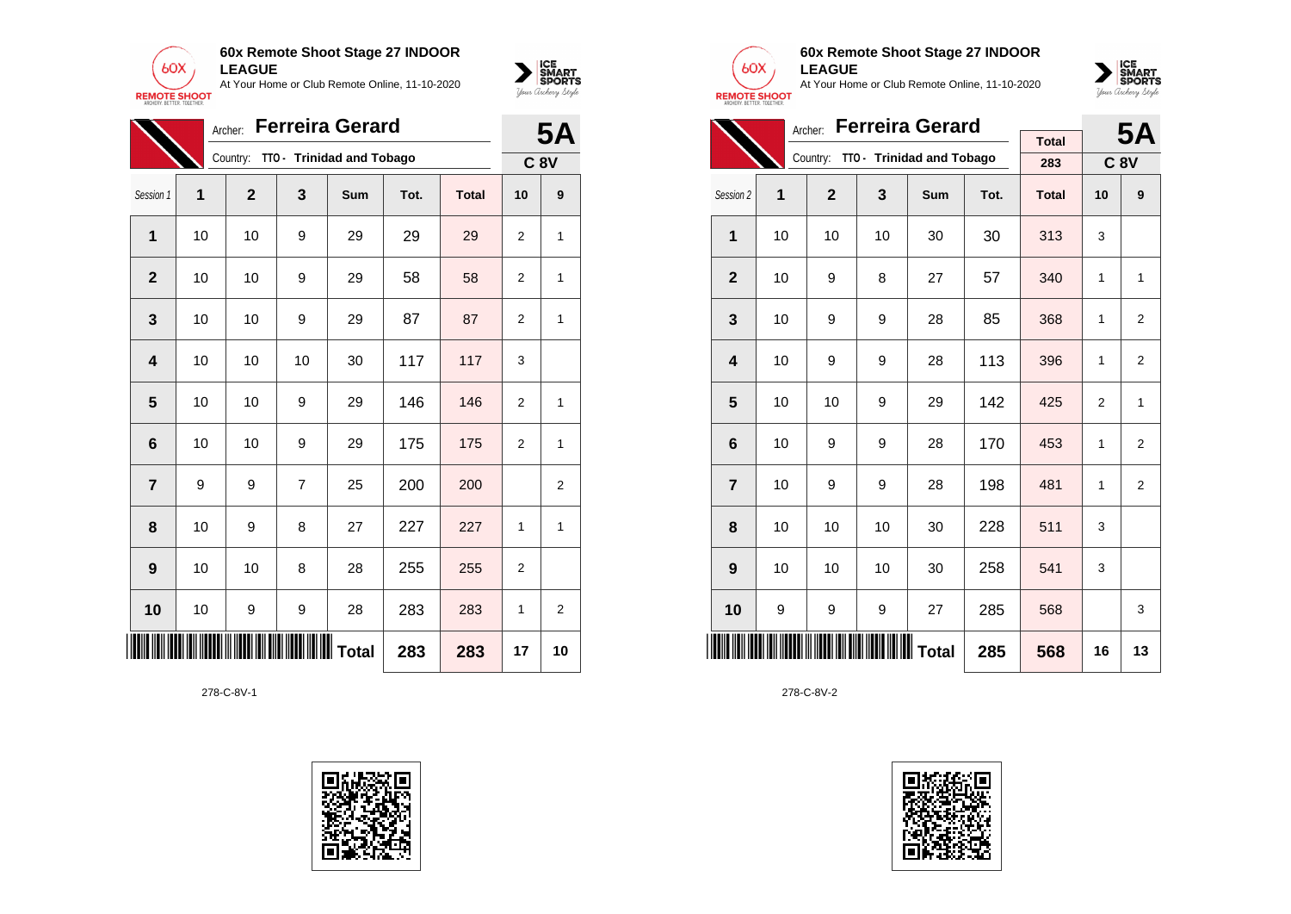



|                                      | <b>Ferreira Gerard</b><br>Archer: |                |    |                           |      |              |                |                |  |  |
|--------------------------------------|-----------------------------------|----------------|----|---------------------------|------|--------------|----------------|----------------|--|--|
|                                      |                                   | Country:       |    | TTO - Trinidad and Tobago |      |              |                | <b>C 8V</b>    |  |  |
| Session 1                            | 1                                 | $\overline{2}$ | 3  | Sum                       | Tot. | <b>Total</b> | 10             | 9              |  |  |
| 1                                    | 10                                | 10             | 9  | 29                        | 29   | 29           | $\overline{2}$ | 1              |  |  |
| $\overline{2}$                       | 10                                | 10             | 9  | 29                        | 58   | 58           | 2              | 1              |  |  |
| 3                                    | 10                                | 10             | 9  | 29                        | 87   | 87           | 2              | 1              |  |  |
| $\overline{\mathbf{4}}$              | 10                                | 10             | 10 | 30                        | 117  | 117          | 3              |                |  |  |
| 5                                    | 10                                | 10             | 9  | 29                        | 146  | 146          | $\overline{2}$ | 1              |  |  |
| $6\phantom{1}6$                      | 10                                | 10             | 9  | 29                        | 175  | 175          | $\overline{2}$ | 1              |  |  |
| $\overline{7}$                       | 9                                 | 9              | 7  | 25                        | 200  | 200          |                | 2              |  |  |
| 8                                    | 10                                | 9              | 8  | 27                        | 227  | 227          | 1              | 1              |  |  |
| $\boldsymbol{9}$                     | 10                                | 10             | 8  | 28                        | 255  | 255          | $\overline{2}$ |                |  |  |
| 10                                   | 10                                | 9              | 9  | 28                        | 283  | 283          | 1              | $\overline{2}$ |  |  |
| ║<br>IIIIIIIIIII Total<br>283<br>283 |                                   |                |    |                           |      |              | 17             | 10             |  |  |





### **60x Remote Shoot Stage 27 INDOOR LEAGUE**

At Your Home or Club Remote Online, 11-10-2020



|                         |    |                | <b>5A</b> |                                    |      |              |                |                |
|-------------------------|----|----------------|-----------|------------------------------------|------|--------------|----------------|----------------|
|                         |    |                |           |                                    |      | <b>Total</b> |                |                |
|                         |    |                |           | Country: TTO - Trinidad and Tobago |      | 283          |                | <b>C 8V</b>    |
| Session 2               | 1  | $\overline{2}$ | 3         | Sum                                | Tot. | <b>Total</b> | 10             | 9              |
| 1                       | 10 | 10             | 10        | 30                                 | 30   | 313          | 3              |                |
| $\mathbf{2}$            | 10 | 9              | 8         | 27                                 | 57   | 340          | 1              | 1              |
| 3                       | 10 | 9              | 9         | 28                                 | 85   | 368          | 1              | 2              |
| $\overline{\mathbf{4}}$ | 10 | 9              | 9         | 28                                 | 113  | 396          | 1              | 2              |
| 5                       | 10 | 10             | 9         | 29                                 | 142  | 425          | $\overline{2}$ | 1              |
| 6                       | 10 | 9              | 9         | 28                                 | 170  | 453          | 1              | 2              |
| $\overline{7}$          | 10 | 9              | 9         | 28                                 | 198  | 481          | 1              | $\overline{2}$ |
| 8                       | 10 | 10             | 10        | 30                                 | 228  | 511          | 3              |                |
| 9                       | 10 | 10             | 10        | 30                                 | 258  | 541          | 3              |                |
| 10                      | 9  | 9              | 9         | 27                                 | 285  | 568          |                | 3              |
|                         |    |                | 285       | 568                                | 16   | 13           |                |                |

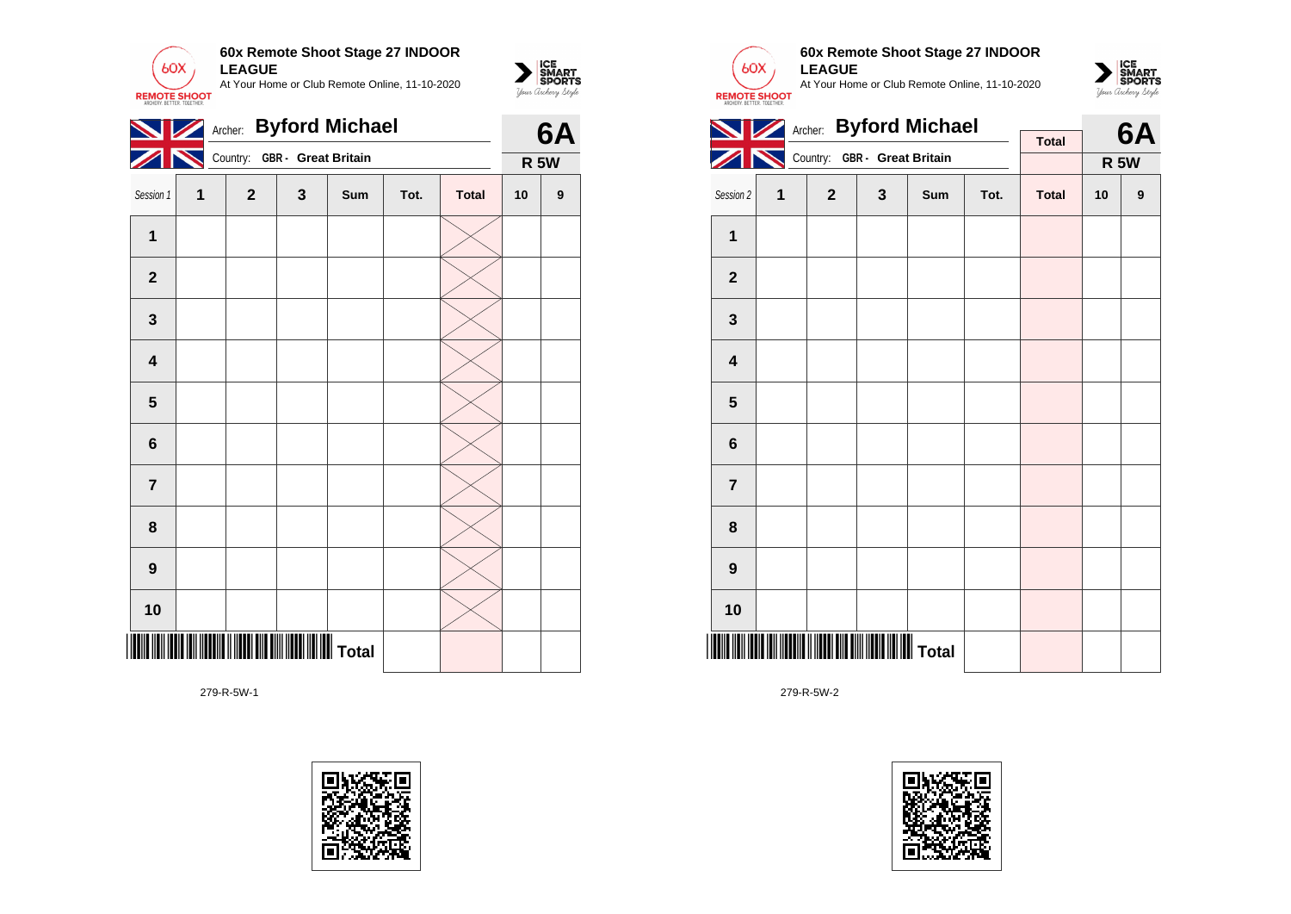

|                         | Archer: Byford Michael<br>Country: GBR - Great Britain |              |   |     |      |              |    |             |  |
|-------------------------|--------------------------------------------------------|--------------|---|-----|------|--------------|----|-------------|--|
|                         |                                                        |              |   |     |      |              |    | <b>R 5W</b> |  |
| Session 1               | 1                                                      | $\mathbf{2}$ | 3 | Sum | Tot. | <b>Total</b> | 10 | 9           |  |
| $\mathbf 1$             |                                                        |              |   |     |      |              |    |             |  |
| $\mathbf{2}$            |                                                        |              |   |     |      |              |    |             |  |
| ${\bf 3}$               |                                                        |              |   |     |      |              |    |             |  |
| $\overline{\mathbf{4}}$ |                                                        |              |   |     |      |              |    |             |  |
| $\overline{\mathbf{5}}$ |                                                        |              |   |     |      |              |    |             |  |
| $6\phantom{1}$          |                                                        |              |   |     |      |              |    |             |  |
| $\overline{\mathbf{7}}$ |                                                        |              |   |     |      |              |    |             |  |
| 8                       |                                                        |              |   |     |      |              |    |             |  |
| 9                       |                                                        |              |   |     |      |              |    |             |  |
| 10                      |                                                        |              |   |     |      |              |    |             |  |
|                         |                                                        |              |   |     |      |              |    |             |  |

279-R-5W-1





 $\sum_{\text{M} \subseteq \text{S$ **PORTS** 

### **60x Remote Shoot Stage 27 INDOOR LEAGUE**

At Your Home or Club Remote Online, 11-10-2020



|                         |   | Archer: Byford Michael       |   |     |      | 6A           |    |             |  |
|-------------------------|---|------------------------------|---|-----|------|--------------|----|-------------|--|
|                         |   | Country: GBR - Great Britain |   |     |      | <b>Total</b> |    |             |  |
|                         |   |                              |   |     |      |              |    | <b>R 5W</b> |  |
| Session 2               | 1 | $\overline{2}$               | 3 | Sum | Tot. | <b>Total</b> | 10 | 9           |  |
| 1                       |   |                              |   |     |      |              |    |             |  |
| $\overline{2}$          |   |                              |   |     |      |              |    |             |  |
| 3                       |   |                              |   |     |      |              |    |             |  |
| $\overline{\mathbf{4}}$ |   |                              |   |     |      |              |    |             |  |
| 5                       |   |                              |   |     |      |              |    |             |  |
| 6                       |   |                              |   |     |      |              |    |             |  |
| $\overline{7}$          |   |                              |   |     |      |              |    |             |  |
| 8                       |   |                              |   |     |      |              |    |             |  |
| 9                       |   |                              |   |     |      |              |    |             |  |
| 10                      |   |                              |   |     |      |              |    |             |  |
|                         |   |                              |   |     |      |              |    |             |  |

279-R-5W-2

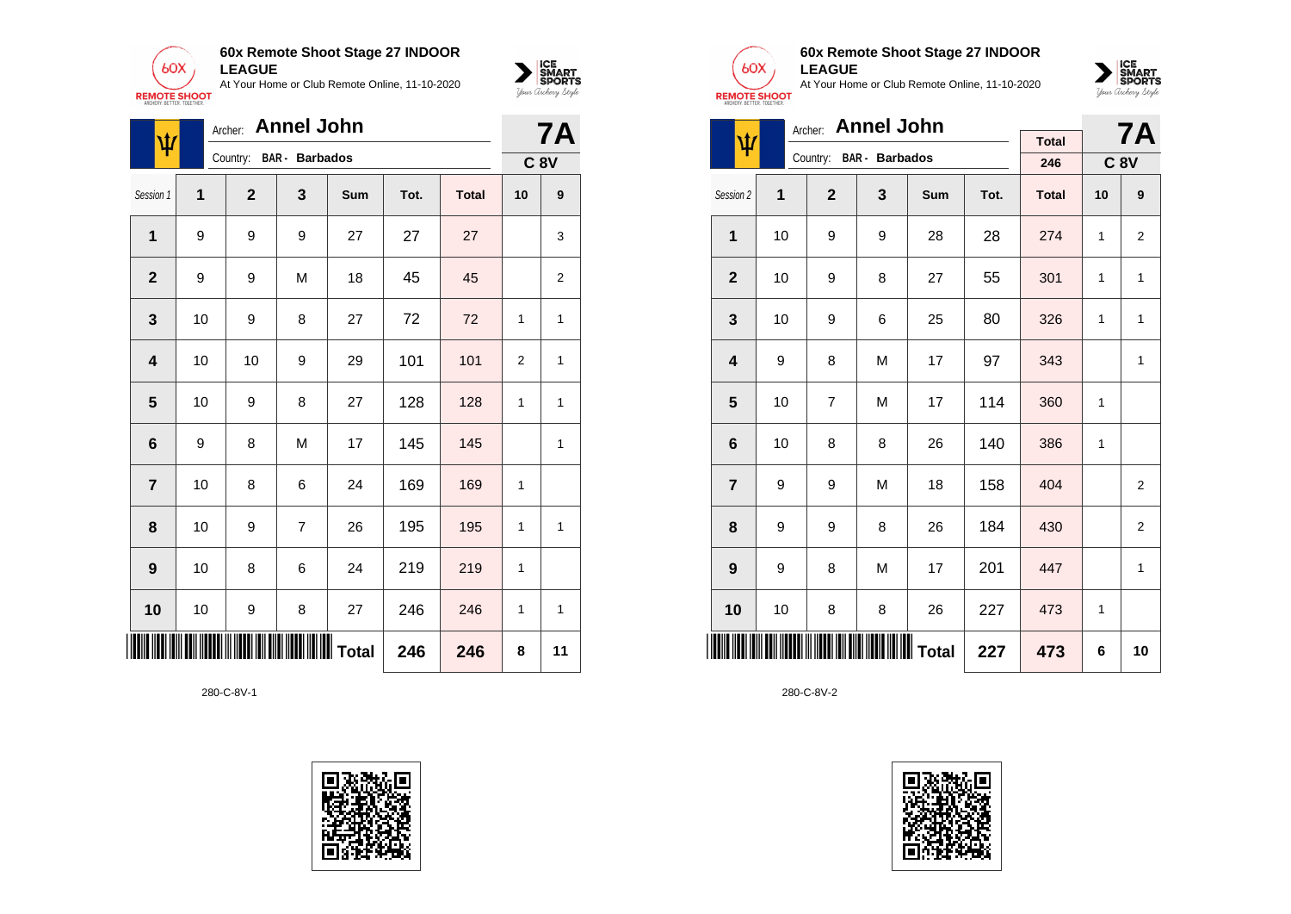



| ψ              |    | <b>7A</b>      |                       |                       |      |              |    |                |
|----------------|----|----------------|-----------------------|-----------------------|------|--------------|----|----------------|
|                |    | Country:       | <b>BAR</b> - Barbados |                       |      |              |    | <b>C 8V</b>    |
| Session 1      | 1  | $\overline{2}$ | 3                     | Sum                   | Tot. | <b>Total</b> | 10 | 9              |
| $\mathbf{1}$   | 9  | 9              | 9                     | 27                    | 27   | 27           |    | 3              |
| $\overline{2}$ | 9  | 9              | M                     | 18                    | 45   | 45           |    | $\overline{2}$ |
| 3              | 10 | 9              | 8                     | 27                    | 72   | 72           | 1  | 1              |
| 4              | 10 | 10             | 9                     | 29                    | 101  | 101          | 2  | 1              |
| 5              | 10 | 9              | 8                     | 27                    | 128  | 128          | 1  | 1              |
| 6              | 9  | 8              | M                     | 17                    | 145  | 145          |    | 1              |
| $\overline{7}$ | 10 | 8              | 6                     | 24                    | 169  | 169          | 1  |                |
| 8              | 10 | 9              | $\overline{7}$        | 26                    | 195  | 195          | 1  | 1              |
| 9              | 10 | 8              | 6                     | 24                    | 219  | 219          | 1  |                |
| 10             | 10 | 9              | 8                     | 27                    | 246  | 246          | 1  | 1              |
| ∭              |    |                |                       | <b>IIIIIIII</b> Total | 246  | 246          | 8  | 11             |





### **60x Remote Shoot Stage 27 INDOOR LEAGUE**

At Your Home or Club Remote Online, 11-10-2020



|                         |            | Archer: Annel John |                         |     | <b>7A</b> |              |    |                |
|-------------------------|------------|--------------------|-------------------------|-----|-----------|--------------|----|----------------|
| ψ                       |            |                    | Country: BAR - Barbados |     |           | <b>Total</b> |    |                |
|                         |            |                    |                         |     |           | 246          |    | <b>C 8V</b>    |
| Session 2               | 1          | $\overline{2}$     | 3                       | Sum | Tot.      | <b>Total</b> | 10 | 9              |
| 1                       | 10         | 9                  | 9                       | 28  | 28        | 274          | 1  | 2              |
| $\overline{2}$          | 10         | 9                  | 8                       | 27  | 55        | 301          | 1  | $\mathbf{1}$   |
| 3                       | 10         | 9                  | 6                       | 25  | 80        | 326          | 1  | 1              |
| $\overline{\mathbf{4}}$ | 9          | 8                  | M                       | 17  | 97        | 343          |    | 1              |
| 5                       | 10         | $\overline{7}$     | M                       | 17  | 114       | 360          | 1  |                |
| 6                       | 10         | 8                  | 8                       | 26  | 140       | 386          | 1  |                |
| $\overline{7}$          | 9          | 9                  | M                       | 18  | 158       | 404          |    | $\overline{2}$ |
| 8                       | 9          | 9                  | 8                       | 26  | 184       | 430          |    | 2              |
| 9                       | 9          | 8                  | M                       | 17  | 201       | 447          |    | 1              |
| 10                      | 10         | 8                  | 8                       | 26  | 227       | 473          | 1  |                |
|                         | 227<br>473 |                    |                         |     |           |              |    |                |

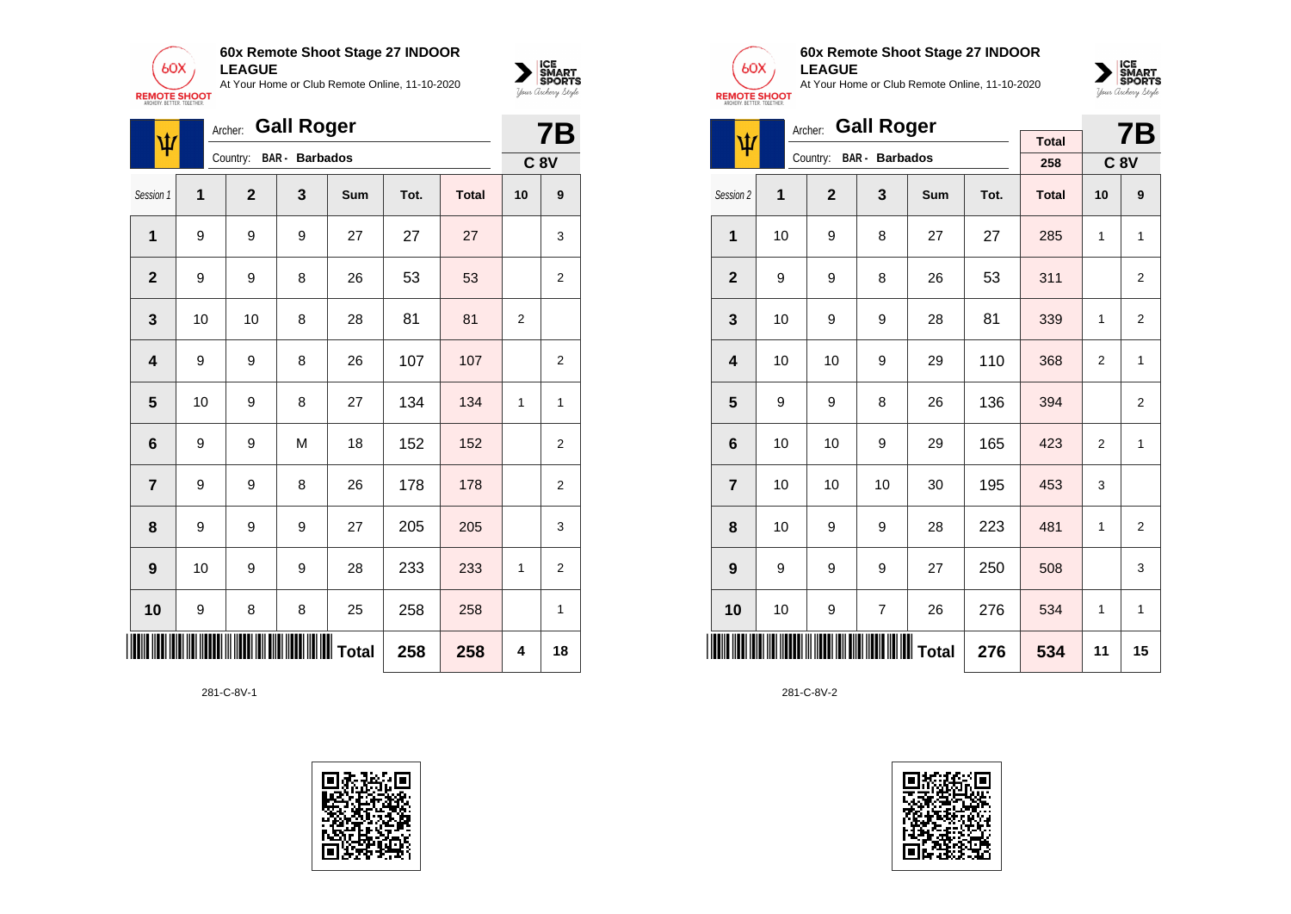



| ψ                       |    | <b>Gall Roger</b><br>Archer:<br><b>BAR</b> - Barbados |   |     |      |              |                |                |  |
|-------------------------|----|-------------------------------------------------------|---|-----|------|--------------|----------------|----------------|--|
|                         |    | Country:                                              |   |     |      |              |                | <b>C 8V</b>    |  |
| Session 1               | 1  | $\overline{2}$                                        | 3 | Sum | Tot. | <b>Total</b> | 10             | 9              |  |
| 1                       | 9  | 9                                                     | 9 | 27  | 27   | 27           |                | 3              |  |
| $\overline{2}$          | 9  | 9                                                     | 8 | 26  | 53   | 53           |                | 2              |  |
| $\mathbf{3}$            | 10 | 10                                                    | 8 | 28  | 81   | 81           | $\overline{2}$ |                |  |
| $\overline{\mathbf{4}}$ | 9  | 9                                                     | 8 | 26  | 107  | 107          |                | $\overline{2}$ |  |
| 5                       | 10 | 9                                                     | 8 | 27  | 134  | 134          | 1              | 1              |  |
| $\bf 6$                 | 9  | 9                                                     | M | 18  | 152  | 152          |                | $\overline{2}$ |  |
| $\overline{7}$          | 9  | 9                                                     | 8 | 26  | 178  | 178          |                | 2              |  |
| 8                       | 9  | 9                                                     | 9 | 27  | 205  | 205          |                | 3              |  |
| $\boldsymbol{9}$        | 10 | 9                                                     | 9 | 28  | 233  | 233          | 1              | $\overline{c}$ |  |
| 10                      | 9  | 8                                                     | 8 | 25  | 258  | 258          |                | 1              |  |
|                         |    |                                                       |   |     | 258  | 258          | 4              | 18             |  |





#### **60x Remote Shoot Stage 27 INDOOR LEAGUE**

At Your Home or Club Remote Online, 11-10-2020



|                         |    | <b>Gall Roger</b><br>Archer: |                                                  |     |      | <b>7B</b>    |                |                |
|-------------------------|----|------------------------------|--------------------------------------------------|-----|------|--------------|----------------|----------------|
| ψ                       |    |                              |                                                  |     |      | <b>Total</b> |                |                |
|                         |    | Country:                     | <b>BAR</b> - Barbados                            |     |      | 258          |                | <b>C 8V</b>    |
| Session 2               | 1  | $\overline{2}$               | 3                                                | Sum | Tot. | <b>Total</b> | 10             | 9              |
| 1                       | 10 | 9                            | 8                                                | 27  | 27   | 285          | 1              | $\mathbf{1}$   |
| $\overline{2}$          | 9  | 9                            | 8                                                | 26  | 53   | 311          |                | $\overline{2}$ |
| 3                       | 10 | 9                            | 9                                                | 28  | 81   | 339          | 1              | 2              |
| $\overline{\mathbf{4}}$ | 10 | 10                           | 9                                                | 29  | 110  | 368          | 2              | 1              |
| 5                       | 9  | 9                            | 8                                                | 26  | 136  | 394          |                | 2              |
| 6                       | 10 | 10                           | 9                                                | 29  | 165  | 423          | $\overline{2}$ | 1              |
| $\overline{7}$          | 10 | 10                           | 10                                               | 30  | 195  | 453          | 3              |                |
| 8                       | 10 | 9                            | 9                                                | 28  | 223  | 481          | 1              | $\overline{2}$ |
| 9                       | 9  | 9                            | 9                                                | 27  | 250  | 508          |                | 3              |
| 10                      | 10 | 9                            | $\overline{7}$                                   | 26  | 276  | 534          | 1              | $\mathbf{1}$   |
|                         |    |                              | <b>                                   </b> Total |     | 276  | 534          | 11             | 15             |

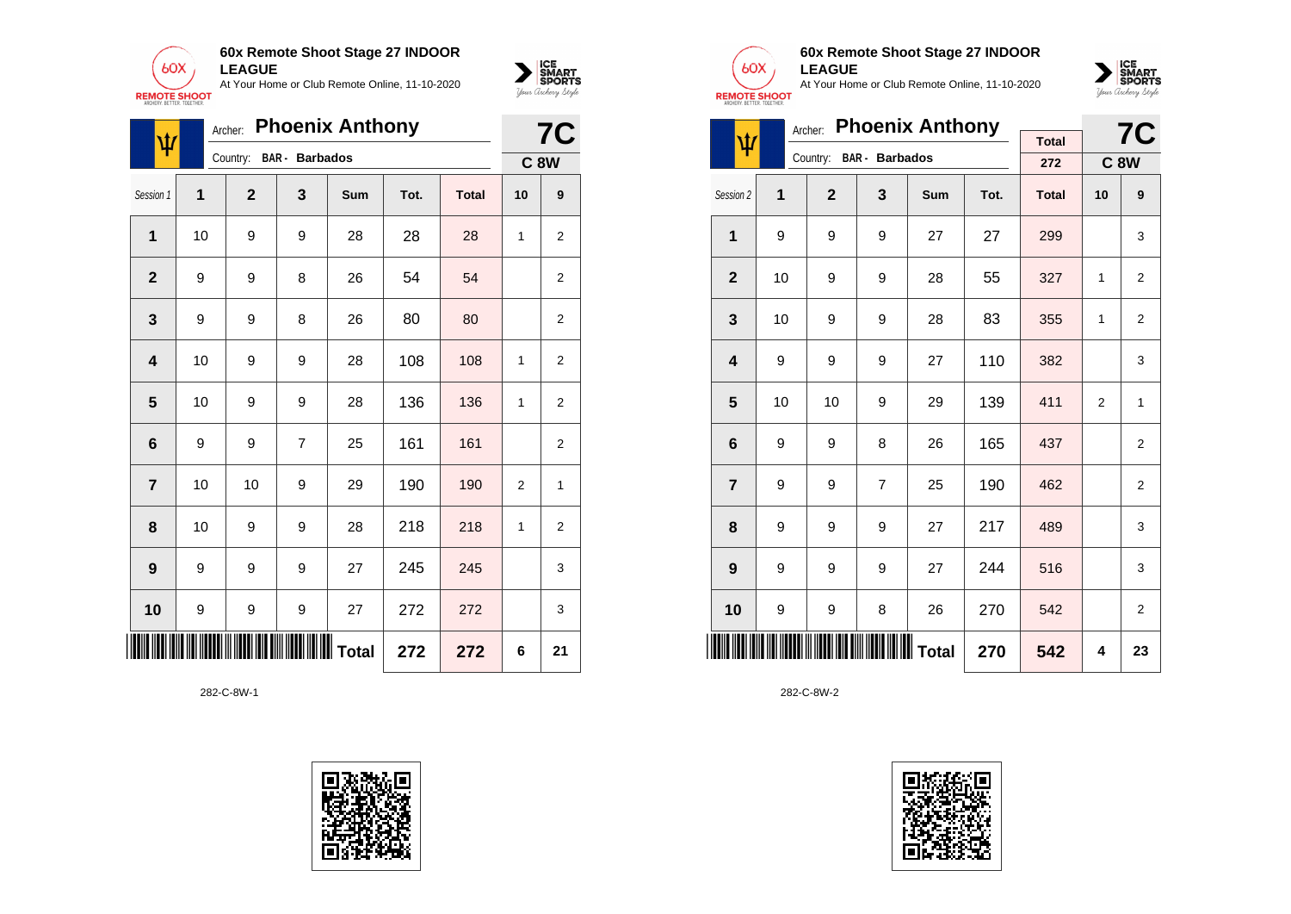



| ψ                       |    | <b>Phoenix Anthony</b><br>Archer: |                       |     |      |              |             |                |  |  |
|-------------------------|----|-----------------------------------|-----------------------|-----|------|--------------|-------------|----------------|--|--|
|                         |    | Country:                          | <b>BAR</b> - Barbados |     |      |              | <b>C 8W</b> |                |  |  |
| Session 1               | 1  | $\mathbf{2}$                      | 3                     | Sum | Tot. | <b>Total</b> | 10          | 9              |  |  |
| 1                       | 10 | 9                                 | 9                     | 28  | 28   | 28           | 1           | 2              |  |  |
| $\mathbf{2}$            | 9  | 9                                 | 8                     | 26  | 54   | 54           |             | 2              |  |  |
| 3                       | 9  | 9                                 | 8                     | 26  | 80   | 80           |             | $\overline{2}$ |  |  |
| $\overline{\mathbf{4}}$ | 10 | 9                                 | 9                     | 28  | 108  | 108          | 1           | $\overline{2}$ |  |  |
| 5                       | 10 | 9                                 | 9                     | 28  | 136  | 136          | 1           | $\overline{2}$ |  |  |
| $\bf 6$                 | 9  | 9                                 | $\overline{7}$        | 25  | 161  | 161          |             | $\overline{2}$ |  |  |
| $\overline{\mathbf{r}}$ | 10 | 10                                | 9                     | 29  | 190  | 190          | 2           | 1              |  |  |
| 8                       | 10 | 9                                 | 9                     | 28  | 218  | 218          | 1           | $\overline{2}$ |  |  |
| $\boldsymbol{9}$        | 9  | 9                                 | 9                     | 27  | 245  | 245          |             | 3              |  |  |
| 10                      | 9  | 9                                 | 9                     | 27  | 272  | 272          |             | 3              |  |  |
|                         |    |                                   | ∭∭∭∭∭∭ Total          |     | 272  | 272          | 6           | 21             |  |  |

282-C-8W-1





## **60x Remote Shoot Stage 27 INDOOR LEAGUE**

At Your Home or Club Remote Online, 11-10-2020



|                         |    |              | <b>7C</b>             |     |      |              |                |                |
|-------------------------|----|--------------|-----------------------|-----|------|--------------|----------------|----------------|
| ψ                       |    | Country:     | <b>BAR</b> - Barbados |     |      | <b>Total</b> |                |                |
|                         |    |              |                       |     |      | 272          |                | <b>C8W</b>     |
| Session 2               | 1  | $\mathbf{2}$ | 3                     | Sum | Tot. | <b>Total</b> | 10             | 9              |
| $\mathbf{1}$            | 9  | 9            | 9                     | 27  | 27   | 299          |                | 3              |
| $\overline{2}$          | 10 | 9            | 9                     | 28  | 55   | 327          | 1              | 2              |
| 3                       | 10 | 9            | 9                     | 28  | 83   | 355          | 1              | 2              |
| $\overline{\mathbf{4}}$ | 9  | 9            | 9                     | 27  | 110  | 382          |                | 3              |
| 5                       | 10 | 10           | 9                     | 29  | 139  | 411          | $\overline{2}$ | 1              |
| $6\phantom{1}6$         | 9  | 9            | 8                     | 26  | 165  | 437          |                | $\overline{2}$ |
| $\overline{7}$          | 9  | 9            | $\overline{7}$        | 25  | 190  | 462          |                | 2              |
| 8                       | 9  | 9            | 9                     | 27  | 217  | 489          |                | 3              |
| 9                       | 9  | 9            | 9                     | 27  | 244  | 516          |                | 3              |
| 10                      | 9  | 9            | 8                     | 26  | 270  | 542          |                | 2              |
|                         |    |              | 270                   | 542 | 4    | 23           |                |                |

282-C-8W-2

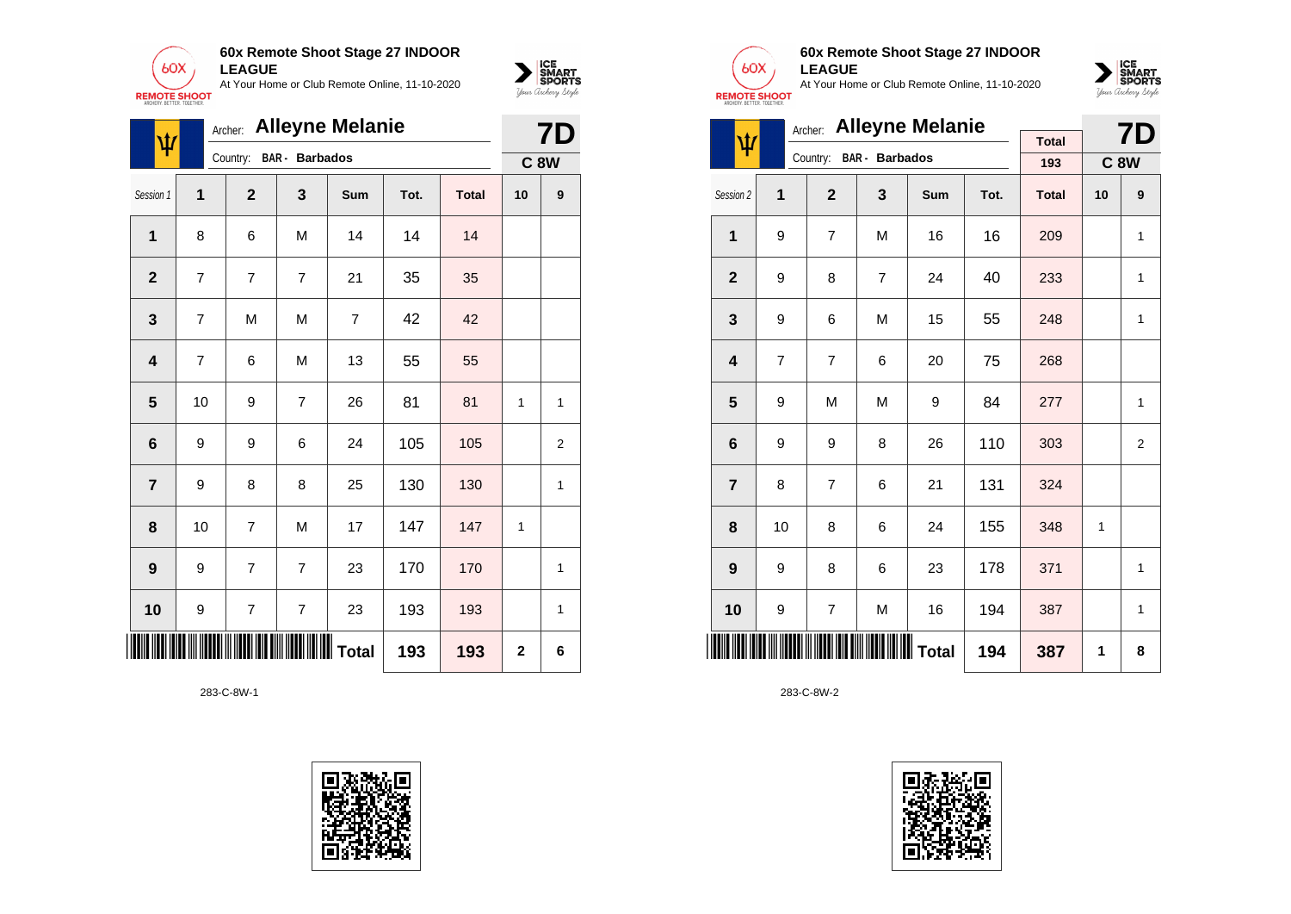



|                         | Archer: Alleyne Melanie<br>ψ |                                   |                |                |      |              |                |                  |
|-------------------------|------------------------------|-----------------------------------|----------------|----------------|------|--------------|----------------|------------------|
|                         |                              | Country:<br><b>BAR</b> - Barbados |                |                |      |              |                |                  |
| Session 1               | 1                            | $\overline{2}$                    | 3              | Sum            | Tot. | <b>Total</b> | 10             | $\boldsymbol{9}$ |
| $\mathbf 1$             | 8                            | 6                                 | M              | 14             | 14   | 14           |                |                  |
| $\mathbf{2}$            | 7                            | 7                                 | $\overline{7}$ | 21             | 35   | 35           |                |                  |
| $\mathbf{3}$            | 7                            | M                                 | M              | $\overline{7}$ | 42   | 42           |                |                  |
| $\overline{\mathbf{4}}$ | 7                            | 6                                 | M              | 13             | 55   | 55           |                |                  |
| 5                       | 10                           | 9                                 | 7              | 26             | 81   | 81           | 1              | 1                |
| $6\phantom{1}6$         | 9                            | 9                                 | 6              | 24             | 105  | 105          |                | 2                |
| $\overline{7}$          | 9                            | 8                                 | 8              | 25             | 130  | 130          |                | 1                |
| 8                       | 10                           | $\overline{7}$                    | M              | 17             | 147  | 147          | 1              |                  |
| $\boldsymbol{9}$        | 9                            | $\overline{7}$                    | $\overline{7}$ | 23             | 170  | 170          |                | 1                |
| 10                      | 9                            | 7                                 | $\overline{7}$ | 23             | 193  | 193          |                | 1                |
|                         |                              |                                   |                |                | 193  | 193          | $\overline{2}$ | 6                |

283-C-8W-1





## **60x Remote Shoot Stage 27 INDOOR LEAGUE**

At Your Home or Club Remote Online, 11-10-2020



| <b>Alleyne Melanie</b><br>Archer: |                |                |                         |     |      |              |    | 7D             |
|-----------------------------------|----------------|----------------|-------------------------|-----|------|--------------|----|----------------|
| ψ                                 |                |                | Country: BAR - Barbados |     |      | <b>Total</b> |    |                |
|                                   |                |                |                         |     |      | 193          |    | <b>C8W</b>     |
| Session 2                         | 1              | $\overline{2}$ | 3                       | Sum | Tot. | <b>Total</b> | 10 | 9              |
| $\mathbf{1}$                      | 9              | $\overline{7}$ | M                       | 16  | 16   | 209          |    | 1              |
| $\overline{2}$                    | 9              | 8              | $\overline{7}$          | 24  | 40   | 233          |    | $\mathbf{1}$   |
| 3                                 | 9              | 6              | M                       | 15  | 55   | 248          |    | 1              |
| $\overline{\mathbf{4}}$           | $\overline{7}$ | $\overline{7}$ | 6                       | 20  | 75   | 268          |    |                |
| 5                                 | 9              | M              | M                       | 9   | 84   | 277          |    | 1              |
| $6\phantom{1}6$                   | 9              | 9              | 8                       | 26  | 110  | 303          |    | $\overline{2}$ |
| $\overline{7}$                    | 8              | $\overline{7}$ | 6                       | 21  | 131  | 324          |    |                |
| 8                                 | 10             | 8              | 6                       | 24  | 155  | 348          | 1  |                |
| $\boldsymbol{9}$                  | 9              | 8              | 6                       | 23  | 178  | 371          |    | $\mathbf{1}$   |
| 10                                | 9              | 7              | M                       | 16  | 194  | 387          |    | $\mathbf{1}$   |
| <b>HIIIIIIII</b>                  |                |                |                         |     | 194  | 387          | 1  | 8              |

283-C-8W-2

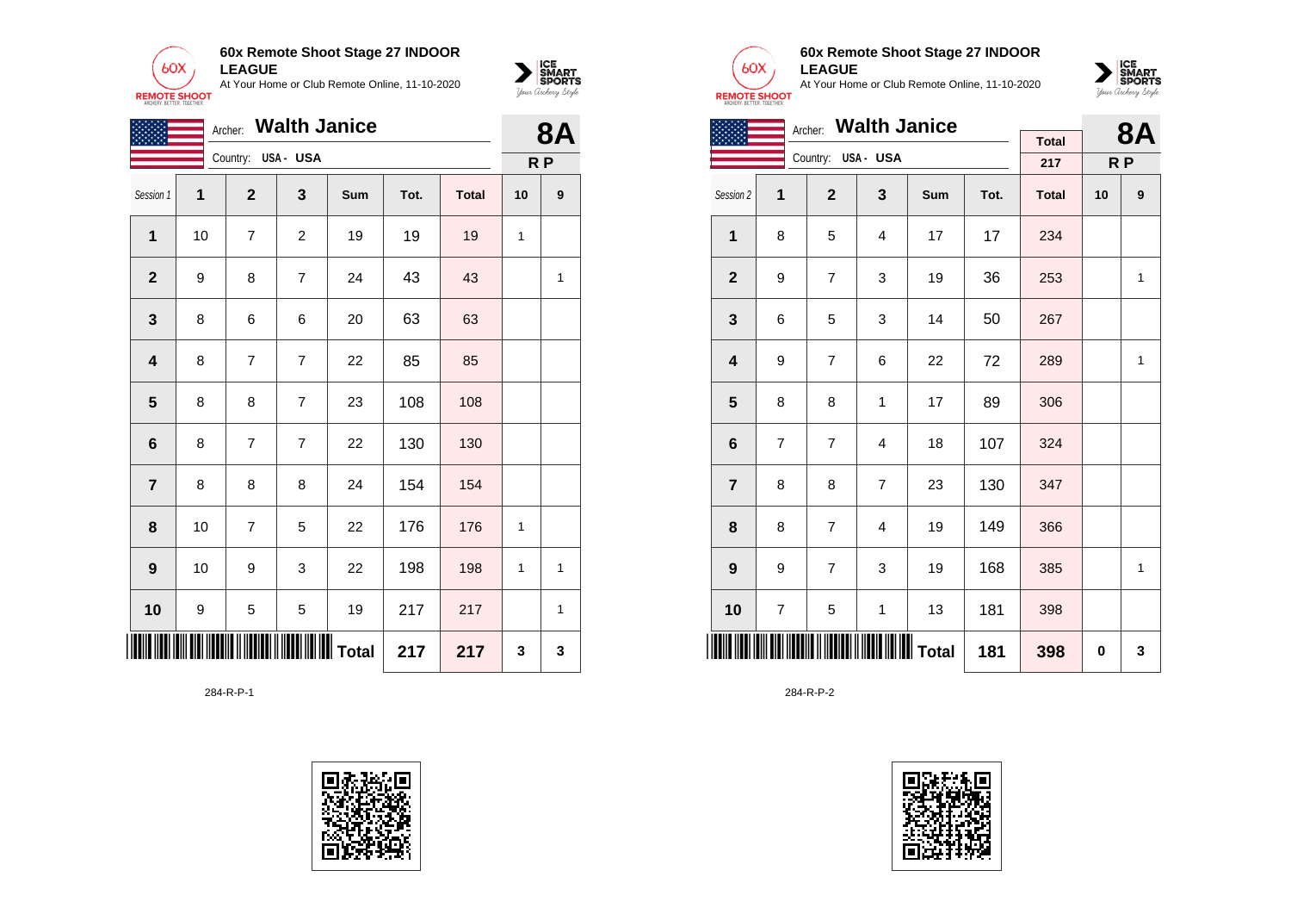

**60x Remote Shoot Stage 27 INDOOR LEAGUE** At Your Home or Club Remote Online, 11-10-2020



| <b>Walth Janice</b><br>Archer: |    |                |                |     |      |              |    | <b>8A</b>      |
|--------------------------------|----|----------------|----------------|-----|------|--------------|----|----------------|
| Country:<br>USA- USA           |    |                |                |     |      |              |    | R <sub>P</sub> |
| Session 1                      | 1  | $\mathbf{2}$   | 3              | Sum | Tot. | <b>Total</b> | 10 | 9              |
| 1                              | 10 | $\overline{7}$ | $\overline{c}$ | 19  | 19   | 19           | 1  |                |
| $\mathbf{2}$                   | 9  | 8              | 7              | 24  | 43   | 43           |    | 1              |
| 3                              | 8  | 6              | 6              | 20  | 63   | 63           |    |                |
| $\overline{\mathbf{4}}$        | 8  | $\overline{7}$ | $\overline{7}$ | 22  | 85   | 85           |    |                |
| 5                              | 8  | 8              | $\overline{7}$ | 23  | 108  | 108          |    |                |
| $\bf 6$                        | 8  | $\overline{7}$ | $\overline{7}$ | 22  | 130  | 130          |    |                |
| $\overline{7}$                 | 8  | 8              | 8              | 24  | 154  | 154          |    |                |
| 8                              | 10 | 7              | 5              | 22  | 176  | 176          | 1  |                |
| $\boldsymbol{9}$               | 10 | 9              | 3              | 22  | 198  | 198          | 1  | 1              |
| 10                             | 9  | 5              | 5              | 19  | 217  | 217          |    | 1              |
|                                |    |                |                |     | 217  | 217          | 3  | 3              |

284-R-P-1





### **60x Remote Shoot Stage 27 INDOOR LEAGUE**

At Your Home or Club Remote Online, 11-10-2020



| Archer: Walth Janice    |                |                    |                |     |      |                |    | 8Α           |
|-------------------------|----------------|--------------------|----------------|-----|------|----------------|----|--------------|
|                         |                |                    |                |     |      | <b>Total</b>   |    |              |
|                         |                | Country: USA - USA |                |     | 217  | R <sub>P</sub> |    |              |
| Session 2               | 1              | $\overline{2}$     | 3              | Sum | Tot. | <b>Total</b>   | 10 | 9            |
| $\mathbf{1}$            | 8              | 5                  | 4              | 17  | 17   | 234            |    |              |
| $\overline{2}$          | 9              | $\overline{7}$     | 3              | 19  | 36   | 253            |    | 1            |
| 3                       | 6              | 5                  | 3              | 14  | 50   | 267            |    |              |
| $\overline{\mathbf{4}}$ | 9              | $\overline{7}$     | 6              | 22  | 72   | 289            |    | $\mathbf{1}$ |
| 5                       | 8              | 8                  | 1              | 17  | 89   | 306            |    |              |
| 6                       | $\overline{7}$ | $\overline{7}$     | 4              | 18  | 107  | 324            |    |              |
| $\overline{7}$          | 8              | 8                  | $\overline{7}$ | 23  | 130  | 347            |    |              |
| 8                       | 8              | $\overline{7}$     | $\overline{4}$ | 19  | 149  | 366            |    |              |
| 9                       | 9              | $\overline{7}$     | 3              | 19  | 168  | 385            |    | $\mathbf{1}$ |
| 10                      | 7              | 5                  | 1              | 13  | 181  | 398            |    |              |
| IIII                    |                |                    |                |     | 181  | 398            | 0  | 3            |

284-R-P-2